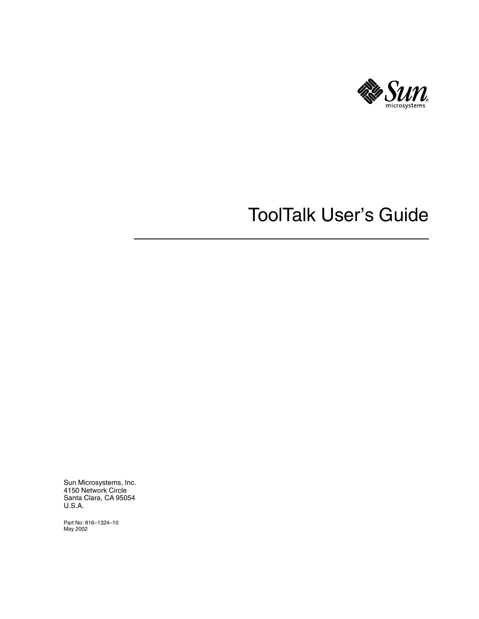

# ToolTalk User's Guide

Sun Microsystems, Inc. 4150 Network Circle Santa Clara, CA 95054 U.S.A.

Part No: 816–1324–10 May 2002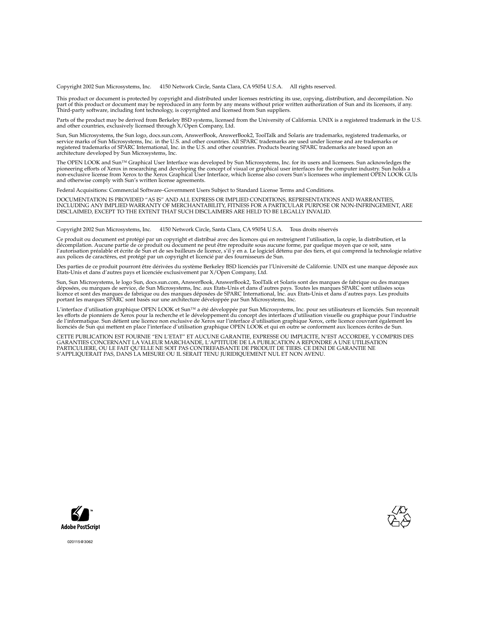Copyright 2002 Sun Microsystems, Inc. 4150 Network Circle, Santa Clara, CA 95054 U.S.A. All rights reserved.

This product or document is protected by copyright and distributed under licenses restricting its use, copying, distribution, and decompilation. No part of this product or document may be reproduced in any form by any means without prior written authorization of Sun and its licensors, if any.<br>Third-party software, including font technology, is copyrighted and licensed

Parts of the product may be derived from Berkeley BSD systems, licensed from the University of California. UNIX is a registered trademark in the U.S. and other countries, exclusively licensed through X/Open Company, Ltd.

Sun, Sun Microsystems, the Sun logo, docs.sun.com, AnswerBook, AnswerBook2, ToolTalk and Solaris are trademarks, registered trademarks, or<br>service marks of Sun Microsystems, Inc. in the U.S. and other countries. All SPARC architecture developed by Sun Microsystems, Inc.

The OPEN LOOK and Sun™ Graphical User Interface was developed by Sun Microsystems, Inc. for its users and licensees. Sun acknowledges the pioneering efforts of Xerox in researching and developing the concept of visual or graphical user interfaces for the computer industry. Sun holds a<br>non-exclusive license from Xerox to the Xerox Graphical User Interface, wh and otherwise comply with Sun's written license agreements.

Federal Acquisitions: Commercial Software–Government Users Subject to Standard License Terms and Conditions.

DOCUMENTATION IS PROVIDED "AS IS" AND ALL EXPRESS OR IMPLIED CONDITIONS, REPRESENTATIONS AND WARRANTIES,<br>INCLUDING ANY IMPLIED WARRANTY OF MERCHANTABILITY, FITNESS FOR A PARTICULAR PURPOSE OR NON-INFRINGEMENT, ARE<br>DISCLAIM

Copyright 2002 Sun Microsystems, Inc. 4150 Network Circle, Santa Clara, CA 95054 U.S.A. Tous droits réservés

Ce produit ou document est protégé par un copyright et distribué avec des licences qui en restreignent l'utilisation, la copie, la distribution, et la décompilation. Aucune partie de ce produit ou document ne peut être reproduite sous aucune forme, par quelque moyen que ce soit, sans<br>l'autorisation préalable et écrite de Sun et de ses bailleurs de licence, s'il y en a. L aux polices de caractères, est protégé par un copyright et licencié par des fournisseurs de Sun.

Des parties de ce produit pourront être dérivées du système Berkeley BSD licenciés par l'Université de Californie. UNIX est une marque déposée aux Etats-Unis et dans d'autres pays et licenciée exclusivement par X/Open Company, Ltd.

Sun, Sun Microsystems, le logo Sun, docs.sun.com, AnswerBook, AnswerBook2, ToolTalk et Solaris sont des marques de fabrique ou des marques<br>déposées, ou marques de service, de Sun Microsystems, Inc. aux Etats-Unis et dans d

L'interface d'utilisation graphique OPEN LOOK et Sun™ a été développée par Sun Microsystems, Inc. pour ses utilisateurs et licenciés. Sun reconnaît les efforts de pionniers de Xerox pour la recherche et le développement du concept des interfaces d'utilisation visuelle ou graphique pour l'industrie de l'informatique. Sun détient une licence non exclusive de Xerox sur l'interface d'utilisation graphique Xerox, cette licence couvrant également les<br>licenciés de Sun qui mettent en place l'interface d'utilisation graphiqu

CETTE PUBLICATION EST FOURNIE "EN L'ETAT" ET AUCUNE GARANTIE, EXPRESSE OU IMPLICITE, N'EST ACCORDEE, Y COMPRIS DES GARANTIES CONCERNANT LA VALEUR MARCHANDE, L'APTITUDE DE LA PUBLICATION A REPONDRE A UNE UTILISATION PARTICULIERE, OU LE FAIT QU'ELLE NE SOIT PAS CONTREFAISANTE DE PRODUIT DE TIERS. CE DENI DE GARANTIE NE S'APPLIQUERAIT PAS, DANS LA MESURE OU IL SERAIT TENU JURIDIQUEMENT NUL ET NON AVENU.





020115@3062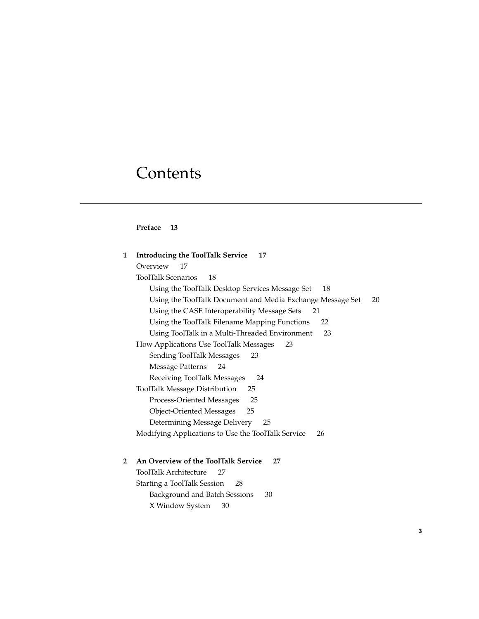# **Contents**

#### **Preface 13**

| <b>Introducing the ToolTalk Service</b><br>1<br>17 |                                                            |    |
|----------------------------------------------------|------------------------------------------------------------|----|
|                                                    | Overview<br>17                                             |    |
|                                                    | <b>ToolTalk Scenarios</b><br>18                            |    |
|                                                    | Using the ToolTalk Desktop Services Message Set<br>18      |    |
|                                                    | Using the ToolTalk Document and Media Exchange Message Set | 20 |
|                                                    | Using the CASE Interoperability Message Sets<br>21         |    |
|                                                    | Using the ToolTalk Filename Mapping Functions<br>22        |    |
|                                                    | Using ToolTalk in a Multi-Threaded Environment<br>23       |    |
|                                                    | How Applications Use ToolTalk Messages<br>-23              |    |
|                                                    | Sending ToolTalk Messages<br>23                            |    |
|                                                    | Message Patterns<br>24                                     |    |
|                                                    | Receiving ToolTalk Messages<br>24                          |    |
|                                                    | ToolTalk Message Distribution<br>25                        |    |
|                                                    | Process-Oriented Messages<br>25                            |    |
|                                                    | Object-Oriented Messages<br>25                             |    |
|                                                    | Determining Message Delivery<br>25                         |    |
|                                                    | Modifying Applications to Use the ToolTalk Service<br>26   |    |
|                                                    |                                                            |    |
| 2                                                  | An Overview of the ToolTalk Service<br>27                  |    |
|                                                    | <b>ToolTalk Architecture</b><br>27                         |    |
|                                                    | Starting a ToolTalk Session<br>28                          |    |
|                                                    | Background and Batch Sessions<br>30                        |    |
|                                                    |                                                            |    |

X Window System 30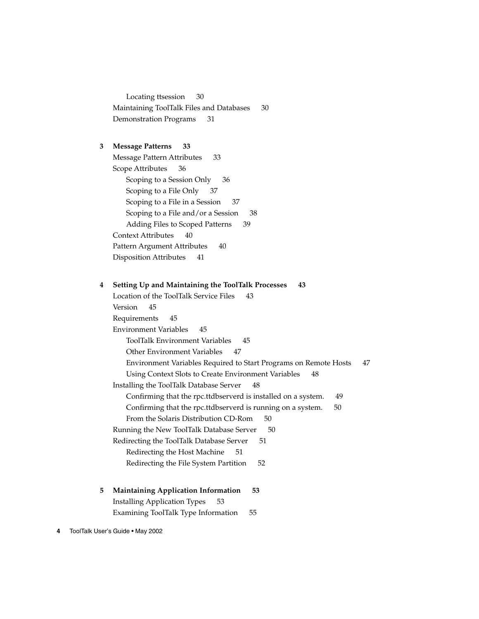Locating ttsession 30 Maintaining ToolTalk Files and Databases 30 Demonstration Programs 31

#### **3 Message Patterns 33**

Message Pattern Attributes 33 Scope Attributes 36 Scoping to a Session Only 36 Scoping to a File Only 37 Scoping to a File in a Session 37 Scoping to a File and/or a Session 38 Adding Files to Scoped Patterns 39 Context Attributes 40 Pattern Argument Attributes 40 Disposition Attributes 41

#### **4 Setting Up and Maintaining the ToolTalk Processes 43** Location of the ToolTalk Service Files 43

Version 45 Requirements 45 Environment Variables 45 ToolTalk Environment Variables 45 Other Environment Variables 47 Environment Variables Required to Start Programs on Remote Hosts 47 Using Context Slots to Create Environment Variables 48 Installing the ToolTalk Database Server 48 Confirming that the rpc.ttdbserverd is installed on a system. 49 Confirming that the rpc.ttdbserverd is running on a system. 50 From the Solaris Distribution CD-Rom 50 Running the New ToolTalk Database Server 50 Redirecting the ToolTalk Database Server 51 Redirecting the Host Machine 51 Redirecting the File System Partition 52

**5 Maintaining Application Information 53** Installing Application Types 53 Examining ToolTalk Type Information 55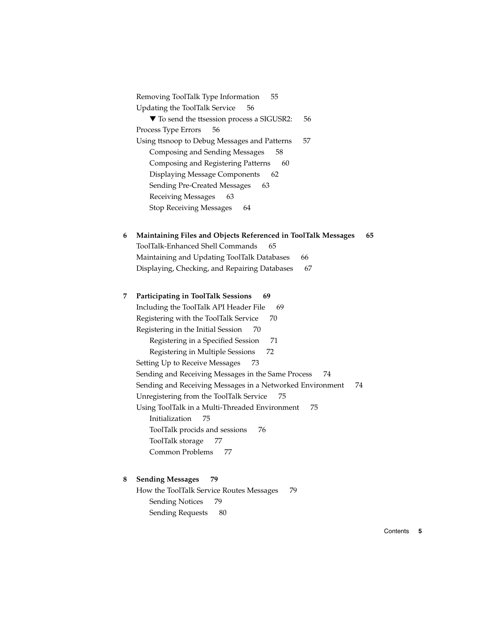Removing ToolTalk Type Information 55 Updating the ToolTalk Service 56 ▼ To send the ttsession process a SIGUSR2: 56 Process Type Errors 56 Using ttsnoop to Debug Messages and Patterns 57 Composing and Sending Messages 58 Composing and Registering Patterns 60 Displaying Message Components 62 Sending Pre-Created Messages 63 Receiving Messages 63 Stop Receiving Messages 64 **6 Maintaining Files and Objects Referenced in ToolTalk Messages 65** ToolTalk-Enhanced Shell Commands 65 Maintaining and Updating ToolTalk Databases 66 Displaying, Checking, and Repairing Databases 67 **7 Participating in ToolTalk Sessions 69** Including the ToolTalk API Header File 69 Registering with the ToolTalk Service 70 Registering in the Initial Session 70 Registering in a Specified Session 71 Registering in Multiple Sessions 72 Setting Up to Receive Messages 73 Sending and Receiving Messages in the Same Process 74 Sending and Receiving Messages in a Networked Environment 74 Unregistering from the ToolTalk Service 75 Using ToolTalk in a Multi-Threaded Environment 75 Initialization 75 ToolTalk procids and sessions 76 ToolTalk storage 77 Common Problems 77 **8 Sending Messages 79**

How the ToolTalk Service Routes Messages 79 Sending Notices 79 Sending Requests 80

Contents **5**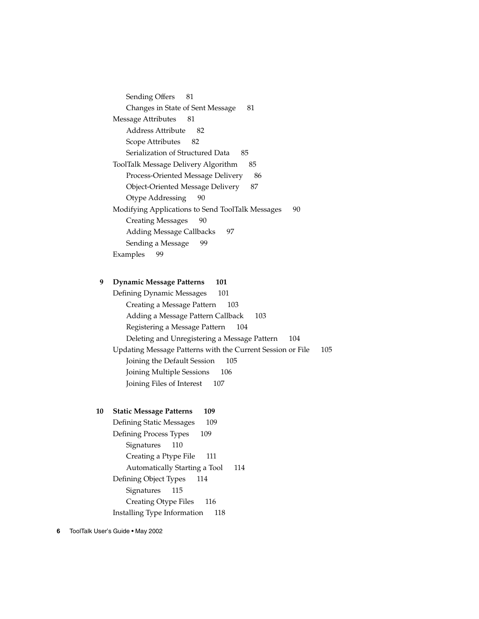Sending Offers 81 Changes in State of Sent Message 81 Message Attributes 81 Address Attribute 82 Scope Attributes 82 Serialization of Structured Data 85 ToolTalk Message Delivery Algorithm 85 Process-Oriented Message Delivery 86 Object-Oriented Message Delivery 87 Otype Addressing 90 Modifying Applications to Send ToolTalk Messages 90 Creating Messages 90 Adding Message Callbacks 97 Sending a Message 99 Examples 99

#### **9 Dynamic Message Patterns 101**

Defining Dynamic Messages 101 Creating a Message Pattern 103 Adding a Message Pattern Callback 103 Registering a Message Pattern 104 Deleting and Unregistering a Message Pattern 104 Updating Message Patterns with the Current Session or File 105 Joining the Default Session 105 Joining Multiple Sessions 106 Joining Files of Interest 107

#### **10 Static Message Patterns 109**

Defining Static Messages 109 Defining Process Types 109 Signatures 110 Creating a Ptype File 111 Automatically Starting a Tool 114 Defining Object Types 114 Signatures 115 Creating Otype Files 116 Installing Type Information 118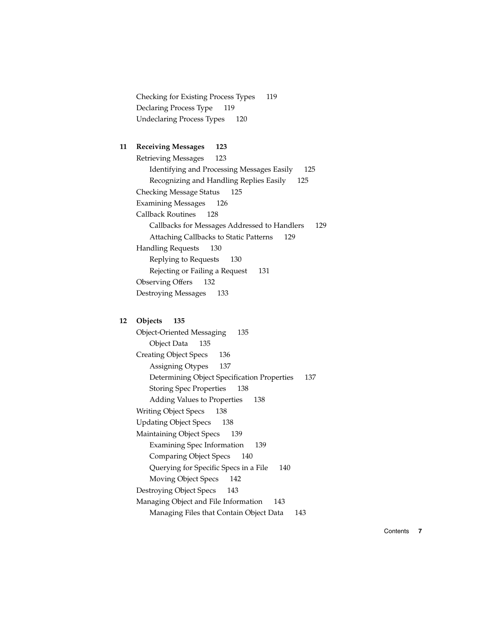Checking for Existing Process Types 119 Declaring Process Type 119 Undeclaring Process Types 120

#### **11 Receiving Messages 123**

Retrieving Messages 123 Identifying and Processing Messages Easily 125 Recognizing and Handling Replies Easily 125 Checking Message Status 125 Examining Messages 126 Callback Routines 128 Callbacks for Messages Addressed to Handlers 129 Attaching Callbacks to Static Patterns 129 Handling Requests 130 Replying to Requests 130 Rejecting or Failing a Request 131 Observing Offers 132 Destroying Messages 133

#### **12 Objects 135**

Object-Oriented Messaging 135 Object Data 135 Creating Object Specs 136 Assigning Otypes 137 Determining Object Specification Properties 137 Storing Spec Properties 138 Adding Values to Properties 138 Writing Object Specs 138 Updating Object Specs 138 Maintaining Object Specs 139 Examining Spec Information 139 Comparing Object Specs 140 Querying for Specific Specs in a File 140 Moving Object Specs 142 Destroying Object Specs 143 Managing Object and File Information 143 Managing Files that Contain Object Data 143

Contents **7**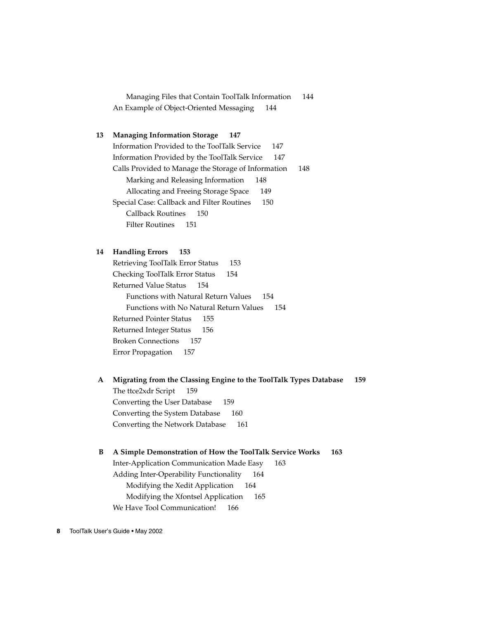Managing Files that Contain ToolTalk Information 144 An Example of Object-Oriented Messaging 144

#### **13 Managing Information Storage 147**

Information Provided to the ToolTalk Service 147 Information Provided by the ToolTalk Service 147 Calls Provided to Manage the Storage of Information 148 Marking and Releasing Information 148 Allocating and Freeing Storage Space 149 Special Case: Callback and Filter Routines 150 Callback Routines 150 Filter Routines 151

#### **14 Handling Errors 153**

Retrieving ToolTalk Error Status 153 Checking ToolTalk Error Status 154 Returned Value Status 154 Functions with Natural Return Values 154 Functions with No Natural Return Values 154 Returned Pointer Status 155 Returned Integer Status 156 Broken Connections 157 Error Propagation 157

- **A Migrating from the Classing Engine to the ToolTalk Types Database 159** The ttce2xdr Script 159 Converting the User Database 159 Converting the System Database 160 Converting the Network Database 161
- **B A Simple Demonstration of How the ToolTalk Service Works 163** Inter-Application Communication Made Easy 163 Adding Inter-Operability Functionality 164 Modifying the Xedit Application 164 Modifying the Xfontsel Application 165 We Have Tool Communication! 166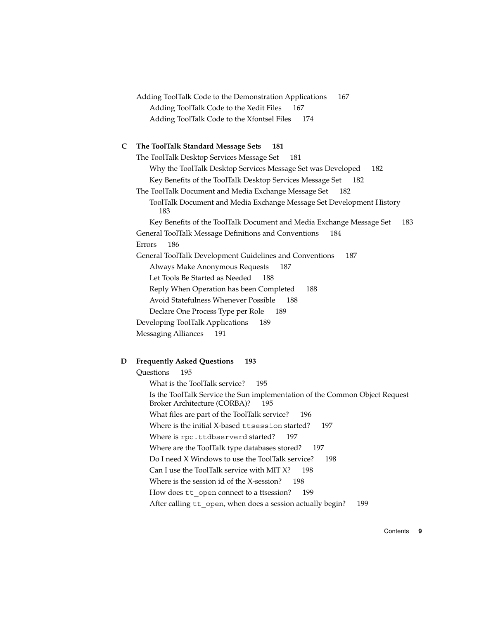|   | Adding ToolTalk Code to the Demonstration Applications<br>167               |
|---|-----------------------------------------------------------------------------|
|   | Adding ToolTalk Code to the Xedit Files<br>167                              |
|   | Adding ToolTalk Code to the Xfontsel Files<br>174                           |
|   |                                                                             |
| C | The ToolTalk Standard Message Sets<br>181                                   |
|   | The ToolTalk Desktop Services Message Set<br>181                            |
|   | Why the ToolTalk Desktop Services Message Set was Developed<br>182          |
|   | Key Benefits of the ToolTalk Desktop Services Message Set<br>182            |
|   | The ToolTalk Document and Media Exchange Message Set<br>182                 |
|   | ToolTalk Document and Media Exchange Message Set Development History<br>183 |
|   | Key Benefits of the ToolTalk Document and Media Exchange Message Set<br>183 |
|   | General ToolTalk Message Definitions and Conventions<br>184                 |
|   | 186<br>Errors                                                               |
|   | General ToolTalk Development Guidelines and Conventions<br>187              |
|   | Always Make Anonymous Requests<br>187                                       |
|   | Let Tools Be Started as Needed<br>188                                       |
|   | Reply When Operation has been Completed<br>188                              |
|   | Avoid Statefulness Whenever Possible<br>188                                 |
|   | Declare One Process Type per Role<br>189                                    |
|   | Developing ToolTalk Applications<br>189                                     |
|   | Messaging Alliances<br>191                                                  |
|   |                                                                             |
| D | <b>Frequently Asked Questions</b><br>193                                    |
|   | Questions<br>195                                                            |
|   | What is the ToolTalk service?<br>-195                                       |

What is the ToolTalk service? 195 Is the ToolTalk Service the Sun implementation of the Common Object Request Broker Architecture (CORBA)? 195 What files are part of the ToolTalk service? 196 Where is the initial X-based ttsession started? 197 Where is rpc.ttdbserverd started? 197 Where are the ToolTalk type databases stored? 197 Do I need X Windows to use the ToolTalk service? 198 Can I use the ToolTalk service with MIT X? 198 Where is the session id of the X-session? 198 How does tt\_open connect to a ttsession? 199 After calling tt\_open, when does a session actually begin? 199

Contents **9**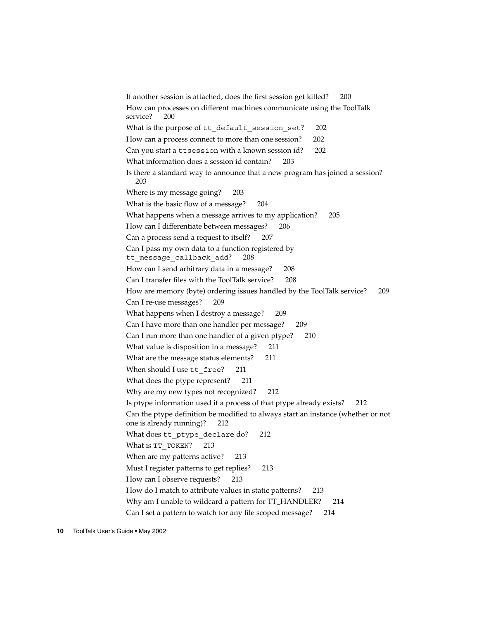If another session is attached, does the first session get killed? 200 How can processes on different machines communicate using the ToolTalk service? 200 What is the purpose of  $tt$  default session set? 202 How can a process connect to more than one session? 202 Can you start a ttsession with a known session id? 202 What information does a session id contain? 203 Is there a standard way to announce that a new program has joined a session? 203 Where is my message going? 203 What is the basic flow of a message? 204 What happens when a message arrives to my application? 205 How can I differentiate between messages? 206 Can a process send a request to itself? 207 Can I pass my own data to a function registered by tt message callback add? 208 How can I send arbitrary data in a message? 208 Can I transfer files with the ToolTalk service? 208 How are memory (byte) ordering issues handled by the ToolTalk service? 209 Can I re-use messages? 209 What happens when I destroy a message? 209 Can I have more than one handler per message? 209 Can I run more than one handler of a given ptype? 210 What value is disposition in a message? 211 What are the message status elements? 211 When should I use tt free? 211 What does the ptype represent? 211 Why are my new types not recognized? 212 Is ptype information used if a process of that ptype already exists? 212 Can the ptype definition be modified to always start an instance (whether or not one is already running)? 212 What does tt\_ptype\_declare do? 212 What is TT\_TOKEN? 213 When are my patterns active? 213 Must I register patterns to get replies? 213 How can I observe requests? 213 How do I match to attribute values in static patterns? 213 Why am I unable to wildcard a pattern for TT\_HANDLER? 214 Can I set a pattern to watch for any file scoped message? 214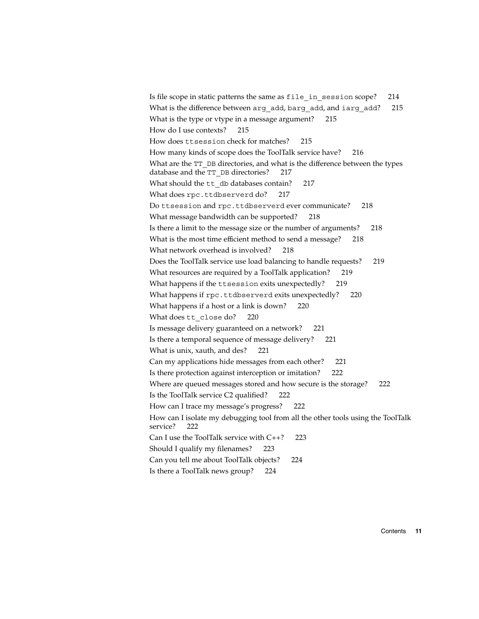Is file scope in static patterns the same as file\_in\_session scope? 214 What is the difference between arg add, barg add, and iarg add? 215 What is the type or vtype in a message argument? 215 How do I use contexts? 215 How does ttsession check for matches? 215 How many kinds of scope does the ToolTalk service have? 216 What are the TT\_DB directories, and what is the difference between the types database and the TT\_DB directories? 217 What should the tt\_db databases contain? 217 What does rpc.ttdbserverd do? 217 Do ttsession and rpc.ttdbserverd ever communicate? 218 What message bandwidth can be supported? 218 Is there a limit to the message size or the number of arguments? 218 What is the most time efficient method to send a message? 218 What network overhead is involved? 218 Does the ToolTalk service use load balancing to handle requests? 219 What resources are required by a ToolTalk application? 219 What happens if the ttsession exits unexpectedly? 219 What happens if rpc.ttdbserverd exits unexpectedly? 220 What happens if a host or a link is down? 220 What does tt close do? 220 Is message delivery guaranteed on a network? 221 Is there a temporal sequence of message delivery? 221 What is unix, xauth, and des? 221 Can my applications hide messages from each other? 221 Is there protection against interception or imitation? 222 Where are queued messages stored and how secure is the storage? 222 Is the ToolTalk service C2 qualified? 222 How can I trace my message's progress? 222 How can I isolate my debugging tool from all the other tools using the ToolTalk service? 222 Can I use the ToolTalk service with C++? 223 Should I qualify my filenames? 223 Can you tell me about ToolTalk objects? 224 Is there a ToolTalk news group? 224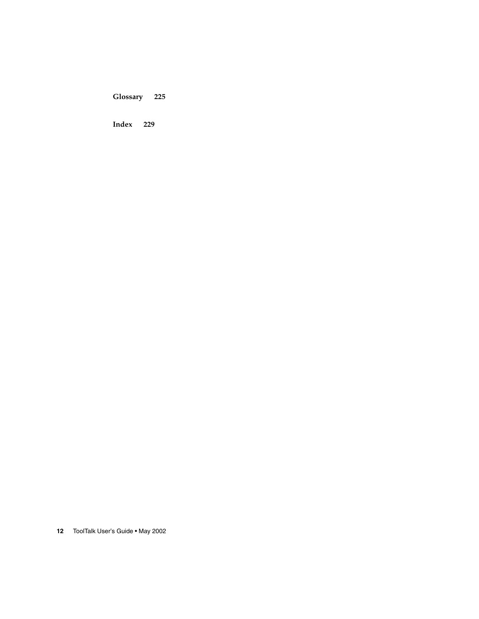**Glossary 225**

**Index 229**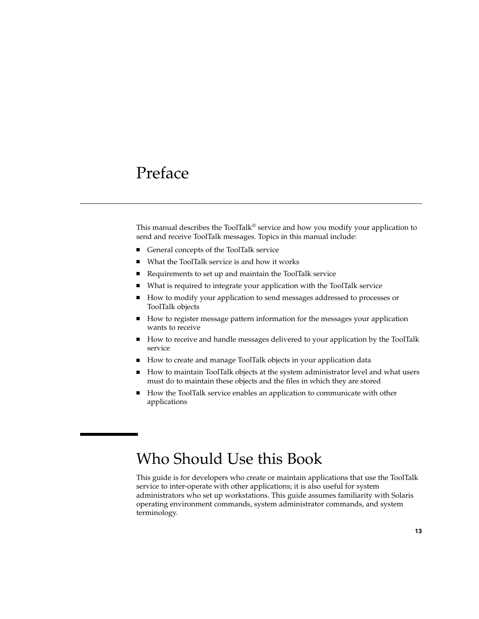## Preface

This manual describes the ToolTalk® service and how you modify your application to send and receive ToolTalk messages. Topics in this manual include:

- General concepts of the ToolTalk service
- What the ToolTalk service is and how it works
- Requirements to set up and maintain the ToolTalk service
- What is required to integrate your application with the ToolTalk service
- How to modify your application to send messages addressed to processes or ToolTalk objects
- How to register message pattern information for the messages your application wants to receive
- How to receive and handle messages delivered to your application by the ToolTalk service
- How to create and manage ToolTalk objects in your application data
- How to maintain ToolTalk objects at the system administrator level and what users must do to maintain these objects and the files in which they are stored
- How the ToolTalk service enables an application to communicate with other applications

## Who Should Use this Book

This guide is for developers who create or maintain applications that use the ToolTalk service to inter-operate with other applications; it is also useful for system administrators who set up workstations. This guide assumes familiarity with Solaris operating environment commands, system administrator commands, and system terminology.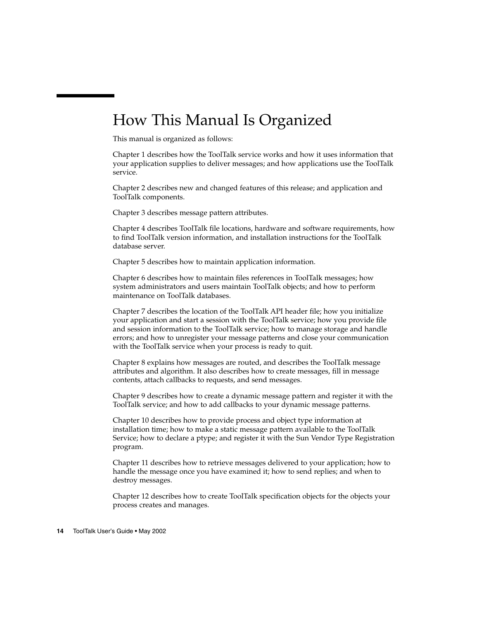# How This Manual Is Organized

This manual is organized as follows:

Chapter 1 describes how the ToolTalk service works and how it uses information that your application supplies to deliver messages; and how applications use the ToolTalk service.

Chapter 2 describes new and changed features of this release; and application and ToolTalk components.

Chapter 3 describes message pattern attributes.

Chapter 4 describes ToolTalk file locations, hardware and software requirements, how to find ToolTalk version information, and installation instructions for the ToolTalk database server.

Chapter 5 describes how to maintain application information.

Chapter 6 describes how to maintain files references in ToolTalk messages; how system administrators and users maintain ToolTalk objects; and how to perform maintenance on ToolTalk databases.

Chapter 7 describes the location of the ToolTalk API header file; how you initialize your application and start a session with the ToolTalk service; how you provide file and session information to the ToolTalk service; how to manage storage and handle errors; and how to unregister your message patterns and close your communication with the ToolTalk service when your process is ready to quit.

Chapter 8 explains how messages are routed, and describes the ToolTalk message attributes and algorithm. It also describes how to create messages, fill in message contents, attach callbacks to requests, and send messages.

Chapter 9 describes how to create a dynamic message pattern and register it with the ToolTalk service; and how to add callbacks to your dynamic message patterns.

Chapter 10 describes how to provide process and object type information at installation time; how to make a static message pattern available to the ToolTalk Service; how to declare a ptype; and register it with the Sun Vendor Type Registration program.

Chapter 11 describes how to retrieve messages delivered to your application; how to handle the message once you have examined it; how to send replies; and when to destroy messages.

Chapter 12 describes how to create ToolTalk specification objects for the objects your process creates and manages.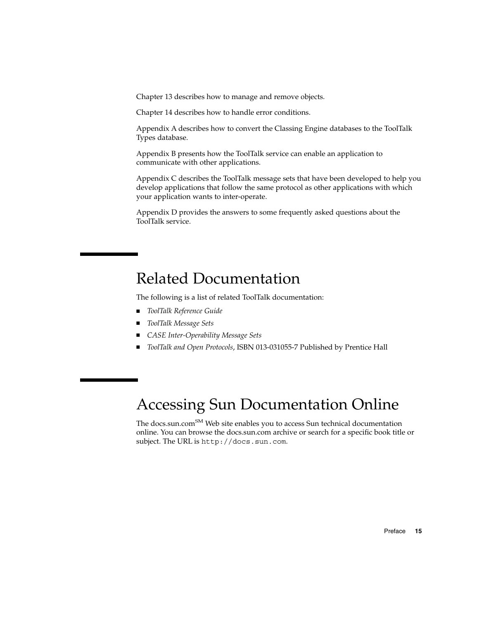Chapter 13 describes how to manage and remove objects.

Chapter 14 describes how to handle error conditions.

Appendix A describes how to convert the Classing Engine databases to the ToolTalk Types database.

Appendix B presents how the ToolTalk service can enable an application to communicate with other applications.

Appendix C describes the ToolTalk message sets that have been developed to help you develop applications that follow the same protocol as other applications with which your application wants to inter-operate.

Appendix D provides the answers to some frequently asked questions about the ToolTalk service.

## Related Documentation

The following is a list of related ToolTalk documentation:

- *ToolTalk Reference Guide*
- *ToolTalk Message Sets*
- *CASE Inter-Operability Message Sets*
- *ToolTalk and Open Protocols*, ISBN 013-031055-7 Published by Prentice Hall

# Accessing Sun Documentation Online

The docs.sun.com<sup>SM</sup> Web site enables you to access Sun technical documentation online. You can browse the docs.sun.com archive or search for a specific book title or subject. The URL is http://docs.sun.com.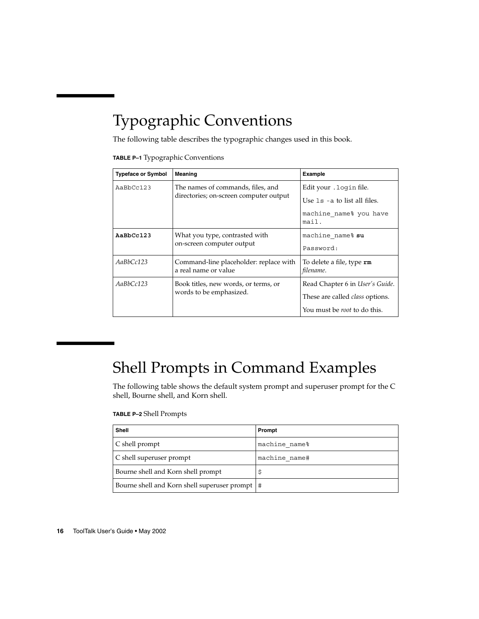# Typographic Conventions

The following table describes the typographic changes used in this book.

|  | TABLE P-1 Typographic Conventions |  |  |
|--|-----------------------------------|--|--|
|--|-----------------------------------|--|--|

| <b>Typeface or Symbol</b> | <b>Meaning</b>                                                 | Example                                       |
|---------------------------|----------------------------------------------------------------|-----------------------------------------------|
| AaBbCc123                 | The names of commands, files, and                              | Edit your . login file.                       |
|                           | directories; on-screen computer output                         | Use $1s$ -a to list all files.                |
|                           |                                                                | machine name% you have<br>mail.               |
| AaBbCc123                 | What you type, contrasted with                                 | machine name% su                              |
|                           | on-screen computer output                                      | Password:                                     |
| AaBbCc123                 | Command-line placeholder: replace with<br>a real name or value | To delete a file, type <b>rm</b><br>filename. |
| AaBbCc123                 | Book titles, new words, or terms, or                           | Read Chapter 6 in <i>User's Guide</i> .       |
|                           | words to be emphasized.                                        | These are called <i>class</i> options.        |
|                           |                                                                | You must be <i>root</i> to do this.           |

# Shell Prompts in Command Examples

The following table shows the default system prompt and superuser prompt for the C shell, Bourne shell, and Korn shell.

#### **TABLE P–2** Shell Prompts

| Shell                                            | Prompt        |
|--------------------------------------------------|---------------|
| C shell prompt                                   | machine name% |
| C shell superuser prompt                         | machine name# |
| Bourne shell and Korn shell prompt               | \$            |
| Bourne shell and Korn shell superuser prompt   # |               |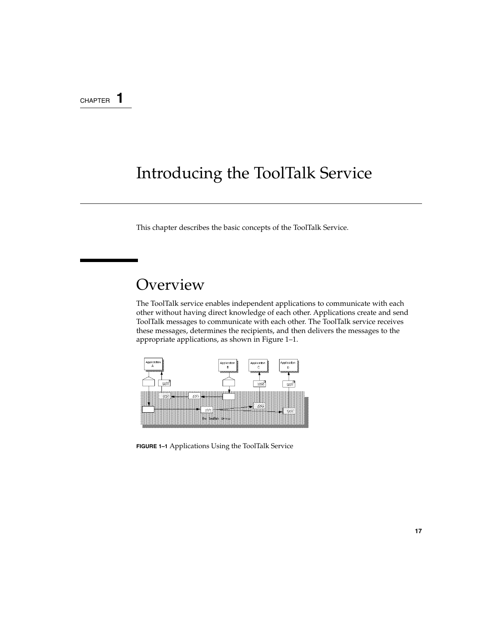### CHAPTER **1**

# Introducing the ToolTalk Service

This chapter describes the basic concepts of the ToolTalk Service.

## **Overview**

The ToolTalk service enables independent applications to communicate with each other without having direct knowledge of each other. Applications create and send ToolTalk messages to communicate with each other. The ToolTalk service receives these messages, determines the recipients, and then delivers the messages to the appropriate applications, as shown in Figure 1–1.



**FIGURE 1–1** Applications Using the ToolTalk Service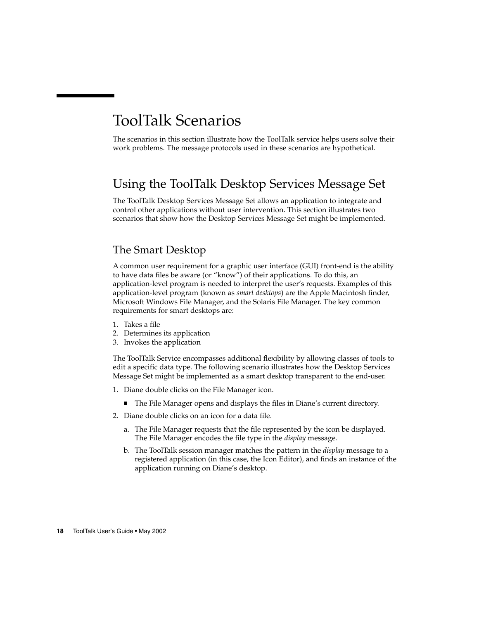# ToolTalk Scenarios

The scenarios in this section illustrate how the ToolTalk service helps users solve their work problems. The message protocols used in these scenarios are hypothetical.

### Using the ToolTalk Desktop Services Message Set

The ToolTalk Desktop Services Message Set allows an application to integrate and control other applications without user intervention. This section illustrates two scenarios that show how the Desktop Services Message Set might be implemented.

#### The Smart Desktop

A common user requirement for a graphic user interface (GUI) front-end is the ability to have data files be aware (or "know") of their applications. To do this, an application-level program is needed to interpret the user's requests. Examples of this application-level program (known as *smart desktops*) are the Apple Macintosh finder, Microsoft Windows File Manager, and the Solaris File Manager. The key common requirements for smart desktops are:

- 1. Takes a file
- 2. Determines its application
- 3. Invokes the application

The ToolTalk Service encompasses additional flexibility by allowing classes of tools to edit a specific data type. The following scenario illustrates how the Desktop Services Message Set might be implemented as a smart desktop transparent to the end-user.

- 1. Diane double clicks on the File Manager icon.
	- The File Manager opens and displays the files in Diane's current directory.
- 2. Diane double clicks on an icon for a data file.
	- a. The File Manager requests that the file represented by the icon be displayed. The File Manager encodes the file type in the *display* message.
	- b. The ToolTalk session manager matches the pattern in the *display* message to a registered application (in this case, the Icon Editor), and finds an instance of the application running on Diane's desktop.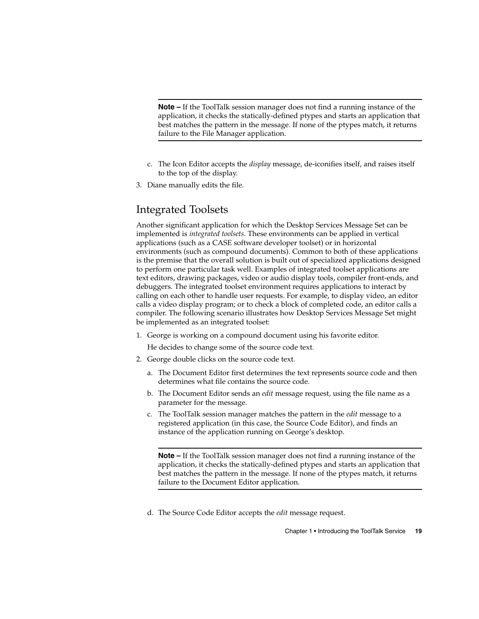**Note –** If the ToolTalk session manager does not find a running instance of the application, it checks the statically-defined ptypes and starts an application that best matches the pattern in the message. If none of the ptypes match, it returns failure to the File Manager application.

- c. The Icon Editor accepts the *display* message, de-iconifies itself, and raises itself to the top of the display.
- 3. Diane manually edits the file.

#### Integrated Toolsets

Another significant application for which the Desktop Services Message Set can be implemented is *integrated toolsets*. These environments can be applied in vertical applications (such as a CASE software developer toolset) or in horizontal environments (such as compound documents). Common to both of these applications is the premise that the overall solution is built out of specialized applications designed to perform one particular task well. Examples of integrated toolset applications are text editors, drawing packages, video or audio display tools, compiler front-ends, and debuggers. The integrated toolset environment requires applications to interact by calling on each other to handle user requests. For example, to display video, an editor calls a video display program; or to check a block of completed code, an editor calls a compiler. The following scenario illustrates how Desktop Services Message Set might be implemented as an integrated toolset:

1. George is working on a compound document using his favorite editor.

He decides to change some of the source code text.

- 2. George double clicks on the source code text.
	- a. The Document Editor first determines the text represents source code and then determines what file contains the source code.
	- b. The Document Editor sends an *edit* message request, using the file name as a parameter for the message.
	- c. The ToolTalk session manager matches the pattern in the *edit* message to a registered application (in this case, the Source Code Editor), and finds an instance of the application running on George's desktop.

**Note –** If the ToolTalk session manager does not find a running instance of the application, it checks the statically-defined ptypes and starts an application that best matches the pattern in the message. If none of the ptypes match, it returns failure to the Document Editor application.

d. The Source Code Editor accepts the *edit* message request.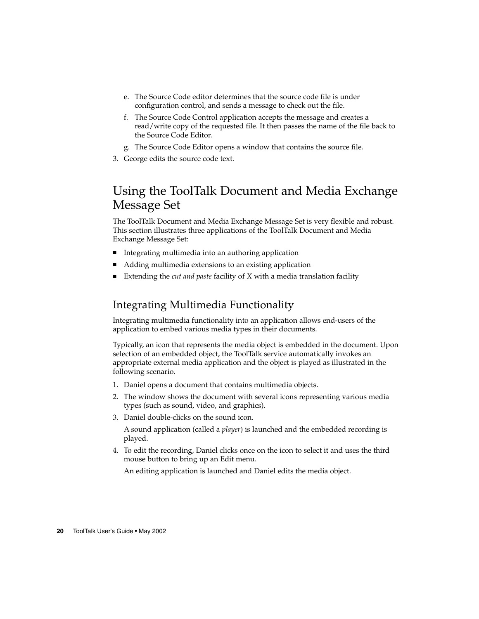- e. The Source Code editor determines that the source code file is under configuration control, and sends a message to check out the file.
- f. The Source Code Control application accepts the message and creates a read/write copy of the requested file. It then passes the name of the file back to the Source Code Editor.
- g. The Source Code Editor opens a window that contains the source file.
- 3. George edits the source code text.

### Using the ToolTalk Document and Media Exchange Message Set

The ToolTalk Document and Media Exchange Message Set is very flexible and robust. This section illustrates three applications of the ToolTalk Document and Media Exchange Message Set:

- Integrating multimedia into an authoring application
- Adding multimedia extensions to an existing application
- Extending the *cut and paste* facility of *X* with a media translation facility

#### Integrating Multimedia Functionality

Integrating multimedia functionality into an application allows end-users of the application to embed various media types in their documents.

Typically, an icon that represents the media object is embedded in the document. Upon selection of an embedded object, the ToolTalk service automatically invokes an appropriate external media application and the object is played as illustrated in the following scenario.

- 1. Daniel opens a document that contains multimedia objects.
- 2. The window shows the document with several icons representing various media types (such as sound, video, and graphics).
- 3. Daniel double-clicks on the sound icon.

A sound application (called a *player*) is launched and the embedded recording is played.

4. To edit the recording, Daniel clicks once on the icon to select it and uses the third mouse button to bring up an Edit menu.

An editing application is launched and Daniel edits the media object.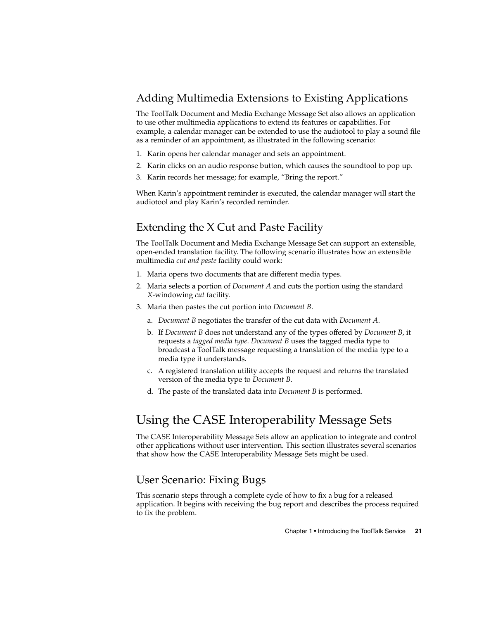#### Adding Multimedia Extensions to Existing Applications

The ToolTalk Document and Media Exchange Message Set also allows an application to use other multimedia applications to extend its features or capabilities. For example, a calendar manager can be extended to use the audiotool to play a sound file as a reminder of an appointment, as illustrated in the following scenario:

- 1. Karin opens her calendar manager and sets an appointment.
- 2. Karin clicks on an audio response button, which causes the soundtool to pop up.
- 3. Karin records her message; for example, "Bring the report."

When Karin's appointment reminder is executed, the calendar manager will start the audiotool and play Karin's recorded reminder.

#### Extending the X Cut and Paste Facility

The ToolTalk Document and Media Exchange Message Set can support an extensible, open-ended translation facility. The following scenario illustrates how an extensible multimedia *cut and paste* facility could work:

- 1. Maria opens two documents that are different media types.
- 2. Maria selects a portion of *Document A* and cuts the portion using the standard *X*-windowing *cut* facility.
- 3. Maria then pastes the cut portion into *Document B*.
	- a. *Document B* negotiates the transfer of the cut data with *Document A*.
	- b. If *Document B* does not understand any of the types offered by *Document B*, it requests a *tagged media type*. *Document B* uses the tagged media type to broadcast a ToolTalk message requesting a translation of the media type to a media type it understands.
	- c. A registered translation utility accepts the request and returns the translated version of the media type to *Document B*.
	- d. The paste of the translated data into *Document B* is performed.

### Using the CASE Interoperability Message Sets

The CASE Interoperability Message Sets allow an application to integrate and control other applications without user intervention. This section illustrates several scenarios that show how the CASE Interoperability Message Sets might be used.

#### User Scenario: Fixing Bugs

This scenario steps through a complete cycle of how to fix a bug for a released application. It begins with receiving the bug report and describes the process required to fix the problem.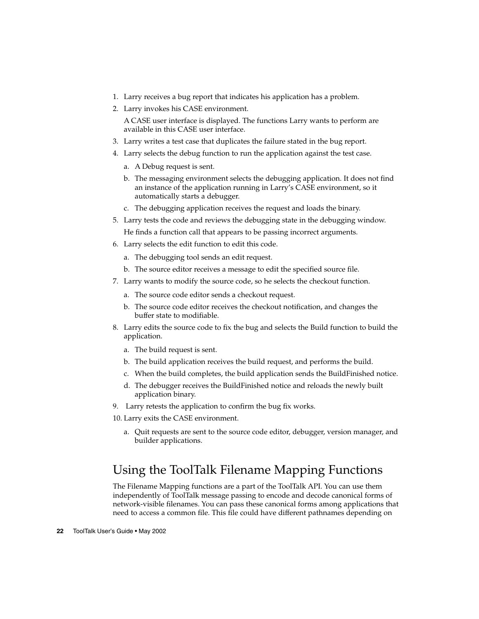- 1. Larry receives a bug report that indicates his application has a problem.
- 2. Larry invokes his CASE environment.

A CASE user interface is displayed. The functions Larry wants to perform are available in this CASE user interface.

- 3. Larry writes a test case that duplicates the failure stated in the bug report.
- 4. Larry selects the debug function to run the application against the test case.
	- a. A Debug request is sent.
	- b. The messaging environment selects the debugging application. It does not find an instance of the application running in Larry's CASE environment, so it automatically starts a debugger.
	- c. The debugging application receives the request and loads the binary.
- 5. Larry tests the code and reviews the debugging state in the debugging window. He finds a function call that appears to be passing incorrect arguments.
- 6. Larry selects the edit function to edit this code.
	- a. The debugging tool sends an edit request.
	- b. The source editor receives a message to edit the specified source file.
- 7. Larry wants to modify the source code, so he selects the checkout function.
	- a. The source code editor sends a checkout request.
	- b. The source code editor receives the checkout notification, and changes the buffer state to modifiable.
- 8. Larry edits the source code to fix the bug and selects the Build function to build the application.
	- a. The build request is sent.
	- b. The build application receives the build request, and performs the build.
	- c. When the build completes, the build application sends the BuildFinished notice.
	- d. The debugger receives the BuildFinished notice and reloads the newly built application binary.
- 9. Larry retests the application to confirm the bug fix works.
- 10. Larry exits the CASE environment.
	- a. Quit requests are sent to the source code editor, debugger, version manager, and builder applications.

### Using the ToolTalk Filename Mapping Functions

The Filename Mapping functions are a part of the ToolTalk API. You can use them independently of ToolTalk message passing to encode and decode canonical forms of network-visible filenames. You can pass these canonical forms among applications that need to access a common file. This file could have different pathnames depending on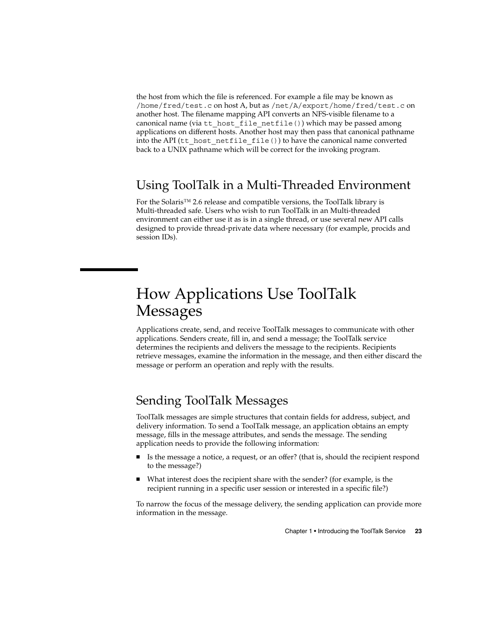the host from which the file is referenced. For example a file may be known as /home/fred/test.c on host A, but as /net/A/export/home/fred/test.c on another host. The filename mapping API converts an NFS-visible filename to a canonical name (via tt\_host\_file\_netfile()) which may be passed among applications on different hosts. Another host may then pass that canonical pathname into the API (tt\_host\_netfile\_file()) to have the canonical name converted back to a UNIX pathname which will be correct for the invoking program.

#### Using ToolTalk in a Multi-Threaded Environment

For the Solaris™ 2.6 release and compatible versions, the ToolTalk library is Multi-threaded safe. Users who wish to run ToolTalk in an Multi-threaded environment can either use it as is in a single thread, or use several new API calls designed to provide thread-private data where necessary (for example, procids and session IDs).

# How Applications Use ToolTalk Messages

Applications create, send, and receive ToolTalk messages to communicate with other applications. Senders create, fill in, and send a message; the ToolTalk service determines the recipients and delivers the message to the recipients. Recipients retrieve messages, examine the information in the message, and then either discard the message or perform an operation and reply with the results.

### Sending ToolTalk Messages

ToolTalk messages are simple structures that contain fields for address, subject, and delivery information. To send a ToolTalk message, an application obtains an empty message, fills in the message attributes, and sends the message. The sending application needs to provide the following information:

- Is the message a notice, a request, or an offer? (that is, should the recipient respond to the message?)
- What interest does the recipient share with the sender? (for example, is the recipient running in a specific user session or interested in a specific file?)

To narrow the focus of the message delivery, the sending application can provide more information in the message.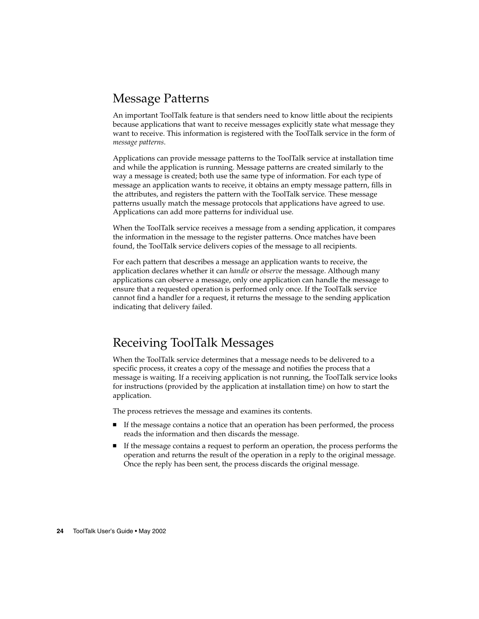## Message Patterns

An important ToolTalk feature is that senders need to know little about the recipients because applications that want to receive messages explicitly state what message they want to receive. This information is registered with the ToolTalk service in the form of *message patterns*.

Applications can provide message patterns to the ToolTalk service at installation time and while the application is running. Message patterns are created similarly to the way a message is created; both use the same type of information. For each type of message an application wants to receive, it obtains an empty message pattern, fills in the attributes, and registers the pattern with the ToolTalk service. These message patterns usually match the message protocols that applications have agreed to use. Applications can add more patterns for individual use.

When the ToolTalk service receives a message from a sending application, it compares the information in the message to the register patterns. Once matches have been found, the ToolTalk service delivers copies of the message to all recipients.

For each pattern that describes a message an application wants to receive, the application declares whether it can *handle* or *observe* the message. Although many applications can observe a message, only one application can handle the message to ensure that a requested operation is performed only once. If the ToolTalk service cannot find a handler for a request, it returns the message to the sending application indicating that delivery failed.

### Receiving ToolTalk Messages

When the ToolTalk service determines that a message needs to be delivered to a specific process, it creates a copy of the message and notifies the process that a message is waiting. If a receiving application is not running, the ToolTalk service looks for instructions (provided by the application at installation time) on how to start the application.

The process retrieves the message and examines its contents.

- If the message contains a notice that an operation has been performed, the process reads the information and then discards the message.
- If the message contains a request to perform an operation, the process performs the operation and returns the result of the operation in a reply to the original message. Once the reply has been sent, the process discards the original message.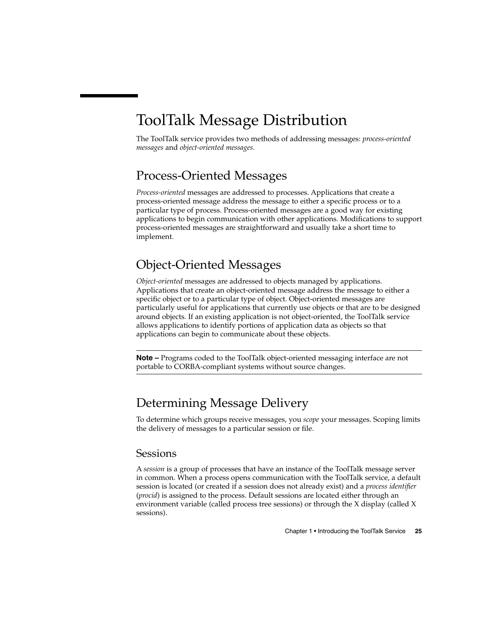# ToolTalk Message Distribution

The ToolTalk service provides two methods of addressing messages: *process-oriented messages* and *object-oriented messages*.

### Process-Oriented Messages

*Process-oriented* messages are addressed to processes. Applications that create a process-oriented message address the message to either a specific process or to a particular type of process. Process-oriented messages are a good way for existing applications to begin communication with other applications. Modifications to support process-oriented messages are straightforward and usually take a short time to implement.

### Object-Oriented Messages

*Object-oriented* messages are addressed to objects managed by applications. Applications that create an object-oriented message address the message to either a specific object or to a particular type of object. Object-oriented messages are particularly useful for applications that currently use objects or that are to be designed around objects. If an existing application is not object-oriented, the ToolTalk service allows applications to identify portions of application data as objects so that applications can begin to communicate about these objects.

**Note –** Programs coded to the ToolTalk object-oriented messaging interface are not portable to CORBA-compliant systems without source changes.

### Determining Message Delivery

To determine which groups receive messages, you *scope* your messages. Scoping limits the delivery of messages to a particular session or file.

#### **Sessions**

A *session* is a group of processes that have an instance of the ToolTalk message server in common. When a process opens communication with the ToolTalk service, a default session is located (or created if a session does not already exist) and a *process identifier* (*procid*) is assigned to the process. Default sessions are located either through an environment variable (called process tree sessions) or through the X display (called X sessions).

Chapter 1 • Introducing the ToolTalk Service **25**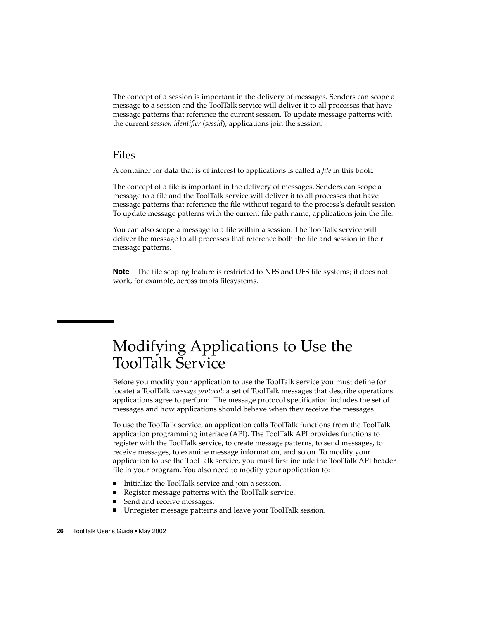The concept of a session is important in the delivery of messages. Senders can scope a message to a session and the ToolTalk service will deliver it to all processes that have message patterns that reference the current session. To update message patterns with the current *session identifier* (*sessid*), applications join the session.

#### Files

A container for data that is of interest to applications is called a *file* in this book.

The concept of a file is important in the delivery of messages. Senders can scope a message to a file and the ToolTalk service will deliver it to all processes that have message patterns that reference the file without regard to the process's default session. To update message patterns with the current file path name, applications join the file.

You can also scope a message to a file within a session. The ToolTalk service will deliver the message to all processes that reference both the file and session in their message patterns.

**Note –** The file scoping feature is restricted to NFS and UFS file systems; it does not work, for example, across tmpfs filesystems.

## Modifying Applications to Use the ToolTalk Service

Before you modify your application to use the ToolTalk service you must define (or locate) a ToolTalk *message protocol*: a set of ToolTalk messages that describe operations applications agree to perform. The message protocol specification includes the set of messages and how applications should behave when they receive the messages.

To use the ToolTalk service, an application calls ToolTalk functions from the ToolTalk application programming interface (API). The ToolTalk API provides functions to register with the ToolTalk service, to create message patterns, to send messages, to receive messages, to examine message information, and so on. To modify your application to use the ToolTalk service, you must first include the ToolTalk API header file in your program. You also need to modify your application to:

- Initialize the ToolTalk service and join a session.
- Register message patterns with the ToolTalk service.
- Send and receive messages.
- Unregister message patterns and leave your ToolTalk session.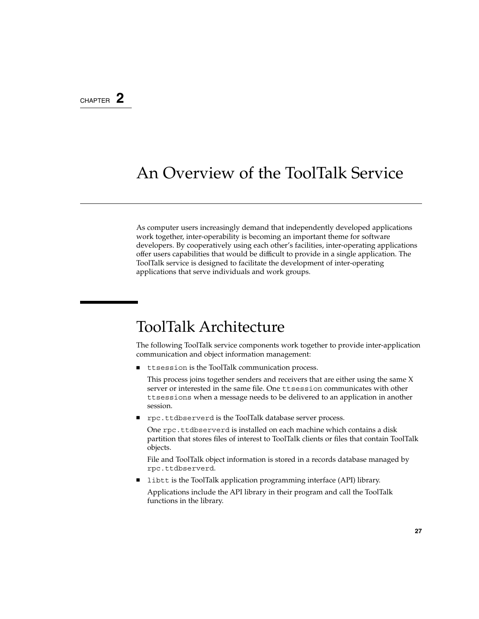#### CHAPTER **2**

# An Overview of the ToolTalk Service

As computer users increasingly demand that independently developed applications work together, inter-operability is becoming an important theme for software developers. By cooperatively using each other's facilities, inter-operating applications offer users capabilities that would be difficult to provide in a single application. The ToolTalk service is designed to facilitate the development of inter-operating applications that serve individuals and work groups.

## ToolTalk Architecture

The following ToolTalk service components work together to provide inter-application communication and object information management:

■ ttsession is the ToolTalk communication process.

This process joins together senders and receivers that are either using the same X server or interested in the same file. One ttsession communicates with other ttsessions when a message needs to be delivered to an application in another session.

■ rpc.ttdbserverd is the ToolTalk database server process.

One rpc.ttdbserverd is installed on each machine which contains a disk partition that stores files of interest to ToolTalk clients or files that contain ToolTalk objects.

File and ToolTalk object information is stored in a records database managed by rpc.ttdbserverd.

libtt is the ToolTalk application programming interface (API) library.

Applications include the API library in their program and call the ToolTalk functions in the library.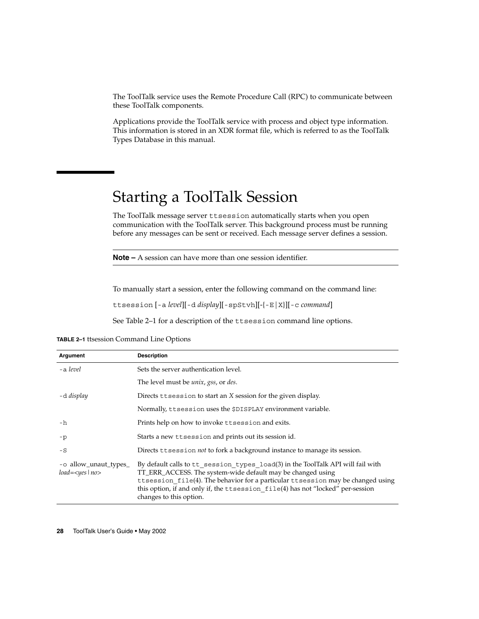The ToolTalk service uses the Remote Procedure Call (RPC) to communicate between these ToolTalk components.

Applications provide the ToolTalk service with process and object type information. This information is stored in an XDR format file, which is referred to as the ToolTalk Types Database in this manual.

# Starting a ToolTalk Session

The ToolTalk message server ttsession automatically starts when you open communication with the ToolTalk server. This background process must be running before any messages can be sent or received. Each message server defines a session.

**Note –** A session can have more than one session identifier.

To manually start a session, enter the following command on the command line:

ttsession [-a *level*][-d *display*][-spStvh][-{-E|X}][-c *command*]

See Table 2–1 for a description of the ttsession command line options.

**TABLE 2–1** ttsession Command Line Options

| Argument                                       | <b>Description</b>                                                                                                                                                                                                                                                                                                                              |
|------------------------------------------------|-------------------------------------------------------------------------------------------------------------------------------------------------------------------------------------------------------------------------------------------------------------------------------------------------------------------------------------------------|
| -a level                                       | Sets the server authentication level.                                                                                                                                                                                                                                                                                                           |
|                                                | The level must be <i>unix</i> , <i>gss</i> , or <i>des</i> .                                                                                                                                                                                                                                                                                    |
| -d display                                     | Directs t t session to start an X session for the given display.                                                                                                                                                                                                                                                                                |
|                                                | Normally, ttsession uses the \$DISPLAY environment variable.                                                                                                                                                                                                                                                                                    |
| $-h$                                           | Prints help on how to invoke ttsession and exits.                                                                                                                                                                                                                                                                                               |
| $-p$                                           | Starts a new ttsession and prints out its session id.                                                                                                                                                                                                                                                                                           |
| $-S$                                           | Directs ttsession not to fork a background instance to manage its session.                                                                                                                                                                                                                                                                      |
| -o allow_unaut_types_<br>$load = <$ yes $ no>$ | By default calls to tt_session_types_load(3) in the ToolTalk API will fail with<br>TT_ERR_ACCESS. The system-wide default may be changed using<br>ttsession file(4). The behavior for a particular ttsession may be changed using<br>this option, if and only if, the ttsession_file(4) has not "locked" per-session<br>changes to this option. |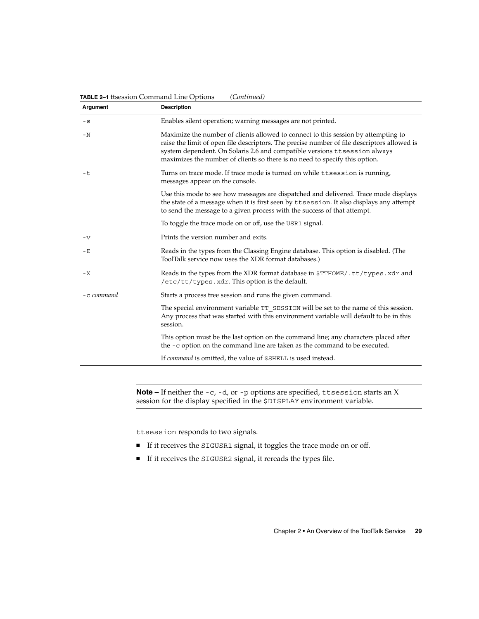**TABLE 2–1** ttsession Command Line Options *(Continued)*

| Argument   | <b>Description</b>                                                                                                                                                                                                                                                                                                                            |
|------------|-----------------------------------------------------------------------------------------------------------------------------------------------------------------------------------------------------------------------------------------------------------------------------------------------------------------------------------------------|
| $-S$       | Enables silent operation; warning messages are not printed.                                                                                                                                                                                                                                                                                   |
| - N        | Maximize the number of clients allowed to connect to this session by attempting to<br>raise the limit of open file descriptors. The precise number of file descriptors allowed is<br>system dependent. On Solaris 2.6 and compatible versions ttsession always<br>maximizes the number of clients so there is no need to specify this option. |
| -t         | Turns on trace mode. If trace mode is turned on while ttsession is running,<br>messages appear on the console.                                                                                                                                                                                                                                |
|            | Use this mode to see how messages are dispatched and delivered. Trace mode displays<br>the state of a message when it is first seen by ttsession. It also displays any attempt<br>to send the message to a given process with the success of that attempt.                                                                                    |
|            | To toggle the trace mode on or off, use the USR1 signal.                                                                                                                                                                                                                                                                                      |
| $-\nabla$  | Prints the version number and exits.                                                                                                                                                                                                                                                                                                          |
| – E        | Reads in the types from the Classing Engine database. This option is disabled. (The<br>ToolTalk service now uses the XDR format databases.)                                                                                                                                                                                                   |
| $-X$       | Reads in the types from the XDR format database in $\frac{2T}{100}$ . tt/types.xdr and<br>/etc/tt/types.xdr. This option is the default.                                                                                                                                                                                                      |
| -c command | Starts a process tree session and runs the given command.                                                                                                                                                                                                                                                                                     |
|            | The special environment variable TT_SESSION will be set to the name of this session.<br>Any process that was started with this environment variable will default to be in this<br>session.                                                                                                                                                    |
|            | This option must be the last option on the command line; any characters placed after<br>the -c option on the command line are taken as the command to be executed.                                                                                                                                                                            |
|            | If command is omitted, the value of $$SHELL$ is used instead.                                                                                                                                                                                                                                                                                 |

**Note –** If neither the -c, -d, or -p options are specified, ttsession starts an X session for the display specified in the \$DISPLAY environment variable.

ttsession responds to two signals.

- If it receives the SIGUSR1 signal, it toggles the trace mode on or off.
- If it receives the SIGUSR2 signal, it rereads the types file.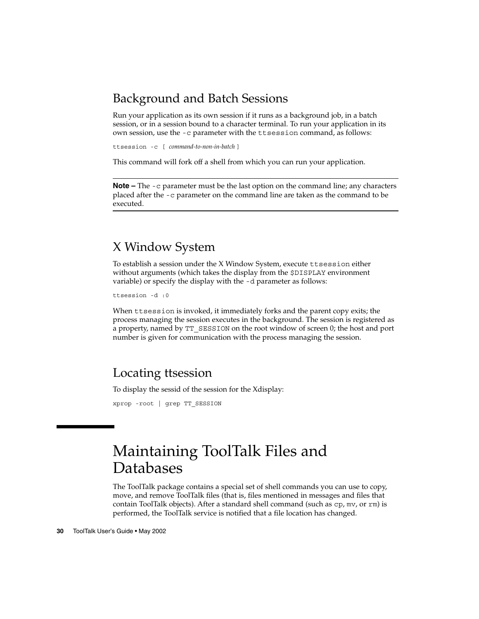### Background and Batch Sessions

Run your application as its own session if it runs as a background job, in a batch session, or in a session bound to a character terminal. To run your application in its own session, use the -c parameter with the ttsession command, as follows:

ttsession -c [ *command-to-non-in-batch* ]

This command will fork off a shell from which you can run your application.

**Note** – The  $-c$  parameter must be the last option on the command line; any characters placed after the -c parameter on the command line are taken as the command to be executed.

### X Window System

To establish a session under the X Window System, execute ttsession either without arguments (which takes the display from the \$DISPLAY environment variable) or specify the display with the -d parameter as follows:

```
ttsession -d :0
```
When ttsession is invoked, it immediately forks and the parent copy exits; the process managing the session executes in the background. The session is registered as a property, named by TT\_SESSION on the root window of screen 0; the host and port number is given for communication with the process managing the session.

#### Locating ttsession

To display the sessid of the session for the Xdisplay:

xprop -root | grep TT\_SESSION

# Maintaining ToolTalk Files and Databases

The ToolTalk package contains a special set of shell commands you can use to copy, move, and remove ToolTalk files (that is, files mentioned in messages and files that contain ToolTalk objects). After a standard shell command (such as cp, mv, or rm) is performed, the ToolTalk service is notified that a file location has changed.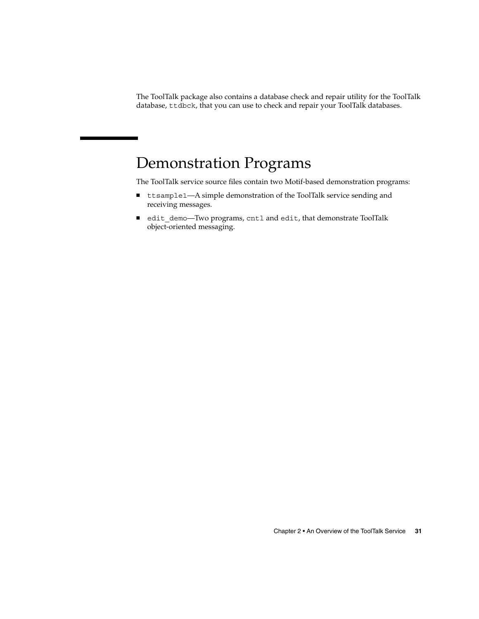The ToolTalk package also contains a database check and repair utility for the ToolTalk database, ttdbck, that you can use to check and repair your ToolTalk databases.

# Demonstration Programs

The ToolTalk service source files contain two Motif-based demonstration programs:

- ttsample1—A simple demonstration of the ToolTalk service sending and receiving messages.
- edit\_demo—Two programs, cntl and edit, that demonstrate ToolTalk object-oriented messaging.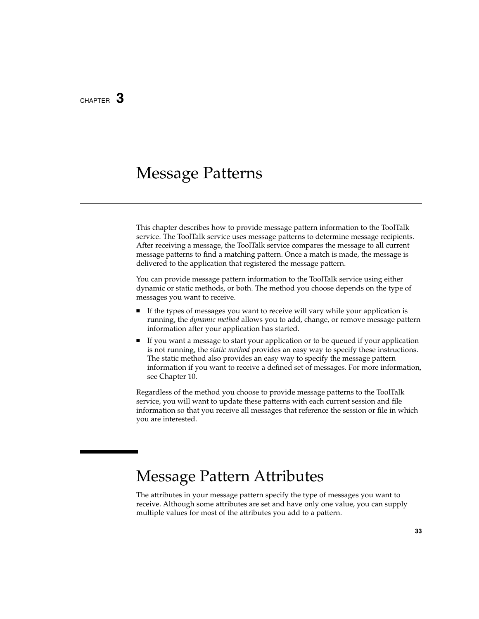#### CHAPTER **3**

## Message Patterns

This chapter describes how to provide message pattern information to the ToolTalk service. The ToolTalk service uses message patterns to determine message recipients. After receiving a message, the ToolTalk service compares the message to all current message patterns to find a matching pattern. Once a match is made, the message is delivered to the application that registered the message pattern.

You can provide message pattern information to the ToolTalk service using either dynamic or static methods, or both. The method you choose depends on the type of messages you want to receive.

- If the types of messages you want to receive will vary while your application is running, the *dynamic method* allows you to add, change, or remove message pattern information after your application has started.
- If you want a message to start your application or to be queued if your application is not running, the *static method* provides an easy way to specify these instructions. The static method also provides an easy way to specify the message pattern information if you want to receive a defined set of messages. For more information, see Chapter 10.

Regardless of the method you choose to provide message patterns to the ToolTalk service, you will want to update these patterns with each current session and file information so that you receive all messages that reference the session or file in which you are interested.

## Message Pattern Attributes

The attributes in your message pattern specify the type of messages you want to receive. Although some attributes are set and have only one value, you can supply multiple values for most of the attributes you add to a pattern.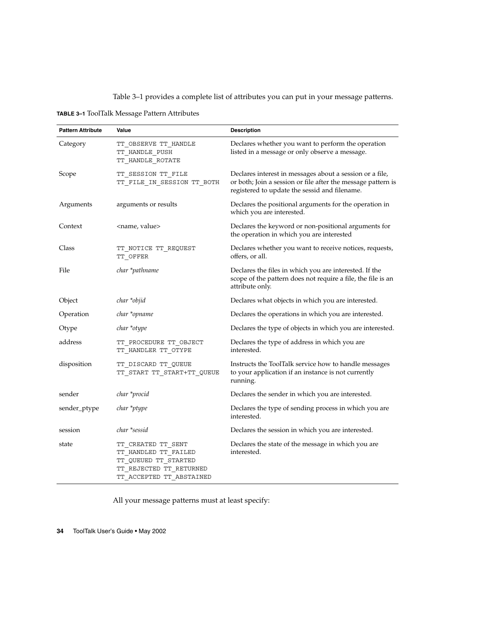Table 3–1 provides a complete list of attributes you can put in your message patterns.

**TABLE 3–1** ToolTalk Message Pattern Attributes

| <b>Pattern Attribute</b> | Value                                                                                                                     | <b>Description</b>                                                                                                                                                        |
|--------------------------|---------------------------------------------------------------------------------------------------------------------------|---------------------------------------------------------------------------------------------------------------------------------------------------------------------------|
| Category                 | TT_OBSERVE TT_HANDLE<br>TT HANDLE PUSH<br>TT HANDLE ROTATE                                                                | Declares whether you want to perform the operation<br>listed in a message or only observe a message.                                                                      |
| Scope                    | TT SESSION TT_FILE<br>TT FILE IN SESSION TT BOTH                                                                          | Declares interest in messages about a session or a file,<br>or both; Join a session or file after the message pattern is<br>registered to update the sessid and filename. |
| Arguments                | arguments or results                                                                                                      | Declares the positional arguments for the operation in<br>which you are interested.                                                                                       |
| Context                  | <name, value=""></name,>                                                                                                  | Declares the keyword or non-positional arguments for<br>the operation in which you are interested                                                                         |
| Class                    | TT NOTICE TT REQUEST<br>TT OFFER                                                                                          | Declares whether you want to receive notices, requests,<br>offers, or all.                                                                                                |
| File                     | char *pathname                                                                                                            | Declares the files in which you are interested. If the<br>scope of the pattern does not require a file, the file is an<br>attribute only.                                 |
| Object                   | char *objid                                                                                                               | Declares what objects in which you are interested.                                                                                                                        |
| Operation                | char *opname                                                                                                              | Declares the operations in which you are interested.                                                                                                                      |
| Otype                    | char *otype                                                                                                               | Declares the type of objects in which you are interested.                                                                                                                 |
| address                  | TT PROCEDURE TT OBJECT<br>TT HANDLER TT_OTYPE                                                                             | Declares the type of address in which you are<br>interested.                                                                                                              |
| disposition              | TT DISCARD TT QUEUE<br>TT_START_TT_START+TT_QUEUE                                                                         | Instructs the ToolTalk service how to handle messages<br>to your application if an instance is not currently<br>running.                                                  |
| sender                   | char *procid                                                                                                              | Declares the sender in which you are interested.                                                                                                                          |
| sender_ptype             | char *ptype                                                                                                               | Declares the type of sending process in which you are<br>interested.                                                                                                      |
| session                  | char *sessid                                                                                                              | Declares the session in which you are interested.                                                                                                                         |
| state                    | TT CREATED TT SENT<br>TT_HANDLED TT_FAILED<br>TT_QUEUED TT_STARTED<br>TT REJECTED TT RETURNED<br>TT ACCEPTED TT ABSTAINED | Declares the state of the message in which you are<br>interested.                                                                                                         |

All your message patterns must at least specify: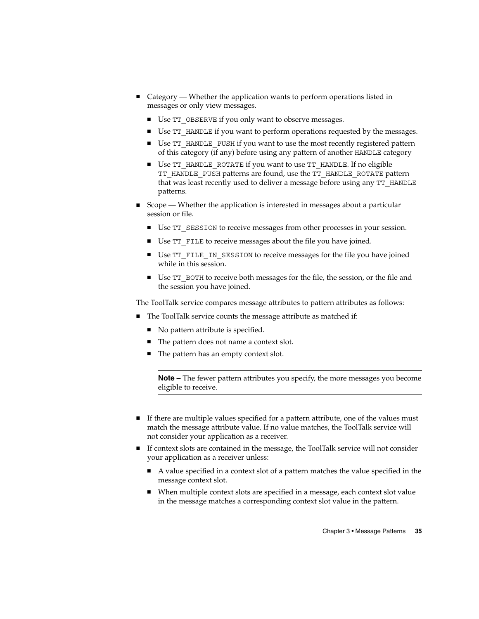- Category Whether the application wants to perform operations listed in messages or only view messages.
	- Use TT\_OBSERVE if you only want to observe messages.
	- Use TT\_HANDLE if you want to perform operations requested by the messages.
	- Use TT\_HANDLE\_PUSH if you want to use the most recently registered pattern of this category (if any) before using any pattern of another HANDLE category
	- Use TT\_HANDLE\_ROTATE if you want to use TT\_HANDLE. If no eligible TT\_HANDLE\_PUSH patterns are found, use the TT\_HANDLE\_ROTATE pattern that was least recently used to deliver a message before using any TT\_HANDLE patterns.
- Scope Whether the application is interested in messages about a particular session or file.
	- Use TT\_SESSION to receive messages from other processes in your session.
	- Use TT\_FILE to receive messages about the file you have joined.
	- Use TT\_FILE\_IN\_SESSION to receive messages for the file you have joined while in this session.
	- Use TT\_BOTH to receive both messages for the file, the session, or the file and the session you have joined.

The ToolTalk service compares message attributes to pattern attributes as follows:

- The ToolTalk service counts the message attribute as matched if:
	- No pattern attribute is specified.
	- The pattern does not name a context slot.
	- The pattern has an empty context slot.

**Note –** The fewer pattern attributes you specify, the more messages you become eligible to receive.

- If there are multiple values specified for a pattern attribute, one of the values must match the message attribute value. If no value matches, the ToolTalk service will not consider your application as a receiver.
- If context slots are contained in the message, the ToolTalk service will not consider your application as a receiver unless:
	- A value specified in a context slot of a pattern matches the value specified in the message context slot.
	- When multiple context slots are specified in a message, each context slot value in the message matches a corresponding context slot value in the pattern.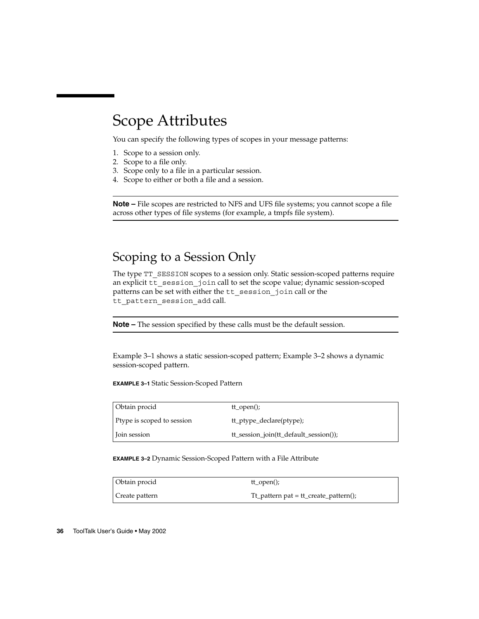## Scope Attributes

You can specify the following types of scopes in your message patterns:

- 1. Scope to a session only.
- 2. Scope to a file only.
- 3. Scope only to a file in a particular session.
- 4. Scope to either or both a file and a session.

**Note –** File scopes are restricted to NFS and UFS file systems; you cannot scope a file across other types of file systems (for example, a tmpfs file system).

## Scoping to a Session Only

The type TT\_SESSION scopes to a session only. Static session-scoped patterns require an explicit tt session join call to set the scope value; dynamic session-scoped patterns can be set with either the tt\_session\_join call or the tt\_pattern\_session\_add call.

**Note –** The session specified by these calls must be the default session.

Example 3–1 shows a static session-scoped pattern; Example 3–2 shows a dynamic session-scoped pattern.

**EXAMPLE 3–1** Static Session-Scoped Pattern

| Obtain procid              | $tt\_open()$ ;                         |
|----------------------------|----------------------------------------|
| Ptype is scoped to session | tt_ptype_declare(ptype);               |
| Join session               | tt_session_join(tt_default_session()); |

**EXAMPLE 3–2** Dynamic Session-Scoped Pattern with a File Attribute

| Obtain procid  | tt_open();                            |
|----------------|---------------------------------------|
| Create pattern | Tt_pattern pat = tt_create_pattern(); |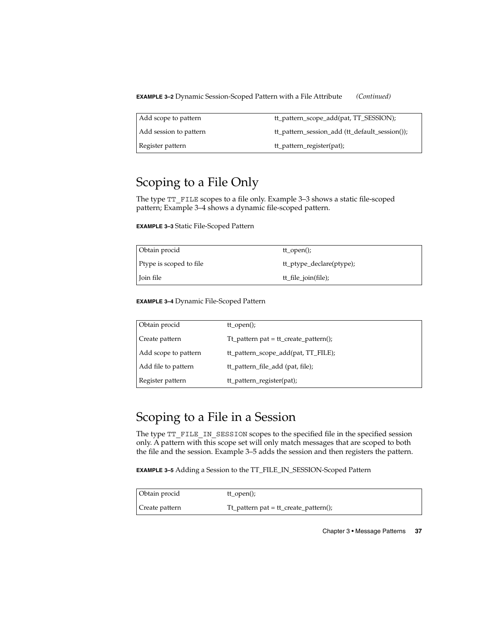**EXAMPLE 3–2** Dynamic Session-Scoped Pattern with a File Attribute *(Continued)*

| Add scope to pattern   | tt_pattern_scope_add(pat, TT_SESSION);         |
|------------------------|------------------------------------------------|
| Add session to pattern | tt_pattern_session_add (tt_default_session()); |
| Register pattern       | tt_pattern_register(pat);                      |

## Scoping to a File Only

The type TT\_FILE scopes to a file only. Example 3–3 shows a static file-scoped pattern; Example 3–4 shows a dynamic file-scoped pattern.

**EXAMPLE 3–3** Static File-Scoped Pattern

| Obtain procid           | $tt\_open()$ ;           |
|-------------------------|--------------------------|
| Ptype is scoped to file | tt_ptype_declare(ptype); |
| Join file               | tt_file_join(file);      |

**EXAMPLE 3–4** Dynamic File-Scoped Pattern

| Obtain procid        | $tt\_open()$ ;                              |
|----------------------|---------------------------------------------|
| Create pattern       | $Tt$ _pattern pat = $tt$ _create_pattern(); |
| Add scope to pattern | tt_pattern_scope_add(pat, TT_FILE);         |
| Add file to pattern  | tt_pattern_file_add (pat, file);            |
| Register pattern     | tt_pattern_register(pat);                   |

## Scoping to a File in a Session

The type TT\_FILE\_IN\_SESSION scopes to the specified file in the specified session only. A pattern with this scope set will only match messages that are scoped to both the file and the session. Example 3–5 adds the session and then registers the pattern.

**EXAMPLE 3–5** Adding a Session to the TT\_FILE\_IN\_SESSION-Scoped Pattern

| Obtain procid  | tt_open();                                  |
|----------------|---------------------------------------------|
| Create pattern | $Tt$ _pattern pat = $tt$ _create_pattern(); |

Chapter 3 • Message Patterns **37**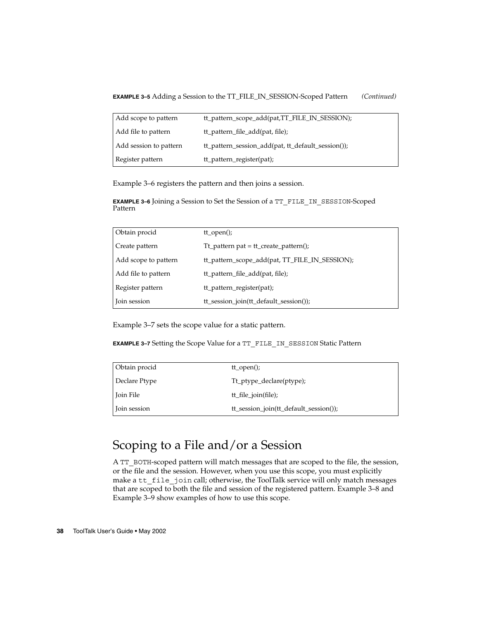**EXAMPLE 3–5** Adding a Session to the TT\_FILE\_IN\_SESSION-Scoped Pattern *(Continued)*

| Add scope to pattern   | tt_pattern_scope_add(pat,TT_FILE_IN_SESSION);      |
|------------------------|----------------------------------------------------|
| Add file to pattern    | tt_pattern_file_add(pat, file);                    |
| Add session to pattern | tt_pattern_session_add(pat, tt_default_session()); |
| Register pattern       | tt_pattern_register(pat);                          |

Example 3–6 registers the pattern and then joins a session.

**EXAMPLE 3–6** Joining a Session to Set the Session of a TT\_FILE\_IN\_SESSION-Scoped Pattern

| Obtain procid        | $tt\_open()$ ;                                 |
|----------------------|------------------------------------------------|
| Create pattern       | $Tt$ pattern pat = tt_create_pattern();        |
| Add scope to pattern | tt_pattern_scope_add(pat, TT_FILE_IN_SESSION); |
| Add file to pattern  | tt_pattern_file_add(pat, file);                |
| Register pattern     | tt_pattern_register(pat);                      |
| Join session         | tt_session_join(tt_default_session());         |

Example 3–7 sets the scope value for a static pattern.

**EXAMPLE 3–7** Setting the Scope Value for a TT\_FILE\_IN\_SESSION Static Pattern

| Obtain procid | $tt\_open()$ ;                         |
|---------------|----------------------------------------|
| Declare Ptype | Tt_ptype_declare(ptype);               |
| Join File     | tt_file_join(file);                    |
| Join session  | tt_session_join(tt_default_session()); |

### Scoping to a File and/or a Session

A TT\_BOTH-scoped pattern will match messages that are scoped to the file, the session, or the file and the session. However, when you use this scope, you must explicitly make a tt\_file\_join call; otherwise, the ToolTalk service will only match messages that are scoped to both the file and session of the registered pattern. Example 3–8 and Example 3–9 show examples of how to use this scope.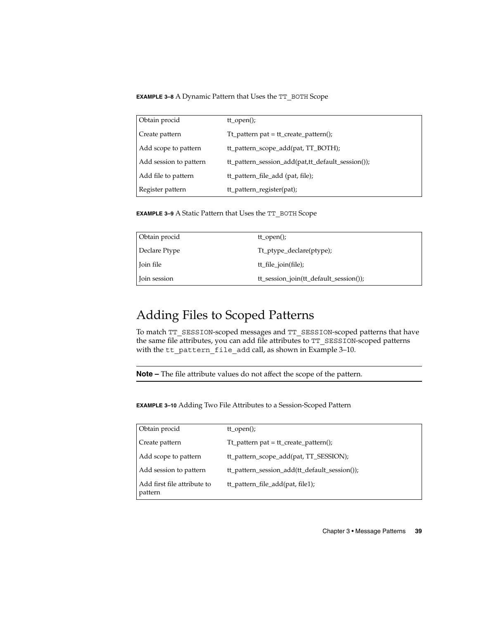**EXAMPLE 3–8** A Dynamic Pattern that Uses the TT\_BOTH Scope

| Obtain procid          | $tt\_open()$ ;                                    |
|------------------------|---------------------------------------------------|
| Create pattern         | Tt_pattern pat = tt_create_pattern();             |
| Add scope to pattern   | tt_pattern_scope_add(pat, TT_BOTH);               |
| Add session to pattern | tt_pattern_session_add(pat,tt_default_session()); |
| Add file to pattern    | tt_pattern_file_add (pat, file);                  |
| Register pattern       | tt_pattern_register(pat);                         |

**EXAMPLE 3–9** A Static Pattern that Uses the TT\_BOTH Scope

| Obtain procid | tt_open();                             |
|---------------|----------------------------------------|
| Declare Ptype | Tt_ptype_declare(ptype);               |
| Join file     | tt_file_join(file);                    |
| Join session  | tt_session_join(tt_default_session()); |

## Adding Files to Scoped Patterns

To match TT\_SESSION-scoped messages and TT\_SESSION-scoped patterns that have the same file attributes, you can add file attributes to TT\_SESSION-scoped patterns with the tt\_pattern\_file\_add call, as shown in Example 3–10.

**Note –** The file attribute values do not affect the scope of the pattern.

**EXAMPLE 3–10** Adding Two File Attributes to a Session-Scoped Pattern

| Obtain procid                          | $tt\_open()$ ;                                |
|----------------------------------------|-----------------------------------------------|
| Create pattern                         | Tt_pattern pat = tt_create_pattern();         |
| Add scope to pattern                   | tt_pattern_scope_add(pat, TT_SESSION);        |
| Add session to pattern                 | tt_pattern_session_add(tt_default_session()); |
| Add first file attribute to<br>pattern | tt_pattern_file_add(pat, file1);              |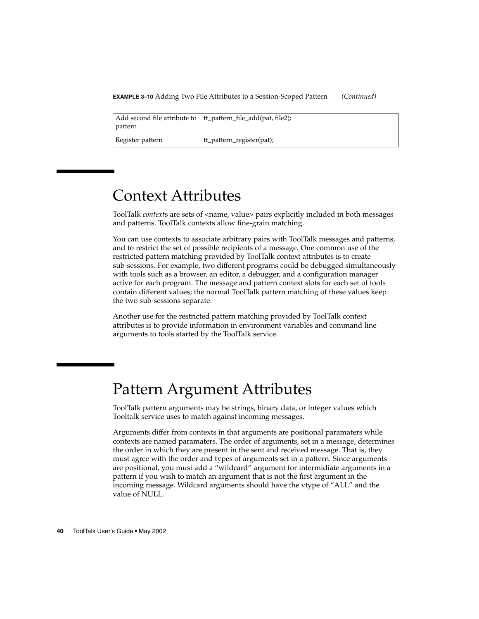**EXAMPLE 3–10** Adding Two File Attributes to a Session-Scoped Pattern *(Continued)*

Add second file attribute to tt\_pattern\_file\_add(pat, file2); pattern Register pattern tt\_pattern\_register(pat);

# Context Attributes

ToolTalk *contexts* are sets of <name, value> pairs explicitly included in both messages and patterns. ToolTalk contexts allow fine-grain matching.

You can use contexts to associate arbitrary pairs with ToolTalk messages and patterns, and to restrict the set of possible recipients of a message. One common use of the restricted pattern matching provided by ToolTalk context attributes is to create sub-sessions. For example, two different programs could be debugged simultaneously with tools such as a browser, an editor, a debugger, and a configuration manager active for each program. The message and pattern context slots for each set of tools contain different values; the normal ToolTalk pattern matching of these values keep the two sub-sessions separate.

Another use for the restricted pattern matching provided by ToolTalk context attributes is to provide information in environment variables and command line arguments to tools started by the ToolTalk service.

# Pattern Argument Attributes

ToolTalk pattern arguments may be strings, binary data, or integer values which Tooltalk service uses to match against incoming messages.

Arguments differ from contexts in that arguments are positional paramaters while contexts are named paramaters. The order of arguments, set in a message, determines the order in which they are present in the sent and received message. That is, they must agree with the order and types of arguments set in a pattern. Since arguments are positional, you must add a "wildcard" argument for intermidiate arguments in a pattern if you wish to match an argument that is not the first argument in the incoming message. Wildcard arguments should have the vtype of "ALL" and the value of NULL.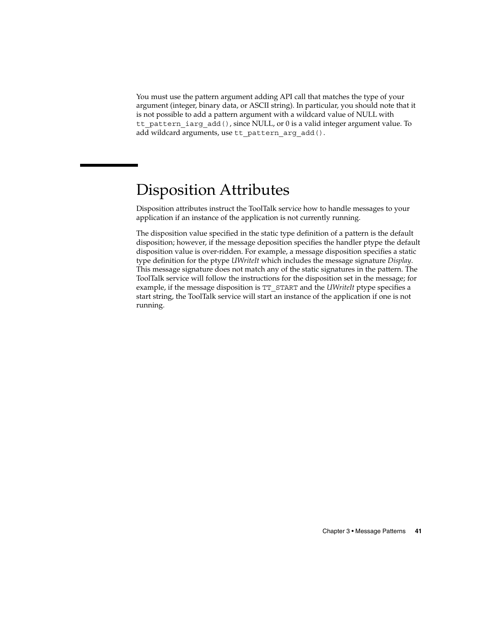You must use the pattern argument adding API call that matches the type of your argument (integer, binary data, or ASCII string). In particular, you should note that it is not possible to add a pattern argument with a wildcard value of NULL with tt pattern iarg add(), since NULL, or 0 is a valid integer argument value. To add wildcard arguments, use tt pattern arg add().

# Disposition Attributes

Disposition attributes instruct the ToolTalk service how to handle messages to your application if an instance of the application is not currently running.

The disposition value specified in the static type definition of a pattern is the default disposition; however, if the message deposition specifies the handler ptype the default disposition value is over-ridden. For example, a message disposition specifies a static type definition for the ptype *UWriteIt* which includes the message signature *Display*. This message signature does not match any of the static signatures in the pattern. The ToolTalk service will follow the instructions for the disposition set in the message; for example, if the message disposition is TT\_START and the *UWriteIt* ptype specifies a start string, the ToolTalk service will start an instance of the application if one is not running.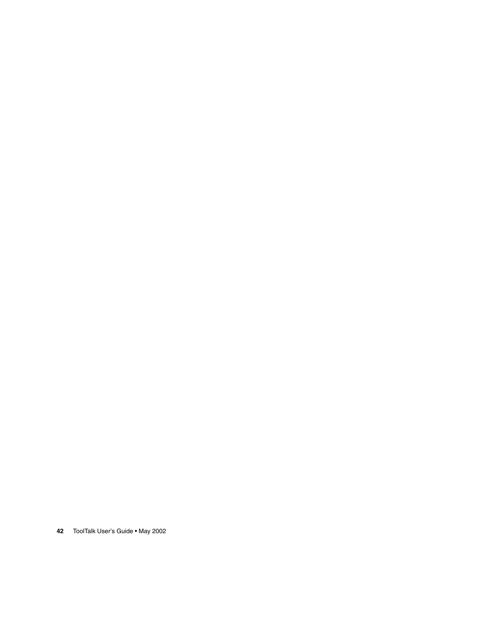ToolTalk User's Guide • May 2002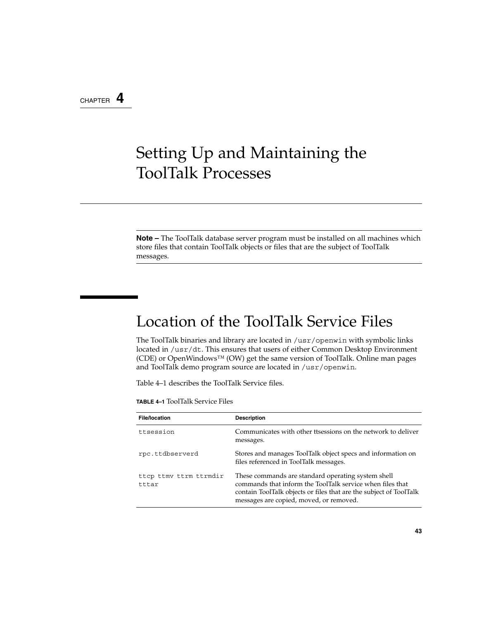### CHAPTER **4**

# Setting Up and Maintaining the ToolTalk Processes

**Note –** The ToolTalk database server program must be installed on all machines which store files that contain ToolTalk objects or files that are the subject of ToolTalk messages.

# Location of the ToolTalk Service Files

The ToolTalk binaries and library are located in /usr/openwin with symbolic links located in /usr/dt. This ensures that users of either Common Desktop Environment (CDE) or OpenWindows™ (OW) get the same version of ToolTalk. Online man pages and ToolTalk demo program source are located in /usr/openwin.

Table 4–1 describes the ToolTalk Service files.

| <b>TABLE 4-1 ToolTalk Service Files</b> |
|-----------------------------------------|
|-----------------------------------------|

| <b>File/location</b>            | <b>Description</b>                                                                                                                                                                                                               |
|---------------------------------|----------------------------------------------------------------------------------------------------------------------------------------------------------------------------------------------------------------------------------|
| ttsession                       | Communicates with other ttsessions on the network to deliver<br>messages.                                                                                                                                                        |
| rpc.ttdbserverd                 | Stores and manages ToolTalk object specs and information on<br>files referenced in ToolTalk messages.                                                                                                                            |
| ttcp ttmv ttrm ttrmdir<br>tttar | These commands are standard operating system shell<br>commands that inform the ToolTalk service when files that<br>contain ToolTalk objects or files that are the subject of ToolTalk<br>messages are copied, moved, or removed. |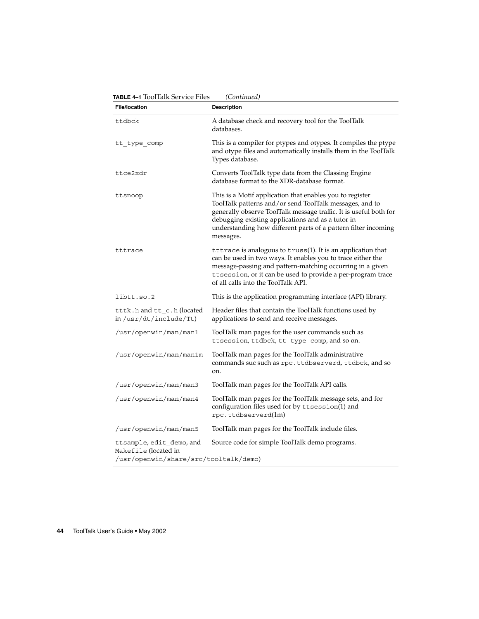| <b>File/location</b>                                                                      | <b>Description</b>                                                                                                                                                                                                                                                                                                           |  |  |  |
|-------------------------------------------------------------------------------------------|------------------------------------------------------------------------------------------------------------------------------------------------------------------------------------------------------------------------------------------------------------------------------------------------------------------------------|--|--|--|
| ttdbck                                                                                    | A database check and recovery tool for the ToolTalk<br>databases.                                                                                                                                                                                                                                                            |  |  |  |
| tt_type_comp                                                                              | This is a compiler for ptypes and otypes. It compiles the ptype<br>and otype files and automatically installs them in the ToolTalk<br>Types database.                                                                                                                                                                        |  |  |  |
| ttce2xdr                                                                                  | Converts ToolTalk type data from the Classing Engine<br>database format to the XDR-database format.                                                                                                                                                                                                                          |  |  |  |
| ttsnoop                                                                                   | This is a Motif application that enables you to register<br>ToolTalk patterns and/or send ToolTalk messages, and to<br>generally observe ToolTalk message traffic. It is useful both for<br>debugging existing applications and as a tutor in<br>understanding how different parts of a pattern filter incoming<br>messages. |  |  |  |
| tttrace                                                                                   | tttrace is analogous to truss(1). It is an application that<br>can be used in two ways. It enables you to trace either the<br>message-passing and pattern-matching occurring in a given<br>ttsession, or it can be used to provide a per-program trace<br>of all calls into the ToolTalk API.                                |  |  |  |
| libtt.so.2                                                                                | This is the application programming interface (API) library.                                                                                                                                                                                                                                                                 |  |  |  |
| tttk.h and tt_c.h (located<br>in/usr/dt/include/Tt)                                       | Header files that contain the ToolTalk functions used by<br>applications to send and receive messages.                                                                                                                                                                                                                       |  |  |  |
| /usr/openwin/man/man1                                                                     | ToolTalk man pages for the user commands such as<br>ttsession, ttdbck, tt type comp, and so on.                                                                                                                                                                                                                              |  |  |  |
| /usr/openwin/man/man1m                                                                    | ToolTalk man pages for the ToolTalk administrative<br>commands suc such as rpc.ttdbserverd, ttdbck, and so<br>on.                                                                                                                                                                                                            |  |  |  |
| /usr/openwin/man/man3                                                                     | ToolTalk man pages for the ToolTalk API calls.                                                                                                                                                                                                                                                                               |  |  |  |
| /usr/openwin/man/man4                                                                     | ToolTalk man pages for the ToolTalk message sets, and for<br>configuration files used for by ttsession(1) and<br>rpc.ttdbserverd(1m)                                                                                                                                                                                         |  |  |  |
| /usr/openwin/man/man5                                                                     | ToolTalk man pages for the ToolTalk include files.                                                                                                                                                                                                                                                                           |  |  |  |
| ttsample, edit demo, and<br>Makefile (located in<br>/usr/openwin/share/src/tooltalk/demo) | Source code for simple ToolTalk demo programs.                                                                                                                                                                                                                                                                               |  |  |  |

**TABLE 4–1** ToolTalk Service Files *(Continued)*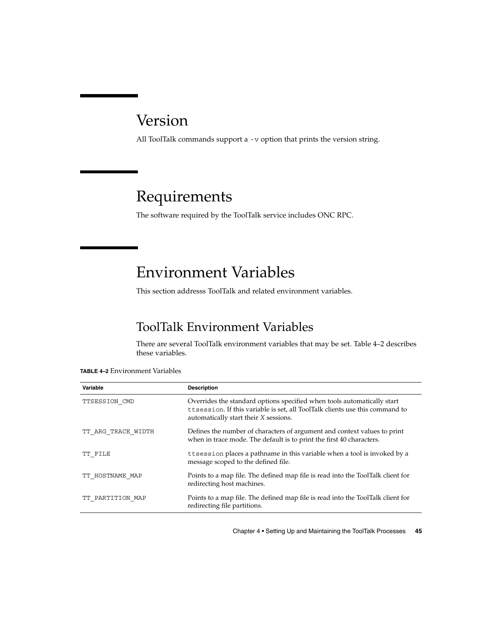# Version

All ToolTalk commands support a -v option that prints the version string.

# Requirements

The software required by the ToolTalk service includes ONC RPC.

# Environment Variables

This section addresss ToolTalk and related environment variables.

## ToolTalk Environment Variables

There are several ToolTalk environment variables that may be set. Table 4–2 describes these variables.

| Variable           | <b>Description</b>                                                                                                                                                                               |
|--------------------|--------------------------------------------------------------------------------------------------------------------------------------------------------------------------------------------------|
| TTSESSION CMD      | Overrides the standard options specified when tools automatically start<br>ttsession. If this variable is set, all ToolTalk clients use this command to<br>automatically start their X sessions. |
| TT ARG TRACE WIDTH | Defines the number of characters of argument and context values to print<br>when in trace mode. The default is to print the first 40 characters.                                                 |
| TT FILE            | ttsession places a pathname in this variable when a tool is invoked by a<br>message scoped to the defined file.                                                                                  |
| TT HOSTNAME MAP    | Points to a map file. The defined map file is read into the ToolTalk client for<br>redirecting host machines.                                                                                    |
| TT PARTITION MAP   | Points to a map file. The defined map file is read into the ToolTalk client for<br>redirecting file partitions.                                                                                  |

**TABLE 4–2** Environment Variables

Chapter 4 • Setting Up and Maintaining the ToolTalk Processes **45**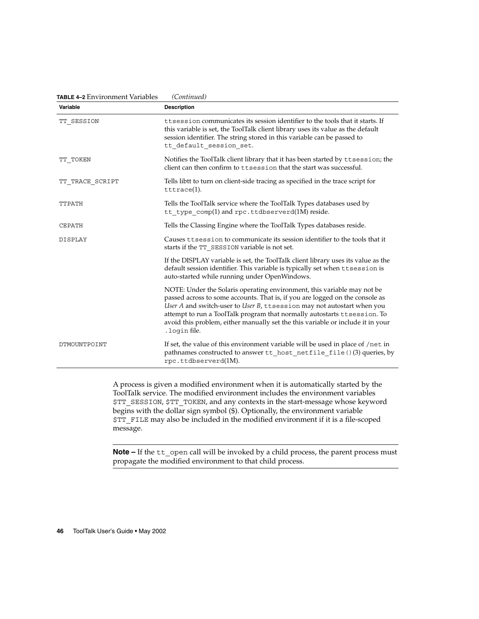| <b>IABLE +-2</b> EITVILUITEIN VALIADIES | $\cup$ unnucu                                                                                                                                                                                                                                                                                                                                                                                                   |  |  |
|-----------------------------------------|-----------------------------------------------------------------------------------------------------------------------------------------------------------------------------------------------------------------------------------------------------------------------------------------------------------------------------------------------------------------------------------------------------------------|--|--|
| Variable                                | <b>Description</b>                                                                                                                                                                                                                                                                                                                                                                                              |  |  |
| TT SESSION                              | ttsession communicates its session identifier to the tools that it starts. If<br>this variable is set, the ToolTalk client library uses its value as the default<br>session identifier. The string stored in this variable can be passed to<br>tt default session set.                                                                                                                                          |  |  |
| TT TOKEN                                | Notifies the ToolTalk client library that it has been started by ttsession; the<br>client can then confirm to ttsession that the start was successful.                                                                                                                                                                                                                                                          |  |  |
| TT TRACE SCRIPT                         | Tells libtt to turn on client-side tracing as specified in the trace script for<br>tttrace(1).                                                                                                                                                                                                                                                                                                                  |  |  |
| TTPATH                                  | Tells the ToolTalk service where the ToolTalk Types databases used by<br>tt type comp(1) and rpc.ttdbserverd(1M) reside.                                                                                                                                                                                                                                                                                        |  |  |
| <b>CEPATH</b>                           | Tells the Classing Engine where the ToolTalk Types databases reside.                                                                                                                                                                                                                                                                                                                                            |  |  |
| <b>DISPLAY</b>                          | Causes ttsession to communicate its session identifier to the tools that it<br>starts if the TT SESSION variable is not set.                                                                                                                                                                                                                                                                                    |  |  |
|                                         | If the DISPLAY variable is set, the ToolTalk client library uses its value as the<br>default session identifier. This variable is typically set when ttsession is<br>auto-started while running under OpenWindows.                                                                                                                                                                                              |  |  |
|                                         | NOTE: Under the Solaris operating environment, this variable may not be<br>passed across to some accounts. That is, if you are logged on the console as<br>User A and switch-user to User B, ttsession may not autostart when you<br>attempt to run a ToolTalk program that normally autostarts ttsession. To<br>avoid this problem, either manually set the this variable or include it in your<br>.loginfile. |  |  |
| DTMOUNTPOINT                            | If set, the value of this environment variable will be used in place of /net in<br>pathnames constructed to answer tt host netfile file ()(3) queries, by<br>rpc.ttdbserverd(1M).                                                                                                                                                                                                                               |  |  |

**TABLE 4–2** Environment Variables *(Continued)*

A process is given a modified environment when it is automatically started by the ToolTalk service. The modified environment includes the environment variables \$TT\_SESSION, \$TT\_TOKEN, and any contexts in the start-message whose keyword begins with the dollar sign symbol (\$). Optionally, the environment variable \$TT\_FILE may also be included in the modified environment if it is a file-scoped message.

**Note** – If the tt\_open call will be invoked by a child process, the parent process must propagate the modified environment to that child process.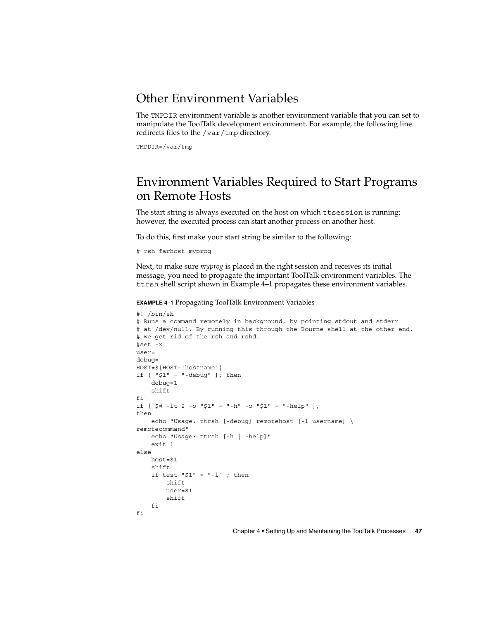### Other Environment Variables

The TMPDIR environment variable is another environment variable that you can set to manipulate the ToolTalk development environment. For example, the following line redirects files to the /var/tmp directory.

TMPDIR=/var/tmp

### Environment Variables Required to Start Programs on Remote Hosts

The start string is always executed on the host on which ttsession is running; however, the executed process can start another process on another host.

To do this, first make your start string be similar to the following:

# rsh farhost myprog

Next, to make sure *myprog* is placed in the right session and receives its initial message, you need to propagate the important ToolTalk environment variables. The ttrsh shell script shown in Example 4–1 propagates these environment variables.

**EXAMPLE 4–1** Propagating ToolTalk Environment Variables

```
#! /bin/sh
# Runs a command remotely in background, by pointing stdout and stderr
# at /dev/null. By running this through the Bourne shell at the other end,
# we get rid of the rsh and rshd.
#set -x
user=
debug=
HOST=${HOST-'hostname'}
if [ "$1" = "-debug" ]; then
    debug=1
    shift
fi
if [ $# -lt 2 -o "$1" = "-h" -o "$1" = "-help" ];
then
   echo "Usage: ttrsh [-debug] remotehost [-l username] \
remotecommand"
   echo "Usage: ttrsh [-h | -help]"
    exit 1
else
    host=$1
    shift
    if test "\$1" = "-1"; then
        shift
        user=$1
        shift
    fi
fi
```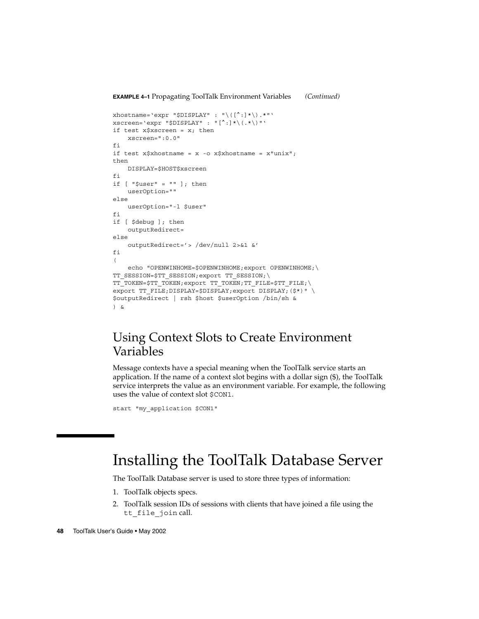```
EXAMPLE 4–1 Propagating ToolTalk Environment Variables (Continued)
```

```
xhostname='expr "$DISPLAY" : "\([^:]*\).*"'
xscreen='expr "$DISPLAY" : "[^:]*\(.*\)"'
if test x$xscreen = x; then
   xscreen=":0.0"
fi
if test x$xhostname = x -o x$xhostname = x"unix";
then
    DISPLAY=$HOST$xscreen
f_iif [ "$user" = "" ]; then
   userOption=""
else
    userOption="-l $user"
fi
if [ $debug ]; then
   outputRedirect=
else
    outputRedirect='> /dev/null 2>&1 &'
fi
\left(echo "OPENWINHOME=$OPENWINHOME; export OPENWINHOME;\
TT_SESSION=$TT_SESSION;export TT_SESSION;\
TT_TOKEN=$TT_TOKEN;export TT_TOKEN;TT_FILE=$TT_FILE;\
export TT FILE; DISPLAY=$DISPLAY; export DISPLAY; ($*)" \
$outputRedirect | rsh $host $userOption /bin/sh &
) &
```
### Using Context Slots to Create Environment Variables

Message contexts have a special meaning when the ToolTalk service starts an application. If the name of a context slot begins with a dollar sign (\$), the ToolTalk service interprets the value as an environment variable. For example, the following uses the value of context slot \$CON1.

```
start "my_application $CON1"
```
# Installing the ToolTalk Database Server

The ToolTalk Database server is used to store three types of information:

- 1. ToolTalk objects specs.
- 2. ToolTalk session IDs of sessions with clients that have joined a file using the tt file join call.

**48** ToolTalk User's Guide • May 2002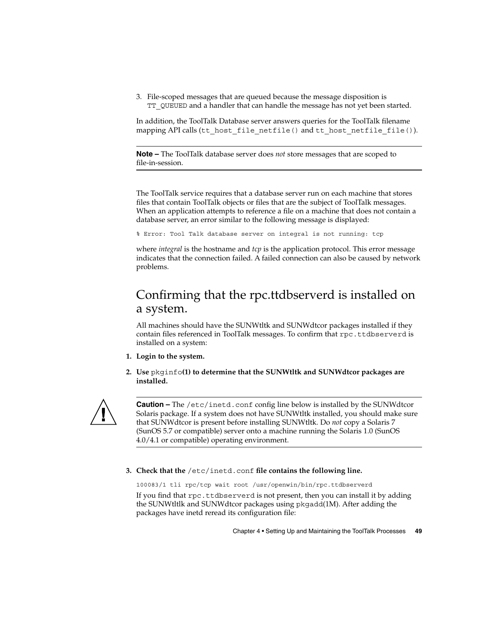3. File-scoped messages that are queued because the message disposition is TT\_QUEUED and a handler that can handle the message has not yet been started.

In addition, the ToolTalk Database server answers queries for the ToolTalk filename mapping API calls (tt host file netfile() and tt host netfile file()).

**Note –** The ToolTalk database server does *not* store messages that are scoped to file-in-session.

The ToolTalk service requires that a database server run on each machine that stores files that contain ToolTalk objects or files that are the subject of ToolTalk messages. When an application attempts to reference a file on a machine that does not contain a database server, an error similar to the following message is displayed:

% Error: Tool Talk database server on integral is not running: tcp

where *integral* is the hostname and *tcp* is the application protocol. This error message indicates that the connection failed. A failed connection can also be caused by network problems.

### Confirming that the rpc.ttdbserverd is installed on a system.

All machines should have the SUNWtltk and SUNWdtcor packages installed if they contain files referenced in ToolTalk messages. To confirm that rpc.ttdbserverd is installed on a system:

- **1. Login to the system.**
- **2. Use** pkginfo**(1) to determine that the SUNWtltk and SUNWdtcor packages are installed.**



**Caution –** The /etc/inetd.conf config line below is installed by the SUNWdtcor Solaris package. If a system does not have SUNWtltk installed, you should make sure that SUNWdtcor is present before installing SUNWtltk. Do *not* copy a Solaris 7 (SunOS 5.7 or compatible) server onto a machine running the Solaris 1.0 (SunOS 4.0/4.1 or compatible) operating environment.

**3. Check that the** /etc/inetd.conf **file contains the following line.**

100083/1 tli rpc/tcp wait root /usr/openwin/bin/rpc.ttdbserverd If you find that rpc.ttdbserverd is not present, then you can install it by adding the SUNWtltlk and SUNWdtcor packages using pkgadd(1M). After adding the packages have inetd reread its configuration file:

Chapter 4 • Setting Up and Maintaining the ToolTalk Processes **49**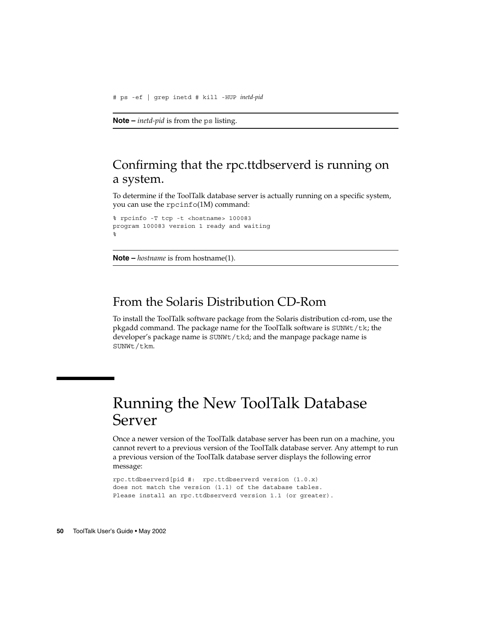# ps -ef | grep inetd # kill -HUP *inetd-pid*

**Note –** *inetd-pid* is from the ps listing.

### Confirming that the rpc.ttdbserverd is running on a system.

To determine if the ToolTalk database server is actually running on a specific system, you can use the rpcinfo(1M) command:

% rpcinfo -T tcp -t <hostname> 100083 program 100083 version 1 ready and waiting  $\approx$ 

**Note –** *hostname* is from hostname(1).

#### From the Solaris Distribution CD-Rom

To install the ToolTalk software package from the Solaris distribution cd-rom, use the pkgadd command. The package name for the ToolTalk software is SUNWt/tk; the developer's package name is SUNWt/tkd; and the manpage package name is SUNWt/tkm.

# Running the New ToolTalk Database Server

Once a newer version of the ToolTalk database server has been run on a machine, you cannot revert to a previous version of the ToolTalk database server. Any attempt to run a previous version of the ToolTalk database server displays the following error message:

```
rpc.ttdbserverd[pid #: rpc.ttdbserverd version (1.0.x)
does not match the version (1.1) of the database tables.
Please install an rpc.ttdbserverd version 1.1 (or greater).
```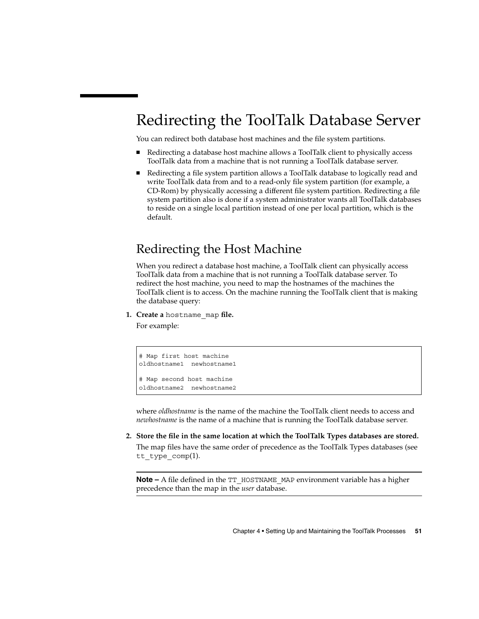# Redirecting the ToolTalk Database Server

You can redirect both database host machines and the file system partitions.

- Redirecting a database host machine allows a ToolTalk client to physically access ToolTalk data from a machine that is not running a ToolTalk database server.
- Redirecting a file system partition allows a ToolTalk database to logically read and write ToolTalk data from and to a read-only file system partition (for example, a CD-Rom) by physically accessing a different file system partition. Redirecting a file system partition also is done if a system administrator wants all ToolTalk databases to reside on a single local partition instead of one per local partition, which is the default.

### Redirecting the Host Machine

When you redirect a database host machine, a ToolTalk client can physically access ToolTalk data from a machine that is not running a ToolTalk database server. To redirect the host machine, you need to map the hostnames of the machines the ToolTalk client is to access. On the machine running the ToolTalk client that is making the database query:

**1. Create a** hostname\_map **file.**

For example:

```
# Map first host machine
oldhostname1 newhostname1
# Map second host machine
oldhostname2 newhostname2
```
where *oldhostname* is the name of the machine the ToolTalk client needs to access and *newhostname* is the name of a machine that is running the ToolTalk database server.

**2. Store the file in the same location at which the ToolTalk Types databases are stored.**

The map files have the same order of precedence as the ToolTalk Types databases (see tt\_type\_comp(1).

**Note** – A file defined in the TT\_HOSTNAME\_MAP environment variable has a higher precedence than the map in the *user* database.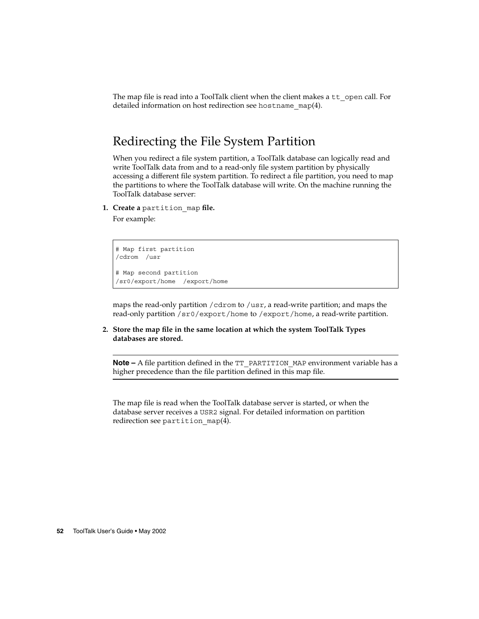The map file is read into a ToolTalk client when the client makes a tt open call. For detailed information on host redirection see hostname\_map(4).

### Redirecting the File System Partition

When you redirect a file system partition, a ToolTalk database can logically read and write ToolTalk data from and to a read-only file system partition by physically accessing a different file system partition. To redirect a file partition, you need to map the partitions to where the ToolTalk database will write. On the machine running the ToolTalk database server:

**1. Create a** partition\_map **file.**

For example:

```
# Map first partition
/cdrom /usr
# Map second partition
/sr0/export/home /export/home
```
maps the read-only partition /cdrom to /usr, a read-write partition; and maps the read-only partition /sr0/export/home to /export/home, a read-write partition.

**2. Store the map file in the same location at which the system ToolTalk Types databases are stored.**

**Note** – A file partition defined in the TT\_PARTITION\_MAP environment variable has a higher precedence than the file partition defined in this map file.

The map file is read when the ToolTalk database server is started, or when the database server receives a USR2 signal. For detailed information on partition redirection see partition\_map(4).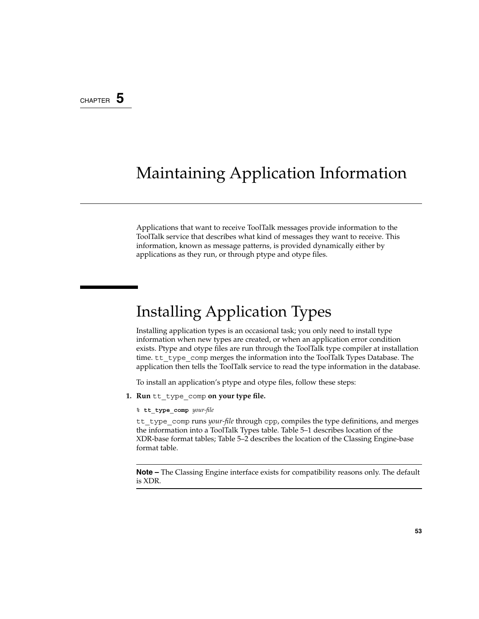### CHAPTER **5**

# Maintaining Application Information

Applications that want to receive ToolTalk messages provide information to the ToolTalk service that describes what kind of messages they want to receive. This information, known as message patterns, is provided dynamically either by applications as they run, or through ptype and otype files.

# Installing Application Types

Installing application types is an occasional task; you only need to install type information when new types are created, or when an application error condition exists. Ptype and otype files are run through the ToolTalk type compiler at installation time. tt\_type\_comp merges the information into the ToolTalk Types Database. The application then tells the ToolTalk service to read the type information in the database.

To install an application's ptype and otype files, follow these steps:

**1. Run** tt\_type\_comp **on your type file.**

% **tt\_type\_comp** *your-file*

tt\_type\_comp runs *your-file* through cpp, compiles the type definitions, and merges the information into a ToolTalk Types table. Table 5–1 describes location of the XDR-base format tables; Table 5–2 describes the location of the Classing Engine-base format table.

**Note –** The Classing Engine interface exists for compatibility reasons only. The default is XDR.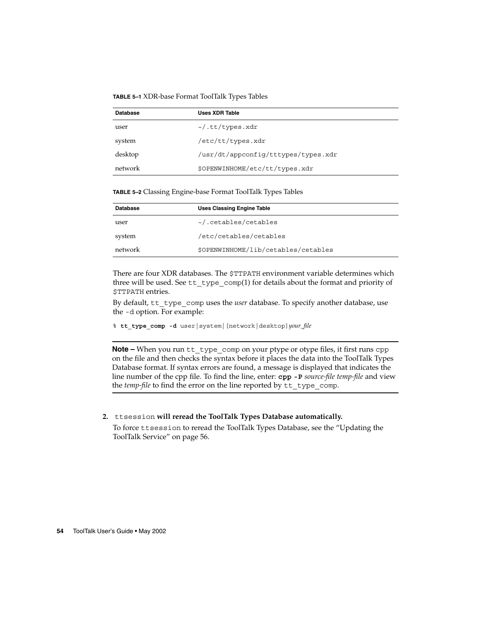**TABLE 5–1** XDR-base Format ToolTalk Types Tables

| <b>Database</b> | Uses XDR Table                      |
|-----------------|-------------------------------------|
| user            | ~/.tt/types.xdr                     |
| system          | /etc/tt/types.xdr                   |
| desktop         | /usr/dt/appconfig/tttypes/types.xdr |
| network         | \$OPENWINHOME/etc/tt/types.xdr      |

**TABLE 5–2** Classing Engine-base Format ToolTalk Types Tables

| <b>Database</b> | <b>Uses Classing Engine Table</b>   |  |
|-----------------|-------------------------------------|--|
| user            | $\sim$ /.cetables/cetables          |  |
| system          | /etc/cetables/cetables              |  |
| network         | \$OPENWINHOME/lib/cetables/cetables |  |

There are four XDR databases. The \$TTPATH environment variable determines which three will be used. See tt\_type\_comp(1) for details about the format and priority of \$TTPATH entries.

By default, tt\_type\_comp uses the *user* database. To specify another database, use the -d option. For example:

% **tt\_type\_comp -d** user|system|[network|desktop]*your\_file*

**Note** – When you run tt type comp on your ptype or otype files, it first runs cpp on the file and then checks the syntax before it places the data into the ToolTalk Types Database format. If syntax errors are found, a message is displayed that indicates the line number of the cpp file. To find the line, enter: **cpp -P** *source-file temp-file* and view the *temp-file* to find the error on the line reported by tt type comp.

**2.** ttsession **will reread the ToolTalk Types Database automatically.** To force ttsession to reread the ToolTalk Types Database, see the "Updating the ToolTalk Service" on page 56.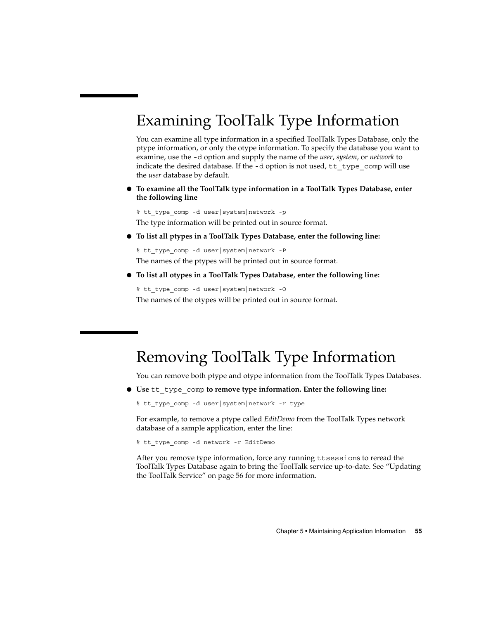# Examining ToolTalk Type Information

You can examine all type information in a specified ToolTalk Types Database, only the ptype information, or only the otype information. To specify the database you want to examine, use the -d option and supply the name of the *user*, *system*, or *network* to indicate the desired database. If the  $-d$  option is not used,  $tt$  type comp will use the *user* database by default.

● **To examine all the ToolTalk type information in a ToolTalk Types Database, enter the following line**

% tt\_type\_comp -d user|system|network -p The type information will be printed out in source format.

● **To list all ptypes in a ToolTalk Types Database, enter the following line:**

% tt\_type\_comp -d user|system|network -P The names of the ptypes will be printed out in source format.

● **To list all otypes in a ToolTalk Types Database, enter the following line:**

% tt type comp -d user|system|network -O The names of the otypes will be printed out in source format.

# Removing ToolTalk Type Information

You can remove both ptype and otype information from the ToolTalk Types Databases.

● **Use** tt\_type\_comp **to remove type information. Enter the following line:**

% tt\_type\_comp -d user|system|network -r type

For example, to remove a ptype called *EditDemo* from the ToolTalk Types network database of a sample application, enter the line:

% tt\_type\_comp -d network -r EditDemo

After you remove type information, force any running ttsessions to reread the ToolTalk Types Database again to bring the ToolTalk service up-to-date. See "Updating the ToolTalk Service" on page 56 for more information.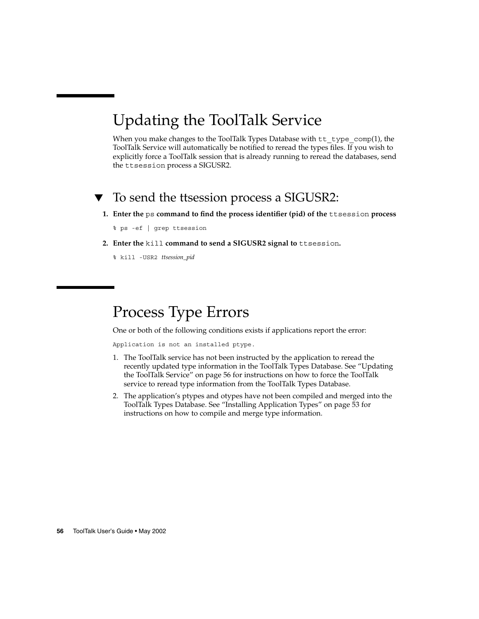# Updating the ToolTalk Service

When you make changes to the ToolTalk Types Database with tt\_type\_comp(1), the ToolTalk Service will automatically be notified to reread the types files. If you wish to explicitly force a ToolTalk session that is already running to reread the databases, send the ttsession process a SIGUSR2.

### ▼ To send the ttsession process a SIGUSR2:

- **1. Enter the** ps **command to find the process identifier (pid) of the** ttsession **process**
	- % ps -ef | grep ttsession
- **2. Enter the** kill **command to send a SIGUSR2 signal to** ttsession**.**
	- % kill -USR2 *ttsession\_pid*

# Process Type Errors

One or both of the following conditions exists if applications report the error:

Application is not an installed ptype.

- 1. The ToolTalk service has not been instructed by the application to reread the recently updated type information in the ToolTalk Types Database. See "Updating the ToolTalk Service" on page 56 for instructions on how to force the ToolTalk service to reread type information from the ToolTalk Types Database.
- 2. The application's ptypes and otypes have not been compiled and merged into the ToolTalk Types Database. See "Installing Application Types" on page 53 for instructions on how to compile and merge type information.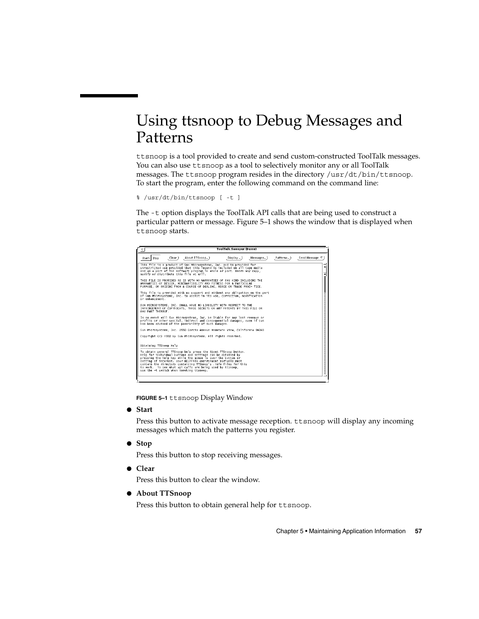# Using ttsnoop to Debug Messages and Patterns

ttsnoop is a tool provided to create and send custom-constructed ToolTalk messages. You can also use ttsnoop as a tool to selectively monitor any or all ToolTalk messages. The ttsnoop program resides in the directory /usr/dt/bin/ttsnoop. To start the program, enter the following command on the command line:

% /usr/dt/bin/ttsnoop [ -t ]

The -t option displays the ToolTalk API calls that are being used to construct a particular pattern or message. Figure 5–1 shows the window that is displayed when ttsnoop starts.

| ToolTalk Snooper (Demo)<br>τ.                                                                                                                                                                                                                                                                                                                                                                                                            |            |                       |  |  |  |
|------------------------------------------------------------------------------------------------------------------------------------------------------------------------------------------------------------------------------------------------------------------------------------------------------------------------------------------------------------------------------------------------------------------------------------------|------------|-----------------------|--|--|--|
| Start Stop<br>Clear )<br>About TTSnoop)<br>Display  )<br>Messages…)                                                                                                                                                                                                                                                                                                                                                                      | Patterns_) | Send Message $\tau$ ) |  |  |  |
| This file is a product of Sun Microsystems, Inc. and is provided for<br>unrestricted use provided that this legend is included on all tape media<br>and as a part of the software program in whole or part. Users may copy,<br>modify or distribute this file at will.                                                                                                                                                                   |            |                       |  |  |  |
| THIS FILE IS PROVIDED AS IS WITH NO WARRANTIES OF ANY KIND INCLUDING THE<br>WARRANTIES OF DESIGN. MERCHANTIBILITY AND FITNESS FOR A PARTICULAR<br>PURPOSE, OR ARISING FROM A COURSE OF DEALING, USAGE OR TRADE PRAC- TICE.                                                                                                                                                                                                               |            |                       |  |  |  |
| This file is provided with no support and without any obligation on the part<br>of Sun Microsystems. Inc. to assist in its use, correction, modification<br>or enhancement.                                                                                                                                                                                                                                                              |            |                       |  |  |  |
| SUN MICROSYSTEMS, INC. SHALL HAVE NO LIABILITY WITH RESPECT TO THE<br>INFRINGEMENT OF COPYRIGHTS. TRADE SECRETS OR ANY PATENTS BY THIS FILE OR<br>ANY PART THEREOF.                                                                                                                                                                                                                                                                      |            |                       |  |  |  |
| In no event will Sun Microsystems, Inc. be liable for any lost revenue or<br>profits or other special, indirect and consequential damages, even if Sun<br>has been advised of the possibility of such damages.                                                                                                                                                                                                                           |            |                       |  |  |  |
| Sun Microsystems, Inc. 2550 Garcia Avenue Mountain View, California 94043                                                                                                                                                                                                                                                                                                                                                                |            |                       |  |  |  |
| Copyright (c) 1992 by Sun Microsystems, All rights reserved.                                                                                                                                                                                                                                                                                                                                                                             |            |                       |  |  |  |
| Obtaining TTSnoop Help                                                                                                                                                                                                                                                                                                                                                                                                                   |            |                       |  |  |  |
| To obtain general TTSnoop help press the About TTSnoop button.<br>Help for individual buttons and settings can be obtained by<br>pressing the help key while the mouse is over the button or<br>setting of interest. Your HELPPATH environment variable must<br>contain the directory containing TTSnoop's .info files for this<br>to work. To see what api calls are being used by ttsnoop.<br>use the -t switch when invoking ttsnoop. |            |                       |  |  |  |
|                                                                                                                                                                                                                                                                                                                                                                                                                                          |            |                       |  |  |  |

**FIGURE 5–1** ttsnoop Display Window

#### ● **Start**

Press this button to activate message reception. ttsnoop will display any incoming messages which match the patterns you register.

● **Stop**

Press this button to stop receiving messages.

● **Clear**

Press this button to clear the window.

● **About TTSnoop**

Press this button to obtain general help for ttsnoop.

Chapter 5 • Maintaining Application Information **57**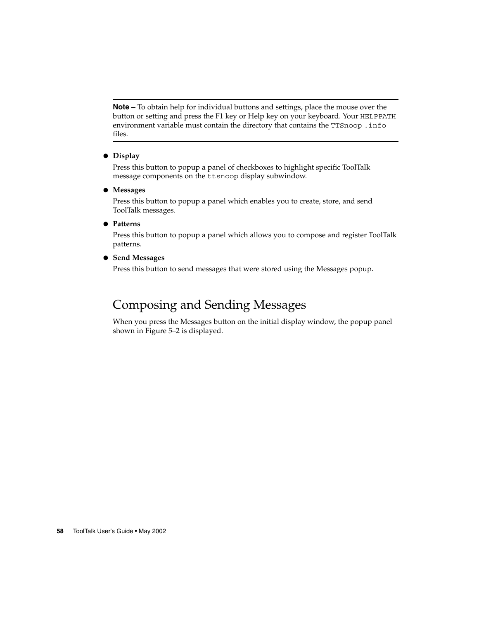**Note –** To obtain help for individual buttons and settings, place the mouse over the button or setting and press the F1 key or Help key on your keyboard. Your HELPPATH environment variable must contain the directory that contains the TTSnoop .info files.

#### ● **Display**

Press this button to popup a panel of checkboxes to highlight specific ToolTalk message components on the ttsnoop display subwindow.

● **Messages**

Press this button to popup a panel which enables you to create, store, and send ToolTalk messages.

#### ● **Patterns**

Press this button to popup a panel which allows you to compose and register ToolTalk patterns.

#### ● **Send Messages**

Press this button to send messages that were stored using the Messages popup.

### Composing and Sending Messages

When you press the Messages button on the initial display window, the popup panel shown in Figure 5–2 is displayed.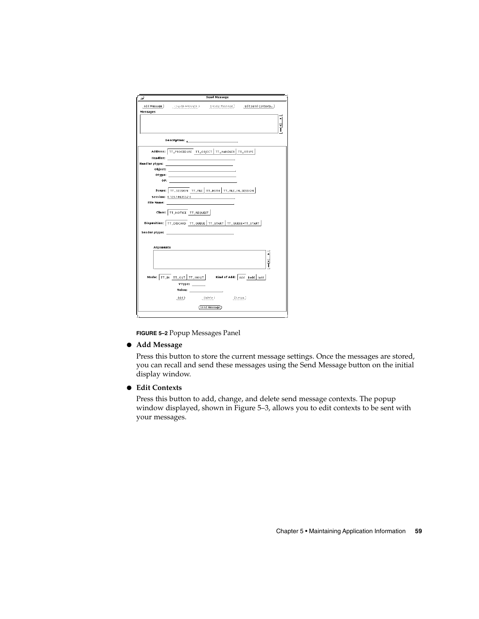| Messages  | Add Message ) ( Likerige Message ) = Likete Message ) = Edit Send Contexts )                                                                                                                                                  |                 |   |
|-----------|-------------------------------------------------------------------------------------------------------------------------------------------------------------------------------------------------------------------------------|-----------------|---|
|           |                                                                                                                                                                                                                               |                 |   |
|           |                                                                                                                                                                                                                               |                 |   |
|           |                                                                                                                                                                                                                               |                 |   |
|           |                                                                                                                                                                                                                               |                 |   |
|           |                                                                                                                                                                                                                               |                 |   |
|           | Address: TT_PROCEDURE TT_OBJECT  TT_HANDLER   TT_OTYPE                                                                                                                                                                        |                 |   |
|           |                                                                                                                                                                                                                               |                 |   |
|           |                                                                                                                                                                                                                               |                 |   |
|           |                                                                                                                                                                                                                               |                 |   |
|           |                                                                                                                                                                                                                               |                 |   |
|           |                                                                                                                                                                                                                               |                 |   |
|           | SCOPE: TT_SESSION TT_FILE TT_BOTH TT_FILE_IN_SESSION                                                                                                                                                                          |                 |   |
|           | Session: X 129.144.153.7 0                                                                                                                                                                                                    |                 |   |
|           | File Name: The Same of the Sea                                                                                                                                                                                                |                 |   |
|           |                                                                                                                                                                                                                               |                 |   |
|           | Class:   TT_NOTICE TT_REQUEST                                                                                                                                                                                                 |                 |   |
|           | Disposition:   TT_DISCARD   TT_QUEUE   TT_START   TT_QUEUE+TT_START                                                                                                                                                           |                 |   |
|           |                                                                                                                                                                                                                               |                 |   |
|           | Sender ptype: the contract of the contract of the contract of the contract of the contract of the contract of the contract of the contract of the contract of the contract of the contract of the contract of the contract of |                 |   |
|           |                                                                                                                                                                                                                               |                 |   |
| Arguments |                                                                                                                                                                                                                               |                 |   |
|           |                                                                                                                                                                                                                               |                 |   |
|           |                                                                                                                                                                                                                               |                 |   |
|           |                                                                                                                                                                                                                               |                 | ₹ |
|           |                                                                                                                                                                                                                               |                 |   |
|           | Mode: TT_IN TT_OUT TT_INOUT   Kind of Add: Add Badd   ladd                                                                                                                                                                    |                 |   |
|           | VType: ______                                                                                                                                                                                                                 |                 |   |
|           | Value: _______                                                                                                                                                                                                                |                 |   |
|           |                                                                                                                                                                                                                               |                 |   |
|           |                                                                                                                                                                                                                               |                 |   |
|           |                                                                                                                                                                                                                               | (Send Message)) |   |

**FIGURE 5–2** Popup Messages Panel

#### ● **Add Message**

Press this button to store the current message settings. Once the messages are stored, you can recall and send these messages using the Send Message button on the initial display window.

● **Edit Contexts**

Press this button to add, change, and delete send message contexts. The popup window displayed, shown in Figure 5–3, allows you to edit contexts to be sent with your messages.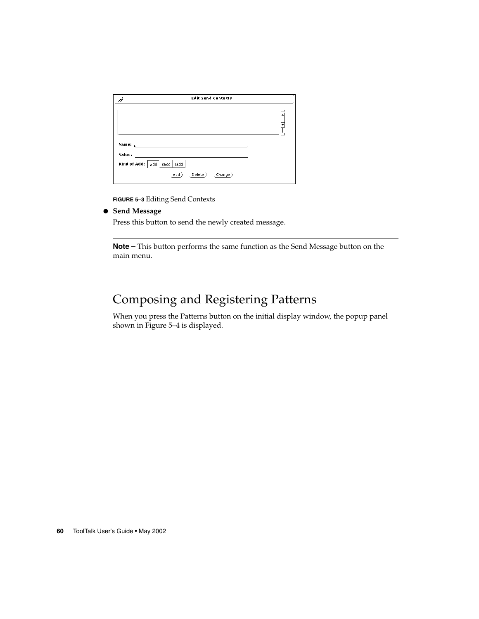| <b>Edit Send Contexts</b>                                         |                     |
|-------------------------------------------------------------------|---------------------|
| Name:                                                             | ۰<br>$\overline{ }$ |
| Value:<br>Kind of Add: Add Badd   ladd<br>Delete) Change)<br>Add) |                     |

**FIGURE 5–3** Editing Send Contexts

● **Send Message**

Press this button to send the newly created message.

**Note –** This button performs the same function as the Send Message button on the main menu.

# Composing and Registering Patterns

When you press the Patterns button on the initial display window, the popup panel shown in Figure 5–4 is displayed.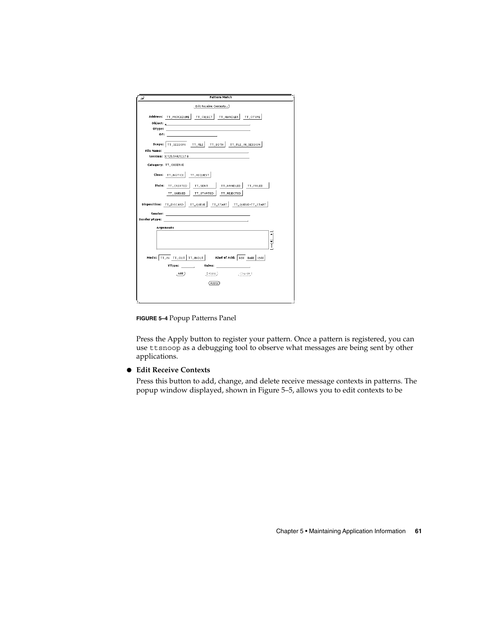| <b>Pattern Match</b>                                                                                                                                                                                                           |
|--------------------------------------------------------------------------------------------------------------------------------------------------------------------------------------------------------------------------------|
| Edit Receive Contexts )                                                                                                                                                                                                        |
| Address: TT_PROCEDURE   TT_OBJECT   TT_HANDLER   TT_OTYPE                                                                                                                                                                      |
| Object: Analysis of the Contract of the Contract of the Contract of the Contract of the Contract of the Contract of the Contract of the Contract of the Contract of the Contract of the Contract of the Contract of the Contra |
|                                                                                                                                                                                                                                |
|                                                                                                                                                                                                                                |
| SCOPE: TT_SESSION TT_FILE TT_BOTH TT_FILE_IN_SESSION                                                                                                                                                                           |
| File Name:<br>Session: X 129.144.153.70                                                                                                                                                                                        |
| Category: TT_OBSERVE                                                                                                                                                                                                           |
|                                                                                                                                                                                                                                |
| Class: TT_NOTICE   TT_REQUEST                                                                                                                                                                                                  |
| State: TT_CREATED   TT_SENT   TT_HANDLED   TT_FAILED                                                                                                                                                                           |
| TT_QUEUED   TT_STARTED   TT_REJECTED                                                                                                                                                                                           |
|                                                                                                                                                                                                                                |
| Disposition: TT_DISCARD   TT_QUEUE   TT_START   TT_QUEUE+TT_START                                                                                                                                                              |
| Sender: The contract of the contract of the contract of the contract of the contract of the contract of the contract of the contract of the contract of the contract of the contract of the contract of the contract of the co |
| Sender ptype: _______________________________                                                                                                                                                                                  |
| Arguments                                                                                                                                                                                                                      |
|                                                                                                                                                                                                                                |
| $\frac{1}{\sqrt{2}}$                                                                                                                                                                                                           |
|                                                                                                                                                                                                                                |
| Mode: TT_IN TT_OUT   TT_INOUT   Kind of Add: Add Badd   ladd                                                                                                                                                                   |
| VType: Value: Value:                                                                                                                                                                                                           |
| E-elece ) in the<br>Add )<br>$-104096$ )                                                                                                                                                                                       |
| (Apply)                                                                                                                                                                                                                        |
|                                                                                                                                                                                                                                |
|                                                                                                                                                                                                                                |
|                                                                                                                                                                                                                                |

**FIGURE 5–4** Popup Patterns Panel

Press the Apply button to register your pattern. Once a pattern is registered, you can use ttsnoop as a debugging tool to observe what messages are being sent by other applications.

#### ● **Edit Receive Contexts**

Press this button to add, change, and delete receive message contexts in patterns. The popup window displayed, shown in Figure 5–5, allows you to edit contexts to be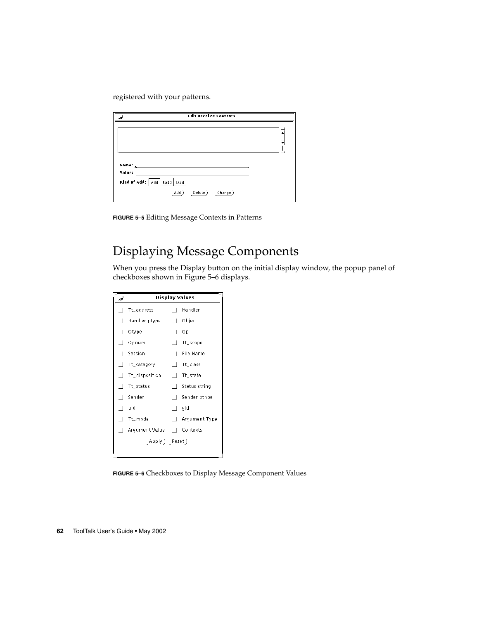registered with your patterns.

| <b>Edit Receive Contexts</b>                                                   |                          |  |  |  |
|--------------------------------------------------------------------------------|--------------------------|--|--|--|
| Name:<br>Value:<br>Kind of Add: Add Badd   ladd<br>Delete)<br>(Change)<br>Add) | $\overline{\phantom{0}}$ |  |  |  |

**FIGURE 5–5** Editing Message Contexts in Patterns

## Displaying Message Components

When you press the Display button on the initial display window, the popup panel of checkboxes shown in Figure 5–6 displays.

| لى | Display Values |                |               |  |  |
|----|----------------|----------------|---------------|--|--|
|    | Tt_address     |                | Handler       |  |  |
|    | Handler ptype  | $\blacksquare$ | Object        |  |  |
|    | Otype          |                | Оp            |  |  |
|    | Opnum          |                | Tt_scope      |  |  |
|    | Session        |                | File Name     |  |  |
|    | Tt_category    |                | Tt_class      |  |  |
|    | Tt_disposition |                | Tt_state      |  |  |
|    | Tt_status      |                | Status string |  |  |
|    | Sender         |                | Sender pthpe  |  |  |
|    | uid            | $\blacksquare$ | gid           |  |  |
|    | Tt_mode        |                | Argument Type |  |  |
|    | Arqument Value |                | Contexts      |  |  |
|    | Apply )        | Reset)         |               |  |  |
| ı  |                |                |               |  |  |

**FIGURE 5–6** Checkboxes to Display Message Component Values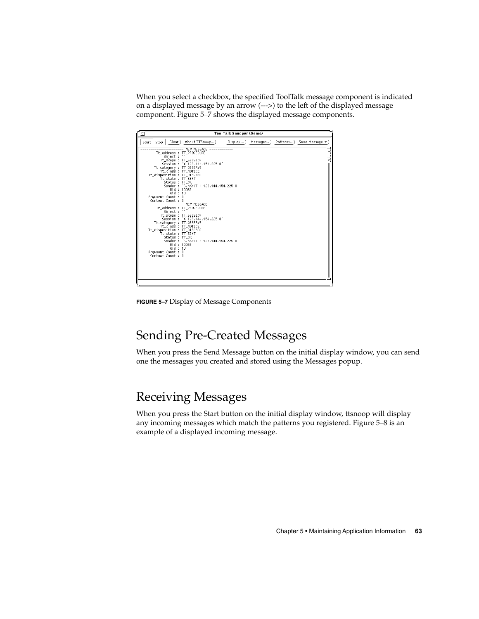When you select a checkbox, the specified ToolTalk message component is indicated on a displayed message by an arrow (--->) to the left of the displayed message component. Figure 5–7 shows the displayed message components.

|                                                                                                                                                                                                                                                                                                                                       |                                                                                                                                                                                                                                                                                                                                                                                                                     | ToolTalk Snooper (Demo) |    |
|---------------------------------------------------------------------------------------------------------------------------------------------------------------------------------------------------------------------------------------------------------------------------------------------------------------------------------------|---------------------------------------------------------------------------------------------------------------------------------------------------------------------------------------------------------------------------------------------------------------------------------------------------------------------------------------------------------------------------------------------------------------------|-------------------------|----|
| Start Stop                                                                                                                                                                                                                                                                                                                            | Clear ) About TTSnoop )   Display  ) Messaqes ) Patterns ) Send Messaqe 〒 )                                                                                                                                                                                                                                                                                                                                         |                         |    |
| Object :<br>Tt_category : TT_OBSERVE<br>Tt_disposition : TT_DISCARD<br>Tt state : TT SENT<br>Status: TT OK<br>Gid : 10<br>Arqument Count : 0<br>Context Count : 0<br>Object :<br>Tt_category: TT_OBSERVE<br>Tt_disposition : TT_DISCARD<br>Tt state : TT SENT<br>Status : TT_OK<br>Gid: 10<br>Arqument Count : 0<br>Context Count : 0 | -- NEW MESSAGE ------------<br>Tt address : TT PROCEDURE<br>Tt_scope: TT_SESSION<br>Session: 'X 129.144.154.225 0'<br>Tt_class : TT_NOTICE<br>Sender: '6.hKr1T X 129.144.154.225 0'<br>Uid : 10085<br>-------------- NEW MESSAGE ------------<br>Tt_address : TT_PROCEDURE<br>Tt_scope: TT_SESSION<br>Session: 'X 129.144.154.225 0'<br>Tt_class : TT_NOTICE<br>Sender: '6.hKr1T X 129.144.154.225 0'<br>Uid: 10085 |                         | A. |

**FIGURE 5–7** Display of Message Components

### Sending Pre-Created Messages

When you press the Send Message button on the initial display window, you can send one the messages you created and stored using the Messages popup.

### Receiving Messages

When you press the Start button on the initial display window, ttsnoop will display any incoming messages which match the patterns you registered. Figure 5–8 is an example of a displayed incoming message.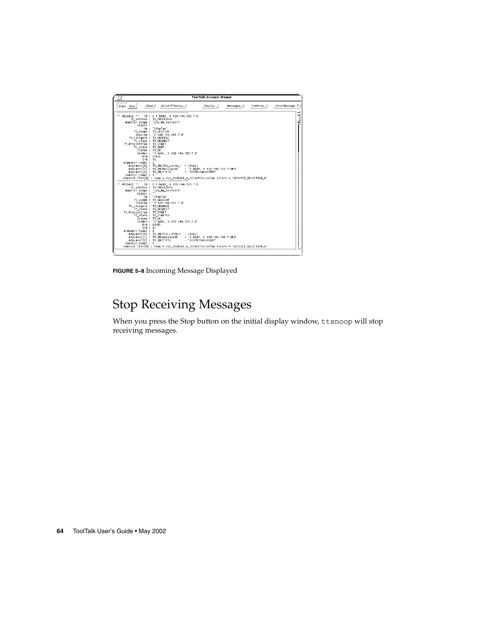| ToolTalk Snooper (Demo)<br>↽                                                                               |  |           |           |           |                       |
|------------------------------------------------------------------------------------------------------------|--|-----------|-----------|-----------|-----------------------|
| About TTSnoop)<br>Start Stop<br>Clear)                                                                     |  | $Display$ | Messages) | Patterns) | Send Message $\nabla$ |
|                                                                                                            |  |           |           |           |                       |
| ** MESSAGE **<br>id: 0 1. hvdr. X 129. 144. 153. 7 0                                                       |  |           |           |           |                       |
| Tt_address : TT_PROCEDURE                                                                                  |  |           |           |           |                       |
| Handler ptype : 'Sun MA textedit'<br>Object : "                                                            |  |           |           |           |                       |
| Op : 'Display'                                                                                             |  |           |           |           |                       |
| Tt_scope : TT_SESSION                                                                                      |  |           |           |           |                       |
| Session: 'X 129.144.153.7 0'                                                                               |  |           |           |           |                       |
| Tt_category : TT_OBSERVE                                                                                   |  |           |           |           |                       |
| Tt_class : TT_REQUEST                                                                                      |  |           |           |           |                       |
| Tt disposition : TT START                                                                                  |  |           |           |           |                       |
| Tt_state : TT_SENT<br>Status : TT OK                                                                       |  |           |           |           |                       |
| Sender: '1.hydr_ X 129.144.153.7 0'                                                                        |  |           |           |           |                       |
| Uid: 24151                                                                                                 |  |           |           |           |                       |
| $Cid + 40$                                                                                                 |  |           |           |           |                       |
| Arqument Count : 3                                                                                         |  |           |           |           |                       |
| Arqument[0]: TT_IN/ISO_Latin_1 - (NULL)                                                                    |  |           |           |           |                       |
| Argument[1] : TT_IN/messageID     - '1.hydr_ X 129.144.153.7 O#O'                                          |  |           |           |           |                       |
| Arqument[2]: TT_IN/title - 'DSSThisWeekOSO7'<br>Context Count : 1                                          |  |           |           |           |                       |
| Context Slot[O] : name = Sun_Deskset_X_Selection/value (char) = 'DESKSET_SELECTION_O'                      |  |           |           |           |                       |
|                                                                                                            |  |           |           |           |                       |
| ** MESSAGE **<br>id: 0 1.hydr_ X 129.144.153.7 0                                                           |  |           |           |           |                       |
| Tt_address : TT_PROCEDURE                                                                                  |  |           |           |           |                       |
| Handler ptype : 'Sun_MA_textedit'<br>$\epsilon$                                                            |  |           |           |           |                       |
| object :                                                                                                   |  |           |           |           |                       |
| Op : 'Display'<br>Tt_scope: TT_SESSION                                                                     |  |           |           |           |                       |
| Session: 'X 129.144.153.7 O'                                                                               |  |           |           |           |                       |
| Tt_category : TT_OBSERVE                                                                                   |  |           |           |           |                       |
| Tt_class : TT_REQUEST                                                                                      |  |           |           |           |                       |
| Tt_disposition : TT_START                                                                                  |  |           |           |           |                       |
| Tt_state : TT_STARTED                                                                                      |  |           |           |           |                       |
| Status : TT_OK                                                                                             |  |           |           |           |                       |
| Sender: '1.hydr_ X 129.144.153.7 0'<br>Hid : 24151                                                         |  |           |           |           |                       |
| Cid: 40                                                                                                    |  |           |           |           |                       |
| Arqument Count : 3                                                                                         |  |           |           |           |                       |
| Argument[0]: TT_IN/ISO_Latin_1 - (NULL)                                                                    |  |           |           |           |                       |
| Argument[1] : TT_IN/messageID - - '1.hydr_ X 129.144.153.7 ONO'                                            |  |           |           |           |                       |
| Argument[2]: TT_IN/title - ^DSSThisweekOSO7^                                                               |  |           |           |           |                       |
| Context Count : 1<br>Context Slot[Ol : name = Sun Deskset X Selection/value (char) = 'DESKSET SELECTION O' |  |           |           |           |                       |
|                                                                                                            |  |           |           |           |                       |
|                                                                                                            |  |           |           |           |                       |

**FIGURE 5–8** Incoming Message Displayed

# Stop Receiving Messages

When you press the Stop button on the initial display window, ttsnoop will stop receiving messages.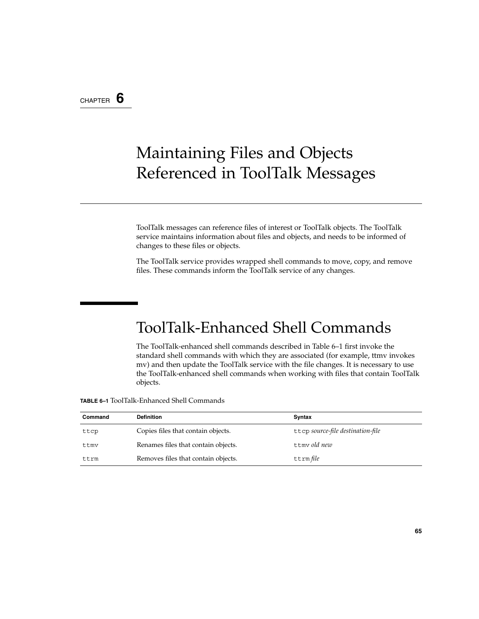#### CHAPTER **6**

# Maintaining Files and Objects Referenced in ToolTalk Messages

ToolTalk messages can reference files of interest or ToolTalk objects. The ToolTalk service maintains information about files and objects, and needs to be informed of changes to these files or objects.

The ToolTalk service provides wrapped shell commands to move, copy, and remove files. These commands inform the ToolTalk service of any changes.

# ToolTalk-Enhanced Shell Commands

The ToolTalk-enhanced shell commands described in Table 6–1 first invoke the standard shell commands with which they are associated (for example, ttmv invokes mv) and then update the ToolTalk service with the file changes. It is necessary to use the ToolTalk-enhanced shell commands when working with files that contain ToolTalk objects.

**TABLE 6–1** ToolTalk-Enhanced Shell Commands

| Command | <b>Definition</b>                   | Syntax                            |
|---------|-------------------------------------|-----------------------------------|
| ttcp    | Copies files that contain objects.  | ttcp source-file destination-file |
| ttmv    | Renames files that contain objects. | ttmy old new                      |
| ttrm    | Removes files that contain objects. | ttrm <i>file</i>                  |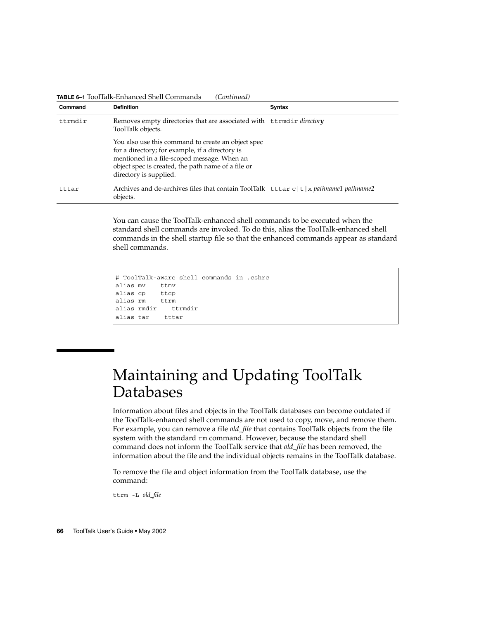**TABLE 6–1** ToolTalk-Enhanced Shell Commands *(Continued)*

| Command | <b>Definition</b>                                                                                                                                                                                                                    | <b>Syntax</b> |  |
|---------|--------------------------------------------------------------------------------------------------------------------------------------------------------------------------------------------------------------------------------------|---------------|--|
| ttrmdir | Removes empty directories that are associated with ttrmdir directory<br>ToolTalk objects.                                                                                                                                            |               |  |
|         | You also use this command to create an object spec<br>for a directory; for example, if a directory is<br>mentioned in a file-scoped message. When an<br>object spec is created, the path name of a file or<br>directory is supplied. |               |  |
| tttar   | Archives and de-archives files that contain ToolTalk tttar $c  t $ x pathname1 pathname2<br>objects.                                                                                                                                 |               |  |

You can cause the ToolTalk-enhanced shell commands to be executed when the standard shell commands are invoked. To do this, alias the ToolTalk-enhanced shell commands in the shell startup file so that the enhanced commands appear as standard shell commands.

```
# ToolTalk-aware shell commands in .cshrc
alias mv ttmv
alias cp ttcp
alias rm ttrm
alias rmdir ttrmdir
alias tar tttar
```
# Maintaining and Updating ToolTalk Databases

Information about files and objects in the ToolTalk databases can become outdated if the ToolTalk-enhanced shell commands are not used to copy, move, and remove them. For example, you can remove a file *old\_file* that contains ToolTalk objects from the file system with the standard rm command. However, because the standard shell command does not inform the ToolTalk service that *old\_file* has been removed, the information about the file and the individual objects remains in the ToolTalk database.

To remove the file and object information from the ToolTalk database, use the command:

ttrm -L *old\_file*

**66** ToolTalk User's Guide • May 2002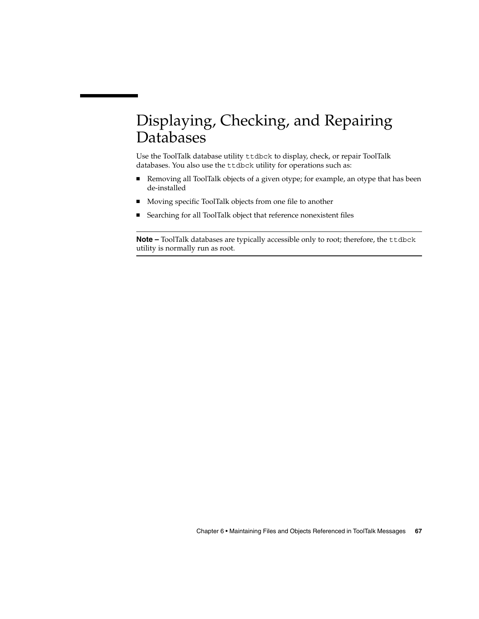# Displaying, Checking, and Repairing Databases

Use the ToolTalk database utility ttdbck to display, check, or repair ToolTalk databases. You also use the ttdbck utility for operations such as:

- Removing all ToolTalk objects of a given otype; for example, an otype that has been de-installed
- Moving specific ToolTalk objects from one file to another
- Searching for all ToolTalk object that reference nonexistent files

**Note –** ToolTalk databases are typically accessible only to root; therefore, the ttdbck utility is normally run as root.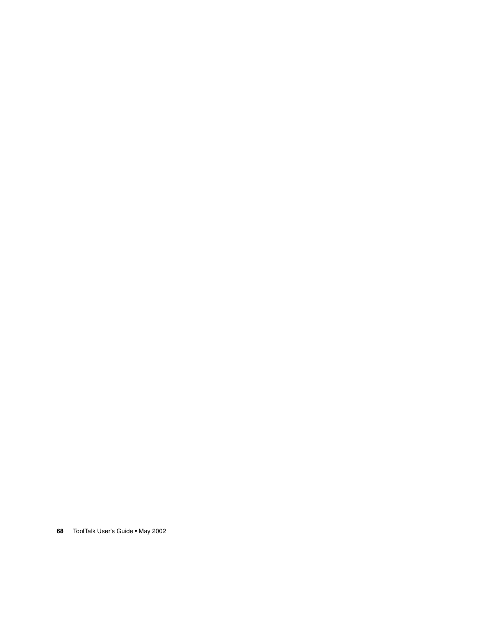ToolTalk User's Guide • May 2002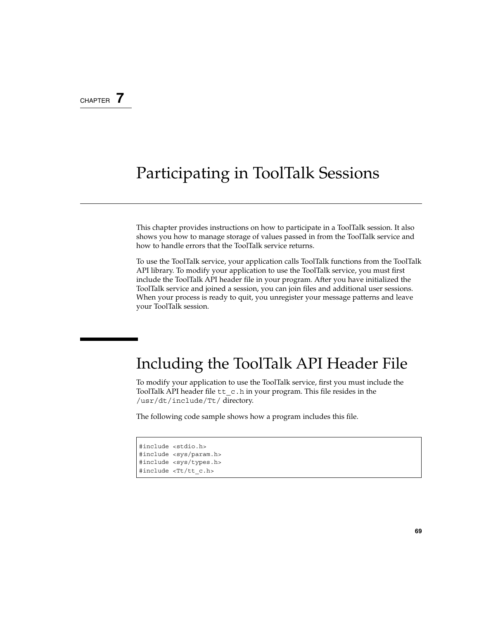#### CHAPTER **7**

# Participating in ToolTalk Sessions

This chapter provides instructions on how to participate in a ToolTalk session. It also shows you how to manage storage of values passed in from the ToolTalk service and how to handle errors that the ToolTalk service returns.

To use the ToolTalk service, your application calls ToolTalk functions from the ToolTalk API library. To modify your application to use the ToolTalk service, you must first include the ToolTalk API header file in your program. After you have initialized the ToolTalk service and joined a session, you can join files and additional user sessions. When your process is ready to quit, you unregister your message patterns and leave your ToolTalk session.

# Including the ToolTalk API Header File

To modify your application to use the ToolTalk service, first you must include the ToolTalk API header file tt\_c.h in your program. This file resides in the /usr/dt/include/Tt/ directory.

The following code sample shows how a program includes this file.

```
#include <stdio.h>
#include <sys/param.h>
#include <sys/types.h>
#include <Tt/tt_c.h>
```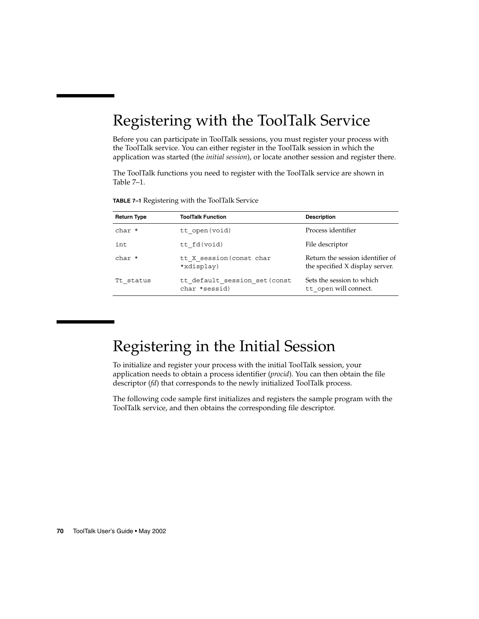# Registering with the ToolTalk Service

Before you can participate in ToolTalk sessions, you must register your process with the ToolTalk service. You can either register in the ToolTalk session in which the application was started (the *initial session*), or locate another session and register there.

The ToolTalk functions you need to register with the ToolTalk service are shown in Table 7–1.

| <b>Return Type</b> | <b>ToolTalk Function</b>                       | <b>Description</b>                                                  |
|--------------------|------------------------------------------------|---------------------------------------------------------------------|
| $char *$           | tt open (void)                                 | Process identifier                                                  |
| int                | tt fd(void)                                    | File descriptor                                                     |
| $char *$           | tt X session (const char<br>*xdisplay)         | Return the session identifier of<br>the specified X display server. |
| Tt status          | tt default session set (const<br>char *sessid) | Sets the session to which<br>tt open will connect.                  |

**TABLE 7–1** Registering with the ToolTalk Service

# Registering in the Initial Session

To initialize and register your process with the initial ToolTalk session, your application needs to obtain a process identifier (*procid*). You can then obtain the file descriptor (*fd*) that corresponds to the newly initialized ToolTalk process.

The following code sample first initializes and registers the sample program with the ToolTalk service, and then obtains the corresponding file descriptor.

**70** ToolTalk User's Guide • May 2002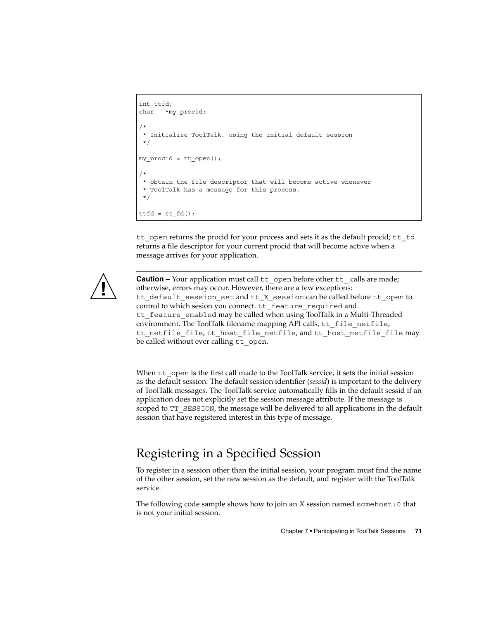```
int ttfd;
char *my_procid;
/*
* Initialize ToolTalk, using the initial default session
*/
my_procid = tt_open();
/*
* obtain the file descriptor that will become active whenever
* ToolTalk has a message for this process.
*/
ttfd = tt fd();
```
tt open returns the procid for your process and sets it as the default procid; tt\_fd returns a file descriptor for your current procid that will become active when a message arrives for your application.



**Caution** – Your application must call tt open before other tt calls are made; otherwise, errors may occur. However, there are a few exceptions: tt default session set and tt X session can be called before tt open to control to which sesion you connect. tt\_feature\_required and tt feature enabled may be called when using ToolTalk in a Multi-Threaded environment. The ToolTalk filename mapping API calls,  $tt$  file netfile, tt netfile file, tt host file netfile, and tt host netfile file may be called without ever calling tt\_open.

When tt open is the first call made to the ToolTalk service, it sets the initial session as the default session. The default session identifier (*sessid*) is important to the delivery of ToolTalk messages. The ToolTalk service automatically fills in the default sessid if an application does not explicitly set the session message attribute. If the message is scoped to TT\_SESSION, the message will be delivered to all applications in the default session that have registered interest in this type of message.

## Registering in a Specified Session

To register in a session other than the initial session, your program must find the name of the other session, set the new session as the default, and register with the ToolTalk service.

The following code sample shows how to join an *X* session named somehost:0 that is not your initial session.

Chapter 7 • Participating in ToolTalk Sessions **71**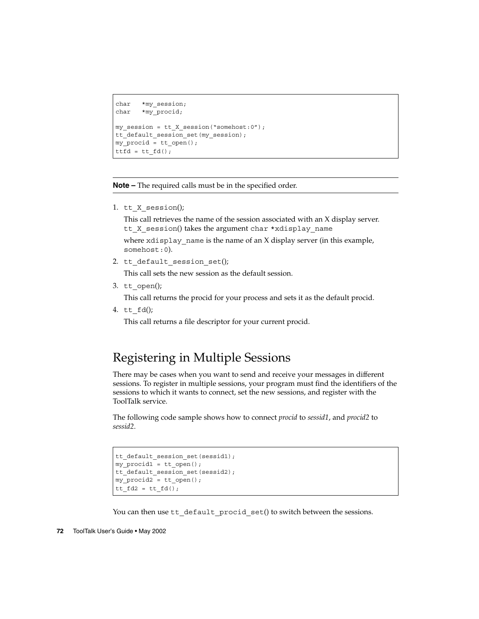```
char *my_session;
char *my_procid;
my session = tt X session("somehost:0");
tt_default_session_set(my_session);
my procid = tt\ open();
ttfd = tt_fdd();
```
**Note –** The required calls must be in the specified order.

1. tt X session $($ );

This call retrieves the name of the session associated with an X display server. tt X session() takes the argument char \*xdisplay name

where  $xdisplay$  name is the name of an  $X$  display server (in this example, somehost:0).

2. tt default session set();

This call sets the new session as the default session.

3. tt\_open();

This call returns the procid for your process and sets it as the default procid.

4. tt  $fd()$ ;

This call returns a file descriptor for your current procid.

### Registering in Multiple Sessions

There may be cases when you want to send and receive your messages in different sessions. To register in multiple sessions, your program must find the identifiers of the sessions to which it wants to connect, set the new sessions, and register with the ToolTalk service.

The following code sample shows how to connect *procid* to *sessid1*, and *procid2* to *sessid2*.

```
tt default session set(sessid1);
my procid1 = tt\ open();
tt_default_session_set(sessid2);
my_procid2 = tt_open();
tt_fdd2 = tt_fdd();
```
You can then use tt default procid set() to switch between the sessions.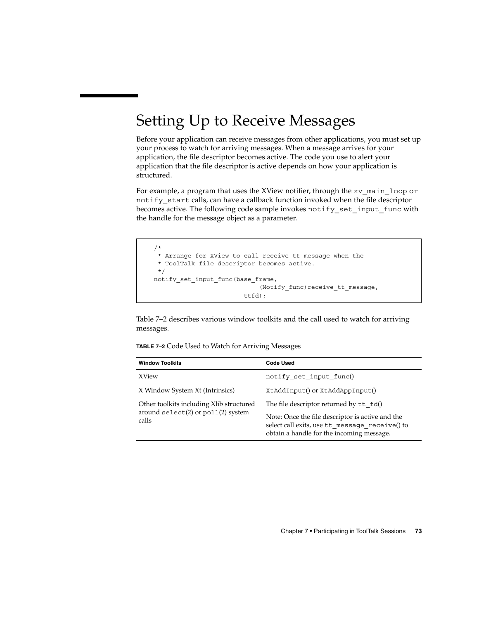# Setting Up to Receive Messages

Before your application can receive messages from other applications, you must set up your process to watch for arriving messages. When a message arrives for your application, the file descriptor becomes active. The code you use to alert your application that the file descriptor is active depends on how your application is structured.

For example, a program that uses the XView notifier, through the xv\_main\_loop or notify\_start calls, can have a callback function invoked when the file descriptor becomes active. The following code sample invokes notify set input func with the handle for the message object as a parameter.

```
/*
* Arrange for XView to call receive_tt_message when the
 * ToolTalk file descriptor becomes active.
*/
notify_set_input_func(base_frame,
                            (Notify func) receive tt message,
                        ttfd);
```
Table 7–2 describes various window toolkits and the call used to watch for arriving messages.

| <b>Window Toolkits</b>                                                                      | <b>Code Used</b>                                                                                                                                |
|---------------------------------------------------------------------------------------------|-------------------------------------------------------------------------------------------------------------------------------------------------|
| <b>XView</b>                                                                                | notify set input func()                                                                                                                         |
| X Window System Xt (Intrinsics)                                                             | XtAddInput() or XtAddAppInput()                                                                                                                 |
| Other toolkits including Xlib structured<br>around $select(2)$ or $poll(2)$ system<br>calls | The file descriptor returned by $tt \text{ f d}()$                                                                                              |
|                                                                                             | Note: Once the file descriptor is active and the<br>select call exits, use tt message receive() to<br>obtain a handle for the incoming message. |

**TABLE 7–2** Code Used to Watch for Arriving Messages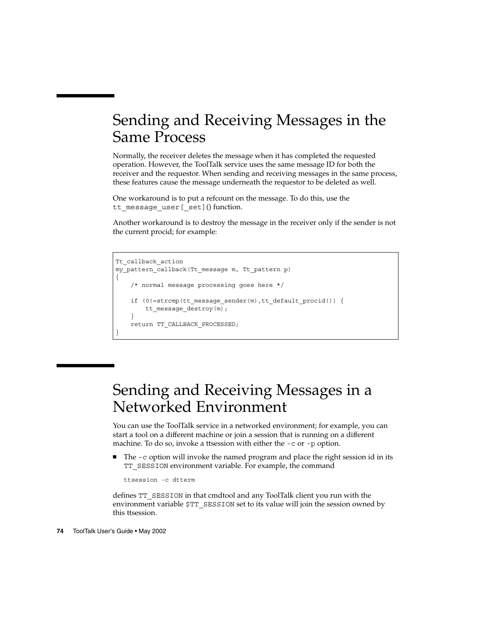# Sending and Receiving Messages in the Same Process

Normally, the receiver deletes the message when it has completed the requested operation. However, the ToolTalk service uses the same message ID for both the receiver and the requestor. When sending and receiving messages in the same process, these features cause the message underneath the requestor to be deleted as well.

One workaround is to put a refcount on the message. To do this, use the tt message user [ set]() function.

Another workaround is to destroy the message in the receiver only if the sender is not the current procid; for example:

```
Tt callback action
my_pattern_callback(Tt_message m, Tt_pattern p)
{
    /* normal message processing goes here */
    if (0!=strcmp(tt_message_sender(m),tt_default_procid()) {
        tt_message_destroy(m);
    }
    return TT_CALLBACK_PROCESSED;
}
```
# Sending and Receiving Messages in a Networked Environment

You can use the ToolTalk service in a networked environment; for example, you can start a tool on a different machine or join a session that is running on a different machine. To do so, invoke a ttsession with either the -c or -p option.

The  $-c$  option will invoke the named program and place the right session id in its TT SESSION environment variable. For example, the command

ttsession -c dtterm

defines TT\_SESSION in that cmdtool and any ToolTalk client you run with the environment variable \$TT\_SESSION set to its value will join the session owned by this ttsession.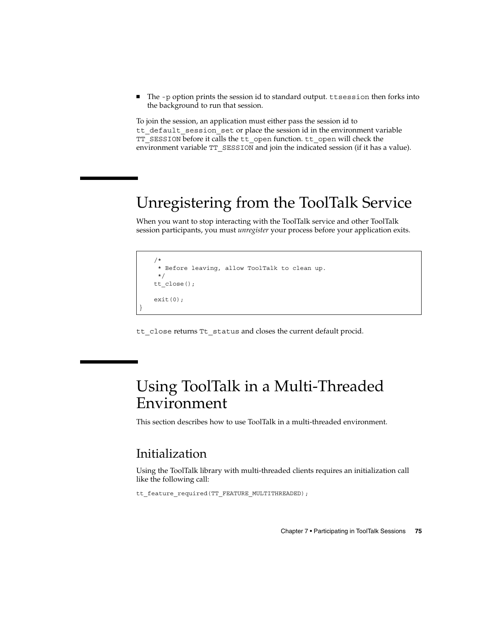■ The -p option prints the session id to standard output. ttsession then forks into the background to run that session.

To join the session, an application must either pass the session id to tt default session set or place the session id in the environment variable TT\_SESSION before it calls the tt\_open function. tt\_open will check the environment variable TT\_SESSION and join the indicated session (if it has a value).

## Unregistering from the ToolTalk Service

When you want to stop interacting with the ToolTalk service and other ToolTalk session participants, you must *unregister* your process before your application exits.

```
/*
 * Before leaving, allow ToolTalk to clean up.
*/
tt_close();
exit(0);
```
tt\_close returns Tt\_status and closes the current default procid.

# Using ToolTalk in a Multi-Threaded Environment

This section describes how to use ToolTalk in a multi-threaded environment.

### Initialization

}

Using the ToolTalk library with multi-threaded clients requires an initialization call like the following call:

```
tt_feature_required(TT_FEATURE_MULTITHREADED);
```
Chapter 7 • Participating in ToolTalk Sessions **75**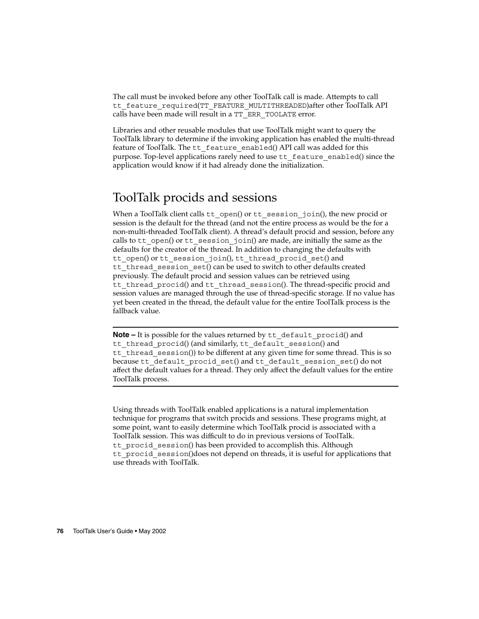The call must be invoked before any other ToolTalk call is made. Attempts to call tt feature required(TT\_FEATURE\_MULTITHREADED)after other ToolTalk API calls have been made will result in a TT\_ERR\_TOOLATE error.

Libraries and other reusable modules that use ToolTalk might want to query the ToolTalk library to determine if the invoking application has enabled the multi-thread feature of ToolTalk. The tt\_feature\_enabled() API call was added for this purpose. Top-level applications rarely need to use tt\_feature\_enabled() since the application would know if it had already done the initialization.

### ToolTalk procids and sessions

When a ToolTalk client calls  $tt\$  open() or  $tt\$  session  $join()$ , the new procid or session is the default for the thread (and not the entire process as would be the for a non-multi-threaded ToolTalk client). A thread's default procid and session, before any calls to tt open() or tt session  $join()$  are made, are initially the same as the defaults for the creator of the thread. In addition to changing the defaults with tt open() or tt session join(), tt thread procid set() and tt\_thread\_session\_set() can be used to switch to other defaults created previously. The default procid and session values can be retrieved using tt thread procid() and tt thread session(). The thread-specific procid and session values are managed through the use of thread-specific storage. If no value has yet been created in the thread, the default value for the entire ToolTalk process is the fallback value.

**Note** – It is possible for the values returned by tt\_default\_procid() and tt thread procid() (and similarly, tt\_default\_session() and tt thread session()) to be different at any given time for some thread. This is so because tt default procid set() and tt default session set() do not affect the default values for a thread. They only affect the default values for the entire ToolTalk process.

Using threads with ToolTalk enabled applications is a natural implementation technique for programs that switch procids and sessions. These programs might, at some point, want to easily determine which ToolTalk procid is associated with a ToolTalk session. This was difficult to do in previous versions of ToolTalk. tt\_procid\_session() has been provided to accomplish this. Although tt\_procid\_session()does not depend on threads, it is useful for applications that use threads with ToolTalk.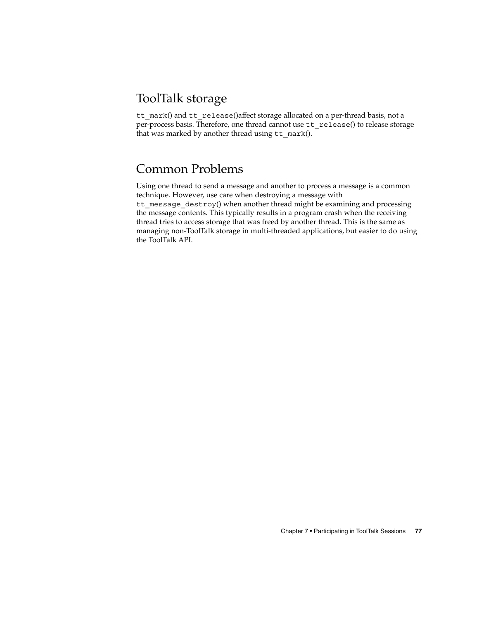## ToolTalk storage

tt\_mark() and tt\_release()affect storage allocated on a per-thread basis, not a per-process basis. Therefore, one thread cannot use tt\_release() to release storage that was marked by another thread using tt\_mark().

## Common Problems

Using one thread to send a message and another to process a message is a common technique. However, use care when destroying a message with tt message destroy() when another thread might be examining and processing the message contents. This typically results in a program crash when the receiving thread tries to access storage that was freed by another thread. This is the same as managing non-ToolTalk storage in multi-threaded applications, but easier to do using the ToolTalk API.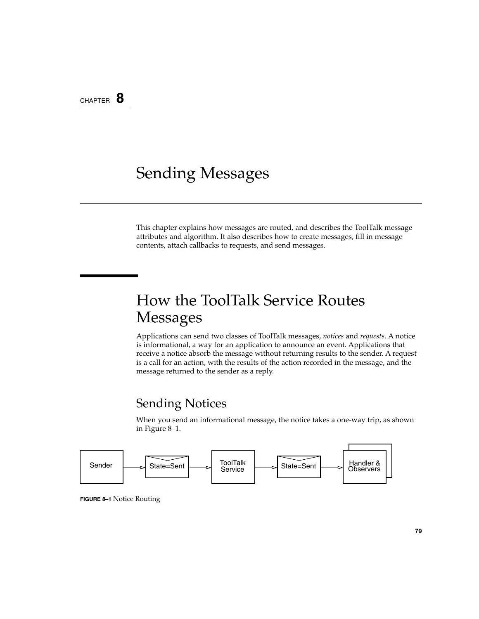## CHAPTER **8**

# Sending Messages

This chapter explains how messages are routed, and describes the ToolTalk message attributes and algorithm. It also describes how to create messages, fill in message contents, attach callbacks to requests, and send messages.

# How the ToolTalk Service Routes Messages

Applications can send two classes of ToolTalk messages, *notices* and *requests*. A notice is informational, a way for an application to announce an event. Applications that receive a notice absorb the message without returning results to the sender. A request is a call for an action, with the results of the action recorded in the message, and the message returned to the sender as a reply.

### Sending Notices

When you send an informational message, the notice takes a one-way trip, as shown in Figure 8–1.



**FIGURE 8–1** Notice Routing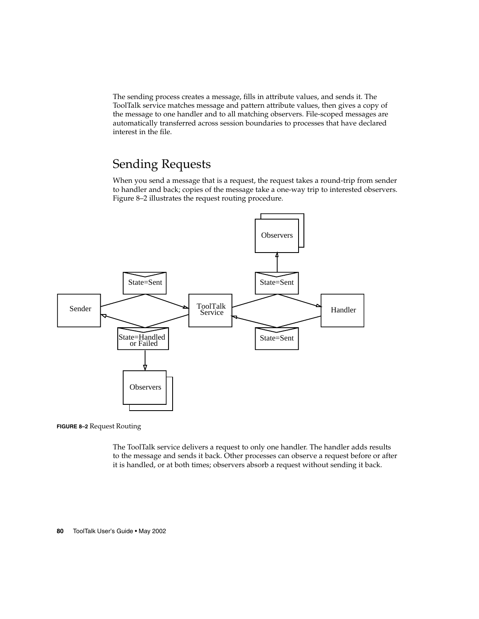The sending process creates a message, fills in attribute values, and sends it. The ToolTalk service matches message and pattern attribute values, then gives a copy of the message to one handler and to all matching observers. File-scoped messages are automatically transferred across session boundaries to processes that have declared interest in the file.

## Sending Requests

When you send a message that is a request, the request takes a round-trip from sender to handler and back; copies of the message take a one-way trip to interested observers. Figure 8–2 illustrates the request routing procedure.



**FIGURE 8–2** Request Routing

The ToolTalk service delivers a request to only one handler. The handler adds results to the message and sends it back. Other processes can observe a request before or after it is handled, or at both times; observers absorb a request without sending it back.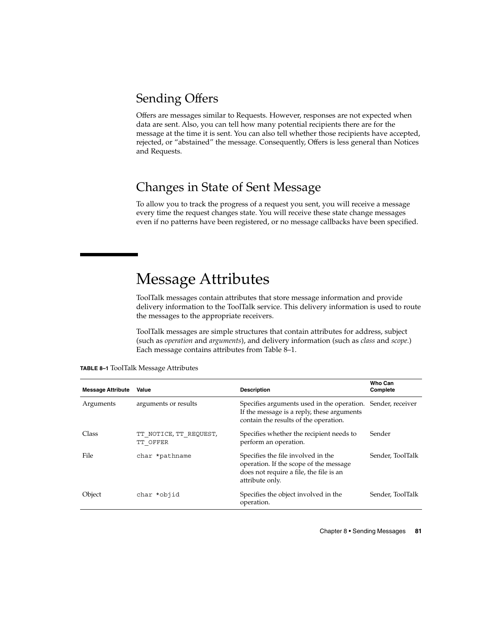## Sending Offers

Offers are messages similar to Requests. However, responses are not expected when data are sent. Also, you can tell how many potential recipients there are for the message at the time it is sent. You can also tell whether those recipients have accepted, rejected, or "abstained" the message. Consequently, Offers is less general than Notices and Requests.

## Changes in State of Sent Message

To allow you to track the progress of a request you sent, you will receive a message every time the request changes state. You will receive these state change messages even if no patterns have been registered, or no message callbacks have been specified.

# Message Attributes

ToolTalk messages contain attributes that store message information and provide delivery information to the ToolTalk service. This delivery information is used to route the messages to the appropriate receivers.

ToolTalk messages are simple structures that contain attributes for address, subject (such as *operation* and *arguments*), and delivery information (such as *class* and *scope*.) Each message contains attributes from Table 8–1.

| <b>Message Attribute</b> | Value                              | <b>Description</b>                                                                                                                                 | Who Can<br>Complete |
|--------------------------|------------------------------------|----------------------------------------------------------------------------------------------------------------------------------------------------|---------------------|
| Arguments                | arguments or results               | Specifies arguments used in the operation. Sender, receiver<br>If the message is a reply, these arguments<br>contain the results of the operation. |                     |
| Class                    | TT NOTICE, TT REQUEST,<br>TT OFFER | Specifies whether the recipient needs to<br>perform an operation.                                                                                  | Sender              |
| File                     | char *pathname                     | Specifies the file involved in the<br>operation. If the scope of the message<br>does not require a file, the file is an<br>attribute only.         | Sender, ToolTalk    |
| Object                   | char *objid                        | Specifies the object involved in the<br>operation.                                                                                                 | Sender, ToolTalk    |

**TABLE 8–1** ToolTalk Message Attributes

Chapter 8 • Sending Messages **81**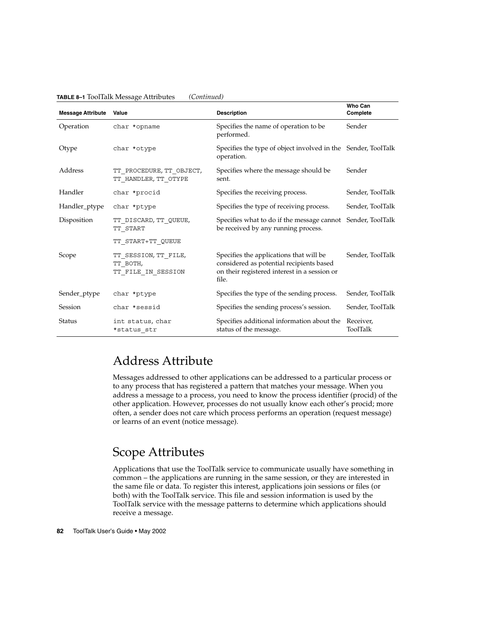| <b>Message Attribute</b> | Value                                                  | <b>Description</b>                                                                                                                           | Who Can<br>Complete   |
|--------------------------|--------------------------------------------------------|----------------------------------------------------------------------------------------------------------------------------------------------|-----------------------|
| Operation                | char *opname                                           | Specifies the name of operation to be<br>performed.                                                                                          | Sender                |
| Otype                    | char *otype                                            | Specifies the type of object involved in the Sender, ToolTalk<br>operation.                                                                  |                       |
| Address                  | TT PROCEDURE, TT_OBJECT,<br>TT HANDLER, TT OTYPE       | Specifies where the message should be<br>sent.                                                                                               | Sender                |
| Handler                  | char *procid                                           | Specifies the receiving process.                                                                                                             | Sender, ToolTalk      |
| Handler_ptype            | char *ptype                                            | Specifies the type of receiving process.                                                                                                     | Sender, ToolTalk      |
| Disposition              | TT DISCARD, TT QUEUE,<br>TT_START                      | Specifies what to do if the message cannot Sender, ToolTalk<br>be received by any running process.                                           |                       |
|                          | TT START+TT QUEUE                                      |                                                                                                                                              |                       |
| Scope                    | TT SESSION, TT_FILE,<br>TT BOTH,<br>TT FILE IN SESSION | Specifies the applications that will be<br>considered as potential recipients based<br>on their registered interest in a session or<br>file. | Sender, ToolTalk      |
| Sender_ptype             | char *ptype                                            | Specifies the type of the sending process.                                                                                                   | Sender, ToolTalk      |
| Session                  | char *sessid                                           | Specifies the sending process's session.                                                                                                     | Sender, ToolTalk      |
| <b>Status</b>            | int status, char<br>*status str                        | Specifies additional information about the<br>status of the message.                                                                         | Receiver,<br>ToolTalk |

#### **TABLE 8–1** ToolTalk Message Attributes *(Continued)*

## Address Attribute

Messages addressed to other applications can be addressed to a particular process or to any process that has registered a pattern that matches your message. When you address a message to a process, you need to know the process identifier (procid) of the other application. However, processes do not usually know each other's procid; more often, a sender does not care which process performs an operation (request message) or learns of an event (notice message).

### Scope Attributes

Applications that use the ToolTalk service to communicate usually have something in common – the applications are running in the same session, or they are interested in the same file or data. To register this interest, applications join sessions or files (or both) with the ToolTalk service. This file and session information is used by the ToolTalk service with the message patterns to determine which applications should receive a message.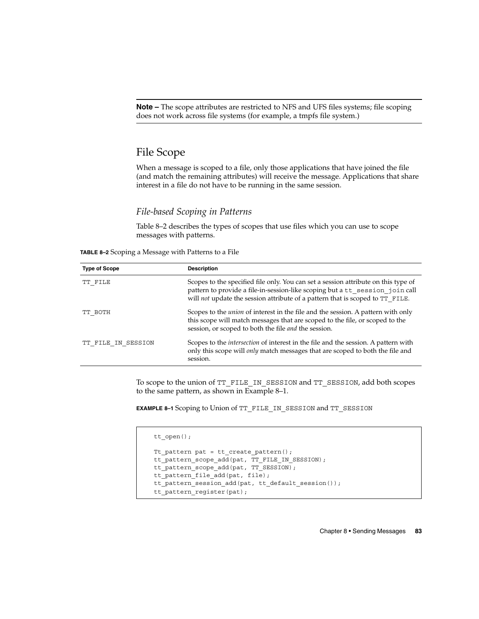**Note –** The scope attributes are restricted to NFS and UFS files systems; file scoping does not work across file systems (for example, a tmpfs file system.)

### File Scope

When a message is scoped to a file, only those applications that have joined the file (and match the remaining attributes) will receive the message. Applications that share interest in a file do not have to be running in the same session.

#### *File-based Scoping in Patterns*

Table 8–2 describes the types of scopes that use files which you can use to scope messages with patterns.

**TABLE 8–2** Scoping a Message with Patterns to a File

| <b>Type of Scope</b> | <b>Description</b>                                                                                                                                                                                                                                         |
|----------------------|------------------------------------------------------------------------------------------------------------------------------------------------------------------------------------------------------------------------------------------------------------|
| TT FILE              | Scopes to the specified file only. You can set a session attribute on this type of<br>pattern to provide a file-in-session-like scoping but a tt session join call<br>will <i>not</i> update the session attribute of a pattern that is scoped to TT FILE. |
| TT BOTH              | Scopes to the <i>union</i> of interest in the file and the session. A pattern with only<br>this scope will match messages that are scoped to the file, or scoped to the<br>session, or scoped to both the file and the session.                            |
| TT FILE IN SESSION   | Scopes to the <i>intersection</i> of interest in the file and the session. A pattern with<br>only this scope will only match messages that are scoped to both the file and<br>session.                                                                     |

To scope to the union of TT\_FILE\_IN\_SESSION and TT\_SESSION, add both scopes to the same pattern, as shown in Example 8–1.

**EXAMPLE 8–1** Scoping to Union of TT\_FILE\_IN\_SESSION and TT\_SESSION

```
tt_open();
Tt pattern pat = tt create pattern();
tt_pattern_scope_add(pat, TT_FILE_IN_SESSION);
tt_pattern_scope_add(pat, TT_SESSION);
tt_pattern_file_add(pat, file);
tt_pattern_session_add(pat, tt_default_session());
tt pattern register(pat);
```
Chapter 8 • Sending Messages **83**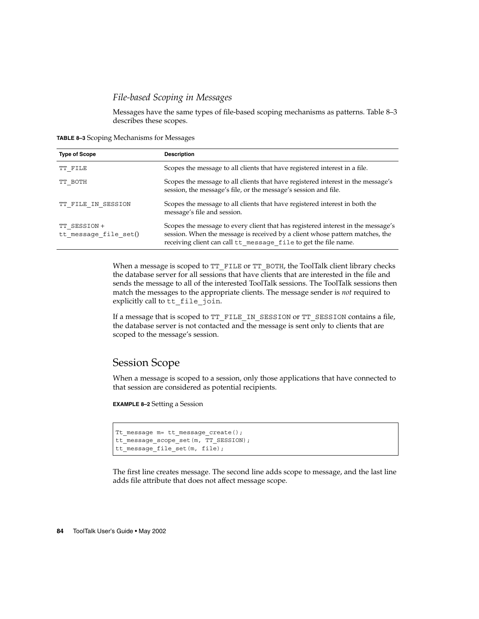#### *File-based Scoping in Messages*

Messages have the same types of file-based scoping mechanisms as patterns. Table 8–3 describes these scopes.

**TABLE 8–3** Scoping Mechanisms for Messages

| <b>Type of Scope</b>                  | <b>Description</b>                                                                                                                                                                                                                  |
|---------------------------------------|-------------------------------------------------------------------------------------------------------------------------------------------------------------------------------------------------------------------------------------|
| TT FILE                               | Scopes the message to all clients that have registered interest in a file.                                                                                                                                                          |
| TT BOTH                               | Scopes the message to all clients that have registered interest in the message's<br>session, the message's file, or the message's session and file.                                                                                 |
| TT FILE IN SESSION                    | Scopes the message to all clients that have registered interest in both the<br>message's file and session.                                                                                                                          |
| TT SESSION +<br>tt_message_file_set() | Scopes the message to every client that has registered interest in the message's<br>session. When the message is received by a client whose pattern matches, the<br>receiving client can call tt message file to get the file name. |

When a message is scoped to TT\_FILE or TT\_BOTH, the ToolTalk client library checks the database server for all sessions that have clients that are interested in the file and sends the message to all of the interested ToolTalk sessions. The ToolTalk sessions then match the messages to the appropriate clients. The message sender is *not* required to explicitly call to tt\_file\_join.

If a message that is scoped to TT\_FILE\_IN\_SESSION or TT\_SESSION contains a file, the database server is not contacted and the message is sent only to clients that are scoped to the message's session.

### Session Scope

When a message is scoped to a session, only those applications that have connected to that session are considered as potential recipients.

**EXAMPLE 8–2** Setting a Session

```
Tt message m= tt message create();
tt_message_scope_set(m, TT_SESSION);
tt_message_file_set(m, file);
```
The first line creates message. The second line adds scope to message, and the last line adds file attribute that does not affect message scope.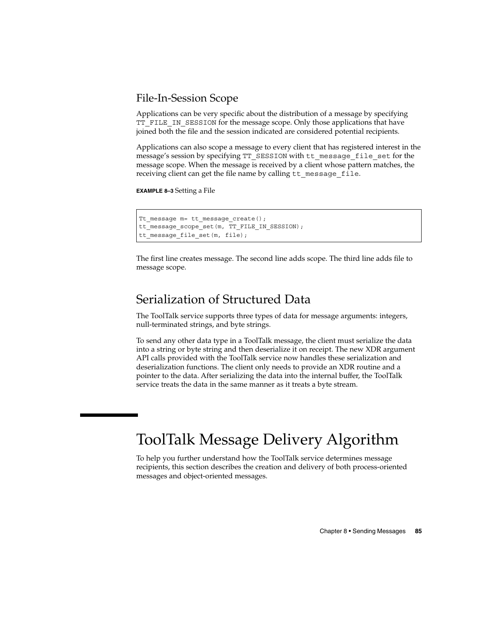### File-In-Session Scope

Applications can be very specific about the distribution of a message by specifying TT\_FILE\_IN\_SESSION for the message scope. Only those applications that have joined both the file and the session indicated are considered potential recipients.

Applications can also scope a message to every client that has registered interest in the message's session by specifying TT\_SESSION with tt\_message\_file\_set for the message scope. When the message is received by a client whose pattern matches, the receiving client can get the file name by calling tt message file.

**EXAMPLE 8–3** Setting a File

```
Tt message m= tt message create();
tt_message_scope_set(m, TT_FILE_IN_SESSION);
tt message file set(m, file);
```
The first line creates message. The second line adds scope. The third line adds file to message scope.

### Serialization of Structured Data

The ToolTalk service supports three types of data for message arguments: integers, null-terminated strings, and byte strings.

To send any other data type in a ToolTalk message, the client must serialize the data into a string or byte string and then deserialize it on receipt. The new XDR argument API calls provided with the ToolTalk service now handles these serialization and deserialization functions. The client only needs to provide an XDR routine and a pointer to the data. After serializing the data into the internal buffer, the ToolTalk service treats the data in the same manner as it treats a byte stream.

# ToolTalk Message Delivery Algorithm

To help you further understand how the ToolTalk service determines message recipients, this section describes the creation and delivery of both process-oriented messages and object-oriented messages.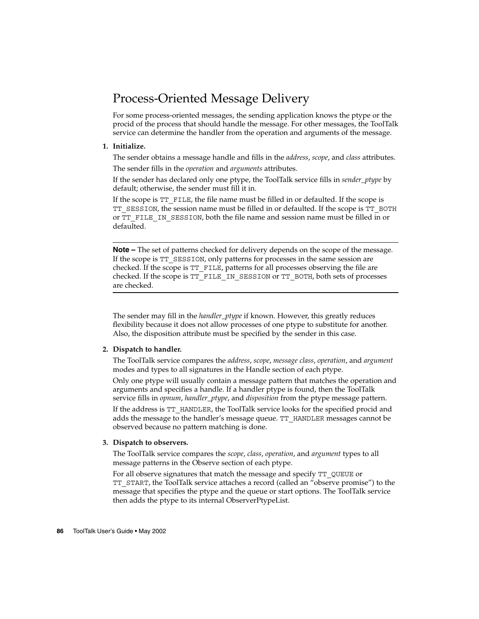## Process-Oriented Message Delivery

For some process-oriented messages, the sending application knows the ptype or the procid of the process that should handle the message. For other messages, the ToolTalk service can determine the handler from the operation and arguments of the message.

#### **1. Initialize.**

The sender obtains a message handle and fills in the *address*, *scope*, and *class* attributes. The sender fills in the *operation* and *arguments* attributes.

If the sender has declared only one ptype, the ToolTalk service fills in *sender\_ptype* by default; otherwise, the sender must fill it in.

If the scope is TT\_FILE, the file name must be filled in or defaulted. If the scope is TT\_SESSION, the session name must be filled in or defaulted. If the scope is TT\_BOTH or TT\_FILE\_IN\_SESSION, both the file name and session name must be filled in or defaulted.

**Note –** The set of patterns checked for delivery depends on the scope of the message. If the scope is TT SESSION, only patterns for processes in the same session are checked. If the scope is TT\_FILE, patterns for all processes observing the file are checked. If the scope is TT\_FILE\_IN\_SESSION or TT\_BOTH, both sets of processes are checked.

The sender may fill in the *handler\_ptype* if known. However, this greatly reduces flexibility because it does not allow processes of one ptype to substitute for another. Also, the disposition attribute must be specified by the sender in this case.

#### **2. Dispatch to handler.**

The ToolTalk service compares the *address*, *scope*, *message class*, *operation*, and *argument* modes and types to all signatures in the Handle section of each ptype.

Only one ptype will usually contain a message pattern that matches the operation and arguments and specifies a handle. If a handler ptype is found, then the ToolTalk service fills in *opnum*, *handler\_ptype*, and *disposition* from the ptype message pattern.

If the address is TT\_HANDLER, the ToolTalk service looks for the specified procid and adds the message to the handler's message queue. TT\_HANDLER messages cannot be observed because no pattern matching is done.

#### **3. Dispatch to observers.**

The ToolTalk service compares the *scope*, *class*, *operation*, and *argument* types to all message patterns in the Observe section of each ptype.

For all observe signatures that match the message and specify TT\_QUEUE or TT\_START, the ToolTalk service attaches a record (called an "observe promise") to the message that specifies the ptype and the queue or start options. The ToolTalk service then adds the ptype to its internal ObserverPtypeList.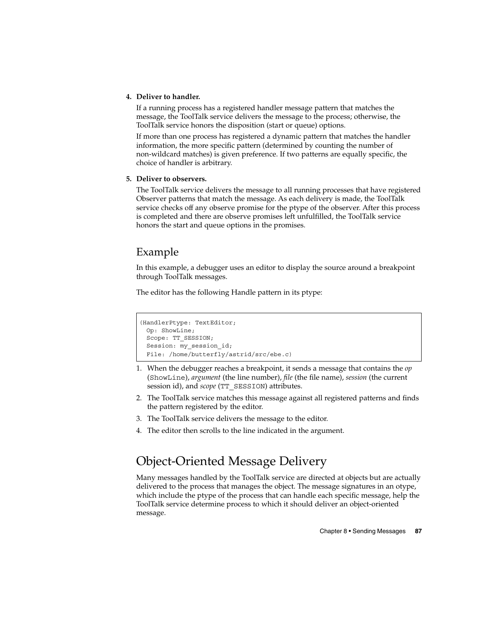#### **4. Deliver to handler.**

If a running process has a registered handler message pattern that matches the message, the ToolTalk service delivers the message to the process; otherwise, the ToolTalk service honors the disposition (start or queue) options.

If more than one process has registered a dynamic pattern that matches the handler information, the more specific pattern (determined by counting the number of non-wildcard matches) is given preference. If two patterns are equally specific, the choice of handler is arbitrary.

#### **5. Deliver to observers.**

The ToolTalk service delivers the message to all running processes that have registered Observer patterns that match the message. As each delivery is made, the ToolTalk service checks off any observe promise for the ptype of the observer. After this process is completed and there are observe promises left unfulfilled, the ToolTalk service honors the start and queue options in the promises.

### Example

In this example, a debugger uses an editor to display the source around a breakpoint through ToolTalk messages.

The editor has the following Handle pattern in its ptype:

```
(HandlerPtype: TextEditor;
 Op: ShowLine;
 Scope: TT_SESSION;
 Session: my_session id;
 File: /home/butterfly/astrid/src/ebe.c)
```
- 1. When the debugger reaches a breakpoint, it sends a message that contains the *op* (ShowLine), *argument* (the line number), *file* (the file name), *session* (the current session id), and *scope* (TT\_SESSION) attributes.
- 2. The ToolTalk service matches this message against all registered patterns and finds the pattern registered by the editor.
- 3. The ToolTalk service delivers the message to the editor.
- 4. The editor then scrolls to the line indicated in the argument.

### Object-Oriented Message Delivery

Many messages handled by the ToolTalk service are directed at objects but are actually delivered to the process that manages the object. The message signatures in an otype, which include the ptype of the process that can handle each specific message, help the ToolTalk service determine process to which it should deliver an object-oriented message.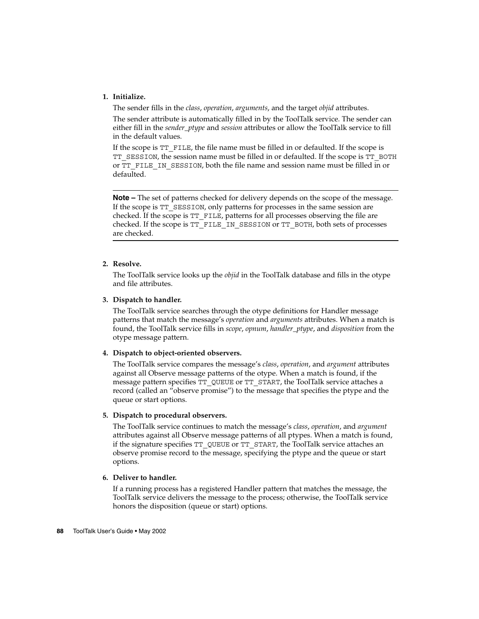#### **1. Initialize.**

The sender fills in the *class*, *operation*, *arguments*, and the target *objid* attributes.

The sender attribute is automatically filled in by the ToolTalk service. The sender can either fill in the *sender\_ptype* and *session* attributes or allow the ToolTalk service to fill in the default values.

If the scope is TT\_FILE, the file name must be filled in or defaulted. If the scope is TT\_SESSION, the session name must be filled in or defaulted. If the scope is TT\_BOTH or TT\_FILE\_IN\_SESSION, both the file name and session name must be filled in or defaulted.

**Note –** The set of patterns checked for delivery depends on the scope of the message. If the scope is TT\_SESSION, only patterns for processes in the same session are checked. If the scope is TT\_FILE, patterns for all processes observing the file are checked. If the scope is TT\_FILE\_IN\_SESSION or TT\_BOTH, both sets of processes are checked.

#### **2. Resolve.**

The ToolTalk service looks up the *objid* in the ToolTalk database and fills in the otype and file attributes.

#### **3. Dispatch to handler.**

The ToolTalk service searches through the otype definitions for Handler message patterns that match the message's *operation* and *arguments* attributes. When a match is found, the ToolTalk service fills in *scope*, *opnum*, *handler\_ptype*, and *disposition* from the otype message pattern.

#### **4. Dispatch to object-oriented observers.**

The ToolTalk service compares the message's *class*, *operation*, and *argument* attributes against all Observe message patterns of the otype. When a match is found, if the message pattern specifies TT\_QUEUE or TT\_START, the ToolTalk service attaches a record (called an "observe promise") to the message that specifies the ptype and the queue or start options.

#### **5. Dispatch to procedural observers.**

The ToolTalk service continues to match the message's *class*, *operation*, and *argument* attributes against all Observe message patterns of all ptypes. When a match is found, if the signature specifies TT\_QUEUE or TT\_START, the ToolTalk service attaches an observe promise record to the message, specifying the ptype and the queue or start options.

#### **6. Deliver to handler.**

If a running process has a registered Handler pattern that matches the message, the ToolTalk service delivers the message to the process; otherwise, the ToolTalk service honors the disposition (queue or start) options.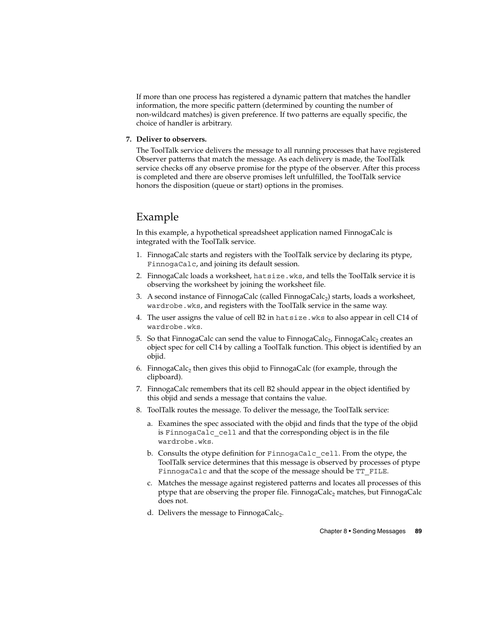If more than one process has registered a dynamic pattern that matches the handler information, the more specific pattern (determined by counting the number of non-wildcard matches) is given preference. If two patterns are equally specific, the choice of handler is arbitrary.

#### **7. Deliver to observers.**

The ToolTalk service delivers the message to all running processes that have registered Observer patterns that match the message. As each delivery is made, the ToolTalk service checks off any observe promise for the ptype of the observer. After this process is completed and there are observe promises left unfulfilled, the ToolTalk service honors the disposition (queue or start) options in the promises.

### Example

In this example, a hypothetical spreadsheet application named FinnogaCalc is integrated with the ToolTalk service.

- 1. FinnogaCalc starts and registers with the ToolTalk service by declaring its ptype, FinnogaCalc, and joining its default session.
- 2. FinnogaCalc loads a worksheet, hatsize.wks, and tells the ToolTalk service it is observing the worksheet by joining the worksheet file.
- 3. A second instance of FinnogaCalc (called FinnogaCalc<sub>2</sub>) starts, loads a worksheet, wardrobe.wks, and registers with the ToolTalk service in the same way.
- 4. The user assigns the value of cell B2 in hatsize.wks to also appear in cell C14 of wardrobe.wks.
- 5. So that FinnogaCalc can send the value to FinnogaCalc<sub>2</sub>, FinnogaCalc<sub>2</sub> creates an object spec for cell C14 by calling a ToolTalk function. This object is identified by an objid.
- 6. FinnogaCalc<sub>2</sub> then gives this objid to FinnogaCalc (for example, through the clipboard).
- 7. FinnogaCalc remembers that its cell B2 should appear in the object identified by this objid and sends a message that contains the value.
- 8. ToolTalk routes the message. To deliver the message, the ToolTalk service:
	- a. Examines the spec associated with the objid and finds that the type of the objid is FinnogaCalc\_cell and that the corresponding object is in the file wardrobe.wks.
	- b. Consults the otype definition for FinnogaCalc\_cell. From the otype, the ToolTalk service determines that this message is observed by processes of ptype FinnogaCalc and that the scope of the message should be TT\_FILE.
	- c. Matches the message against registered patterns and locates all processes of this ptype that are observing the proper file. FinnogaCalc<sub>2</sub> matches, but FinnogaCalc does not.
	- d. Delivers the message to FinnogaCalc<sub>2</sub>.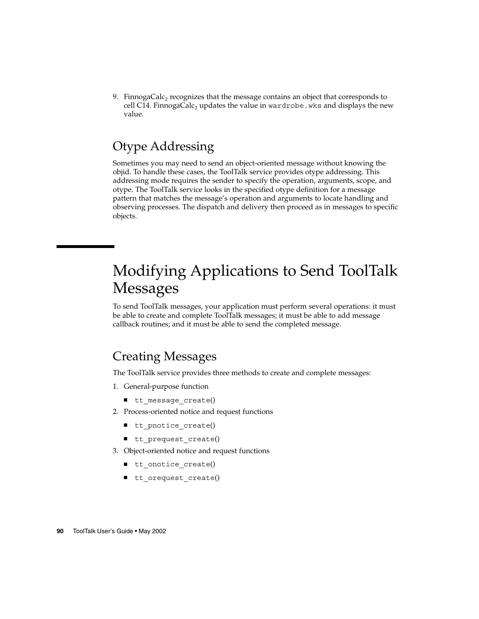9. FinnogaCalc<sub>2</sub> recognizes that the message contains an object that corresponds to cell C14. FinnogaCalc<sub>2</sub> updates the value in wardrobe.wks and displays the new value.

### Otype Addressing

Sometimes you may need to send an object-oriented message without knowing the objid. To handle these cases, the ToolTalk service provides otype addressing. This addressing mode requires the sender to specify the operation, arguments, scope, and otype. The ToolTalk service looks in the specified otype definition for a message pattern that matches the message's operation and arguments to locate handling and observing processes. The dispatch and delivery then proceed as in messages to specific objects.

# Modifying Applications to Send ToolTalk Messages

To send ToolTalk messages, your application must perform several operations: it must be able to create and complete ToolTalk messages; it must be able to add message callback routines; and it must be able to send the completed message.

### Creating Messages

The ToolTalk service provides three methods to create and complete messages:

- 1. General-purpose function
	- tt\_message\_create()
- 2. Process-oriented notice and request functions
	- tt\_pnotice\_create()
	- tt\_prequest\_create()
- 3. Object-oriented notice and request functions
	- tt\_onotice\_create()
	- tt\_orequest\_create()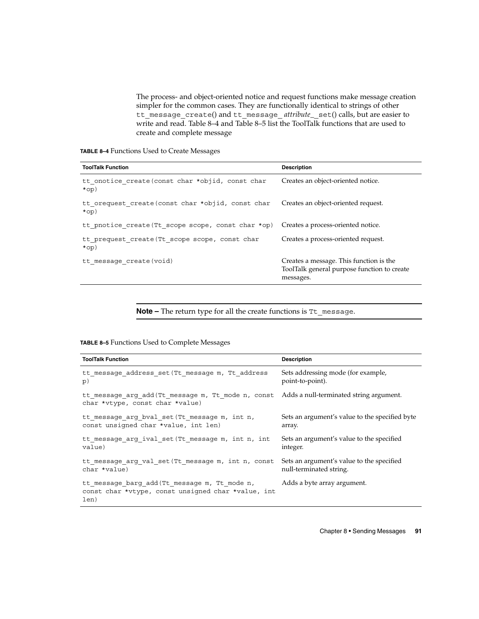The process- and object-oriented notice and request functions make message creation simpler for the common cases. They are functionally identical to strings of other tt\_message\_create() and tt\_message\_ *attribute*\_\_set() calls, but are easier to write and read. Table 8–4 and Table 8–5 list the ToolTalk functions that are used to create and complete message

| <b>ToolTalk Function</b>                                     | <b>Description</b>                                                                                  |
|--------------------------------------------------------------|-----------------------------------------------------------------------------------------------------|
| tt onotice create (const char *objid, const char<br>$*$ op)  | Creates an object-oriented notice.                                                                  |
| tt orequest create (const char *objid, const char<br>$*$ op) | Creates an object-oriented request.                                                                 |
| tt pnotice create (Tt scope scope, const char *op)           | Creates a process-oriented notice.                                                                  |
| tt prequest create (Tt scope scope, const char<br>$*$ op)    | Creates a process-oriented request.                                                                 |
| tt message create (void)                                     | Creates a message. This function is the<br>ToolTalk general purpose function to create<br>messages. |

**Note –** The return type for all the create functions is Tt\_message.

#### **TABLE 8–5** Functions Used to Complete Messages

| <b>ToolTalk Function</b>                                                                                                     | <b>Description</b>                             |
|------------------------------------------------------------------------------------------------------------------------------|------------------------------------------------|
| tt_message_address_set(Tt_message m, Tt address                                                                              | Sets addressing mode (for example,             |
| p)                                                                                                                           | point-to-point).                               |
| tt_message_arg_add(Tt_message m, Tt_mode n, const Adds a null-terminated string argument.<br>char *vtype, const char *value) |                                                |
| tt message arg bval set (Tt message m, int n,                                                                                | Sets an argument's value to the specified byte |
| const unsigned char *value, int len)                                                                                         | array.                                         |
| tt message arg ival set (Tt message m, int n, int                                                                            | Sets an argument's value to the specified      |
| value)                                                                                                                       | integer.                                       |
| tt message arg val set (Tt message m, int n, const                                                                           | Sets an argument's value to the specified      |
| char *value)                                                                                                                 | null-terminated string.                        |
| tt message barg add (Tt message m, Tt mode n,<br>const char *vtype, const unsigned char *value, int<br>len)                  | Adds a byte array argument.                    |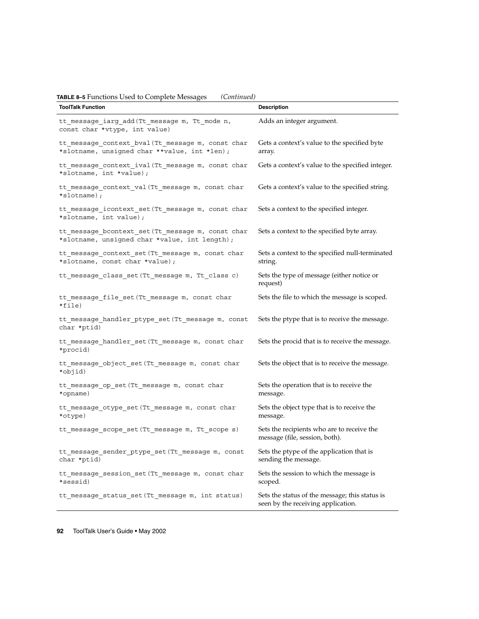### **TABLE 8–5** Functions Used to Complete Messages *(Continued)*

| <b>ToolTalk Function</b>                                                                           | <b>Description</b>                                                                   |  |
|----------------------------------------------------------------------------------------------------|--------------------------------------------------------------------------------------|--|
| tt_message_iarg_add(Tt_message m, Tt_mode n,<br>const char *vtype, int value)                      | Adds an integer argument.                                                            |  |
| tt message context bval (Tt message m, const char<br>*slotname, unsigned char **value, int *len);  | Gets a context's value to the specified byte<br>array.                               |  |
| tt message context ival (Tt message m, const char<br>*slotname, int *value);                       | Gets a context's value to the specified integer.                                     |  |
| tt message context val (Tt message m, const char<br>*slotname);                                    | Gets a context's value to the specified string.                                      |  |
| tt message icontext set (Tt message m, const char<br>*slotname, int value);                        | Sets a context to the specified integer.                                             |  |
| tt message bcontext set (Tt message m, const char<br>*slotname, unsigned char *value, int length); | Sets a context to the specified byte array.                                          |  |
| tt message context set (Tt message m, const char<br>*slotname, const char *value);                 | Sets a context to the specified null-terminated<br>string.                           |  |
| tt message class set (Tt message m, Tt class c)                                                    | Sets the type of message (either notice or<br>request)                               |  |
| tt message file set (Tt message m, const char<br>$*file)$                                          | Sets the file to which the message is scoped.                                        |  |
| tt message handler ptype set (Tt message m, const<br>char *ptid)                                   | Sets the ptype that is to receive the message.                                       |  |
| tt message handler set (Tt message m, const char<br>*procid)                                       | Sets the procid that is to receive the message.                                      |  |
| tt message object set (Tt message m, const char<br>*objid)                                         | Sets the object that is to receive the message.                                      |  |
| tt_message_op_set(Tt_message m, const char<br>*opname)                                             | Sets the operation that is to receive the<br>message.                                |  |
| tt_message_otype_set(Tt_message m, const char<br>*otype)                                           | Sets the object type that is to receive the<br>message.                              |  |
| tt_message_scope_set(Tt_message m, Tt_scope s)                                                     | Sets the recipients who are to receive the<br>message (file, session, both).         |  |
| tt_message_sender_ptype_set(Tt_message m, const<br>char *ptid)                                     | Sets the ptype of the application that is<br>sending the message.                    |  |
| tt_message_session_set(Tt_message m, const char<br>*sessid)                                        | Sets the session to which the message is<br>scoped.                                  |  |
| tt_message_status_set(Tt_message m, int status)                                                    | Sets the status of the message; this status is<br>seen by the receiving application. |  |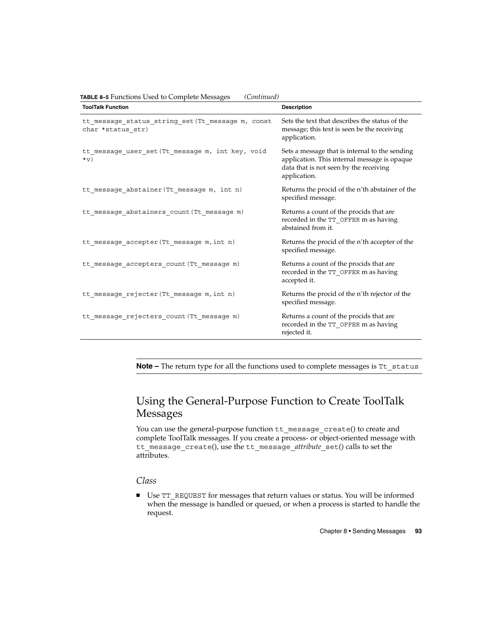|  | TABLE 8-5 Functions Used to Complete Messages | (Continued) |
|--|-----------------------------------------------|-------------|
|--|-----------------------------------------------|-------------|

| <b>ToolTalk Function</b>                                              | <b>Description</b>                                                                                                                                       |
|-----------------------------------------------------------------------|----------------------------------------------------------------------------------------------------------------------------------------------------------|
| tt_message_status_string_set(Tt_message m, const<br>char *status str) | Sets the text that describes the status of the<br>message; this text is seen be the receiving<br>application.                                            |
| tt_message_user_set(Tt_message m, int key, void<br>$*_{V}$            | Sets a message that is internal to the sending<br>application. This internal message is opaque<br>data that is not seen by the receiving<br>application. |
| tt message abstainer (Tt message m, int n)                            | Returns the procid of the n'th abstainer of the<br>specified message.                                                                                    |
| tt_message_abstainers_count(Tt_message m)                             | Returns a count of the procids that are<br>recorded in the TT_OFFER m as having<br>abstained from it.                                                    |
| tt message accepter (Tt message m, int n)                             | Returns the procid of the n'th accepter of the<br>specified message.                                                                                     |
| tt message accepters count (Tt message m)                             | Returns a count of the procids that are<br>recorded in the TT_OFFER m as having<br>accepted it.                                                          |
| tt_message_rejecter(Tt_message m, int n)                              | Returns the procid of the n'th rejector of the<br>specified message.                                                                                     |
| tt_message_rejecters_count(Tt_message m)                              | Returns a count of the procids that are<br>recorded in the TT_OFFER m as having<br>rejected it.                                                          |

**Note** – The return type for all the functions used to complete messages is Tt\_status

### Using the General-Purpose Function to Create ToolTalk Messages

You can use the general-purpose function  $tt\_message\_create()$  to create and complete ToolTalk messages. If you create a process- or object-oriented message with tt\_message\_create(), use the tt\_message\_*attribute*\_set() calls to set the attributes.

*Class*

■ Use TT\_REQUEST for messages that return values or status. You will be informed when the message is handled or queued, or when a process is started to handle the request.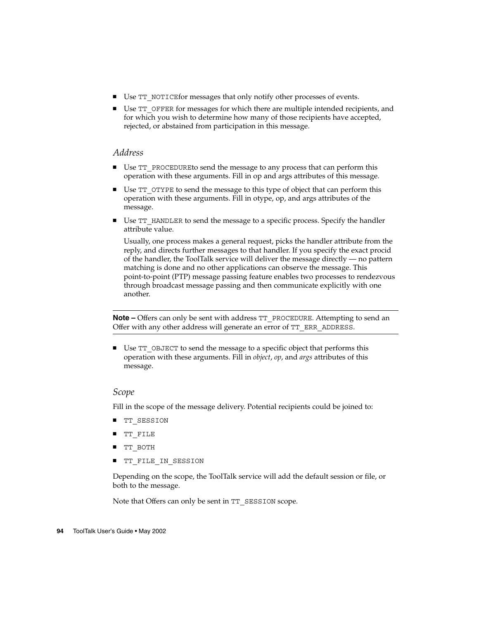- Use TT\_NOTICEfor messages that only notify other processes of events.
- Use TT\_OFFER for messages for which there are multiple intended recipients, and for which you wish to determine how many of those recipients have accepted, rejected, or abstained from participation in this message.

#### *Address*

- Use TT\_PROCEDUREto send the message to any process that can perform this operation with these arguments. Fill in op and args attributes of this message.
- Use TT\_OTYPE to send the message to this type of object that can perform this operation with these arguments. Fill in otype, op, and args attributes of the message.
- Use TT\_HANDLER to send the message to a specific process. Specify the handler attribute value.

Usually, one process makes a general request, picks the handler attribute from the reply, and directs further messages to that handler. If you specify the exact procid of the handler, the ToolTalk service will deliver the message directly — no pattern matching is done and no other applications can observe the message. This point-to-point (PTP) message passing feature enables two processes to rendezvous through broadcast message passing and then communicate explicitly with one another.

**Note** – Offers can only be sent with address TT\_PROCEDURE. Attempting to send an Offer with any other address will generate an error of TT\_ERR\_ADDRESS.

Use TT\_OBJECT to send the message to a specific object that performs this operation with these arguments. Fill in *object*, *op*, and *args* attributes of this message.

#### *Scope*

Fill in the scope of the message delivery. Potential recipients could be joined to:

- TT\_SESSION
- TT\_FILE
- TT\_BOTH
- TT\_FILE\_IN\_SESSION

Depending on the scope, the ToolTalk service will add the default session or file, or both to the message.

Note that Offers can only be sent in TT\_SESSION scope.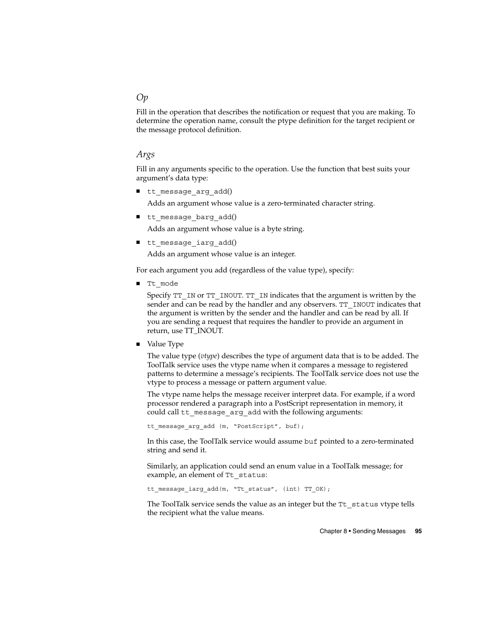#### *Op*

Fill in the operation that describes the notification or request that you are making. To determine the operation name, consult the ptype definition for the target recipient or the message protocol definition.

#### *Args*

Fill in any arguments specific to the operation. Use the function that best suits your argument's data type:

- tt\_message\_arg\_add()
	- Adds an argument whose value is a zero-terminated character string.
- tt\_message\_barg\_add()

Adds an argument whose value is a byte string.

■ tt\_message\_iarg\_add()

Adds an argument whose value is an integer.

For each argument you add (regardless of the value type), specify:

■ Tt\_mode

Specify TT\_IN or TT\_INOUT. TT\_IN indicates that the argument is written by the sender and can be read by the handler and any observers. TT\_INOUT indicates that the argument is written by the sender and the handler and can be read by all. If you are sending a request that requires the handler to provide an argument in return, use TT\_INOUT.

■ Value Type

The value type (*vtype*) describes the type of argument data that is to be added. The ToolTalk service uses the vtype name when it compares a message to registered patterns to determine a message's recipients. The ToolTalk service does not use the vtype to process a message or pattern argument value.

The vtype name helps the message receiver interpret data. For example, if a word processor rendered a paragraph into a PostScript representation in memory, it could call tt message arg add with the following arguments:

tt\_message\_arg\_add (m, "PostScript", buf);

In this case, the ToolTalk service would assume buf pointed to a zero-terminated string and send it.

Similarly, an application could send an enum value in a ToolTalk message; for example, an element of Tt\_status:

tt message iarg add(m, "Tt status", (int) TT OK);

The ToolTalk service sends the value as an integer but the Tt status vtype tells the recipient what the value means.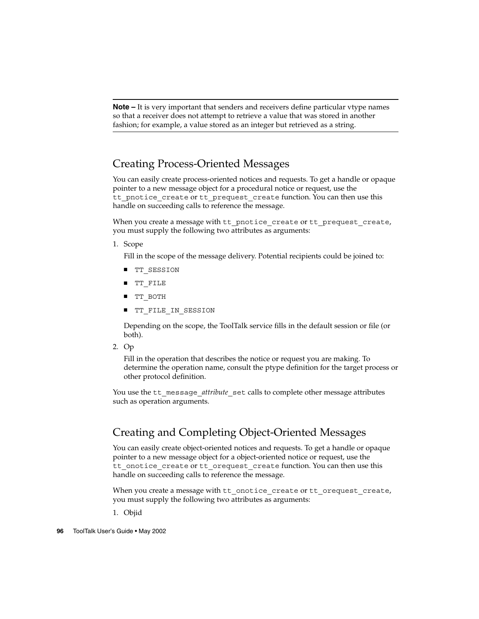**Note –** It is very important that senders and receivers define particular vtype names so that a receiver does not attempt to retrieve a value that was stored in another fashion; for example, a value stored as an integer but retrieved as a string.

### Creating Process-Oriented Messages

You can easily create process-oriented notices and requests. To get a handle or opaque pointer to a new message object for a procedural notice or request, use the tt\_pnotice\_create or tt\_prequest\_create function. You can then use this handle on succeeding calls to reference the message.

When you create a message with tt\_pnotice\_create or tt\_prequest\_create, you must supply the following two attributes as arguments:

1. Scope

Fill in the scope of the message delivery. Potential recipients could be joined to:

- TT\_SESSION
- TT\_FILE
- TT\_BOTH
- TT\_FILE\_IN\_SESSION

Depending on the scope, the ToolTalk service fills in the default session or file (or both).

2. Op

Fill in the operation that describes the notice or request you are making. To determine the operation name, consult the ptype definition for the target process or other protocol definition.

You use the tt\_message\_attribute\_set calls to complete other message attributes such as operation arguments.

### Creating and Completing Object-Oriented Messages

You can easily create object-oriented notices and requests. To get a handle or opaque pointer to a new message object for a object-oriented notice or request, use the tt onotice create or tt orequest create function. You can then use this handle on succeeding calls to reference the message.

When you create a message with tt\_onotice\_create or tt\_orequest\_create, you must supply the following two attributes as arguments:

1. Objid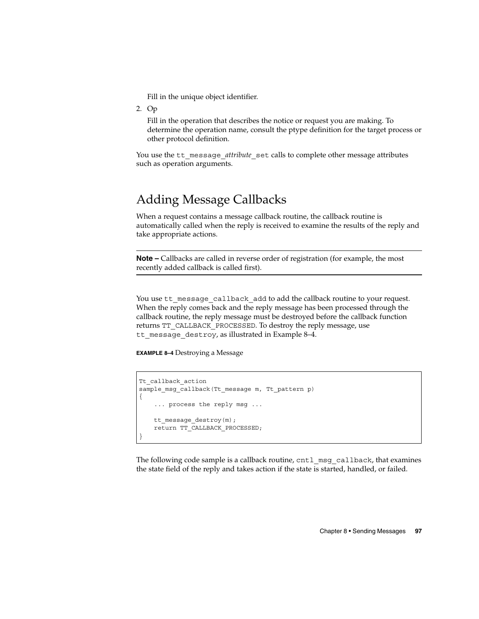Fill in the unique object identifier.

2. Op

Fill in the operation that describes the notice or request you are making. To determine the operation name, consult the ptype definition for the target process or other protocol definition.

You use the tt\_message\_attribute\_set calls to complete other message attributes such as operation arguments.

### Adding Message Callbacks

When a request contains a message callback routine, the callback routine is automatically called when the reply is received to examine the results of the reply and take appropriate actions.

**Note –** Callbacks are called in reverse order of registration (for example, the most recently added callback is called first).

You use tt message callback add to add the callback routine to your request. When the reply comes back and the reply message has been processed through the callback routine, the reply message must be destroyed before the callback function returns TT\_CALLBACK\_PROCESSED. To destroy the reply message, use tt\_message\_destroy, as illustrated in Example 8–4.

**EXAMPLE 8–4** Destroying a Message

```
Tt callback action
sample_msg_callback(Tt_message m, Tt_pattern p)
{
    ... process the reply msg ...
    tt message destroy(m);
    return TT_CALLBACK_PROCESSED;
}
```
The following code sample is a callback routine, cntl\_msg\_callback, that examines the state field of the reply and takes action if the state is started, handled, or failed.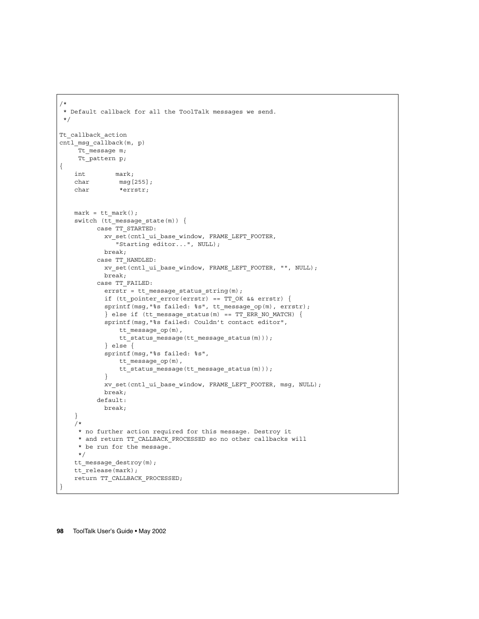```
/*
 * Default callback for all the ToolTalk messages we send.
*/
Tt_callback_action
cntl msg_callback(m, p)
    Tt message m;
    Tt_pattern p;
{
   int mark;
   char msg[255];
   char *errstr;
   mark = tt mark();
   switch (tt message state(m)) {
         case TT_STARTED:
           xv_set(cntl_ui_base_window, FRAME_LEFT_FOOTER,
               "Starting editor...", NULL);
           break;
         case TT_HANDLED:
           xv_set(cntl_ui_base_window, FRAME_LEFT_FOOTER, "", NULL);
           break;
         case TT_FAILED:
           errstr = tt_message_status_string(m);
           if (tt pointer error(errstr) == TT OK && errstr) {
           sprintf(msg,"%s failed: %s", tt_message_op(m), errstr);
           \} else if (tt_message_status(m) == TT\_ERR_NO_MATCH) {
           sprintf(msg,"%s failed: Couldn't contact editor",
               tt message op(m),
               tt_status_message(tt_message_status(m)));
            } else {
           sprintf(msg,"%s failed: %s",
               tt message op(m),
               tt status message(tt message status(m)));
            }
           xv_set(cntl_ui_base_window, FRAME_LEFT_FOOTER, msg, NULL);
           break;
          default:
           break;
   }
    /*
    * no further action required for this message. Destroy it
    * and return TT_CALLBACK_PROCESSED so no other callbacks will
    * be run for the message.
    */
   tt message destroy(m);
   tt release(mark);
   return TT_CALLBACK_PROCESSED;
}
```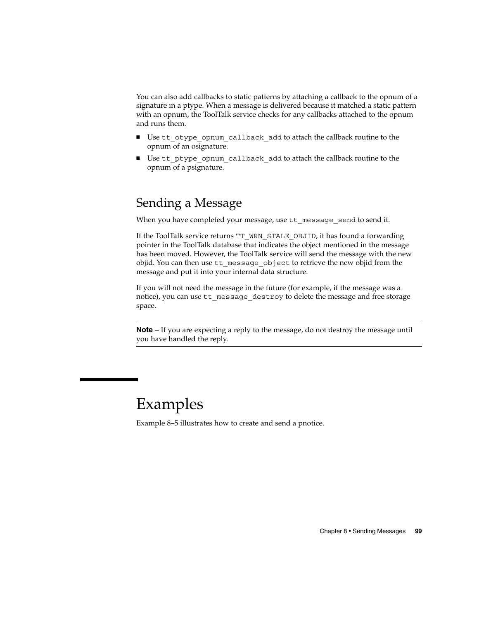You can also add callbacks to static patterns by attaching a callback to the opnum of a signature in a ptype. When a message is delivered because it matched a static pattern with an opnum, the ToolTalk service checks for any callbacks attached to the opnum and runs them.

- Use tt\_otype\_opnum\_callback\_add to attach the callback routine to the opnum of an osignature.
- Use tt\_ptype\_opnum\_callback\_add to attach the callback routine to the opnum of a psignature.

## Sending a Message

When you have completed your message, use tt message send to send it.

If the ToolTalk service returns TT\_WRN\_STALE\_OBJID, it has found a forwarding pointer in the ToolTalk database that indicates the object mentioned in the message has been moved. However, the ToolTalk service will send the message with the new objid. You can then use tt\_message\_object to retrieve the new objid from the message and put it into your internal data structure.

If you will not need the message in the future (for example, if the message was a notice), you can use tt message destroy to delete the message and free storage space.

**Note –** If you are expecting a reply to the message, do not destroy the message until you have handled the reply.

## Examples

Example 8–5 illustrates how to create and send a pnotice.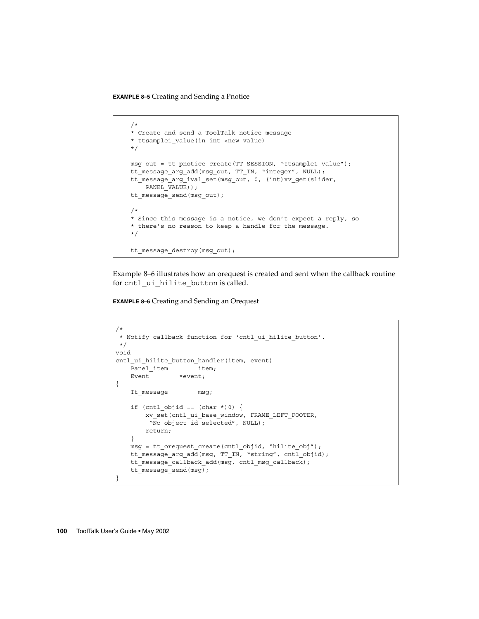**EXAMPLE 8–5** Creating and Sending a Pnotice

```
/*
* Create and send a ToolTalk notice message
* ttsample1_value(in int <new value)
*/
msg_out = tt_pnotice_create(TT_SESSION, "ttsample1_value");
tt_message_arg_add(msg_out, TT_IN, "integer", NULL);
tt message arg_ival_set(msg_out, 0, (int)xv_get(slider,
   PANEL VALUE));
tt_message_send(msg_out);
/*
* Since this message is a notice, we don't expect a reply, so
* there's no reason to keep a handle for the message.
*/
tt_message_destroy(msg_out);
```
Example 8–6 illustrates how an orequest is created and sent when the callback routine for cntl\_ui\_hilite\_button is called.

**EXAMPLE 8–6** Creating and Sending an Orequest

```
/*
* Notify callback function for 'cntl_ui_hilite_button'.
*/
void
cntl_ui_hilite_button_handler(item, event)
   Panel_item item;
   Event \star event;
{
   Tt_message msg;
   if (\text{cnt\_objid} == (\text{char} * ) 0) {
       xv_set(cntl_ui_base_window, FRAME_LEFT_FOOTER,
        "No object id selected", NULL);
       return;
   }
   msg = tt_orequest_create(cntl_objid, "hilite_obj");
   tt_message_arg_add(msg, TT_IN, "string", cntl_objid);
   tt message callback add(msg, cntl msg callback);
   tt_message_send(msg);
}
```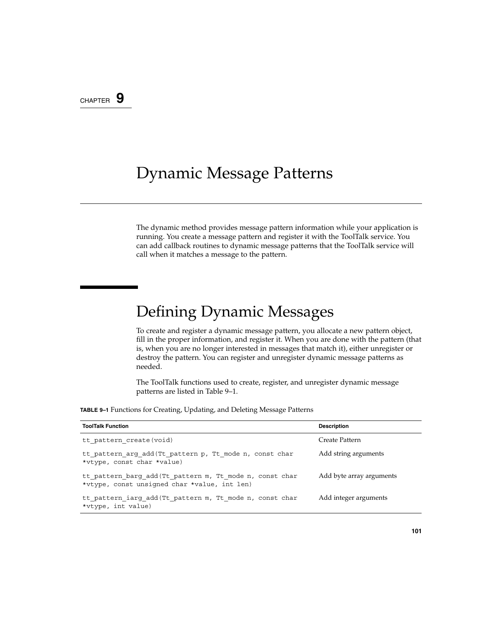### CHAPTER **9**

## Dynamic Message Patterns

The dynamic method provides message pattern information while your application is running. You create a message pattern and register it with the ToolTalk service. You can add callback routines to dynamic message patterns that the ToolTalk service will call when it matches a message to the pattern.

# Defining Dynamic Messages

To create and register a dynamic message pattern, you allocate a new pattern object, fill in the proper information, and register it. When you are done with the pattern (that is, when you are no longer interested in messages that match it), either unregister or destroy the pattern. You can register and unregister dynamic message patterns as needed.

The ToolTalk functions used to create, register, and unregister dynamic message patterns are listed in Table 9–1.

**TABLE 9–1** Functions for Creating, Updating, and Deleting Message Patterns

| <b>ToolTalk Function</b>                                                                                 | <b>Description</b>       |
|----------------------------------------------------------------------------------------------------------|--------------------------|
| tt pattern create (void)                                                                                 | Create Pattern           |
| tt pattern arg add (Tt pattern p, Tt mode n, const char<br>*vtype, const char *value)                    | Add string arguments     |
| tt pattern barg add (Tt pattern m, Tt mode n, const char<br>*vtype, const unsigned char *value, int len) | Add byte array arguments |
| tt pattern iarg add (Tt pattern m, Tt mode n, const char<br>*vtype, int value)                           | Add integer arguments    |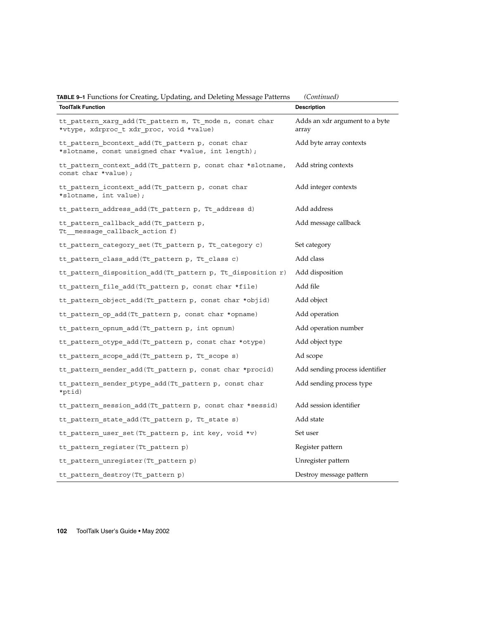| <b>INDEE</b> 3 TT and not of Creating, Opining, and Detering message I and his                           | $\sqrt{2}$                              |  |  |  |
|----------------------------------------------------------------------------------------------------------|-----------------------------------------|--|--|--|
| <b>ToolTalk Function</b>                                                                                 | <b>Description</b>                      |  |  |  |
| tt pattern xarg add (Tt pattern m, Tt mode n, const char<br>*vtype, xdrproc t xdr proc, void *value)     | Adds an xdr argument to a byte<br>array |  |  |  |
| tt pattern bcontext add (Tt pattern p, const char<br>*slotname, const unsigned char *value, int length); | Add byte array contexts                 |  |  |  |
| tt pattern context add (Tt pattern p, const char *slotname,<br>const char *value);                       | Add string contexts                     |  |  |  |
| tt pattern icontext add (Tt pattern p, const char<br>*slotname, int value);                              | Add integer contexts                    |  |  |  |
| tt pattern address add (Tt pattern p, Tt address d)                                                      | Add address                             |  |  |  |
| tt pattern callback add (Tt pattern p,<br>Tt message callback action f)                                  | Add message callback                    |  |  |  |
| tt pattern category set (Tt pattern p, Tt category c)                                                    | Set category                            |  |  |  |
| tt pattern class add (Tt pattern p, Tt class c)                                                          | Add class                               |  |  |  |
| tt pattern disposition add (Tt pattern $p$ , Tt disposition $r$ )                                        | Add disposition                         |  |  |  |
| tt pattern file add (Tt pattern p, const char *file)                                                     | Add file                                |  |  |  |
| tt pattern object add (Tt pattern p, const char *objid)                                                  | Add object                              |  |  |  |
| tt pattern op add (Tt pattern p, const char *opname)                                                     | Add operation                           |  |  |  |
| tt pattern opnum add (Tt pattern p, int opnum)                                                           | Add operation number                    |  |  |  |
| tt pattern otype add (Tt pattern p, const char *otype)                                                   | Add object type                         |  |  |  |
| tt pattern scope add (Tt pattern p, Tt scope s)                                                          | Ad scope                                |  |  |  |
| tt pattern sender add (Tt pattern p, const char *procid)                                                 | Add sending process identifier          |  |  |  |
| tt pattern sender ptype add (Tt pattern p, const char<br>*ptid)                                          | Add sending process type                |  |  |  |
| tt pattern session add (Tt pattern p, const char *sessid)                                                | Add session identifier                  |  |  |  |
| tt pattern state add(Tt pattern p, Tt state s)                                                           | Add state                               |  |  |  |
| tt pattern user set (Tt pattern p, int key, void *v)                                                     | Set user                                |  |  |  |
| tt pattern register (Tt pattern p)                                                                       | Register pattern                        |  |  |  |
| tt pattern unregister (Tt pattern p)                                                                     | Unregister pattern                      |  |  |  |
| tt pattern destroy (Tt pattern p)                                                                        | Destroy message pattern                 |  |  |  |

**TABLE 9–1** Functions for Creating, Updating, and Deleting Message Patterns *(Continued)*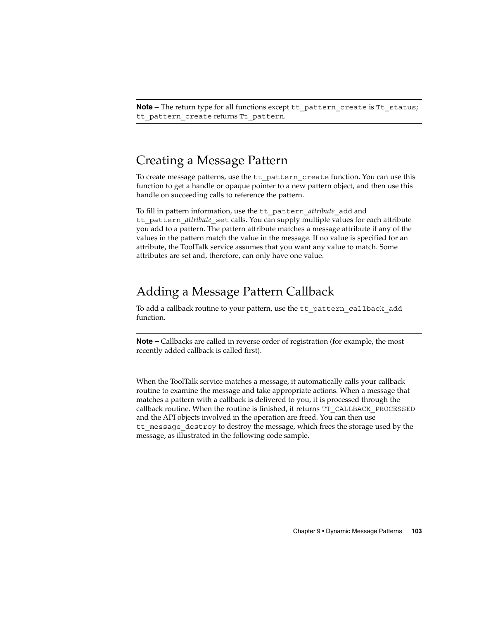**Note** – The return type for all functions except tt pattern create is Tt status; tt pattern create returns Tt pattern.

### Creating a Message Pattern

To create message patterns, use the tt\_pattern\_create function. You can use this function to get a handle or opaque pointer to a new pattern object, and then use this handle on succeeding calls to reference the pattern.

To fill in pattern information, use the tt\_pattern\_*attribute*\_add and tt pattern *attribute* set calls. You can supply multiple values for each attribute you add to a pattern. The pattern attribute matches a message attribute if any of the values in the pattern match the value in the message. If no value is specified for an attribute, the ToolTalk service assumes that you want any value to match. Some attributes are set and, therefore, can only have one value.

## Adding a Message Pattern Callback

To add a callback routine to your pattern, use the tt\_pattern\_callback\_add function.

**Note –** Callbacks are called in reverse order of registration (for example, the most recently added callback is called first).

When the ToolTalk service matches a message, it automatically calls your callback routine to examine the message and take appropriate actions. When a message that matches a pattern with a callback is delivered to you, it is processed through the callback routine. When the routine is finished, it returns TT\_CALLBACK\_PROCESSED and the API objects involved in the operation are freed. You can then use tt\_message\_destroy to destroy the message, which frees the storage used by the message, as illustrated in the following code sample.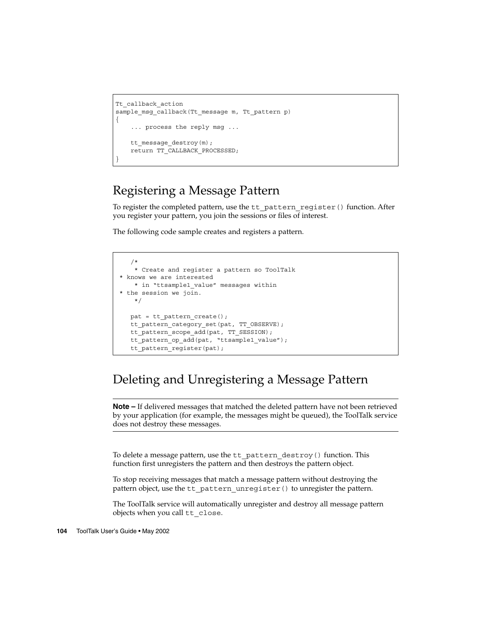```
Tt callback action
sample_msg_callback(Tt_message m, Tt_pattern p)
{
    ... process the reply msg ...
   tt message destroy(m);
    return TT_CALLBACK_PROCESSED;
}
```
## Registering a Message Pattern

To register the completed pattern, use the tt\_pattern\_register() function. After you register your pattern, you join the sessions or files of interest.

The following code sample creates and registers a pattern.

```
/*
   * Create and register a pattern so ToolTalk
* knows we are interested
   * in "ttsample1_value" messages within
* the session we join.
   */
  pat = tt pattern create();
  tt_pattern_category_set(pat, TT_OBSERVE);
  tt_pattern_scope_add(pat, TT_SESSION);
  tt_pattern_op_add(pat, "ttsample1_value");
  tt_pattern_register(pat);
```
## Deleting and Unregistering a Message Pattern

**Note –** If delivered messages that matched the deleted pattern have not been retrieved by your application (for example, the messages might be queued), the ToolTalk service does not destroy these messages.

To delete a message pattern, use the tt\_pattern\_destroy() function. This function first unregisters the pattern and then destroys the pattern object.

To stop receiving messages that match a message pattern without destroying the pattern object, use the tt\_pattern\_unregister() to unregister the pattern.

The ToolTalk service will automatically unregister and destroy all message pattern objects when you call tt\_close.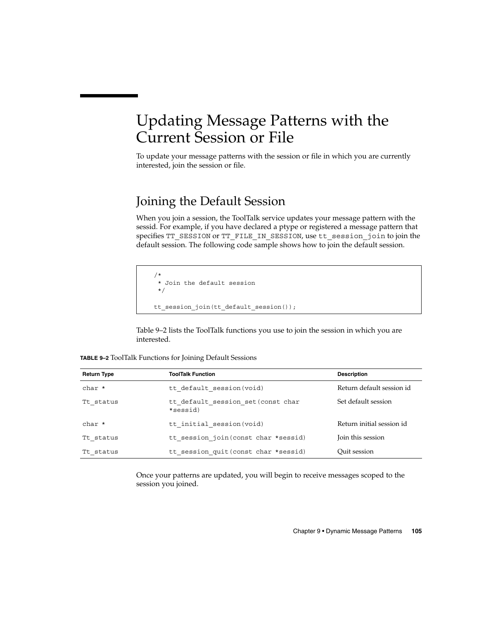# Updating Message Patterns with the Current Session or File

To update your message patterns with the session or file in which you are currently interested, join the session or file.

### Joining the Default Session

When you join a session, the ToolTalk service updates your message pattern with the sessid. For example, if you have declared a ptype or registered a message pattern that specifies TT\_SESSION or TT\_FILE\_IN\_SESSION, use tt\_session\_join to join the default session. The following code sample shows how to join the default session.

```
/*
 * Join the default session
 */
tt session join(tt default session());
```
Table 9–2 lists the ToolTalk functions you use to join the session in which you are interested.

**TABLE 9–2** ToolTalk Functions for Joining Default Sessions

| <b>Return Type</b> | <b>ToolTalk Function</b>                       | <b>Description</b>        |
|--------------------|------------------------------------------------|---------------------------|
| $char *$           | tt default session (void)                      | Return default session id |
| Tt status          | tt default session set (const char<br>*sessid) | Set default session       |
| $char *$           | tt initial session (void)                      | Return initial session id |
| Tt status          | tt session join (const char *sessid)           | Join this session         |
| Tt status          | tt session quit (const char *sessid)           | Ouit session              |

Once your patterns are updated, you will begin to receive messages scoped to the session you joined.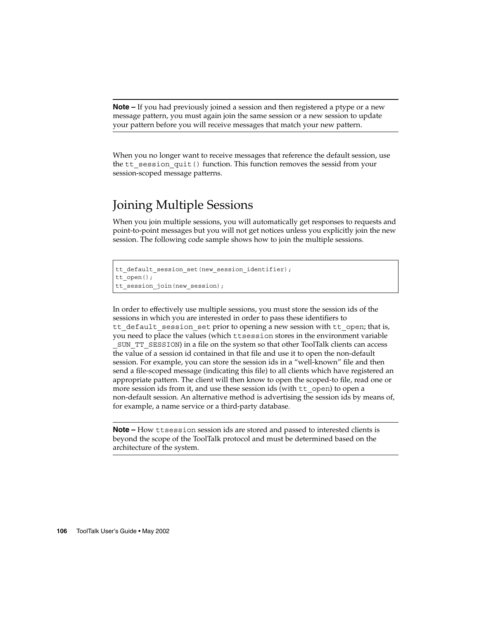**Note –** If you had previously joined a session and then registered a ptype or a new message pattern, you must again join the same session or a new session to update your pattern before you will receive messages that match your new pattern.

When you no longer want to receive messages that reference the default session, use the tt\_session\_quit() function. This function removes the sessid from your session-scoped message patterns.

## Joining Multiple Sessions

When you join multiple sessions, you will automatically get responses to requests and point-to-point messages but you will not get notices unless you explicitly join the new session. The following code sample shows how to join the multiple sessions.

```
tt default session set(new session identifier);
tt_open();
tt session join(new session);
```
In order to effectively use multiple sessions, you must store the session ids of the sessions in which you are interested in order to pass these identifiers to tt\_default\_session\_set prior to opening a new session with tt\_open; that is, you need to place the values (which ttsession stores in the environment variable \_SUN\_TT\_SESSION) in a file on the system so that other ToolTalk clients can access the value of a session id contained in that file and use it to open the non-default session. For example, you can store the session ids in a "well-known" file and then send a file-scoped message (indicating this file) to all clients which have registered an appropriate pattern. The client will then know to open the scoped-to file, read one or more session ids from it, and use these session ids (with tt open) to open a non-default session. An alternative method is advertising the session ids by means of, for example, a name service or a third-party database.

**Note** – How ttsession session ids are stored and passed to interested clients is beyond the scope of the ToolTalk protocol and must be determined based on the architecture of the system.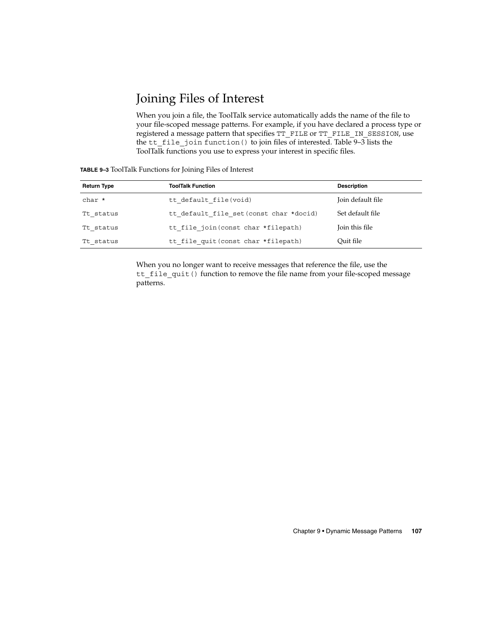## Joining Files of Interest

When you join a file, the ToolTalk service automatically adds the name of the file to your file-scoped message patterns. For example, if you have declared a process type or registered a message pattern that specifies TT\_FILE or TT\_FILE\_IN\_SESSION, use the tt file join function() to join files of interested. Table 9–3 lists the ToolTalk functions you use to express your interest in specific files.

| <b>Return Type</b> | <b>ToolTalk Function</b>                | <b>Description</b> |
|--------------------|-----------------------------------------|--------------------|
| char *             | tt default file (void)                  | Join default file  |
| Tt status          | tt default file set (const char *docid) | Set default file   |
| Tt status          | tt file join(const char *filepath)      | Join this file     |
| Tt status          | tt file quit(const char *filepath)      | Ouit file          |

**TABLE 9–3** ToolTalk Functions for Joining Files of Interest

When you no longer want to receive messages that reference the file, use the tt file quit() function to remove the file name from your file-scoped message patterns.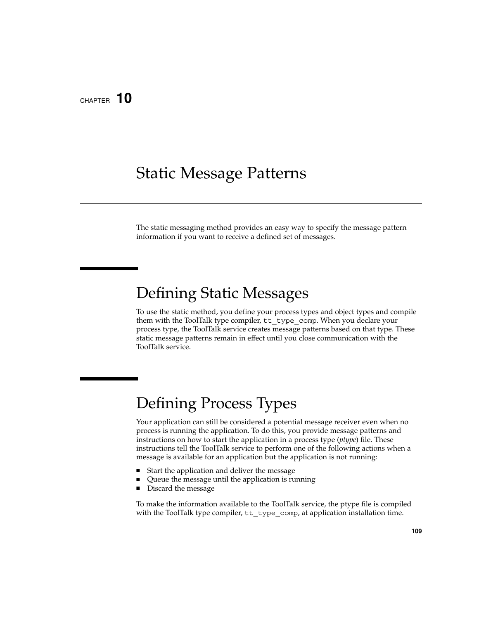### CHAPTER **10**

## Static Message Patterns

The static messaging method provides an easy way to specify the message pattern information if you want to receive a defined set of messages.

## Defining Static Messages

To use the static method, you define your process types and object types and compile them with the ToolTalk type compiler, tt\_type\_comp. When you declare your process type, the ToolTalk service creates message patterns based on that type. These static message patterns remain in effect until you close communication with the ToolTalk service.

## Defining Process Types

Your application can still be considered a potential message receiver even when no process is running the application. To do this, you provide message patterns and instructions on how to start the application in a process type (*ptype*) file. These instructions tell the ToolTalk service to perform one of the following actions when a message is available for an application but the application is not running:

- Start the application and deliver the message
- Queue the message until the application is running
- Discard the message

To make the information available to the ToolTalk service, the ptype file is compiled with the ToolTalk type compiler,  $tt$  type comp, at application installation time.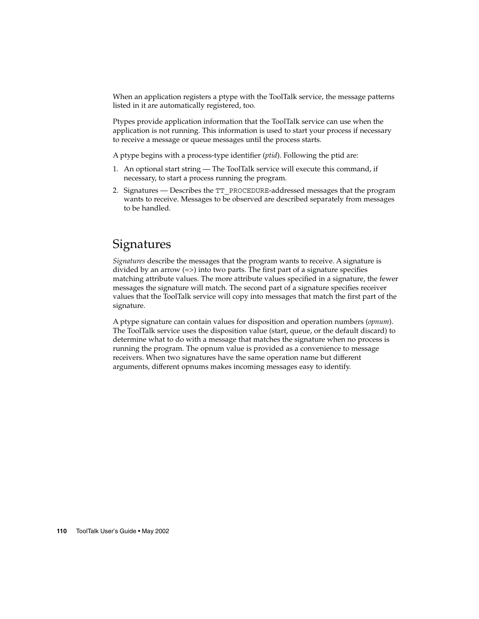When an application registers a ptype with the ToolTalk service, the message patterns listed in it are automatically registered, too.

Ptypes provide application information that the ToolTalk service can use when the application is not running. This information is used to start your process if necessary to receive a message or queue messages until the process starts.

A ptype begins with a process-type identifier (*ptid*). Following the ptid are:

- 1. An optional start string The ToolTalk service will execute this command, if necessary, to start a process running the program.
- 2. Signatures Describes the TT\_PROCEDURE-addressed messages that the program wants to receive. Messages to be observed are described separately from messages to be handled.

### **Signatures**

*Signatures* describe the messages that the program wants to receive. A signature is divided by an arrow  $(=$ >) into two parts. The first part of a signature specifies matching attribute values. The more attribute values specified in a signature, the fewer messages the signature will match. The second part of a signature specifies receiver values that the ToolTalk service will copy into messages that match the first part of the signature.

A ptype signature can contain values for disposition and operation numbers (*opnum*). The ToolTalk service uses the disposition value (start, queue, or the default discard) to determine what to do with a message that matches the signature when no process is running the program. The opnum value is provided as a convenience to message receivers. When two signatures have the same operation name but different arguments, different opnums makes incoming messages easy to identify.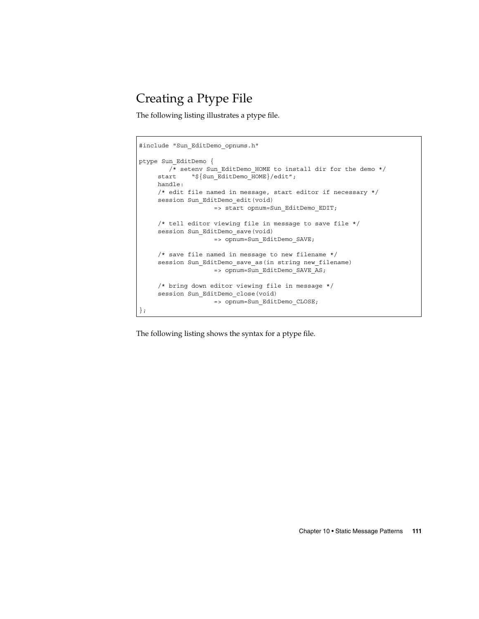## Creating a Ptype File

The following listing illustrates a ptype file.

```
#include "Sun_EditDemo_opnums.h"
ptype Sun_EditDemo {
       /* setenv Sun EditDemo HOME to install dir for the demo */start "${Sun_EditDemo_HOME}/edit";
    handle:
    /* edit file named in message, start editor if necessary */
    session Sun_EditDemo_edit(void)
                   => start opnum=Sun_EditDemo_EDIT;
     /* tell editor viewing file in message to save file */session Sun EditDemo save(void)
                   => opnum=Sun_EditDemo_SAVE;
     /* save file named in message to new filename */
    session Sun_EditDemo_save_as(in string new_filename)
                   => opnum=Sun_EditDemo_SAVE_AS;
     /* bring down editor viewing file in message */
    session Sun_EditDemo_close(void)
                   => opnum=Sun_EditDemo_CLOSE;
};
```
The following listing shows the syntax for a ptype file.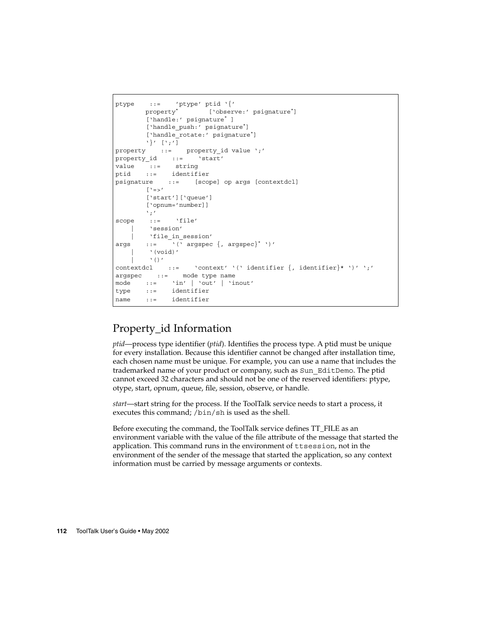```
ptype ::= 'ptype' ptid '{'
        property* ['observe:' psignature*
]
        ['handle:' psignature<sup>*</sup> ]
        ['handle push:' psignature<sup>*</sup>]
        ['handle_rotate:' psignature<sup>*</sup>]
        '}' [';']
property ::= property_id value ';'
property_id ::= 'start'
value ::= string
ptid ::= identifier
psignature ::= [scope] op args [contextdcl]
       \left[\right]<sup>'</sup> = >'
        ['start']['queue']
        ['opnum='number]]
        ';'
scope ::= 'file'
    | 'session'
        | 'file_in_session'
args ::= '(' argspec {, argspec}* ')'
    | '(void)'
    | \qquad '()'
contextdcl ::= 'context' '(' identifier {, identifier}* ')' ';'
argspec ::= mode type name
mode ::= 'in' | 'out' | 'inout'
type ::= identifier
name ::= identifier
```
### Property\_id Information

*ptid*—process type identifier (*ptid*). Identifies the process type. A ptid must be unique for every installation. Because this identifier cannot be changed after installation time, each chosen name must be unique. For example, you can use a name that includes the trademarked name of your product or company, such as Sun\_EditDemo. The ptid cannot exceed 32 characters and should not be one of the reserved identifiers: ptype, otype, start, opnum, queue, file, session, observe, or handle.

*start*—start string for the process. If the ToolTalk service needs to start a process, it executes this command; /bin/sh is used as the shell.

Before executing the command, the ToolTalk service defines TT\_FILE as an environment variable with the value of the file attribute of the message that started the application. This command runs in the environment of ttsession, not in the environment of the sender of the message that started the application, so any context information must be carried by message arguments or contexts.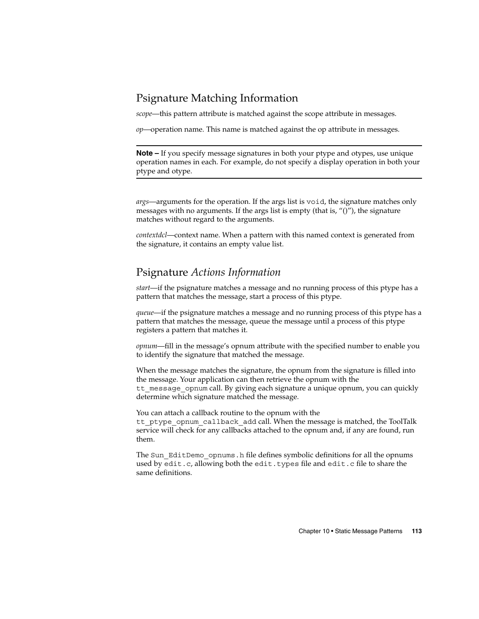### Psignature Matching Information

*scope*—this pattern attribute is matched against the scope attribute in messages.

*op*—operation name. This name is matched against the op attribute in messages.

**Note –** If you specify message signatures in both your ptype and otypes, use unique operation names in each. For example, do not specify a display operation in both your ptype and otype.

*args*—arguments for the operation. If the args list is void, the signature matches only messages with no arguments. If the args list is empty (that is, "()"), the signature matches without regard to the arguments.

*contextdcl*—context name. When a pattern with this named context is generated from the signature, it contains an empty value list.

### Psignature *Actions Information*

*start*—if the psignature matches a message and no running process of this ptype has a pattern that matches the message, start a process of this ptype.

*queue*—if the psignature matches a message and no running process of this ptype has a pattern that matches the message, queue the message until a process of this ptype registers a pattern that matches it.

*opnum*—fill in the message's opnum attribute with the specified number to enable you to identify the signature that matched the message.

When the message matches the signature, the opnum from the signature is filled into the message. Your application can then retrieve the opnum with the tt message opnum call. By giving each signature a unique opnum, you can quickly determine which signature matched the message.

You can attach a callback routine to the opnum with the tt ptype opnum callback add call. When the message is matched, the ToolTalk service will check for any callbacks attached to the opnum and, if any are found, run them.

The Sun EditDemo opnums.h file defines symbolic definitions for all the opnums used by edit.c, allowing both the edit.types file and edit.c file to share the same definitions.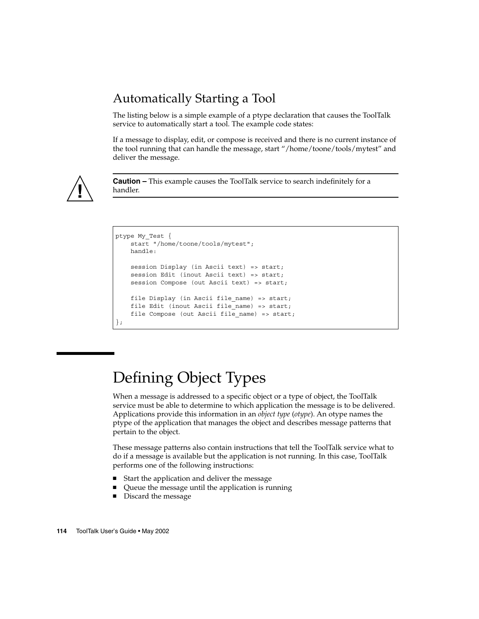### Automatically Starting a Tool

The listing below is a simple example of a ptype declaration that causes the ToolTalk service to automatically start a tool. The example code states:

If a message to display, edit, or compose is received and there is no current instance of the tool running that can handle the message, start "/home/toone/tools/mytest" and deliver the message.



**Caution –** This example causes the ToolTalk service to search indefinitely for a handler.

```
ptype My_Test {
   start "/home/toone/tools/mytest";
   handle:
   session Display (in Ascii text) => start;
   session Edit (inout Ascii text) => start;
   session Compose (out Ascii text) => start;
   file Display (in Ascii file name) => start;
   file Edit (inout Ascii file name) => start;
   file Compose (out Ascii file_name) => start;
};
```
# Defining Object Types

When a message is addressed to a specific object or a type of object, the ToolTalk service must be able to determine to which application the message is to be delivered. Applications provide this information in an *object type* (*otype*). An otype names the ptype of the application that manages the object and describes message patterns that pertain to the object.

These message patterns also contain instructions that tell the ToolTalk service what to do if a message is available but the application is not running. In this case, ToolTalk performs one of the following instructions:

- Start the application and deliver the message
- Queue the message until the application is running
- Discard the message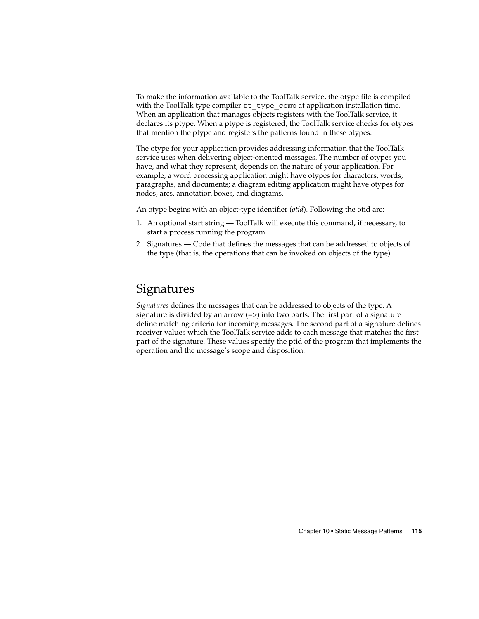To make the information available to the ToolTalk service, the otype file is compiled with the ToolTalk type compiler tt type comp at application installation time. When an application that manages objects registers with the ToolTalk service, it declares its ptype. When a ptype is registered, the ToolTalk service checks for otypes that mention the ptype and registers the patterns found in these otypes.

The otype for your application provides addressing information that the ToolTalk service uses when delivering object-oriented messages. The number of otypes you have, and what they represent, depends on the nature of your application. For example, a word processing application might have otypes for characters, words, paragraphs, and documents; a diagram editing application might have otypes for nodes, arcs, annotation boxes, and diagrams.

An otype begins with an object-type identifier (*otid*). Following the otid are:

- 1. An optional start string ToolTalk will execute this command, if necessary, to start a process running the program.
- 2. Signatures Code that defines the messages that can be addressed to objects of the type (that is, the operations that can be invoked on objects of the type).

### **Signatures**

*Signatures* defines the messages that can be addressed to objects of the type. A signature is divided by an arrow  $(=)$  into two parts. The first part of a signature define matching criteria for incoming messages. The second part of a signature defines receiver values which the ToolTalk service adds to each message that matches the first part of the signature. These values specify the ptid of the program that implements the operation and the message's scope and disposition.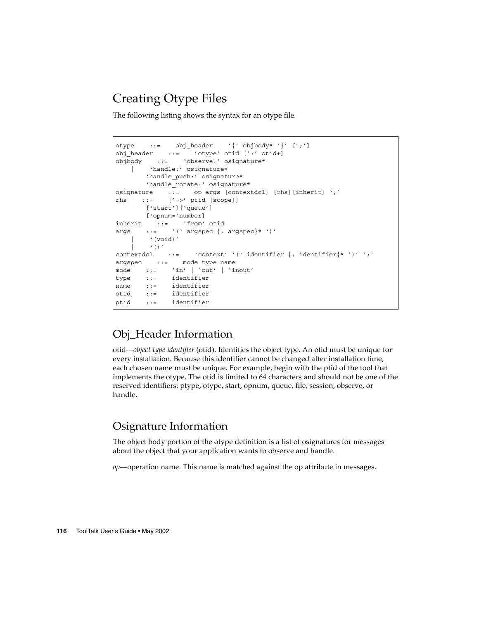## Creating Otype Files

The following listing shows the syntax for an otype file.

```
\begin{array}{lll} \texttt{otype} & : \texttt{:=} & \texttt{obj\_header} & \texttt{ ' {'} objbody*} \texttt{ ' {'} & \texttt{ [''}; ' ]} \end{array}obj_header ::= 'otype' otid [':' otid+]
objbody ::= 'observe:' osignature*
   | 'handle:' osignature*
        'handle_push:' osignature*
        'handle_rotate:' osignature*
osignature ::= op args [contextdcl] [rhs][inherit] ';'
rhs ::= ['=>' ptid [scope]]
        ['start']['queue']
        ['opnum='number]
inherit ::= 'from' otid
args ::= '(' argspec {, argspec}* ')'
   | '(void)'
    | \qquad \vee ()'
contextdcl ::= 'context' '(' identifier \{, identifier\* ')' ';'
argspec ::= mode type name
mode ::= 'in' | 'out' | 'inout'
type ::= identifier
name ::= identifier
otid ::= identifier
ptid ::= identifier
```
### Obj\_Header Information

otid—*object type identifier* (otid). Identifies the object type. An otid must be unique for every installation. Because this identifier cannot be changed after installation time, each chosen name must be unique. For example, begin with the ptid of the tool that implements the otype. The otid is limited to 64 characters and should not be one of the reserved identifiers: ptype, otype, start, opnum, queue, file, session, observe, or handle.

### Osignature Information

The object body portion of the otype definition is a list of osignatures for messages about the object that your application wants to observe and handle.

*op*—operation name. This name is matched against the op attribute in messages.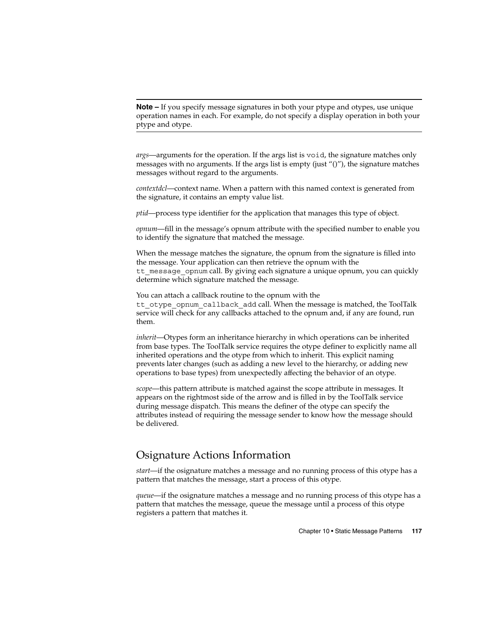**Note –** If you specify message signatures in both your ptype and otypes, use unique operation names in each. For example, do not specify a display operation in both your ptype and otype.

*args*—arguments for the operation. If the args list is void, the signature matches only messages with no arguments. If the args list is empty (just  $\prime$ <sup>"</sup>()"), the signature matches messages without regard to the arguments.

*contextdcl*—context name. When a pattern with this named context is generated from the signature, it contains an empty value list.

*ptid*—process type identifier for the application that manages this type of object.

*opnum*—fill in the message's opnum attribute with the specified number to enable you to identify the signature that matched the message.

When the message matches the signature, the opnum from the signature is filled into the message. Your application can then retrieve the opnum with the tt message opnum call. By giving each signature a unique opnum, you can quickly determine which signature matched the message.

You can attach a callback routine to the opnum with the tt otype opnum callback add call. When the message is matched, the ToolTalk service will check for any callbacks attached to the opnum and, if any are found, run them.

*inherit*—Otypes form an inheritance hierarchy in which operations can be inherited from base types. The ToolTalk service requires the otype definer to explicitly name all inherited operations and the otype from which to inherit. This explicit naming prevents later changes (such as adding a new level to the hierarchy, or adding new operations to base types) from unexpectedly affecting the behavior of an otype.

*scope*—this pattern attribute is matched against the scope attribute in messages. It appears on the rightmost side of the arrow and is filled in by the ToolTalk service during message dispatch. This means the definer of the otype can specify the attributes instead of requiring the message sender to know how the message should be delivered.

### Osignature Actions Information

*start*—if the osignature matches a message and no running process of this otype has a pattern that matches the message, start a process of this otype.

*queue*—if the osignature matches a message and no running process of this otype has a pattern that matches the message, queue the message until a process of this otype registers a pattern that matches it.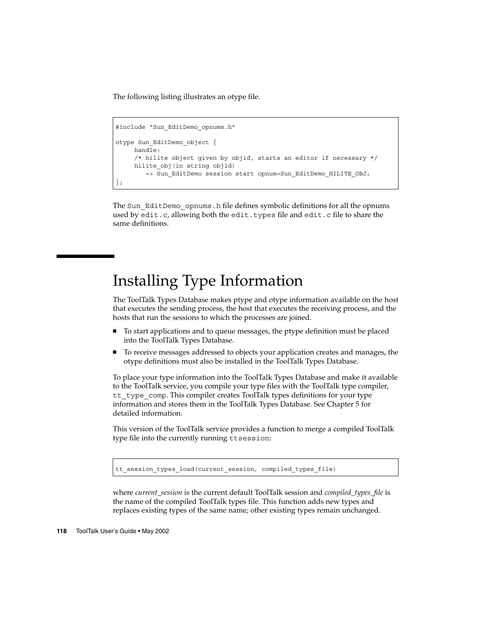The following listing illustrates an otype file.

```
#include "Sun_EditDemo_opnums.h"
otype Sun_EditDemo_object {
    handle:
     /* hilite object given by objid, starts an editor if necessary */
    hilite obj (in string objid)
        => Sun_EditDemo session start opnum=Sun_EditDemo_HILITE_OBJ;
};
```
The Sun EditDemo opnums.h file defines symbolic definitions for all the opnums used by edit.c, allowing both the edit.types file and edit.c file to share the same definitions.

# Installing Type Information

The ToolTalk Types Database makes ptype and otype information available on the host that executes the sending process, the host that executes the receiving process, and the hosts that run the sessions to which the processes are joined.

- To start applications and to queue messages, the ptype definition must be placed into the ToolTalk Types Database.
- To receive messages addressed to objects your application creates and manages, the otype definitions must also be installed in the ToolTalk Types Database.

To place your type information into the ToolTalk Types Database and make it available to the ToolTalk service, you compile your type files with the ToolTalk type compiler, tt type comp. This compiler creates ToolTalk types definitions for your type information and stores them in the ToolTalk Types Database. See Chapter 5 for detailed information.

This version of the ToolTalk service provides a function to merge a compiled ToolTalk type file into the currently running ttsession:

tt\_session\_types\_load(current\_session, compiled\_types\_file)

where *current\_session* is the current default ToolTalk session and *compiled\_types\_file* is the name of the compiled ToolTalk types file. This function adds new types and replaces existing types of the same name; other existing types remain unchanged.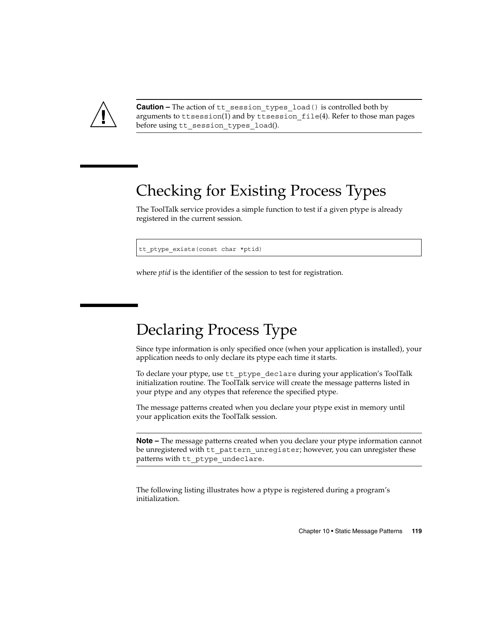

**Caution –** The action of tt\_session\_types\_load() is controlled both by arguments to ttsession(1) and by ttsession\_file(4). Refer to those man pages before using tt session types load().

# Checking for Existing Process Types

The ToolTalk service provides a simple function to test if a given ptype is already registered in the current session.

tt\_ptype\_exists(const char \*ptid)

where *ptid* is the identifier of the session to test for registration.

# Declaring Process Type

Since type information is only specified once (when your application is installed), your application needs to only declare its ptype each time it starts.

To declare your ptype, use tt\_ptype\_declare during your application's ToolTalk initialization routine. The ToolTalk service will create the message patterns listed in your ptype and any otypes that reference the specified ptype.

The message patterns created when you declare your ptype exist in memory until your application exits the ToolTalk session.

**Note –** The message patterns created when you declare your ptype information cannot be unregistered with tt pattern unregister; however, you can unregister these patterns with tt\_ptype\_undeclare.

The following listing illustrates how a ptype is registered during a program's initialization.

Chapter 10 • Static Message Patterns **119**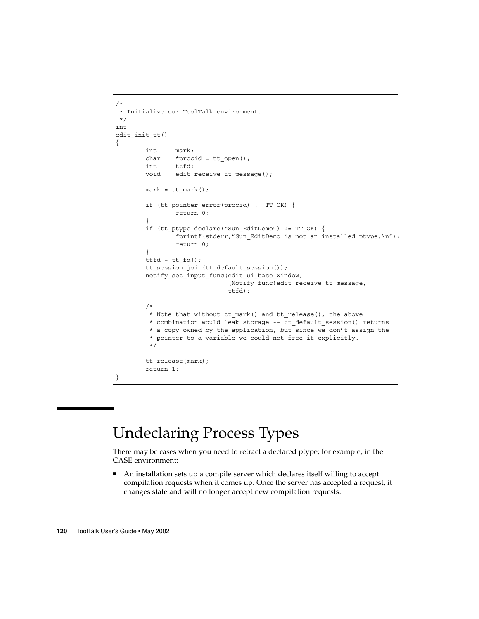```
/*
 * Initialize our ToolTalk environment.
*/
int
edit_init_tt()
{
        int mark;
        char *procid = tt_open();
        int ttfd;
        void edit_receive_tt_message();
        mark = tt mark();
        if (tt_pointer_error(procid) != TT_OK) {
               return 0;
        }
        if (tt_ptype_declare("Sun_EditDemo") != TT_OK) {
                fprintf(stderr,"Sun_EditDemo is not an installed ptype.\n")
               return 0;
        }
        ttfd = tt fd();
        tt session join(tt default session());
        notify_set_input_func(edit_ui_base_window,
                              (Notify func)edit receive tt message,
                              ttfd);
        /*
         * Note that without tt_mark() and tt_release(), the above
         * combination would leak storage -- tt default session() returns
         * a copy owned by the application, but since we don't assign the
         * pointer to a variable we could not free it explicitly.
         */
        tt release(mark);
        return 1;
}
```
# Undeclaring Process Types

There may be cases when you need to retract a declared ptype; for example, in the CASE environment:

■ An installation sets up a compile server which declares itself willing to accept compilation requests when it comes up. Once the server has accepted a request, it changes state and will no longer accept new compilation requests.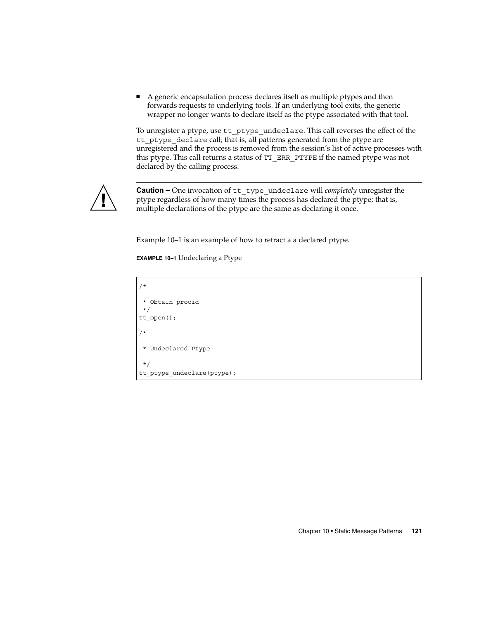■ A generic encapsulation process declares itself as multiple ptypes and then forwards requests to underlying tools. If an underlying tool exits, the generic wrapper no longer wants to declare itself as the ptype associated with that tool.

To unregister a ptype, use tt\_ptype\_undeclare. This call reverses the effect of the tt ptype declare call; that is, all patterns generated from the ptype are unregistered and the process is removed from the session's list of active processes with this ptype. This call returns a status of TT\_ERR\_PTYPE if the named ptype was not declared by the calling process.



**Caution –** One invocation of tt\_type\_undeclare will *completely* unregister the ptype regardless of how many times the process has declared the ptype; that is, multiple declarations of the ptype are the same as declaring it once.

Example 10–1 is an example of how to retract a a declared ptype.

**EXAMPLE 10–1** Undeclaring a Ptype

```
/*
 * Obtain procid
*/
tt_open();
/*
 * Undeclared Ptype
 */
tt_ptype_undeclare(ptype);
```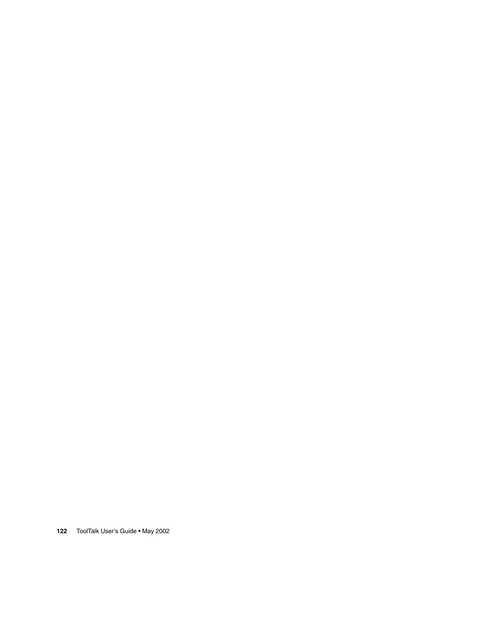ToolTalk User's Guide • May 2002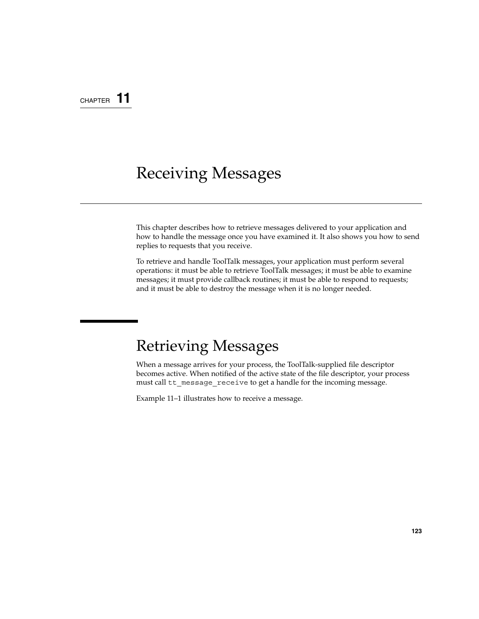## CHAPTER **11**

# Receiving Messages

This chapter describes how to retrieve messages delivered to your application and how to handle the message once you have examined it. It also shows you how to send replies to requests that you receive.

To retrieve and handle ToolTalk messages, your application must perform several operations: it must be able to retrieve ToolTalk messages; it must be able to examine messages; it must provide callback routines; it must be able to respond to requests; and it must be able to destroy the message when it is no longer needed.

# Retrieving Messages

When a message arrives for your process, the ToolTalk-supplied file descriptor becomes active. When notified of the active state of the file descriptor, your process must call tt\_message\_receive to get a handle for the incoming message.

Example 11–1 illustrates how to receive a message.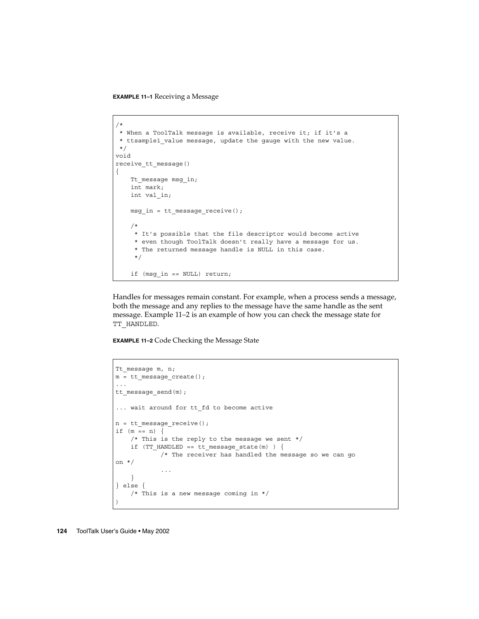**EXAMPLE 11–1** Receiving a Message

```
/*
* When a ToolTalk message is available, receive it; if it's a
* ttsample1 value message, update the gauge with the new value.
*/
void
receive_tt_message()
{
   Tt message msg in;
   int mark;
   int val_in;
   msg_in = tt_message_receive();
    /*
    * It's possible that the file descriptor would become active
    * even though ToolTalk doesn't really have a message for us.
    * The returned message handle is NULL in this case.
    */
   if (msg_in == NULL) return;
```
Handles for messages remain constant. For example, when a process sends a message, both the message and any replies to the message have the same handle as the sent message. Example 11–2 is an example of how you can check the message state for TT\_HANDLED.

**EXAMPLE 11–2** Code Checking the Message State

```
Tt message m, n;
m = tt_message_create();
...
tt message send(m);
... wait around for tt_fd to become active
n = \text{tt} message receive();
if (m == n) {
   /* This is the reply to the message we sent */
   if (TT_HANDLED == tt message\_state(m) ) {
            /* The receiver has handled the message so we can go
on */
            ...
    }
} else {
   /* This is a new message coming in */)
```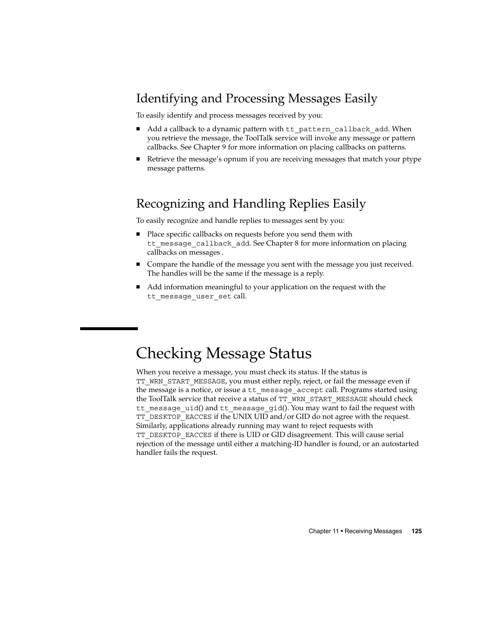## Identifying and Processing Messages Easily

To easily identify and process messages received by you:

- Add a callback to a dynamic pattern with tt\_pattern\_callback\_add. When you retrieve the message, the ToolTalk service will invoke any message or pattern callbacks. See Chapter 9 for more information on placing callbacks on patterns.
- Retrieve the message's opnum if you are receiving messages that match your ptype message patterns.

### Recognizing and Handling Replies Easily

To easily recognize and handle replies to messages sent by you:

- Place specific callbacks on requests before you send them with tt\_message\_callback\_add. See Chapter 8 for more information on placing callbacks on messages.
- Compare the handle of the message you sent with the message you just received. The handles will be the same if the message is a reply.
- Add information meaningful to your application on the request with the tt\_message\_user\_set call.

## Checking Message Status

When you receive a message, you must check its status. If the status is TT\_WRN\_START\_MESSAGE, you must either reply, reject, or fail the message even if the message is a notice, or issue a tt\_message\_accept call. Programs started using the ToolTalk service that receive a status of TT\_WRN\_START\_MESSAGE should check tt message uid() and tt message gid(). You may want to fail the request with TT\_DESKTOP\_EACCES if the UNIX UID and/or GID do not agree with the request. Similarly, applications already running may want to reject requests with TT\_DESKTOP\_EACCES if there is UID or GID disagreement. This will cause serial rejection of the message until either a matching-ID handler is found, or an autostarted handler fails the request.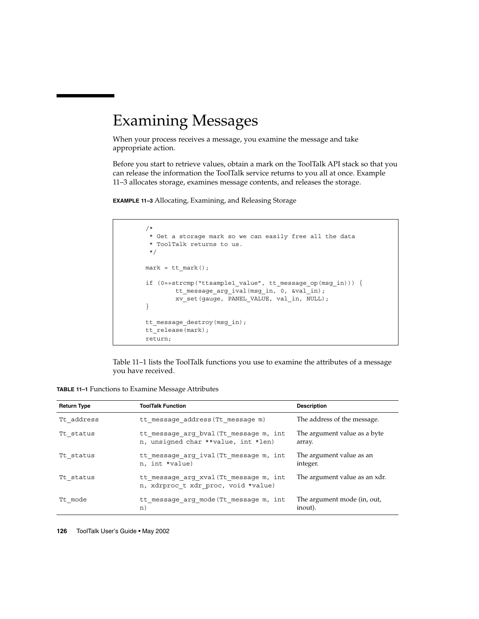## Examining Messages

When your process receives a message, you examine the message and take appropriate action.

Before you start to retrieve values, obtain a mark on the ToolTalk API stack so that you can release the information the ToolTalk service returns to you all at once. Example 11–3 allocates storage, examines message contents, and releases the storage.

**EXAMPLE 11–3** Allocating, Examining, and Releasing Storage

```
/*
* Get a storage mark so we can easily free all the data
* ToolTalk returns to us.
*/
mark = tt mark();
if (0==strcmp("ttsample1 value", tt message op(msg_in))) {
       tt_message_arg_ival(msg_in, 0, &val_in);
       xv_set(gauge, PANEL_VALUE, val_in, NULL);
}
tt_message_destroy(msg_in);
tt release(mark);
return;
```
Table 11–1 lists the ToolTalk functions you use to examine the attributes of a message you have received.

|  | <b>TABLE 11-1 Functions to Examine Message Attributes</b> |  |  |  |
|--|-----------------------------------------------------------|--|--|--|
|--|-----------------------------------------------------------|--|--|--|

| <b>Return Type</b> | <b>ToolTalk Function</b>                                                      | <b>Description</b>                     |
|--------------------|-------------------------------------------------------------------------------|----------------------------------------|
| Tt address         | tt message address (Tt message m)                                             | The address of the message.            |
| Tt status          | tt message arg bval (Tt message m, int<br>n, unsigned char **value, int *len) | The argument value as a byte<br>array. |
| Tt status          | tt message arg ival (Tt message m, int<br>n, int *value)                      | The argument value as an<br>integer.   |
| Tt status          | tt message arg xval (Tt message m, int<br>n, xdrproc t xdr proc, void *value) | The argument value as an xdr.          |
| Tt mode            | tt message arg mode (Tt message m, int<br>n)                                  | The argument mode (in, out,<br>inout). |

**126** ToolTalk User's Guide • May 2002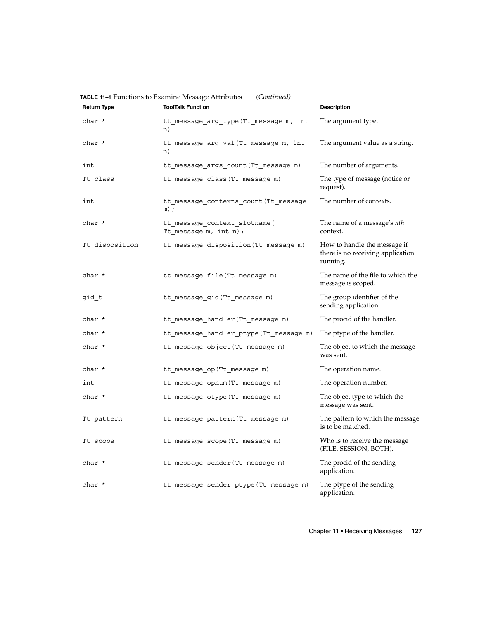**TABLE 11–1** Functions to Examine Message Attributes *(Continued)*

| <b>Return Type</b> | <b>ToolTalk Function</b>                                   | <b>Description</b>                                                            |
|--------------------|------------------------------------------------------------|-------------------------------------------------------------------------------|
| char *             | tt_message_arg_type(Tt_message m, int<br>n)                | The argument type.                                                            |
| char *             | tt_message_arg_val(Tt_message m, int<br>n)                 | The argument value as a string.                                               |
| int                | tt message args count (Tt message m)                       | The number of arguments.                                                      |
| Tt_class           | tt message class (Tt message m)                            | The type of message (notice or<br>request).                                   |
| int                | tt_message_contexts_count(Tt_message<br>$m)$ ;             | The number of contexts.                                                       |
| char *             | tt_message_context_slotname(<br>Tt message $m$ , int $n$ ; | The name of a message's nth<br>context.                                       |
| Tt disposition     | tt message disposition (Tt message m)                      | How to handle the message if<br>there is no receiving application<br>running. |
| char *             | tt_message_file(Tt_message m)                              | The name of the file to which the<br>message is scoped.                       |
| gid_t              | tt_message_gid(Tt_message m)                               | The group identifier of the<br>sending application.                           |
| char *             | tt message handler (Tt message m)                          | The procid of the handler.                                                    |
| char *             | tt_message_handler_ptype(Tt_message m)                     | The ptype of the handler.                                                     |
| char *             | tt message object (Tt message m)                           | The object to which the message<br>was sent.                                  |
| char *             | tt_message_op(Tt_message m)                                | The operation name.                                                           |
| int                | tt message opnum (Tt message m)                            | The operation number.                                                         |
| char *             | tt_message_otype(Tt_message m)                             | The object type to which the<br>message was sent.                             |
| Tt pattern         | tt message pattern (Tt message m)                          | The pattern to which the message<br>is to be matched.                         |
| Tt scope           | tt message scope (Tt message m)                            | Who is to receive the message<br>(FILE, SESSION, BOTH).                       |
| char *             | tt_message_sender(Tt_message m)                            | The procid of the sending<br>application.                                     |
| char *             | tt message sender ptype (Tt message m)                     | The ptype of the sending<br>application.                                      |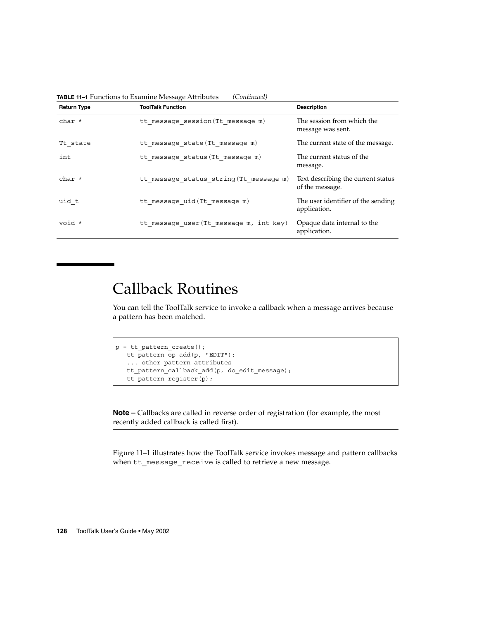| <b>Return Type</b> | <b>ToolTalk Function</b>                | <b>Description</b>                                    |
|--------------------|-----------------------------------------|-------------------------------------------------------|
| char *             | tt message session (Tt message m)       | The session from which the<br>message was sent.       |
| Tt state           | tt message state (Tt message m)         | The current state of the message.                     |
| int                | tt message status (Tt message m)        | The current status of the<br>message.                 |
| $char *$           | tt_message_status_string(Tt_message m)  | Text describing the current status<br>of the message. |
| uid t              | tt message uid (Tt message m)           | The user identifier of the sending<br>application.    |
| void *             | tt message user (Tt message m, int key) | Opaque data internal to the<br>application.           |

**TABLE 11–1** Functions to Examine Message Attributes *(Continued)*

# Callback Routines

You can tell the ToolTalk service to invoke a callback when a message arrives because a pattern has been matched.

```
p = tt_pattern_create();
  tt_pattern_op_add(p, "EDIT");
   ... other pattern attributes
   tt_pattern_callback_add(p, do_edit_message);
   tt_pattern_register(p);
```
**Note –** Callbacks are called in reverse order of registration (for example, the most recently added callback is called first).

Figure 11–1 illustrates how the ToolTalk service invokes message and pattern callbacks when tt message receive is called to retrieve a new message.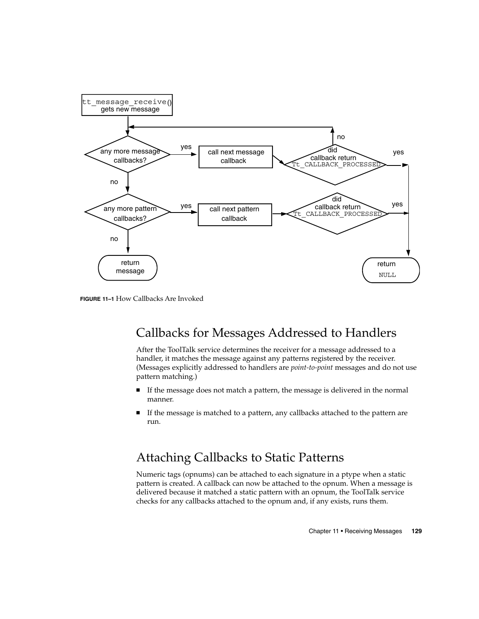

**FIGURE 11–1** How Callbacks Are Invoked

## Callbacks for Messages Addressed to Handlers

After the ToolTalk service determines the receiver for a message addressed to a handler, it matches the message against any patterns registered by the receiver. (Messages explicitly addressed to handlers are *point-to-point* messages and do not use pattern matching.)

- If the message does not match a pattern, the message is delivered in the normal manner.
- If the message is matched to a pattern, any callbacks attached to the pattern are run.

## Attaching Callbacks to Static Patterns

Numeric tags (opnums) can be attached to each signature in a ptype when a static pattern is created. A callback can now be attached to the opnum. When a message is delivered because it matched a static pattern with an opnum, the ToolTalk service checks for any callbacks attached to the opnum and, if any exists, runs them.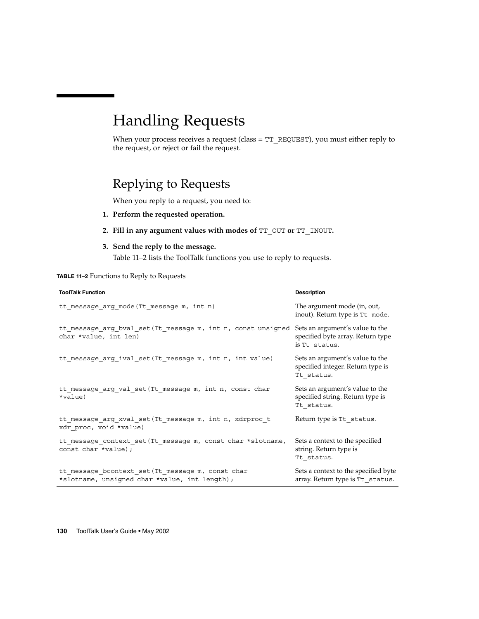# Handling Requests

When your process receives a request (class = TT\_REQUEST), you must either reply to the request, or reject or fail the request.

## Replying to Requests

When you reply to a request, you need to:

- **1. Perform the requested operation.**
- **2. Fill in any argument values with modes of** TT\_OUT **or** TT\_INOUT**.**
- **3. Send the reply to the message.**

Table 11–2 lists the ToolTalk functions you use to reply to requests.

#### **TABLE 11–2** Functions to Reply to Requests

| <b>ToolTalk Function</b>                                                                                             | <b>Description</b>                                                                 |
|----------------------------------------------------------------------------------------------------------------------|------------------------------------------------------------------------------------|
| tt_message_arg_mode(Tt_message m, int n)                                                                             | The argument mode (in, out,<br>inout). Return type is Tt mode.                     |
| tt_message_arg_bval_set(Tt_message m, int n, const unsigned Sets an argument's value to the<br>char *value, int len) | specified byte array. Return type<br>is Tt status.                                 |
| tt message arg ival set (Tt message m, int n, int value)                                                             | Sets an argument's value to the<br>specified integer. Return type is<br>Tt status. |
| tt message arg val set (Tt message m, int n, const char<br>*value)                                                   | Sets an argument's value to the<br>specified string. Return type is<br>Tt status.  |
| tt_message_arg_xval_set(Tt_message m, int n, xdrproc_t<br>xdr proc, void *value)                                     | Return type is Tt status.                                                          |
| tt_message_context_set(Tt_message m, const char *slotname,<br>const char *value);                                    | Sets a context to the specified<br>string. Return type is<br>Tt status.            |
| tt message bcontext set (Tt message m, const char<br>*slotname, unsigned char *value, int length);                   | Sets a context to the specified byte<br>array. Return type is Tt status.           |

**130** ToolTalk User's Guide • May 2002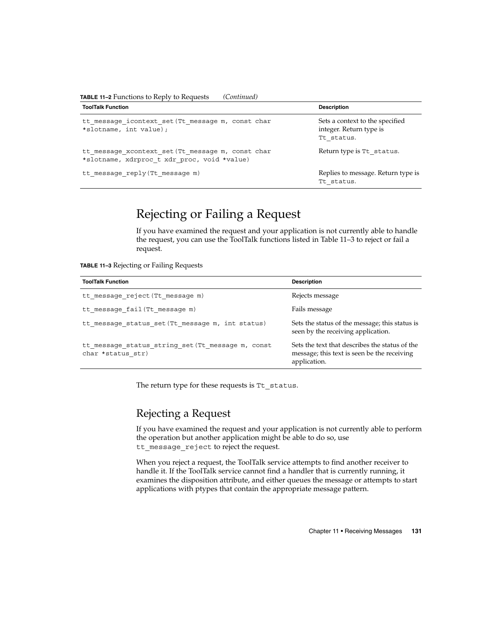| (Continued)<br><b>TABLE 11-2</b> Functions to Reply to Requests                                  |                                                                          |  |
|--------------------------------------------------------------------------------------------------|--------------------------------------------------------------------------|--|
| <b>ToolTalk Function</b>                                                                         | <b>Description</b>                                                       |  |
| tt message icontext set (Tt message m, const char<br>*slotname, int value);                      | Sets a context to the specified<br>integer. Return type is<br>Tt status. |  |
| tt message xcontext set (Tt message m, const char<br>*slotname, xdrproc t xdr proc, void *value) | Return type is Tt status.                                                |  |
| tt message reply (Tt message m)                                                                  | Replies to message. Return type is<br>Tt status.                         |  |

## Rejecting or Failing a Request

If you have examined the request and your application is not currently able to handle the request, you can use the ToolTalk functions listed in Table 11–3 to reject or fail a request.

**TABLE 11–3** Rejecting or Failing Requests

| <b>ToolTalk Function</b>                                               | <b>Description</b>                                                                                            |
|------------------------------------------------------------------------|---------------------------------------------------------------------------------------------------------------|
| tt message reject (Tt message m)                                       | Rejects message                                                                                               |
| tt message fail (Tt message m)                                         | Fails message                                                                                                 |
| tt message status set (Tt message m, int status)                       | Sets the status of the message; this status is<br>seen by the receiving application.                          |
| tt message status string set (Tt message m, const<br>char *status str) | Sets the text that describes the status of the<br>message; this text is seen be the receiving<br>application. |

The return type for these requests is Tt\_status.

### Rejecting a Request

If you have examined the request and your application is not currently able to perform the operation but another application might be able to do so, use tt\_message\_reject to reject the request.

When you reject a request, the ToolTalk service attempts to find another receiver to handle it. If the ToolTalk service cannot find a handler that is currently running, it examines the disposition attribute, and either queues the message or attempts to start applications with ptypes that contain the appropriate message pattern.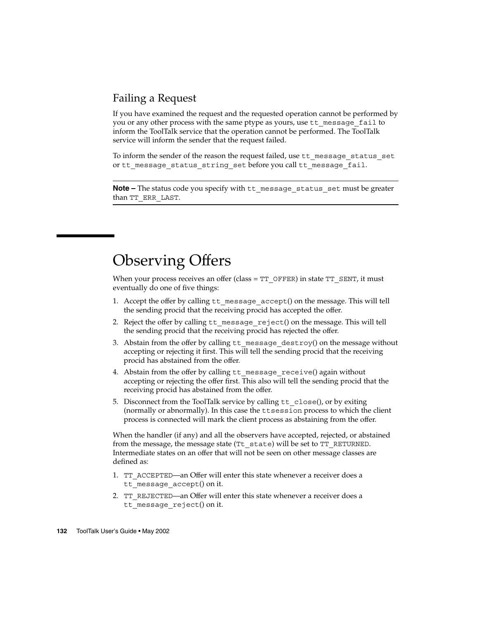### Failing a Request

If you have examined the request and the requested operation cannot be performed by you or any other process with the same ptype as yours, use tt message fail to inform the ToolTalk service that the operation cannot be performed. The ToolTalk service will inform the sender that the request failed.

To inform the sender of the reason the request failed, use tt\_message\_status\_set or tt message status string set before you call tt message fail.

**Note –** The status code you specify with tt\_message\_status\_set must be greater than TT\_ERR\_LAST.

## Observing Offers

When your process receives an offer (class = TT\_OFFER) in state TT\_SENT, it must eventually do one of five things:

- 1. Accept the offer by calling tt\_message\_accept() on the message. This will tell the sending procid that the receiving procid has accepted the offer.
- 2. Reject the offer by calling tt message reject() on the message. This will tell the sending procid that the receiving procid has rejected the offer.
- 3. Abstain from the offer by calling tt\_message\_destroy() on the message without accepting or rejecting it first. This will tell the sending procid that the receiving procid has abstained from the offer.
- 4. Abstain from the offer by calling tt\_message\_receive() again without accepting or rejecting the offer first. This also will tell the sending procid that the receiving procid has abstained from the offer.
- 5. Disconnect from the ToolTalk service by calling tt\_close(), or by exiting (normally or abnormally). In this case the ttsession process to which the client process is connected will mark the client process as abstaining from the offer.

When the handler (if any) and all the observers have accepted, rejected, or abstained from the message, the message state (Tt\_state) will be set to TT\_RETURNED. Intermediate states on an offer that will not be seen on other message classes are defined as:

- 1. TT\_ACCEPTED—an Offer will enter this state whenever a receiver does a tt message accept() on it.
- 2. TT\_REJECTED—an Offer will enter this state whenever a receiver does a tt message reject() on it.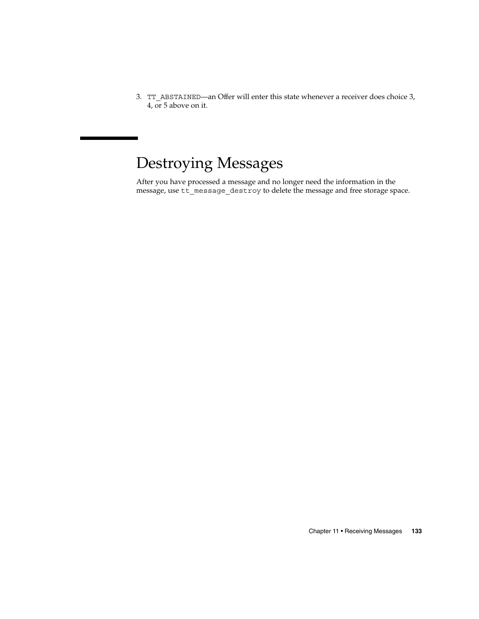3. TT\_ABSTAINED—an Offer will enter this state whenever a receiver does choice 3, 4, or 5 above on it.

# Destroying Messages

After you have processed a message and no longer need the information in the message, use tt message destroy to delete the message and free storage space.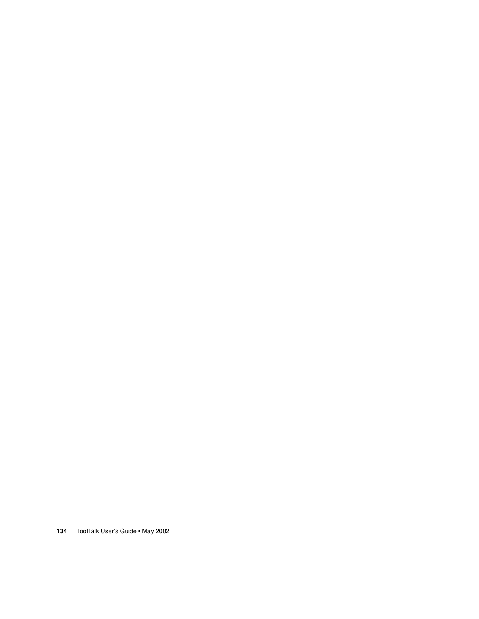ToolTalk User's Guide • May 2002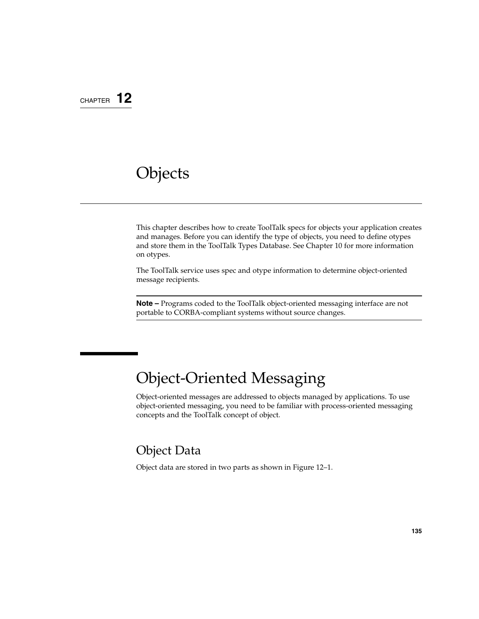## CHAPTER **12**

## **Objects**

This chapter describes how to create ToolTalk specs for objects your application creates and manages. Before you can identify the type of objects, you need to define otypes and store them in the ToolTalk Types Database. See Chapter 10 for more information on otypes.

The ToolTalk service uses spec and otype information to determine object-oriented message recipients.

**Note –** Programs coded to the ToolTalk object-oriented messaging interface are not portable to CORBA-compliant systems without source changes.

## Object-Oriented Messaging

Object-oriented messages are addressed to objects managed by applications. To use object-oriented messaging, you need to be familiar with process-oriented messaging concepts and the ToolTalk concept of object.

### Object Data

Object data are stored in two parts as shown in Figure 12–1.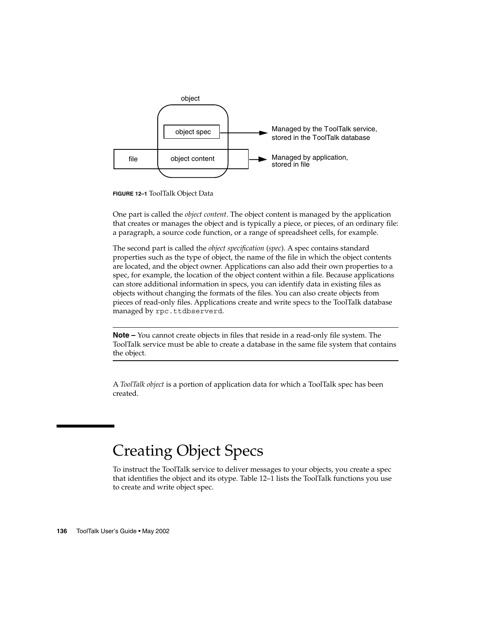

**FIGURE 12–1** ToolTalk Object Data

One part is called the *object content*. The object content is managed by the application that creates or manages the object and is typically a piece, or pieces, of an ordinary file: a paragraph, a source code function, or a range of spreadsheet cells, for example.

The second part is called the *object specification* (*spec*). A spec contains standard properties such as the type of object, the name of the file in which the object contents are located, and the object owner. Applications can also add their own properties to a spec, for example, the location of the object content within a file. Because applications can store additional information in specs, you can identify data in existing files as objects without changing the formats of the files. You can also create objects from pieces of read-only files. Applications create and write specs to the ToolTalk database managed by rpc.ttdbserverd.

**Note –** You cannot create objects in files that reside in a read-only file system. The ToolTalk service must be able to create a database in the same file system that contains the object.

A *ToolTalk object* is a portion of application data for which a ToolTalk spec has been created.

# Creating Object Specs

To instruct the ToolTalk service to deliver messages to your objects, you create a spec that identifies the object and its otype. Table 12–1 lists the ToolTalk functions you use to create and write object spec.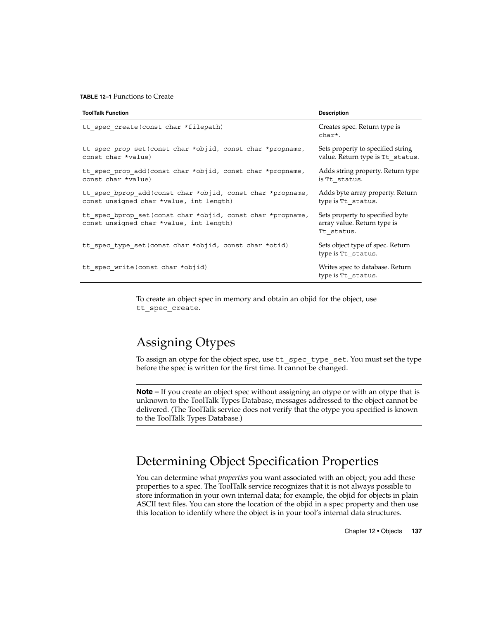**TABLE 12–1** Functions to Create

| <b>ToolTalk Function</b>                                                                               | <b>Description</b>                                                           |
|--------------------------------------------------------------------------------------------------------|------------------------------------------------------------------------------|
| tt spec create (const char *filepath)                                                                  | Creates spec. Return type is<br>char*.                                       |
| tt spec prop set (const char *objid, const char *propname,<br>const char *value)                       | Sets property to specified string<br>value. Return type is Tt status.        |
| tt spec prop add (const char *objid, const char *propname,<br>const char *value)                       | Adds string property. Return type<br>is Tt status.                           |
| tt spec bprop add (const char *objid, const char *propname,<br>const unsigned char *value, int length) | Adds byte array property. Return<br>type is Tt status.                       |
| tt spec bprop set (const char *objid, const char *propname,<br>const unsigned char *value, int length) | Sets property to specified byte<br>array value. Return type is<br>Tt status. |
| tt spec type set (const char *objid, const char *otid)                                                 | Sets object type of spec. Return<br>type is Tt status.                       |
| tt spec write (const char *objid)                                                                      | Writes spec to database. Return<br>type is Tt status.                        |

To create an object spec in memory and obtain an objid for the object, use tt\_spec\_create.

### Assigning Otypes

To assign an otype for the object spec, use tt\_spec\_type\_set. You must set the type before the spec is written for the first time. It cannot be changed.

**Note –** If you create an object spec without assigning an otype or with an otype that is unknown to the ToolTalk Types Database, messages addressed to the object cannot be delivered. (The ToolTalk service does not verify that the otype you specified is known to the ToolTalk Types Database.)

### Determining Object Specification Properties

You can determine what *properties* you want associated with an object; you add these properties to a spec. The ToolTalk service recognizes that it is not always possible to store information in your own internal data; for example, the objid for objects in plain ASCII text files. You can store the location of the objid in a spec property and then use this location to identify where the object is in your tool's internal data structures.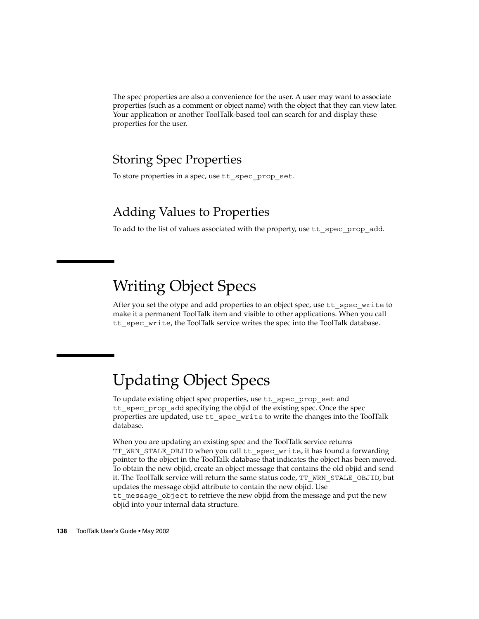The spec properties are also a convenience for the user. A user may want to associate properties (such as a comment or object name) with the object that they can view later. Your application or another ToolTalk-based tool can search for and display these properties for the user.

### Storing Spec Properties

To store properties in a spec, use tt\_spec\_prop\_set.

### Adding Values to Properties

To add to the list of values associated with the property, use tt\_spec\_prop\_add.

# Writing Object Specs

After you set the otype and add properties to an object spec, use tt spec write to make it a permanent ToolTalk item and visible to other applications. When you call tt spec write, the ToolTalk service writes the spec into the ToolTalk database.

# Updating Object Specs

To update existing object spec properties, use tt\_spec\_prop\_set and tt spec prop add specifying the objid of the existing spec. Once the spec properties are updated, use tt spec write to write the changes into the ToolTalk database.

When you are updating an existing spec and the ToolTalk service returns TT\_WRN\_STALE\_OBJID when you call tt\_spec\_write, it has found a forwarding pointer to the object in the ToolTalk database that indicates the object has been moved. To obtain the new objid, create an object message that contains the old objid and send it. The ToolTalk service will return the same status code, TT\_WRN\_STALE\_OBJID, but updates the message objid attribute to contain the new objid. Use tt message object to retrieve the new objid from the message and put the new objid into your internal data structure.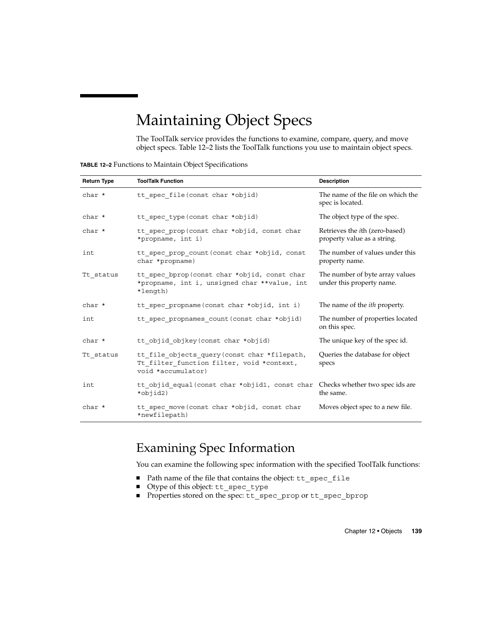# Maintaining Object Specs

The ToolTalk service provides the functions to examine, compare, query, and move object specs. Table 12–2 lists the ToolTalk functions you use to maintain object specs.

| <b>Return Type</b> | <b>ToolTalk Function</b>                                                                                        | <b>Description</b>                                                    |
|--------------------|-----------------------------------------------------------------------------------------------------------------|-----------------------------------------------------------------------|
| char *             | tt spec file (const char *objid)                                                                                | The name of the file on which the<br>spec is located.                 |
| $char *$           | tt spec type (const char *objid)                                                                                | The object type of the spec.                                          |
| $char *$           | tt spec prop(const char *objid, const char<br>*propname, int i)                                                 | Retrieves the <i>i</i> th (zero-based)<br>property value as a string. |
| int                | tt spec prop count (const char *objid, const<br>char *propname)                                                 | The number of values under this<br>property name.                     |
| Tt status          | tt spec bprop (const char *objid, const char<br>*propname, int i, unsigned char **value, int<br>*length)        | The number of byte array values<br>under this property name.          |
| $char *$           | tt spec propname (const char *objid, int i)                                                                     | The name of the <i>ith</i> property.                                  |
| int                | tt spec propnames count (const char *objid)                                                                     | The number of properties located<br>on this spec.                     |
| $char *$           | tt objid objkey (const char *objid)                                                                             | The unique key of the spec id.                                        |
| Tt status          | tt file objects query (const char *filepath,<br>Tt filter function filter, void *context,<br>void *accumulator) | Queries the database for object<br>specs                              |
| int                | tt objid equal (const char *objid1, const char Checks whether two specids are<br>*objid2)                       | the same.                                                             |
| $char *$           | tt spec move (const char *objid, const char<br>*newfilepath)                                                    | Moves object spec to a new file.                                      |

**TABLE 12–2** Functions to Maintain Object Specifications

## Examining Spec Information

You can examine the following spec information with the specified ToolTalk functions:

- Path name of the file that contains the object: tt\_spec\_file
- Otype of this object: tt\_spec\_type
- Properties stored on the spec: tt\_spec\_prop or tt\_spec\_bprop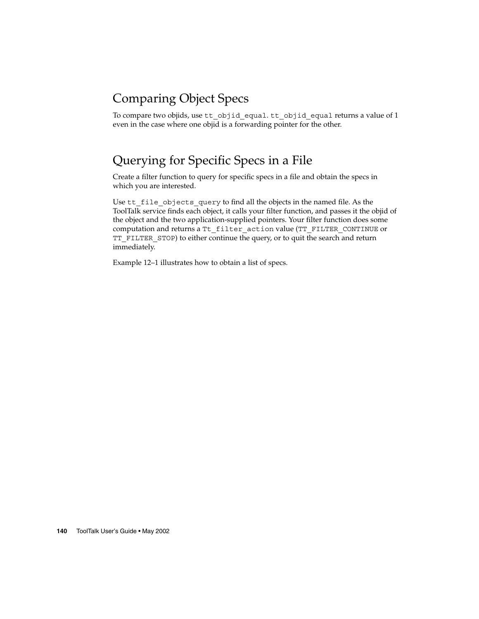## Comparing Object Specs

To compare two objids, use tt\_objid\_equal. tt\_objid\_equal returns a value of 1 even in the case where one objid is a forwarding pointer for the other.

## Querying for Specific Specs in a File

Create a filter function to query for specific specs in a file and obtain the specs in which you are interested.

Use tt\_file\_objects\_query to find all the objects in the named file. As the ToolTalk service finds each object, it calls your filter function, and passes it the objid of the object and the two application-supplied pointers. Your filter function does some computation and returns a Tt\_filter\_action value (TT\_FILTER\_CONTINUE or TT\_FILTER\_STOP) to either continue the query, or to quit the search and return immediately.

Example 12–1 illustrates how to obtain a list of specs.

**140** ToolTalk User's Guide • May 2002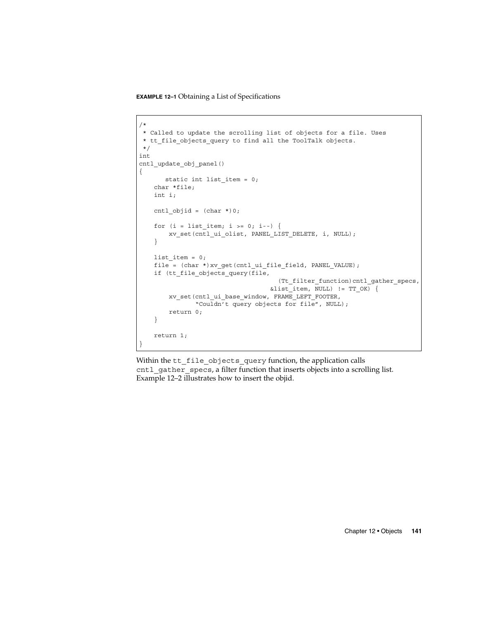**EXAMPLE 12–1** Obtaining a List of Specifications

```
/*
* Called to update the scrolling list of objects for a file. Uses
* tt file objects query to find all the ToolTalk objects.
*/
int
cntl_update_obj_panel()
{
      static int list item = 0;
   char *file;
   int i;
   cntl_objid = (char *)0;for (i = list\_item; i >= 0; i--) {
       xv_set(cntl_ui_olist, PANEL_LIST_DELETE, i, NULL);
   }
   list_item = 0;
   file = (char *)xv_get(cntl_ui_file_field, PANEL_VALUE);
   if (tt_file_objects_query(file,
                                     (Tt_filter_function)cntl_gather_specs,
                                   &list_item, NULL) != TT_OK) {
       xv_set(cntl_ui_base_window, FRAME_LEFT_FOOTER,
             "Couldn't query objects for file", NULL);
       return 0;
   }
   return 1;
}
```
Within the tt\_file\_objects\_query function, the application calls cntl gather specs, a filter function that inserts objects into a scrolling list. Example 12–2 illustrates how to insert the objid.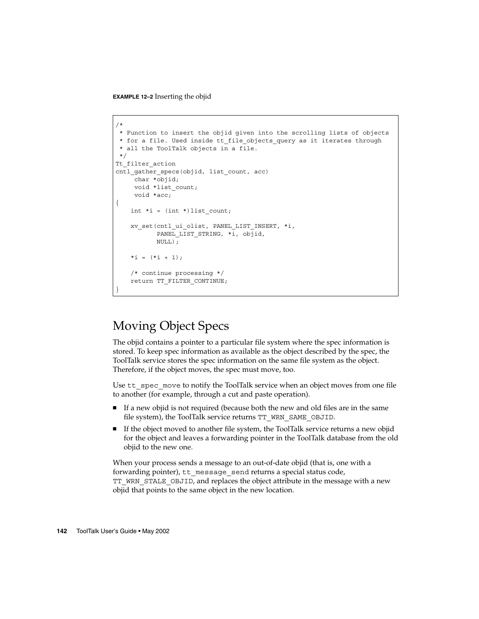**EXAMPLE 12–2** Inserting the objid

```
/*
* Function to insert the objid given into the scrolling lists of objects
* for a file. Used inside tt_file_objects_query as it iterates through
* all the ToolTalk objects in a file.
*/
Tt_filter_action
cntl_gather_specs(objid, list_count, acc)
    char *objid;
    void *list_count;
    void *acc;
{
   int *i = (int *) list count;
   xv_set(cntl_ui_olist, PANEL_LIST_INSERT, *i,
          PANEL_LIST_STRING, *i, objid,
          NULL);
   *i = (*i + 1);/* continue processing */
   return TT_FILTER_CONTINUE;
}
```
## Moving Object Specs

The objid contains a pointer to a particular file system where the spec information is stored. To keep spec information as available as the object described by the spec, the ToolTalk service stores the spec information on the same file system as the object. Therefore, if the object moves, the spec must move, too.

Use tt spec move to notify the ToolTalk service when an object moves from one file to another (for example, through a cut and paste operation).

- If a new objid is not required (because both the new and old files are in the same file system), the ToolTalk service returns TT\_WRN\_SAME\_OBJID.
- If the object moved to another file system, the ToolTalk service returns a new objid for the object and leaves a forwarding pointer in the ToolTalk database from the old objid to the new one.

When your process sends a message to an out-of-date objid (that is, one with a forwarding pointer), tt\_message\_send returns a special status code, TT\_WRN\_STALE\_OBJID, and replaces the object attribute in the message with a new objid that points to the same object in the new location.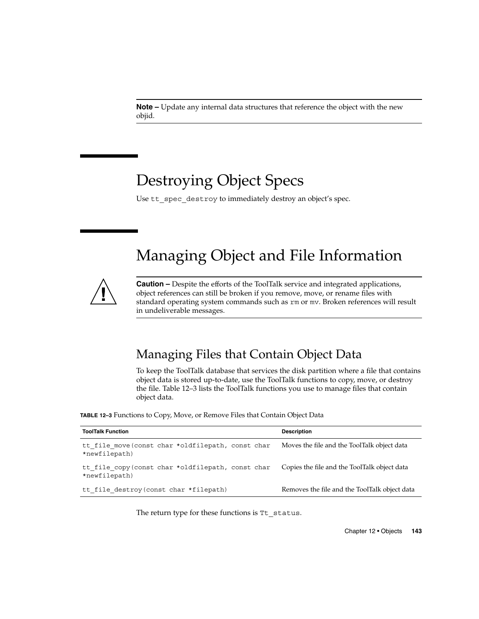**Note –** Update any internal data structures that reference the object with the new objid.

## Destroying Object Specs

Use tt spec destroy to immediately destroy an object's spec.

# Managing Object and File Information



**Caution –** Despite the efforts of the ToolTalk service and integrated applications, object references can still be broken if you remove, move, or rename files with standard operating system commands such as rm or mv. Broken references will result in undeliverable messages.

### Managing Files that Contain Object Data

To keep the ToolTalk database that services the disk partition where a file that contains object data is stored up-to-date, use the ToolTalk functions to copy, move, or destroy the file. Table 12–3 lists the ToolTalk functions you use to manage files that contain object data.

**TABLE 12–3** Functions to Copy, Move, or Remove Files that Contain Object Data

| <b>ToolTalk Function</b>                                           | <b>Description</b>                            |
|--------------------------------------------------------------------|-----------------------------------------------|
| tt file move (const char *oldfilepath, const char<br>*newfilepath) | Moves the file and the ToolTalk object data   |
| tt file copy (const char *oldfilepath, const char<br>*newfilepath) | Copies the file and the ToolTalk object data  |
| tt file destroy (const char *filepath)                             | Removes the file and the ToolTalk object data |

The return type for these functions is Tt status.

Chapter 12 • Objects **143**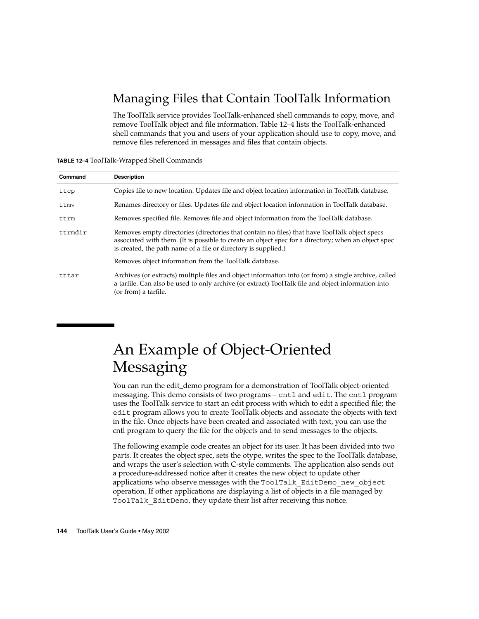## Managing Files that Contain ToolTalk Information

The ToolTalk service provides ToolTalk-enhanced shell commands to copy, move, and remove ToolTalk object and file information. Table 12–4 lists the ToolTalk-enhanced shell commands that you and users of your application should use to copy, move, and remove files referenced in messages and files that contain objects.

**TABLE 12–4** ToolTalk-Wrapped Shell Commands

| Command | <b>Description</b>                                                                                                                                                                                                                                                     |
|---------|------------------------------------------------------------------------------------------------------------------------------------------------------------------------------------------------------------------------------------------------------------------------|
| ttcp    | Copies file to new location. Updates file and object location information in ToolTalk database.                                                                                                                                                                        |
| ttmv    | Renames directory or files. Updates file and object location information in ToolTalk database.                                                                                                                                                                         |
| ttrm    | Removes specified file. Removes file and object information from the ToolTalk database.                                                                                                                                                                                |
| ttrmdir | Removes empty directories (directories that contain no files) that have ToolTalk object specs<br>associated with them. (It is possible to create an object spec for a directory; when an object spec<br>is created, the path name of a file or directory is supplied.) |
|         | Removes object information from the ToolTalk database.                                                                                                                                                                                                                 |
| tttar   | Archives (or extracts) multiple files and object information into (or from) a single archive, called<br>a tarfile. Can also be used to only archive (or extract) ToolTalk file and object information into<br>(or from) a tarfile.                                     |

# An Example of Object-Oriented Messaging

You can run the edit\_demo program for a demonstration of ToolTalk object-oriented messaging. This demo consists of two programs – cntl and edit. The cntl program uses the ToolTalk service to start an edit process with which to edit a specified file; the edit program allows you to create ToolTalk objects and associate the objects with text in the file. Once objects have been created and associated with text, you can use the cntl program to query the file for the objects and to send messages to the objects.

The following example code creates an object for its user. It has been divided into two parts. It creates the object spec, sets the otype, writes the spec to the ToolTalk database, and wraps the user's selection with C-style comments. The application also sends out a procedure-addressed notice after it creates the new object to update other applications who observe messages with the ToolTalk\_EditDemo\_new\_object operation. If other applications are displaying a list of objects in a file managed by ToolTalk\_EditDemo, they update their list after receiving this notice.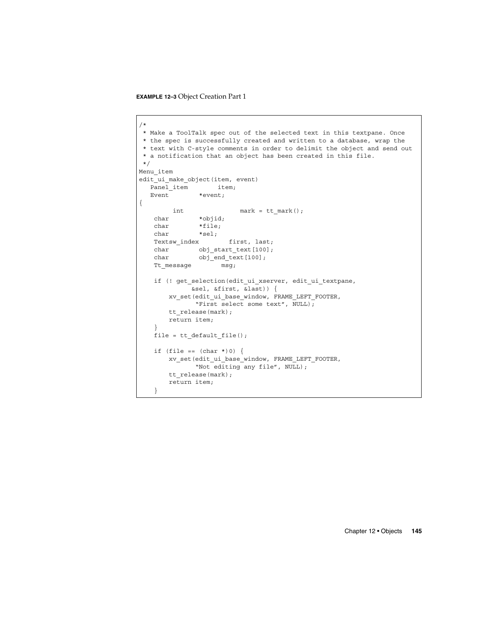#### **EXAMPLE 12–3** Object Creation Part 1

```
/*
* Make a ToolTalk spec out of the selected text in this textpane. Once
* the spec is successfully created and written to a database, wrap the
* text with C-style comments in order to delimit the object and send out
* a notification that an object has been created in this file.
*/
Menu_item
edit ui make object(item, event)
  Panel item item;
  Event *event;
{
       int mark = tt_mark();
   char *objid;
   char *file;
   char *sel;
   Textsw index first, last;
   char obj_start_text[100];
   char obj_end_text[100];
   Tt_message msg;
   if (! get selection(edit ui xserver, edit ui textpane,
            &sel, &first, &last)) {
       xv_set(edit_ui_base_window, FRAME_LEFT_FOOTER,
             "First select some text", NULL);
       tt_release(mark);
       return item;
   }
   file = tt_default_file();
   if (file == (char \star)0) {
       xv_set(edit_ui_base_window, FRAME_LEFT_FOOTER,
             "Not editing any file", NULL);
       tt_release(mark);
       return item;
   }
```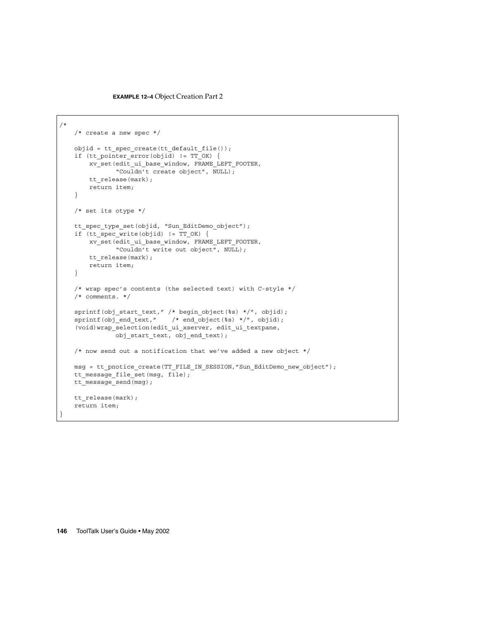**EXAMPLE 12–4** Object Creation Part 2

```
/*
   /* create a new spec */
   objid = tt spec create(tt default file());
   if (tt_pointer_error(objid) != TT_OK) {
       xv_set(edit_ui_base_window, FRAME_LEFT_FOOTER,
              "Couldn't create object", NULL);
       tt release(mark);
       return item;
   }
   /* set its otype */
   tt_spec_type_set(objid, "Sun_EditDemo_object");
   if (tt_spec_write(objid) != TT_OK) {
       xv_set(edit_ui_base_window, FRAME_LEFT_FOOTER,
              "Couldn't write out object", NULL);
       tt_release(mark);
       return item;
   }
   /* wrap spec's contents (the selected text) with C-style */
   /* comments. */
    sprintf(obj start text," /* begin object(%s) */", objid);
    sprintf(obj end text," /* end object(%s) */", objid);
   (void)wrap_selection(edit_ui_xserver, edit_ui_textpane,
              obj_start_text, obj_end_text);
   /* now send out a notification that we've added a new object */msg = tt pnotice create(TT_FILE_IN_SESSION,"Sun_EditDemo_new_object");
   tt_message_file_set(msg, file);
   tt_message_send(msg);
   tt release(mark);
   return item;
}
```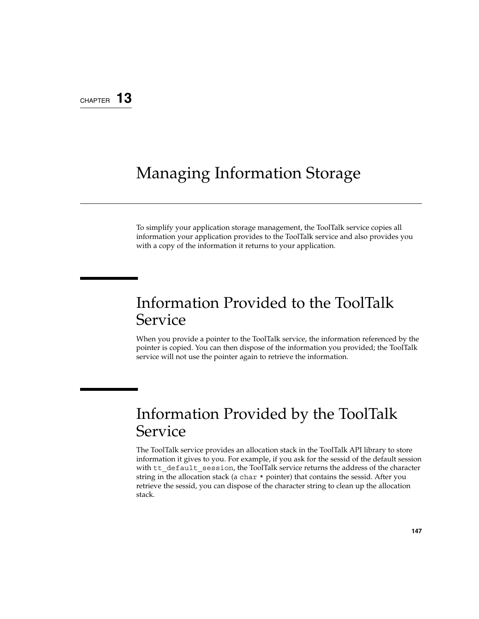#### CHAPTER **13**

## Managing Information Storage

To simplify your application storage management, the ToolTalk service copies all information your application provides to the ToolTalk service and also provides you with a copy of the information it returns to your application.

# Information Provided to the ToolTalk Service

When you provide a pointer to the ToolTalk service, the information referenced by the pointer is copied. You can then dispose of the information you provided; the ToolTalk service will not use the pointer again to retrieve the information.

## Information Provided by the ToolTalk Service

The ToolTalk service provides an allocation stack in the ToolTalk API library to store information it gives to you. For example, if you ask for the sessid of the default session with tt default session, the ToolTalk service returns the address of the character string in the allocation stack (a char \* pointer) that contains the sessid. After you retrieve the sessid, you can dispose of the character string to clean up the allocation stack.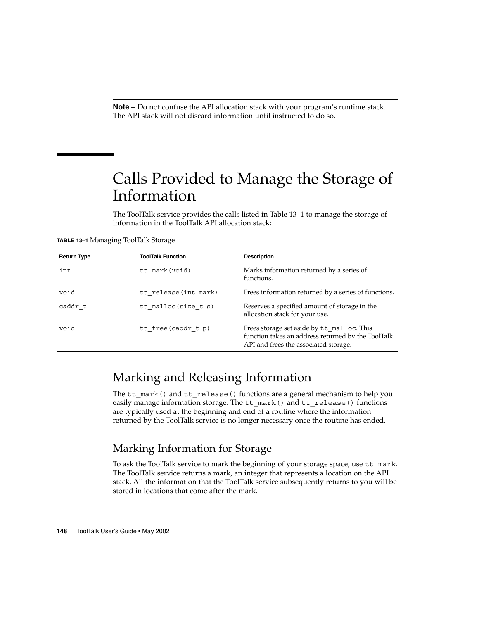**Note –** Do not confuse the API allocation stack with your program's runtime stack. The API stack will not discard information until instructed to do so.

# Calls Provided to Manage the Storage of Information

The ToolTalk service provides the calls listed in Table 13–1 to manage the storage of information in the ToolTalk API allocation stack:

**TABLE 13–1** Managing ToolTalk Storage

| <b>Return Type</b> | <b>ToolTalk Function</b> | <b>Description</b>                                                                                                                        |
|--------------------|--------------------------|-------------------------------------------------------------------------------------------------------------------------------------------|
| int                | tt mark (void)           | Marks information returned by a series of<br>functions.                                                                                   |
| void               | tt release(int mark)     | Frees information returned by a series of functions.                                                                                      |
| caddr t            | $tt$ malloc(size $t$ s)  | Reserves a specified amount of storage in the<br>allocation stack for your use.                                                           |
| void               | tt free (caddr t p)      | Frees storage set aside by tt malloc. This<br>function takes an address returned by the ToolTalk<br>API and frees the associated storage. |

#### Marking and Releasing Information

The tt mark() and tt release() functions are a general mechanism to help you easily manage information storage. The tt\_mark() and tt\_release() functions are typically used at the beginning and end of a routine where the information returned by the ToolTalk service is no longer necessary once the routine has ended.

#### Marking Information for Storage

To ask the ToolTalk service to mark the beginning of your storage space, use tt\_mark. The ToolTalk service returns a mark, an integer that represents a location on the API stack. All the information that the ToolTalk service subsequently returns to you will be stored in locations that come after the mark.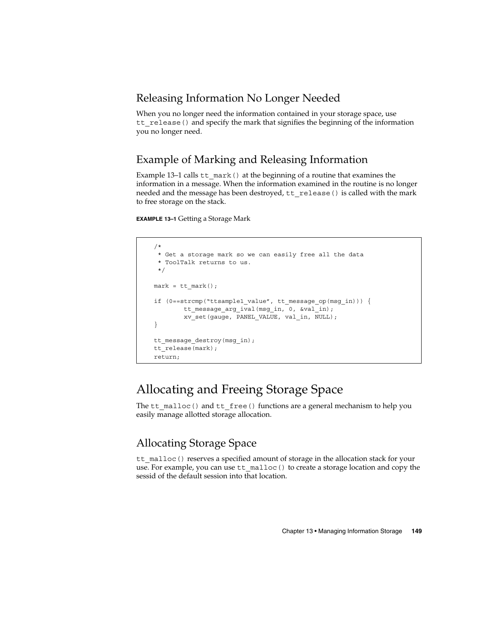#### Releasing Information No Longer Needed

When you no longer need the information contained in your storage space, use tt\_release() and specify the mark that signifies the beginning of the information you no longer need.

#### Example of Marking and Releasing Information

Example 13–1 calls tt\_mark() at the beginning of a routine that examines the information in a message. When the information examined in the routine is no longer needed and the message has been destroyed, tt\_release() is called with the mark to free storage on the stack.

**EXAMPLE 13–1** Getting a Storage Mark

```
/*
* Get a storage mark so we can easily free all the data
 * ToolTalk returns to us.
 */
mark = tt_max();
if (0==strcmp("ttsample1 value", tt message op(msg_in))) {
        tt_message_arg_ival(msg_in, 0, &val_in);
        xv_set(gauge, PANEL_VALUE, val_in, NULL);
}
tt message destroy(msg_in);
tt release(mark);
return;
```
#### Allocating and Freeing Storage Space

The tt malloc() and tt free() functions are a general mechanism to help you easily manage allotted storage allocation.

#### Allocating Storage Space

tt malloc() reserves a specified amount of storage in the allocation stack for your use. For example, you can use tt\_malloc() to create a storage location and copy the sessid of the default session into that location.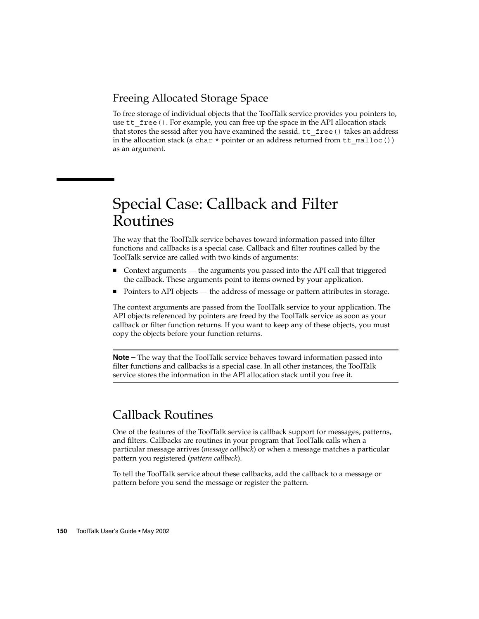#### Freeing Allocated Storage Space

To free storage of individual objects that the ToolTalk service provides you pointers to, use tt free(). For example, you can free up the space in the API allocation stack that stores the sessid after you have examined the sessid.  $tt$  free() takes an address in the allocation stack (a char \* pointer or an address returned from tt\_malloc()) as an argument.

# Special Case: Callback and Filter Routines

The way that the ToolTalk service behaves toward information passed into filter functions and callbacks is a special case. Callback and filter routines called by the ToolTalk service are called with two kinds of arguments:

- Context arguments the arguments you passed into the API call that triggered the callback. These arguments point to items owned by your application.
- Pointers to API objects the address of message or pattern attributes in storage.

The context arguments are passed from the ToolTalk service to your application. The API objects referenced by pointers are freed by the ToolTalk service as soon as your callback or filter function returns. If you want to keep any of these objects, you must copy the objects before your function returns.

**Note –** The way that the ToolTalk service behaves toward information passed into filter functions and callbacks is a special case. In all other instances, the ToolTalk service stores the information in the API allocation stack until you free it.

#### Callback Routines

One of the features of the ToolTalk service is callback support for messages, patterns, and filters. Callbacks are routines in your program that ToolTalk calls when a particular message arrives (*message callback*) or when a message matches a particular pattern you registered (*pattern callback*).

To tell the ToolTalk service about these callbacks, add the callback to a message or pattern before you send the message or register the pattern.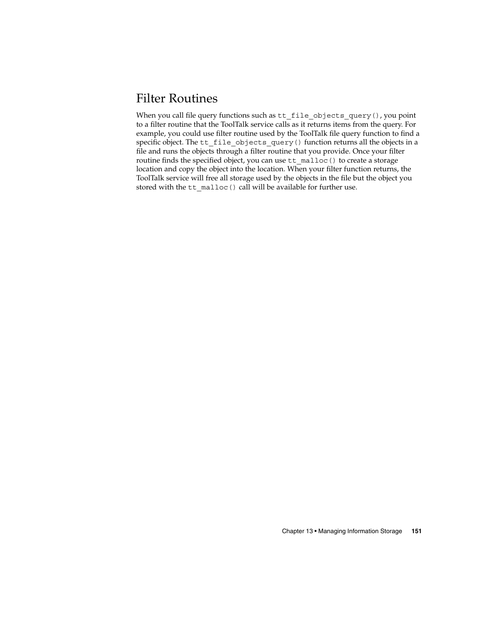#### Filter Routines

When you call file query functions such as tt\_file\_objects\_query(), you point to a filter routine that the ToolTalk service calls as it returns items from the query. For example, you could use filter routine used by the ToolTalk file query function to find a specific object. The tt file objects query () function returns all the objects in a file and runs the objects through a filter routine that you provide. Once your filter routine finds the specified object, you can use tt malloc() to create a storage location and copy the object into the location. When your filter function returns, the ToolTalk service will free all storage used by the objects in the file but the object you stored with the tt malloc() call will be available for further use.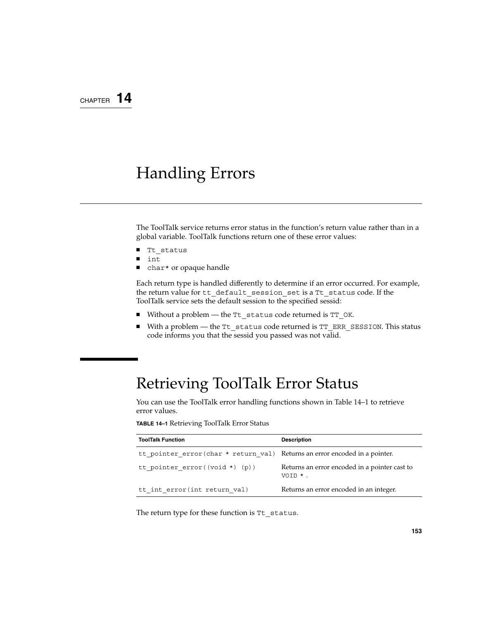### CHAPTER **14**

# Handling Errors

The ToolTalk service returns error status in the function's return value rather than in a global variable. ToolTalk functions return one of these error values:

- Tt\_status
- int
- char\* or opaque handle

Each return type is handled differently to determine if an error occurred. For example, the return value for tt\_default\_session\_set is a Tt\_status code. If the ToolTalk service sets the default session to the specified sessid:

- Without a problem the Tt status code returned is TT OK.
- With a problem the Tt\_status code returned is TT\_ERR\_SESSION. This status code informs you that the sessid you passed was not valid.

## Retrieving ToolTalk Error Status

You can use the ToolTalk error handling functions shown in Table 14–1 to retrieve error values.

**TABLE 14–1** Retrieving ToolTalk Error Status

| <b>ToolTalk Function</b>                                                    | <b>Description</b>                                              |
|-----------------------------------------------------------------------------|-----------------------------------------------------------------|
| tt pointer error (char * return val) Returns an error encoded in a pointer. |                                                                 |
| tt pointer error ( $void *$ ) $(p)$ )                                       | Returns an error encoded in a pointer cast to<br>VOID $\star$ . |
| tt int error (int return val)                                               | Returns an error encoded in an integer.                         |

The return type for these function is Tt status.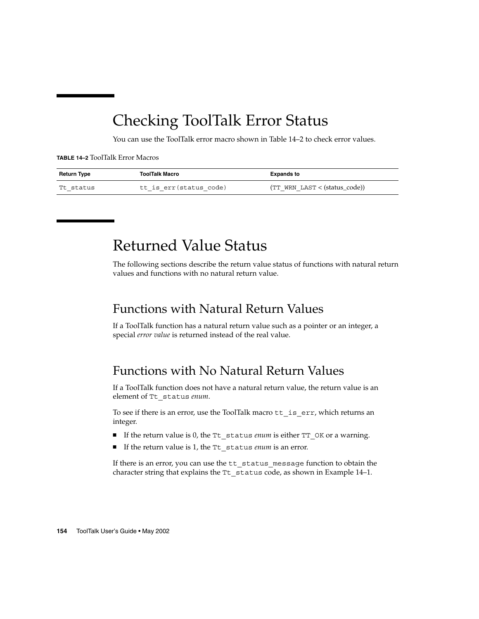

You can use the ToolTalk error macro shown in Table 14–2 to check error values.

**TABLE 14–2** ToolTalk Error Macros

| <b>Return Type</b> | <b>ToolTalk Macro</b>  | <b>Expands to</b>             |
|--------------------|------------------------|-------------------------------|
| Tt status          | tt is err(status code) | (TT WRN LAST < (status_code)) |

# Returned Value Status

The following sections describe the return value status of functions with natural return values and functions with no natural return value.

#### Functions with Natural Return Values

If a ToolTalk function has a natural return value such as a pointer or an integer, a special *error value* is returned instead of the real value.

#### Functions with No Natural Return Values

If a ToolTalk function does not have a natural return value, the return value is an element of Tt\_status *enum*.

To see if there is an error, use the ToolTalk macro tt is err, which returns an integer.

- If the return value is 0, the Tt status *enum* is either TT OK or a warning.
- If the return value is 1, the Tt status *enum* is an error.

If there is an error, you can use the tt status message function to obtain the character string that explains the Tt status code, as shown in Example 14–1.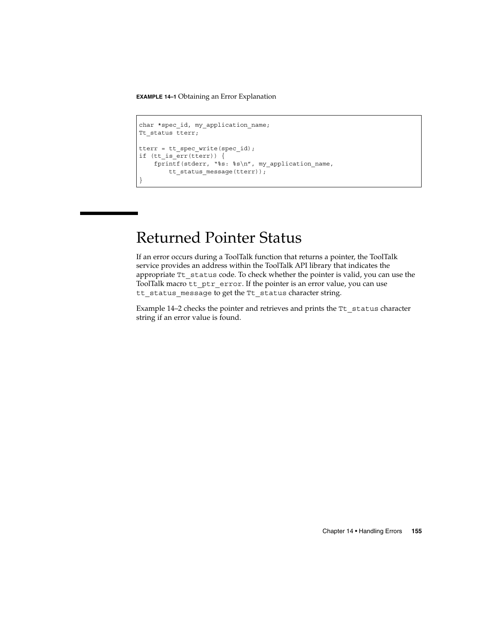**EXAMPLE 14–1** Obtaining an Error Explanation

```
char *spec_id, my_application_name;
Tt_status tterr;
tterr = tt spec write(spec id);
if (tt_is_err(tterr)) {
   fprintf(stderr, "%s: %s\n", my_application_name,
       tt_status_message(tterr));
}
```
## Returned Pointer Status

If an error occurs during a ToolTalk function that returns a pointer, the ToolTalk service provides an address within the ToolTalk API library that indicates the appropriate Tt\_status code. To check whether the pointer is valid, you can use the ToolTalk macro tt\_ptr\_error. If the pointer is an error value, you can use tt status message to get the Tt status character string.

Example 14–2 checks the pointer and retrieves and prints the Tt\_status character string if an error value is found.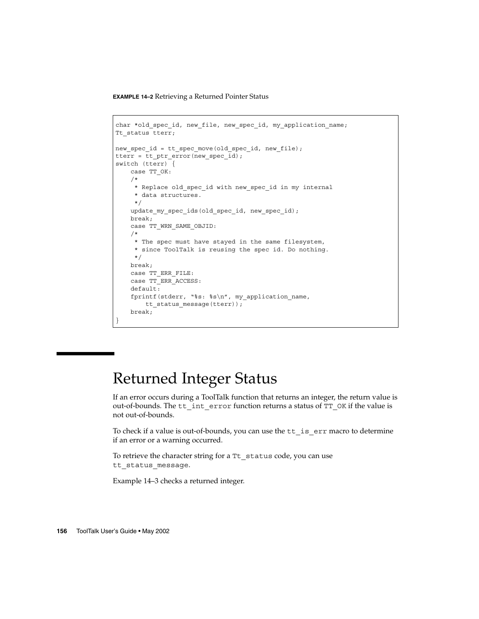**EXAMPLE 14–2** Retrieving a Returned Pointer Status

```
char *old_spec_id, new_file, new_spec_id, my_application_name;
Tt_status tterr;
new spec id = tt spec move(old spec id, new file);
tterr = tt_ptr_error(new_spec_id);
switch (tterr) {
   case TT_OK:
   /*
    * Replace old_spec_id with new_spec_id in my internal
    * data structures.
    */
   update_my_spec_ids(old_spec_id, new_spec_id);
   break;
   case TT_WRN_SAME_OBJID:
   /*
    * The spec must have stayed in the same filesystem,
    * since ToolTalk is reusing the spec id. Do nothing.
    */
   break;
   case TT_ERR_FILE:
   case TT_ERR_ACCESS:
   default:
   fprintf(stderr, "%s: %s\n", my_application_name,
      tt_status_message(tterr));
   break;
}
```
# Returned Integer Status

If an error occurs during a ToolTalk function that returns an integer, the return value is out-of-bounds. The  $tt$  int error function returns a status of TT OK if the value is not out-of-bounds.

To check if a value is out-of-bounds, you can use the  $tt iserr$  macro to determine if an error or a warning occurred.

To retrieve the character string for a Tt status code, you can use tt status message.

Example 14–3 checks a returned integer.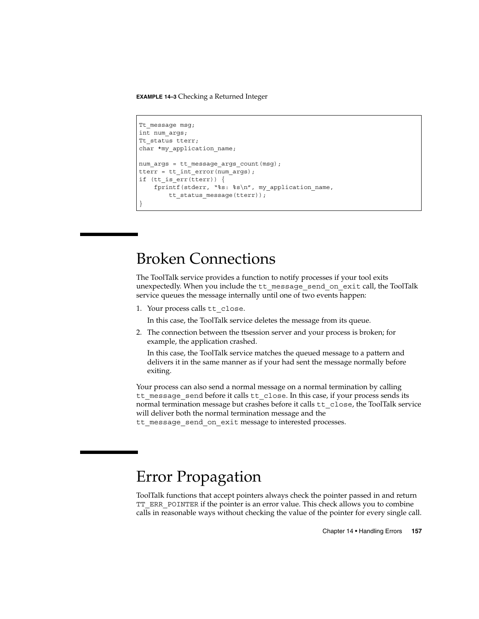**EXAMPLE 14–3** Checking a Returned Integer

```
Tt message msg;
int num_args;
Tt status tterr;
char *my application name;
num_args = tt_message_args_count(msg);
tterr = tt int error(num args);
if (tt is err(tterr)) {
   fprintf(stderr, "%s: %s\n", my application name,
        tt status message(tterr));
}
```
### Broken Connections

The ToolTalk service provides a function to notify processes if your tool exits unexpectedly. When you include the tt\_message\_send\_on\_exit call, the ToolTalk service queues the message internally until one of two events happen:

- 1. Your process calls tt close.
	- In this case, the ToolTalk service deletes the message from its queue.
- 2. The connection between the ttsession server and your process is broken; for example, the application crashed.

In this case, the ToolTalk service matches the queued message to a pattern and delivers it in the same manner as if your had sent the message normally before exiting.

Your process can also send a normal message on a normal termination by calling tt message send before it calls tt close. In this case, if your process sends its normal termination message but crashes before it calls tt\_close, the ToolTalk service will deliver both the normal termination message and the tt message send on exit message to interested processes.

# Error Propagation

ToolTalk functions that accept pointers always check the pointer passed in and return TT\_ERR\_POINTER if the pointer is an error value. This check allows you to combine calls in reasonable ways without checking the value of the pointer for every single call.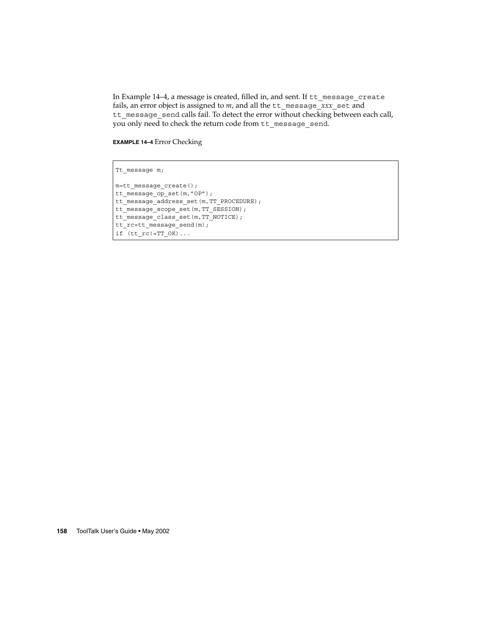In Example 14–4, a message is created, filled in, and sent. If  $tt$  message create fails, an error object is assigned to *m*, and all the tt\_message\_*xxx*\_set and tt\_message\_send calls fail. To detect the error without checking between each call, you only need to check the return code from tt\_message\_send.

#### **EXAMPLE 14–4** Error Checking

Tt\_message m; m=tt\_message\_create(); tt\_message\_op\_set(m,"OP"); tt\_message\_address\_set(m,TT\_PROCEDURE); tt\_message\_scope\_set(m,TT\_SESSION); tt\_message\_class\_set(m,TT\_NOTICE); tt\_rc=tt\_message\_send(m); if (tt  $rc!=TT$  OK)...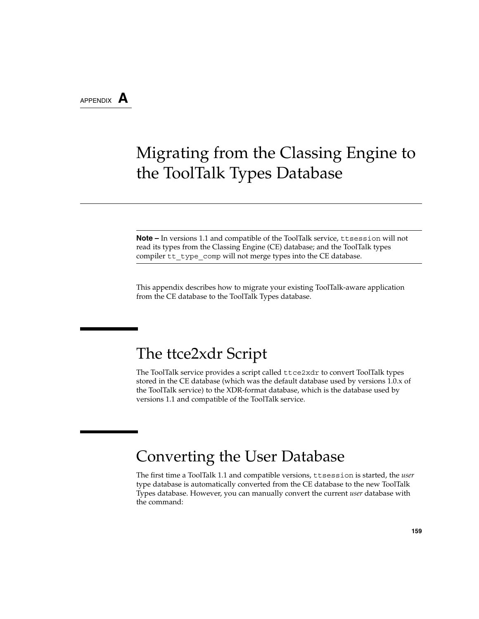APPENDIX **A**

# Migrating from the Classing Engine to the ToolTalk Types Database

**Note** – In versions 1.1 and compatible of the ToolTalk service, ttsession will not read its types from the Classing Engine (CE) database; and the ToolTalk types compiler tt\_type\_comp will not merge types into the CE database.

This appendix describes how to migrate your existing ToolTalk-aware application from the CE database to the ToolTalk Types database.

### The ttce2xdr Script

The ToolTalk service provides a script called ttce2xdr to convert ToolTalk types stored in the CE database (which was the default database used by versions 1.0.x of the ToolTalk service) to the XDR-format database, which is the database used by versions 1.1 and compatible of the ToolTalk service.

### Converting the User Database

The first time a ToolTalk 1.1 and compatible versions, ttsession is started, the *user* type database is automatically converted from the CE database to the new ToolTalk Types database. However, you can manually convert the current *user* database with the command: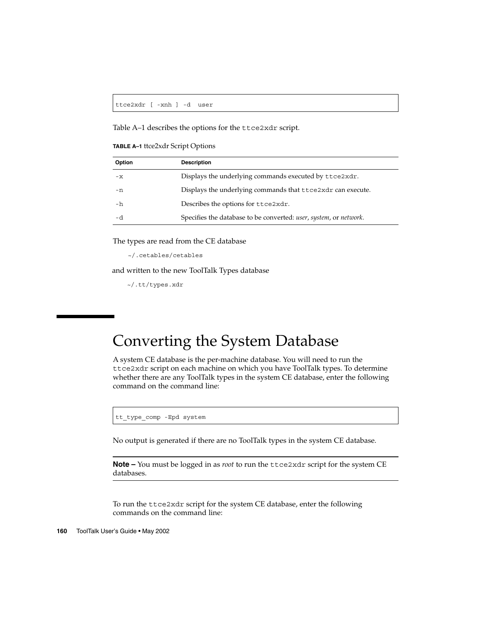Table A–1 describes the options for the ttce2xdr script.

**TABLE A–1** ttce2xdr Script Options

| Option | <b>Description</b>                                                                        |
|--------|-------------------------------------------------------------------------------------------|
| $-x$   | Displays the underlying commands executed by ttce2xdr.                                    |
| -n     | Displays the underlying commands that ttce2xdr can execute.                               |
| -h     | Describes the options for ttce2xdr.                                                       |
| -d     | Specifies the database to be converted: <i>user</i> , <i>system</i> , or <i>network</i> . |

The types are read from the CE database

~/.cetables/cetables

and written to the new ToolTalk Types database

~/.tt/types.xdr

# Converting the System Database

A system CE database is the per-machine database. You will need to run the ttce2xdr script on each machine on which you have ToolTalk types. To determine whether there are any ToolTalk types in the system CE database, enter the following command on the command line:

tt\_type\_comp -Epd system

No output is generated if there are no ToolTalk types in the system CE database.

**Note –** You must be logged in as *root* to run the ttce2xdr script for the system CE databases.

To run the ttce2xdr script for the system CE database, enter the following commands on the command line: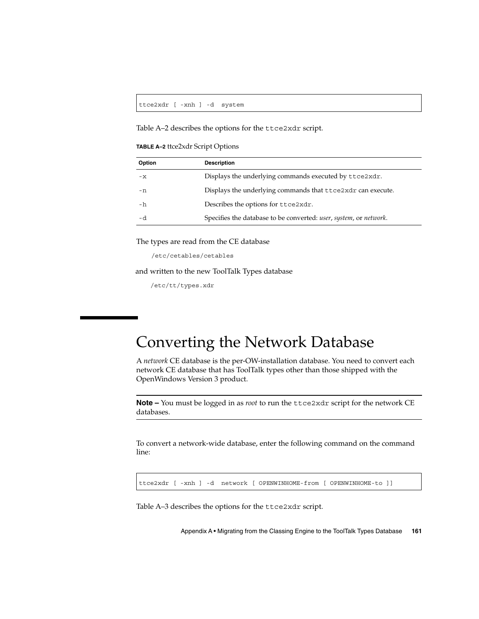Table A–2 describes the options for the ttce2xdr script.

**TABLE A–2** ttce2xdr Script Options

| Option | <b>Description</b>                                                                        |
|--------|-------------------------------------------------------------------------------------------|
| $-x$   | Displays the underlying commands executed by ttce2xdr.                                    |
| $-n$   | Displays the underlying commands that ttce2xdr can execute.                               |
| -h     | Describes the options for ttce2xdr.                                                       |
| -d     | Specifies the database to be converted: <i>user</i> , <i>system</i> , or <i>network</i> . |

The types are read from the CE database

/etc/cetables/cetables

and written to the new ToolTalk Types database

/etc/tt/types.xdr

# Converting the Network Database

A *network* CE database is the per-OW-installation database. You need to convert each network CE database that has ToolTalk types other than those shipped with the OpenWindows Version 3 product.

**Note –** You must be logged in as *root* to run the ttce2xdr script for the network CE databases.

To convert a network-wide database, enter the following command on the command line:

ttce2xdr [ -xnh ] -d network [ OPENWINHOME-from [ OPENWINHOME-to ]]

Table A–3 describes the options for the ttce2xdr script.

Appendix A • Migrating from the Classing Engine to the ToolTalk Types Database **161**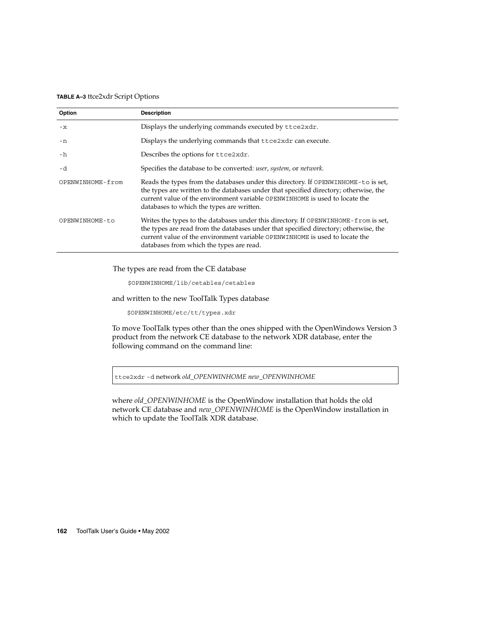#### **TABLE A–3** ttce2xdr Script Options

| Option           | <b>Description</b>                                                                                                                                                                                                                                                                                      |
|------------------|---------------------------------------------------------------------------------------------------------------------------------------------------------------------------------------------------------------------------------------------------------------------------------------------------------|
| $-x$             | Displays the underlying commands executed by ttce2xdr.                                                                                                                                                                                                                                                  |
| $-n$             | Displays the underlying commands that ttce2xdr can execute.                                                                                                                                                                                                                                             |
| $-h$             | Describes the options for ttce2xdr.                                                                                                                                                                                                                                                                     |
| -d               | Specifies the database to be converted: <i>user</i> , <i>system</i> , or <i>network</i> .                                                                                                                                                                                                               |
| OPENWINHOME-from | Reads the types from the databases under this directory. If OPENWINHOME-to is set,<br>the types are written to the databases under that specified directory; otherwise, the<br>current value of the environment variable OPENWINHOME is used to locate the<br>databases to which the types are written. |
| OPENWINHOME-to   | Writes the types to the databases under this directory. If OPENWINHOME-from is set,<br>the types are read from the databases under that specified directory; otherwise, the<br>current value of the environment variable OPENWINHOME is used to locate the<br>databases from which the types are read.  |
|                  |                                                                                                                                                                                                                                                                                                         |

The types are read from the CE database

\$OPENWINHOME/lib/cetables/cetables

and written to the new ToolTalk Types database

\$OPENWINHOME/etc/tt/types.xdr

To move ToolTalk types other than the ones shipped with the OpenWindows Version 3 product from the network CE database to the network XDR database, enter the following command on the command line:

ttce2xdr -d network *old\_OPENWINHOME new\_OPENWINHOME*

where *old\_OPENWINHOME* is the OpenWindow installation that holds the old network CE database and *new\_OPENWINHOME* is the OpenWindow installation in which to update the ToolTalk XDR database.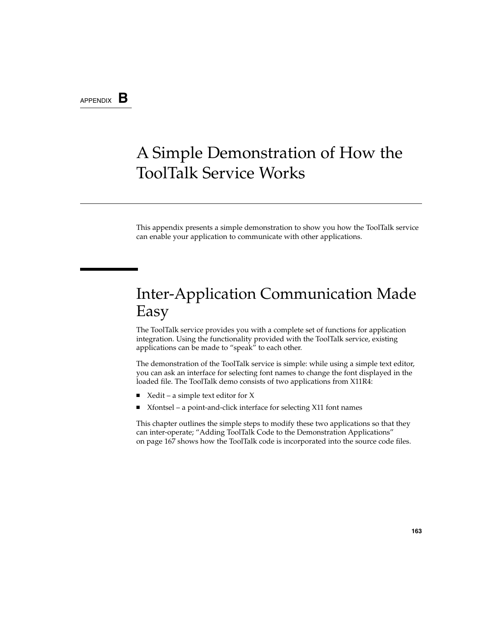#### APPENDIX **B**

# A Simple Demonstration of How the ToolTalk Service Works

This appendix presents a simple demonstration to show you how the ToolTalk service can enable your application to communicate with other applications.

## Inter-Application Communication Made Easy

The ToolTalk service provides you with a complete set of functions for application integration. Using the functionality provided with the ToolTalk service, existing applications can be made to "speak" to each other.

The demonstration of the ToolTalk service is simple: while using a simple text editor, you can ask an interface for selecting font names to change the font displayed in the loaded file. The ToolTalk demo consists of two applications from X11R4:

- Xedit a simple text editor for  $X$
- Xfontsel a point-and-click interface for selecting X11 font names

This chapter outlines the simple steps to modify these two applications so that they can inter-operate; "Adding ToolTalk Code to the Demonstration Applications" on page 167 shows how the ToolTalk code is incorporated into the source code files.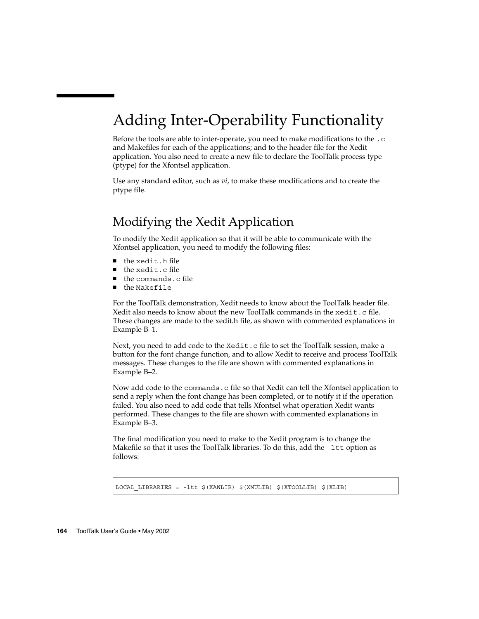# Adding Inter-Operability Functionality

Before the tools are able to inter-operate, you need to make modifications to the .c and Makefiles for each of the applications; and to the header file for the Xedit application. You also need to create a new file to declare the ToolTalk process type (ptype) for the Xfontsel application.

Use any standard editor, such as *vi*, to make these modifications and to create the ptype file.

### Modifying the Xedit Application

To modify the Xedit application so that it will be able to communicate with the Xfontsel application, you need to modify the following files:

- the xedit.h file
- the xedit.c file
- the commands.c file
- the Makefile

For the ToolTalk demonstration, Xedit needs to know about the ToolTalk header file. Xedit also needs to know about the new ToolTalk commands in the xedit.c file. These changes are made to the xedit.h file, as shown with commented explanations in Example B–1.

Next, you need to add code to the Xedit.c file to set the ToolTalk session, make a button for the font change function, and to allow Xedit to receive and process ToolTalk messages. These changes to the file are shown with commented explanations in Example B–2.

Now add code to the commands.c file so that Xedit can tell the Xfontsel application to send a reply when the font change has been completed, or to notify it if the operation failed. You also need to add code that tells Xfontsel what operation Xedit wants performed. These changes to the file are shown with commented explanations in Example B–3.

The final modification you need to make to the Xedit program is to change the Makefile so that it uses the ToolTalk libraries. To do this, add the -1tt option as follows:

LOCAL\_LIBRARIES = -ltt \$(XAWLIB) \$(XMULIB) \$(XTOOLLIB) \$(XLIB)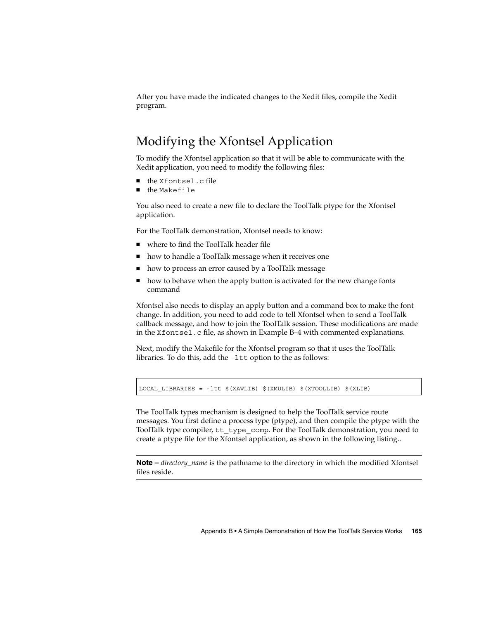After you have made the indicated changes to the Xedit files, compile the Xedit program.

#### Modifying the Xfontsel Application

To modify the Xfontsel application so that it will be able to communicate with the Xedit application, you need to modify the following files:

- the Xfontsel.c file
- the Makefile

You also need to create a new file to declare the ToolTalk ptype for the Xfontsel application.

For the ToolTalk demonstration, Xfontsel needs to know:

- where to find the ToolTalk header file
- how to handle a ToolTalk message when it receives one
- how to process an error caused by a ToolTalk message
- how to behave when the apply button is activated for the new change fonts command

Xfontsel also needs to display an apply button and a command box to make the font change. In addition, you need to add code to tell Xfontsel when to send a ToolTalk callback message, and how to join the ToolTalk session. These modifications are made in the Xfontsel.c file, as shown in Example B–4 with commented explanations.

Next, modify the Makefile for the Xfontsel program so that it uses the ToolTalk libraries. To do this, add the -ltt option to the as follows:

LOCAL LIBRARIES = -ltt \$(XAWLIB) \$(XMULIB) \$(XTOOLLIB) \$(XLIB)

The ToolTalk types mechanism is designed to help the ToolTalk service route messages. You first define a process type (ptype), and then compile the ptype with the ToolTalk type compiler, tt\_type\_comp. For the ToolTalk demonstration, you need to create a ptype file for the Xfontsel application, as shown in the following listing..

**Note –** *directory\_name* is the pathname to the directory in which the modified Xfontsel files reside.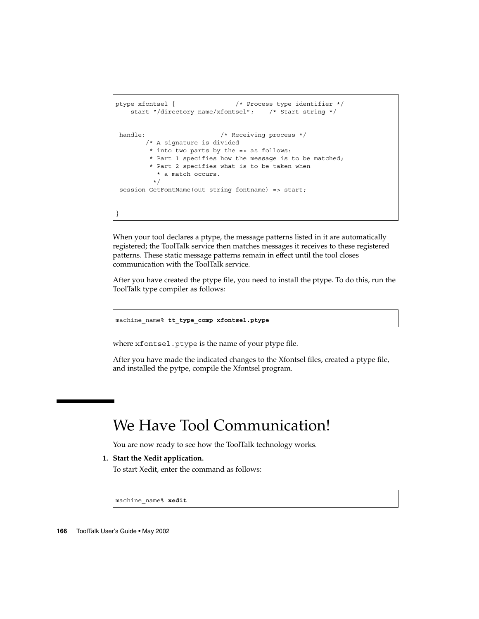```
ptype xfontsel { /* Process type identifier */
   start "/directory_name/xfontsel"; /* Start string */
handle: /* Receiving process *//* A signature is divided
        * into two parts by the => as follows:
        * Part 1 specifies how the message is to be matched;
        * Part 2 specifies what is to be taken when
         * a match occurs.
         */
session GetFontName(out string fontname) => start;
}
```
When your tool declares a ptype, the message patterns listed in it are automatically registered; the ToolTalk service then matches messages it receives to these registered patterns. These static message patterns remain in effect until the tool closes communication with the ToolTalk service.

After you have created the ptype file, you need to install the ptype. To do this, run the ToolTalk type compiler as follows:

```
machine_name% tt_type_comp xfontsel.ptype
```
where xfontsel.ptype is the name of your ptype file.

After you have made the indicated changes to the Xfontsel files, created a ptype file, and installed the pytpe, compile the Xfontsel program.

# We Have Tool Communication!

You are now ready to see how the ToolTalk technology works.

**1. Start the Xedit application.**

To start Xedit, enter the command as follows:

machine\_name% **xedit**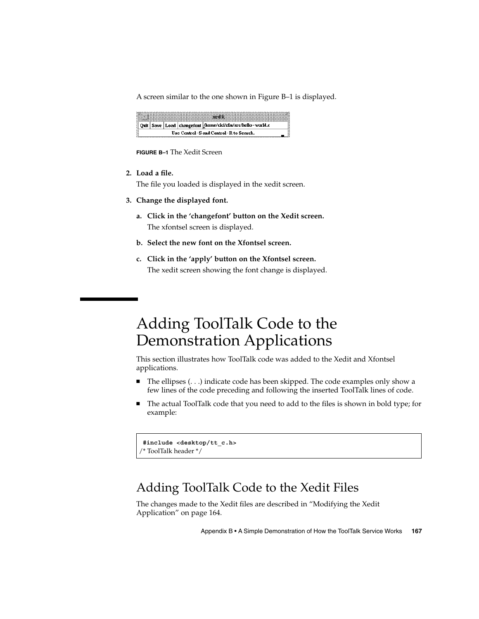A screen similar to the one shown in Figure B–1 is displayed.

|                                                |  |  |  | 'Save   Load   changefont  /home/cici/rfm/src/hello-world.c |  |
|------------------------------------------------|--|--|--|-------------------------------------------------------------|--|
| <u> Hse Control-S and Control-R to Search.</u> |  |  |  |                                                             |  |

**FIGURE B–1** The Xedit Screen

**2. Load a file.**

The file you loaded is displayed in the xedit screen.

- **3. Change the displayed font.**
	- **a. Click in the 'changefont' button on the Xedit screen.** The xfontsel screen is displayed.
	- **b. Select the new font on the Xfontsel screen.**
	- **c. Click in the 'apply' button on the Xfontsel screen.** The xedit screen showing the font change is displayed.

# Adding ToolTalk Code to the Demonstration Applications

This section illustrates how ToolTalk code was added to the Xedit and Xfontsel applications.

- $\blacksquare$  The ellipses  $(\ldots)$  indicate code has been skipped. The code examples only show a few lines of the code preceding and following the inserted ToolTalk lines of code.
- The actual ToolTalk code that you need to add to the files is shown in bold type; for example:

```
#include <desktop/tt_c.h>
/* ToolTalk header */
```
#### Adding ToolTalk Code to the Xedit Files

The changes made to the Xedit files are described in "Modifying the Xedit Application" on page 164.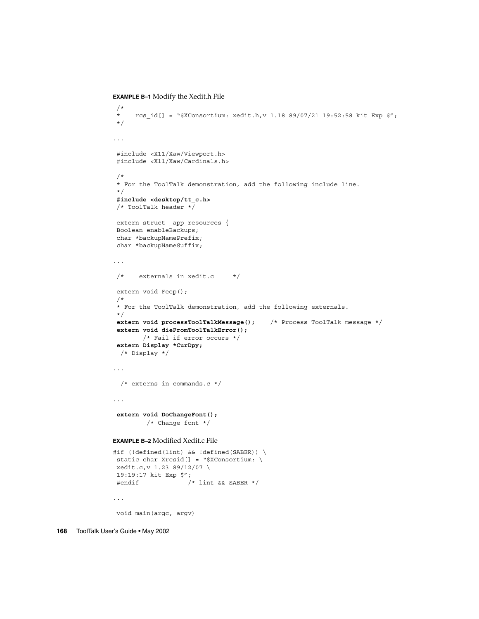**EXAMPLE B–1** Modify the Xedit.h File

```
/*
 * rcs_id[] = "$XConsortium: xedit.h,v 1.18 89/07/21 19:52:58 kit Exp $";
 */
...
#include <X11/Xaw/Viewport.h>
#include <X11/Xaw/Cardinals.h>
 /*
* For the ToolTalk demonstration, add the following include line.
 */
 #include <desktop/tt_c.h>
/* ToolTalk header */
extern struct _app_resources {
Boolean enableBackups;
char *backupNamePrefix;
char *backupNameSuffix;
...
/* externals in xedit.c */extern void Feep();
/*
 * For the ToolTalk demonstration, add the following externals.
*/
extern void processToolTalkMessage(); /* Process ToolTalk message */
extern void dieFromToolTalkError();
      /* Fail if error occurs */
extern Display *CurDpy;
 /* Display */
...
 /* externs in commands.c */
...
extern void DoChangeFont();
        /* Change font */
EXAMPLE B–2 Modified Xedit.c File
#if (!defined(lint) && !defined(SABER)) \
static char Xrcsid[] = "$XConsortium: \
xedit.c,v 1.23 89/12/07 \
19:19:17 kit Exp $";
#endif /* lint && SABER */
...
void main(argc, argv)
```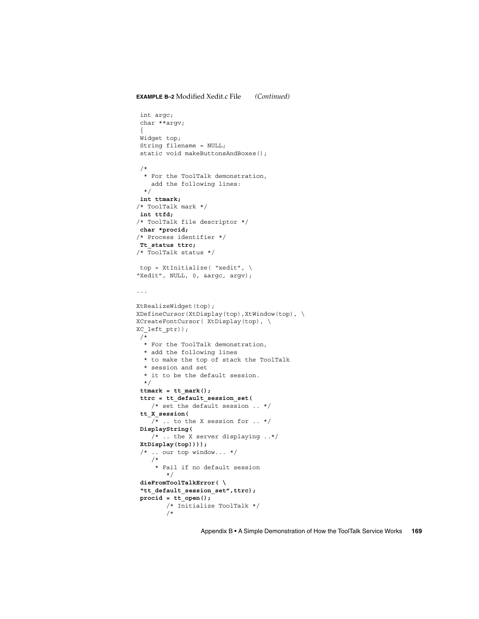```
EXAMPLE B–2 Modified Xedit.c File (Continued)
 int argc;
char **argv;
 {
Widget top;
String filename = NULL;
static void makeButtonsAndBoxes();
 /*
  * For the ToolTalk demonstration,
   add the following lines:
  */
int ttmark;
/* ToolTalk mark */
int ttfd;
/* ToolTalk file descriptor */
char *procid;
/* Process identifier */
Tt_status ttrc;
/* ToolTalk status */
top = XtInitialize( "xedit", \setminus"Xedit", NULL, 0, &argc, argv);
...
XtRealizeWidget(top);
XDefineCursor(XtDisplay(top),XtWindow(top), \
XCreateFontCursor( XtDisplay(top), \
XC_left_ptr));
/*
 * For the ToolTalk demonstration,
 * add the following lines
  * to make the top of stack the ToolTalk
  * session and set
  * it to be the default session.
  */
 ttmark = tt_mark();
 ttrc = tt_default_session_set(
   /* set the default session .. */
 tt_X_session(
   /* .. to the X session for .. */
 DisplayString(
   /* .. the X server displaying ..*/
 XtDisplay(top))));
 /* .. our top window... */
    /*
     * Fail if no default session
       */
 dieFromToolTalkError( \
 "tt_default_session_set",ttrc);
procid = tt_open();
        /* Initialize ToolTalk */
        /*
```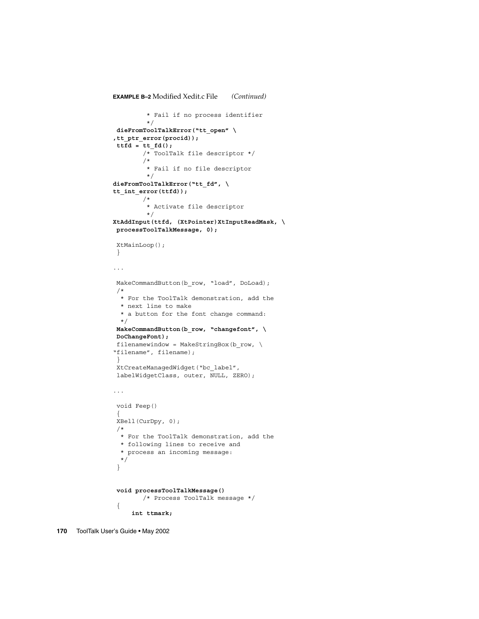```
EXAMPLE B–2 Modified Xedit.c File (Continued)
         * Fail if no process identifier
         */
dieFromToolTalkError("tt_open" \
,tt_ptr_error(procid));
 ttfd = tt_fd();
       /* ToolTalk file descriptor */
        /*
        * Fail if no file descriptor
        */
dieFromToolTalkError("tt_fd", \
tt_int_error(ttfd));
        /*
        * Activate file descriptor
        */
XtAddInput(ttfd, (XtPointer)XtInputReadMask, \
processToolTalkMessage, 0);
XtMainLoop();
 }
...
MakeCommandButton(b_row, "load", DoLoad);
/*
 * For the ToolTalk demonstration, add the
 * next line to make
 * a button for the font change command:
 */
MakeCommandButton(b_row, "changefont", \
DoChangeFont);
filenamewindow = MakeStringBox(b row, \setminus"filename", filename);
 }
XtCreateManagedWidget("bc_label",
labelWidgetClass, outer, NULL, ZERO);
...
void Feep()
 {
XBell(CurDpy, 0);
 /*
 * For the ToolTalk demonstration, add the
 * following lines to receive and
 * process an incoming message:
 */
 }
 void processToolTalkMessage()
       /* Process ToolTalk message */
 {
    int ttmark;
```

```
170 ToolTalk User's Guide • May 2002
```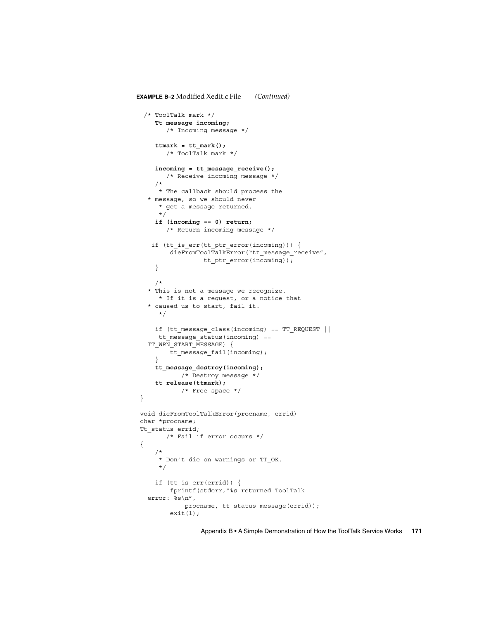```
EXAMPLE B–2 Modified Xedit.c File (Continued)
  /* ToolTalk mark */
    Tt_message incoming;
       /* Incoming message */
     ttmark = tt_mark();
       /* ToolTalk mark */
     incoming = tt_message_receive();
      /* Receive incoming message */
     /*
     * The callback should process the
   * message, so we should never
     * get a message returned.
     */
    if (incoming == 0) return;
        /* Return incoming message */
    if (tt_is_err(tt_ptr_error(incoming))) {
        dieFromToolTalkError("tt_message_receive",
                  tt ptr error(incoming));
    }
     /*
   * This is not a message we recognize.
     * If it is a request, or a notice that
  * caused us to start, fail it.
     */
    if (tt_message_class(incoming) == TT_REQUEST ||
     tt message status(incoming) ==
   TT_WRN_START_MESSAGE) {
        tt_message_fail(incoming);
     }
     tt_message_destroy(incoming);
           /* Destroy message */
     tt_release(ttmark);
           /* Free space */
 }
void dieFromToolTalkError(procname, errid)
char *procname;
Tt status errid;
      /* Fail if error occurs */
 {
    /*
     * Don't die on warnings or TT_OK.
     */
     if (tt is err(errid)) {
        fprintf(stderr,"%s returned ToolTalk
   error: %s\n",
            procname, tt status message(errid));
         exit(1);
```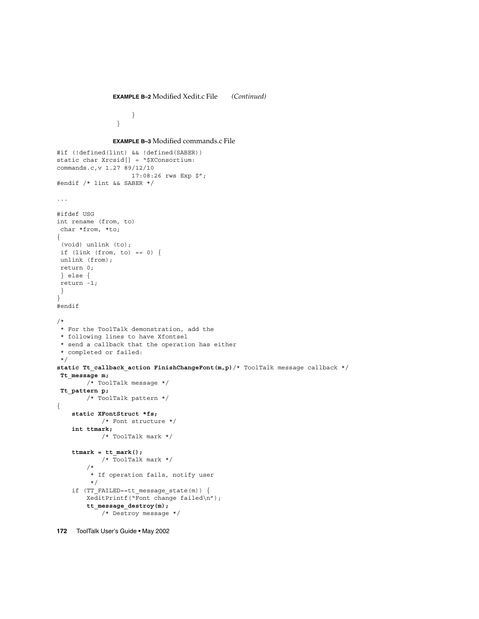```
}
}
```
**EXAMPLE B–3** Modified commands.c File

```
#if (!defined(lint) && !defined(SABER))
static char Xrcsid[] = "$XConsortium:
commands.c,v 1.27 89/12/10
                   17:08:26 rws Exp $";
#endif /* lint && SABER */
...
#ifdef USG
int rename (from, to)
char *from, *to;
{
(void) unlink (to);
if (link (from, to) == 0) {
unlink (from);
return 0;
} else {
return -1;
}
}
#endif
/*
* For the ToolTalk demonstration, add the
* following lines to have Xfontsel
* send a callback that the operation has either
* completed or failed:
*/
static Tt callback action FinishChangeFont(m,p)/* ToolTalk message callback */
Tt_message m;
      /* ToolTalk message */
Tt_pattern p;
       /* ToolTalk pattern */
{
   static XFontStruct *fs;
          /* Font structure */
    int ttmark;
          /* ToolTalk mark */
    ttmark = tt_mark();
          /* ToolTalk mark */
        /*
        * If operation fails, notify user
        */
    if (TT_FAILED==tt_message_state(m)) {
       XeditPrintf("Font change failed\n");
        tt_message_destroy(m);
           /* Destroy message */
```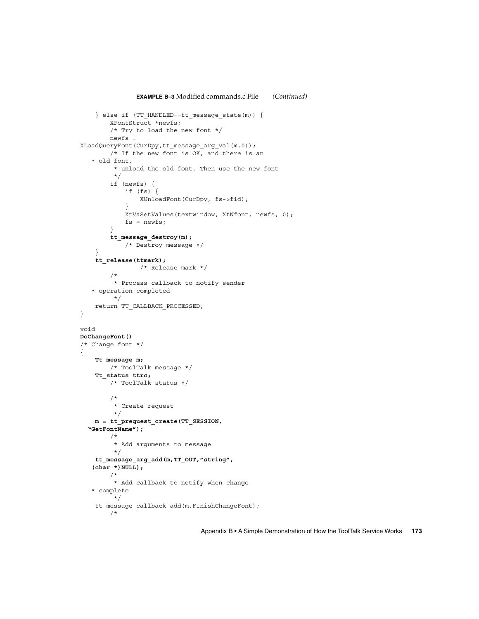```
EXAMPLE B–3 Modified commands.c File (Continued)
    } else if (TT_HANDLED==tt_message_state(m)) {
        XFontStruct *newfs;
        /* Try to load the new font */
        newfs =
XLoadQueryFont(CurDpy,tt_message_arg_val(m,0));
        /* If the new font is OK, and there is an
   * old font,
         * unload the old font. Then use the new font
         */
        if (newfs) {
            if (fs) {
                XUnloadFont(CurDpy, fs->fid);
            }
            XtVaSetValues(textwindow, XtNfont, newfs, 0);
            fs = newfs;}
        tt_message_destroy(m);
            /* Destroy message */
    }
    tt_release(ttmark);
               /* Release mark */
        /*
        * Process callback to notify sender
   * operation completed
        */
    return TT_CALLBACK_PROCESSED;
}
void
DoChangeFont()
/* Change font */
{
    Tt_message m;
        /* ToolTalk message */
    Tt_status ttrc;
        /* ToolTalk status */
        /*
         * Create request
         */
    m = tt_prequest_create(TT_SESSION,
  "GetFontName");
        /*
         * Add arguments to message
         */
    tt_message_arg_add(m,TT_OUT,"string",
   (char *)NULL);
        /*
        * Add callback to notify when change
   * complete
         */
    tt message callback add(m, FinishChangeFont);
        /*
```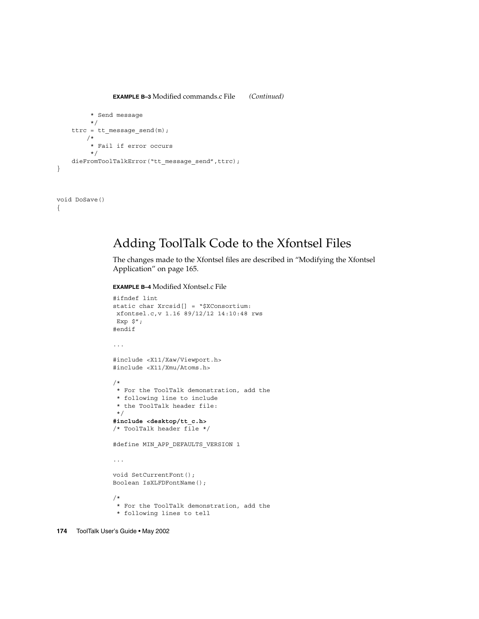```
EXAMPLE B–3 Modified commands.c File (Continued)
         * Send message
        */
   ttrc = tt_message_send(m);
        /*
        * Fail if error occurs
        */
   dieFromToolTalkError("tt_message_send",ttrc);
}
```
void DoSave()

#### {

### Adding ToolTalk Code to the Xfontsel Files

The changes made to the Xfontsel files are described in "Modifying the Xfontsel Application" on page 165.

#### **EXAMPLE B–4** Modified Xfontsel.c File

```
#ifndef lint
static char Xrcsid[] = "$XConsortium:
xfontsel.c,v 1.16 89/12/12 14:10:48 rws
Exp $";
#endif
...
#include <X11/Xaw/Viewport.h>
#include <X11/Xmu/Atoms.h>
/*
 * For the ToolTalk demonstration, add the
 * following line to include
 * the ToolTalk header file:
*/
#include <desktop/tt_c.h>
/* ToolTalk header file */
#define MIN APP DEFAULTS VERSION 1
...
void SetCurrentFont();
Boolean IsXLFDFontName();
/*
 * For the ToolTalk demonstration, add the
 * following lines to tell
```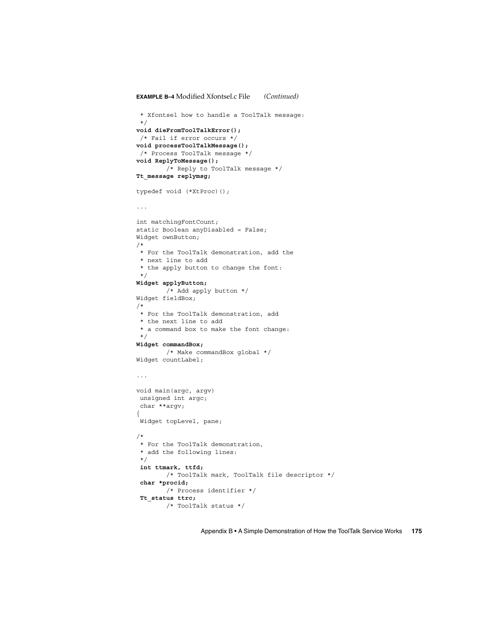```
EXAMPLE B–4 Modified Xfontsel.c File (Continued)
 * Xfontsel how to handle a ToolTalk message:
*/
void dieFromToolTalkError();
/* Fail if error occurs */
void processToolTalkMessage();
/* Process ToolTalk message */
void ReplyToMessage();
       /* Reply to ToolTalk message */
Tt_message replymsg;
typedef void (*XtProc)();
...
int matchingFontCount;
static Boolean anyDisabled = False;
Widget ownButton;
/*
* For the ToolTalk demonstration, add the
* next line to add
* the apply button to change the font:
\star /
Widget applyButton;
       /* Add apply button */
Widget fieldBox;
/*
* For the ToolTalk demonstration, add
* the next line to add
* a command box to make the font change:
*/
Widget commandBox;
      /* Make commandBox global */
Widget countLabel;
...
void main(argc, argv)
unsigned int argc;
char **argv;
{
Widget topLevel, pane;
/*
* For the ToolTalk demonstration,
* add the following lines:
*/
int ttmark, ttfd;
       /* ToolTalk mark, ToolTalk file descriptor */
 char *procid;
       /* Process identifier */
 Tt_status ttrc;
       /* ToolTalk status */
```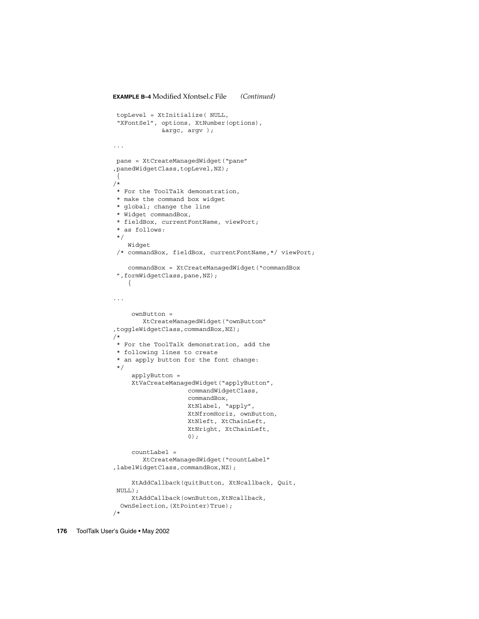```
EXAMPLE B–4 Modified Xfontsel.c File (Continued)
 topLevel = XtInitialize( NULL,
 "XFontSel", options, XtNumber(options),
             &argc, argv );
...
pane = XtCreateManagedWidget("pane"
,panedWidgetClass,topLevel,NZ);
 {
/*
* For the ToolTalk demonstration,
* make the command box widget
 * global; change the line
 * Widget commandBox,
 * fieldBox, currentFontName, viewPort;
 * as follows:
 */
   Widget
 /* commandBox, fieldBox, currentFontName,*/ viewPort;
    commandBox = XtCreateManagedWidget("commandBox
 ",formWidgetClass,pane,NZ);
    {
...
    ownButton =
       XtCreateManagedWidget("ownButton"
,toggleWidgetClass,commandBox,NZ);
/*
* For the ToolTalk demonstration, add the
* following lines to create
 * an apply button for the font change:
 */
     applyButton =
     XtVaCreateManagedWidget("applyButton",
                    commandWidgetClass,
                    commandBox,
                    XtNlabel, "apply",
                    XtNfromHoriz, ownButton,
                    XtNleft, XtChainLeft,
                    XtNright, XtChainLeft,
                    0);
     countLabel =
        XtCreateManagedWidget("countLabel"
,labelWidgetClass,commandBox,NZ);
    XtAddCallback(quitButton, XtNcallback, Quit,
NULL);
    XtAddCallback(ownButton,XtNcallback,
 OwnSelection, (XtPointer)True);
/*
```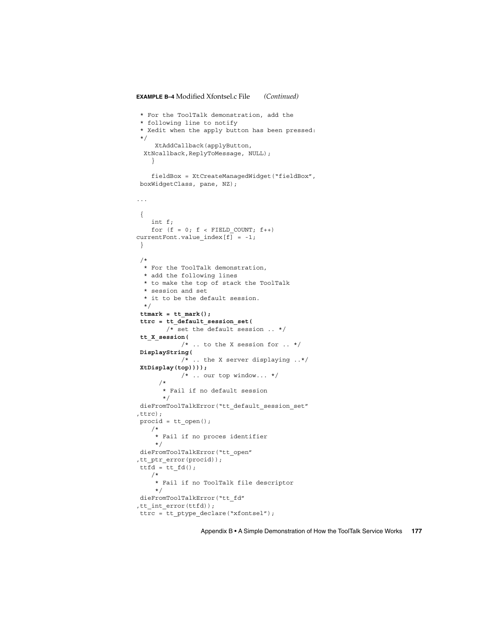```
EXAMPLE B–4 Modified Xfontsel.c File (Continued)
 * For the ToolTalk demonstration, add the
 * following line to notify
 * Xedit when the apply button has been pressed:
 */
    XtAddCallback(applyButton,
 XtNcallback,ReplyToMessage, NULL);
   }
   fieldBox = XtCreateManagedWidget("fieldBox",
boxWidgetClass, pane, NZ);
...
 {
   int f;
   for (f = 0; f < FIELD COUNT; f_{++})
currentFont.value index[f] = -1;}
 /*
 * For the ToolTalk demonstration,
 * add the following lines
 * to make the top of stack the ToolTalk
 * session and set
 * it to be the default session.
 */
 ttmark = tt_mark();
 ttrc = tt_default_session_set(
       /\star set the default session \cdot */
 tt_X_session(
           /* .. to the X session for .. */
DisplayString(
           /* .. the X server displaying ..*/
XtDisplay(top))));
           /* .. our top window... */
      /*
      * Fail if no default session
       */
dieFromToolTalkError("tt_default_session_set"
,ttrc);
procid = tt_open();
    /*
    * Fail if no proces identifier
    */
dieFromToolTalkError("tt_open"
,tt_ptr_error(procid));
ttfd = tt_fdd();
   /*
    * Fail if no ToolTalk file descriptor
    */
dieFromToolTalkError("tt_fd"
,tt_int_error(ttfd));
ttrc = tt ptype declare("xfontsel");
```
Appendix B • A Simple Demonstration of How the ToolTalk Service Works **177**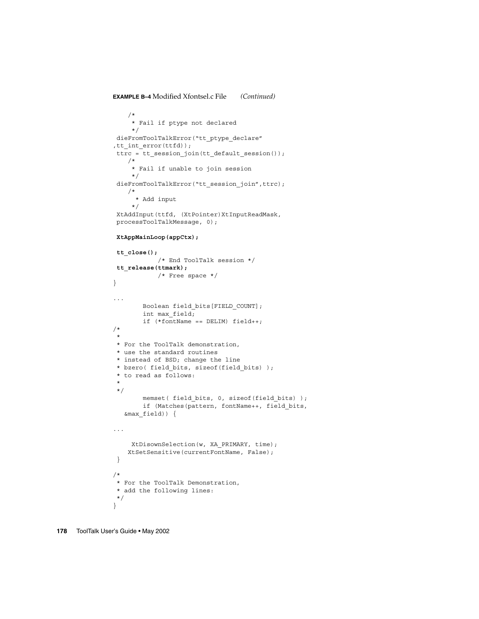```
EXAMPLE B–4 Modified Xfontsel.c File (Continued)
    /*
    * Fail if ptype not declared
    */
dieFromToolTalkError("tt_ptype_declare"
,tt_int_error(ttfd));
ttrc = tt_session_join(tt_default_session());
   /*
    * Fail if unable to join session
    */
 dieFromToolTalkError("tt_session_join",ttrc);
    /*
    * Add input
    */
 XtAddInput(ttfd, (XtPointer)XtInputReadMask,
processToolTalkMessage, 0);
XtAppMainLoop(appCtx);
 tt_close();
           /* End ToolTalk session */
 tt_release(ttmark);
          /* Free space */
}
...
       Boolean field_bits[FIELD_COUNT];
       int max_field;
       if (*fontName == DELIM) field++;
/*
 *
* For the ToolTalk demonstration,
* use the standard routines
* instead of BSD; change the line
* bzero( field_bits, sizeof(field_bits) );
 * to read as follows:
 *
 */
       memset( field bits, 0, sizeof(field bits) );
       if (Matches(pattern, fontName++, field_bits,
  &max_field)) {
...
    XtDisownSelection(w, XA_PRIMARY, time);
   XtSetSensitive(currentFontName, False);
 }
/*
* For the ToolTalk Demonstration,
* add the following lines:
```
**178** ToolTalk User's Guide • May 2002

\*/ }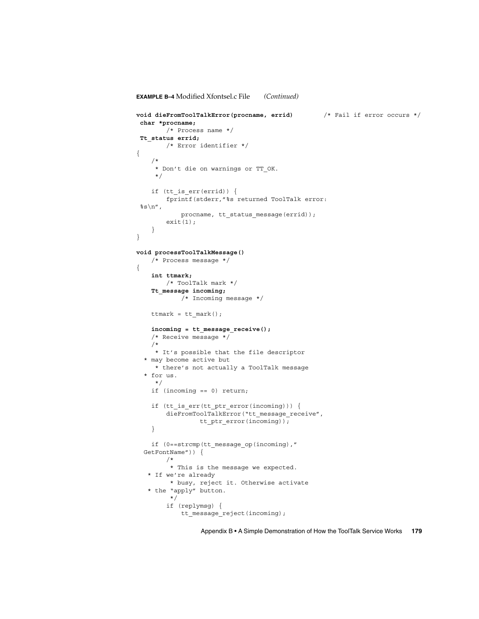```
EXAMPLE B–4 Modified Xfontsel.c File (Continued)
void dieFromToolTalkError(procname, errid) /* Fail if error occurs */
char *procname;
       /* Process name */
Tt_status errid;
      /* Error identifier */
{
    /*
    * Don't die on warnings or TT_OK.
    */
   if (tt is err(errid)) {
       fprintf(stderr,"%s returned ToolTalk error:
s\ n'',
            procname, tt status message(errid));
       exit(1);}
}
void processToolTalkMessage()
   /* Process message */
{
   int ttmark;
       /* ToolTalk mark */
   Tt_message incoming;
           /* Incoming message */
   ttmark = tt_mark();
   incoming = tt_message_receive();
   /* Receive message */
   /*
    * It's possible that the file descriptor
  * may become active but
    * there's not actually a ToolTalk message
  * for us.
    */
   if (incoming == 0) return;
   if (tt is err(tt ptr error(incoming))) {
       dieFromToolTalkError("tt_message_receive",
                tt_ptr_error(incoming));
    }
   if (0==strcmp(tt_message_op(incoming),"
  GetFontName")) {
        /*
        * This is the message we expected.
   * If we're already
         * busy, reject it. Otherwise activate
   * the "apply" button.
        \star /
        if (replymsg) {
            tt message reject(incoming);
```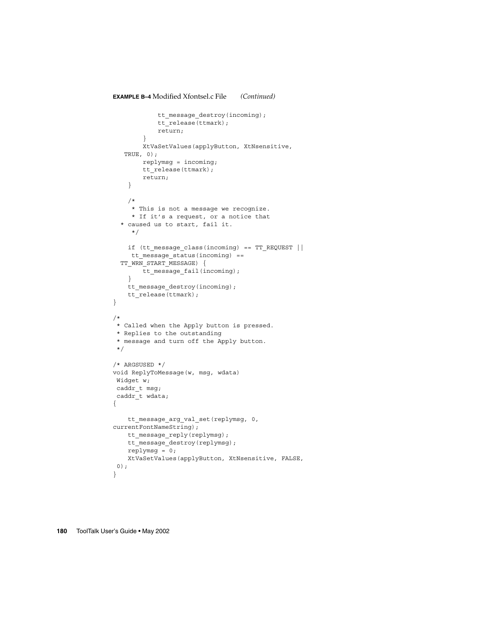```
EXAMPLE B–4 Modified Xfontsel.c File (Continued)
            tt_message_destroy(incoming);
            tt release(ttmark);
            return;
        }
        XtVaSetValues(applyButton, XtNsensitive,
   TRUE, 0);
       replymsg = incoming;
        tt release(ttmark);
        return;
    }
    /*
    * This is not a message we recognize.
    * If it's a request, or a notice that
  * caused us to start, fail it.
     */
    if (tt_message_class(incoming) == TT_REQUEST ||
    tt message status(incoming) ==
  TT_WRN_START_MESSAGE) {
       tt_message_fail(incoming);
    }
    tt message destroy(incoming);
    tt_release(ttmark);
}
/*
* Called when the Apply button is pressed.
* Replies to the outstanding
 * message and turn off the Apply button.
 */
/* ARGSUSED */
void ReplyToMessage(w, msg, wdata)
Widget w;
caddr t msg;
 caddr_t wdata;
{
   tt_message_arg_val_set(replymsg, 0,
currentFontNameString);
    tt_message_reply(replymsg);
    tt_message_destroy(replymsg);
    replying = 0;XtVaSetValues(applyButton, XtNsensitive, FALSE,
 0);
}
```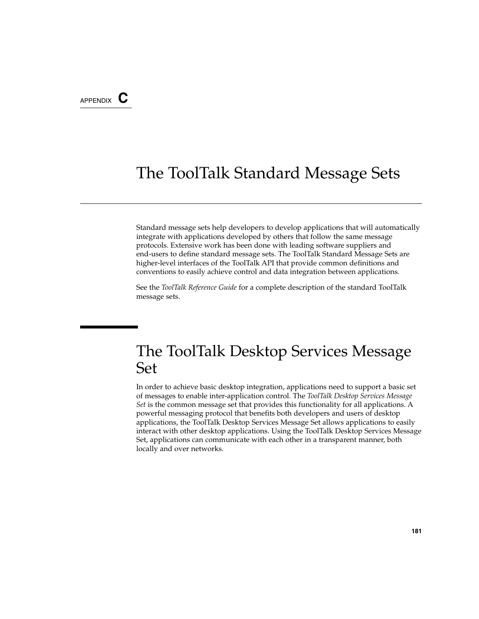#### APPENDIX **C**

# The ToolTalk Standard Message Sets

Standard message sets help developers to develop applications that will automatically integrate with applications developed by others that follow the same message protocols. Extensive work has been done with leading software suppliers and end-users to define standard message sets. The ToolTalk Standard Message Sets are higher-level interfaces of the ToolTalk API that provide common definitions and conventions to easily achieve control and data integration between applications.

See the *ToolTalk Reference Guide* for a complete description of the standard ToolTalk message sets.

## The ToolTalk Desktop Services Message Set

In order to achieve basic desktop integration, applications need to support a basic set of messages to enable inter-application control. The *ToolTalk Desktop Services Message Set* is the common message set that provides this functionality for all applications. A powerful messaging protocol that benefits both developers and users of desktop applications, the ToolTalk Desktop Services Message Set allows applications to easily interact with other desktop applications. Using the ToolTalk Desktop Services Message Set, applications can communicate with each other in a transparent manner, both locally and over networks.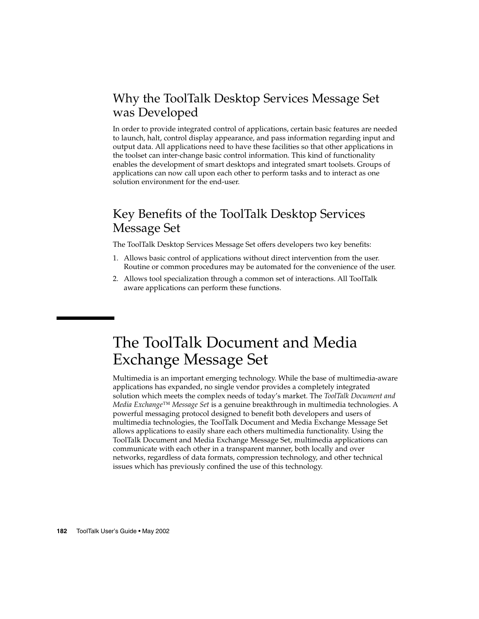## Why the ToolTalk Desktop Services Message Set was Developed

In order to provide integrated control of applications, certain basic features are needed to launch, halt, control display appearance, and pass information regarding input and output data. All applications need to have these facilities so that other applications in the toolset can inter-change basic control information. This kind of functionality enables the development of smart desktops and integrated smart toolsets. Groups of applications can now call upon each other to perform tasks and to interact as one solution environment for the end-user.

### Key Benefits of the ToolTalk Desktop Services Message Set

The ToolTalk Desktop Services Message Set offers developers two key benefits:

- 1. Allows basic control of applications without direct intervention from the user. Routine or common procedures may be automated for the convenience of the user.
- 2. Allows tool specialization through a common set of interactions. All ToolTalk aware applications can perform these functions.

# The ToolTalk Document and Media Exchange Message Set

Multimedia is an important emerging technology. While the base of multimedia-aware applications has expanded, no single vendor provides a completely integrated solution which meets the complex needs of today's market. The *ToolTalk Document and Media Exchange™ Message Set* is a genuine breakthrough in multimedia technologies. A powerful messaging protocol designed to benefit both developers and users of multimedia technologies, the ToolTalk Document and Media Exchange Message Set allows applications to easily share each others multimedia functionality. Using the ToolTalk Document and Media Exchange Message Set, multimedia applications can communicate with each other in a transparent manner, both locally and over networks, regardless of data formats, compression technology, and other technical issues which has previously confined the use of this technology.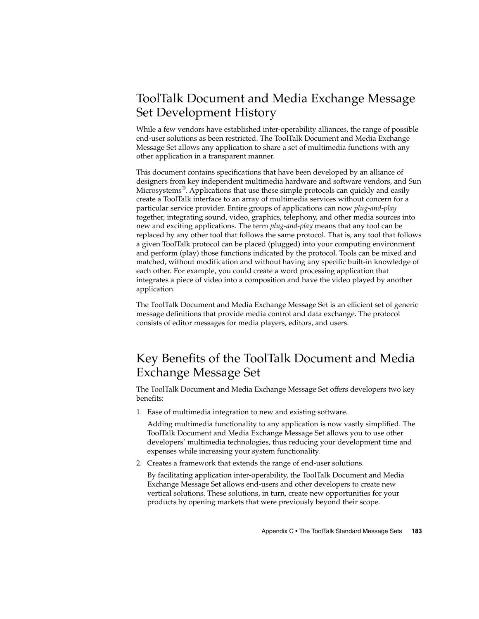## ToolTalk Document and Media Exchange Message Set Development History

While a few vendors have established inter-operability alliances, the range of possible end-user solutions as been restricted. The ToolTalk Document and Media Exchange Message Set allows any application to share a set of multimedia functions with any other application in a transparent manner.

This document contains specifications that have been developed by an alliance of designers from key independent multimedia hardware and software vendors, and Sun Microsystems®. Applications that use these simple protocols can quickly and easily create a ToolTalk interface to an array of multimedia services without concern for a particular service provider. Entire groups of applications can now *plug-and-play* together, integrating sound, video, graphics, telephony, and other media sources into new and exciting applications. The term *plug-and-play* means that any tool can be replaced by any other tool that follows the same protocol. That is, any tool that follows a given ToolTalk protocol can be placed (plugged) into your computing environment and perform (play) those functions indicated by the protocol. Tools can be mixed and matched, without modification and without having any specific built-in knowledge of each other. For example, you could create a word processing application that integrates a piece of video into a composition and have the video played by another application.

The ToolTalk Document and Media Exchange Message Set is an efficient set of generic message definitions that provide media control and data exchange. The protocol consists of editor messages for media players, editors, and users.

## Key Benefits of the ToolTalk Document and Media Exchange Message Set

The ToolTalk Document and Media Exchange Message Set offers developers two key benefits:

1. Ease of multimedia integration to new and existing software.

Adding multimedia functionality to any application is now vastly simplified. The ToolTalk Document and Media Exchange Message Set allows you to use other developers' multimedia technologies, thus reducing your development time and expenses while increasing your system functionality.

2. Creates a framework that extends the range of end-user solutions.

By facilitating application inter-operability, the ToolTalk Document and Media Exchange Message Set allows end-users and other developers to create new vertical solutions. These solutions, in turn, create new opportunities for your products by opening markets that were previously beyond their scope.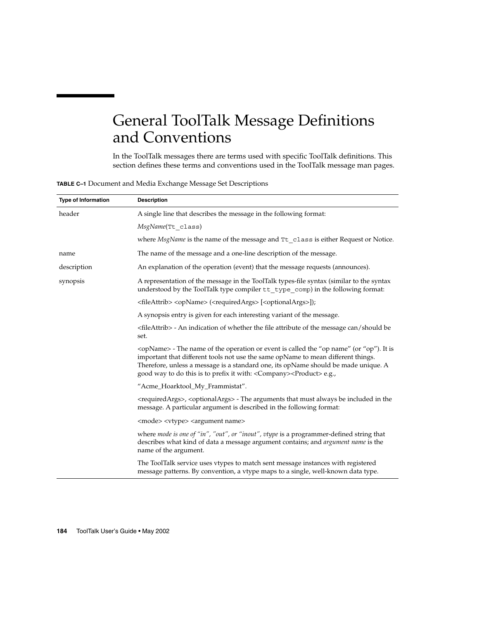# General ToolTalk Message Definitions and Conventions

In the ToolTalk messages there are terms used with specific ToolTalk definitions. This section defines these terms and conventions used in the ToolTalk message man pages.

| <b>Type of Information</b> | <b>Description</b>                                                                                                                                                                                                                                                                                                                                                               |
|----------------------------|----------------------------------------------------------------------------------------------------------------------------------------------------------------------------------------------------------------------------------------------------------------------------------------------------------------------------------------------------------------------------------|
| header                     | A single line that describes the message in the following format:                                                                                                                                                                                                                                                                                                                |
|                            | MsgName(Tt class)                                                                                                                                                                                                                                                                                                                                                                |
|                            | where MsgName is the name of the message and Tt class is either Request or Notice.                                                                                                                                                                                                                                                                                               |
| name                       | The name of the message and a one-line description of the message.                                                                                                                                                                                                                                                                                                               |
| description                | An explanation of the operation (event) that the message requests (announces).                                                                                                                                                                                                                                                                                                   |
| synopsis                   | A representation of the message in the ToolTalk types-file syntax (similar to the syntax<br>understood by the ToolTalk type compiler tt_type_comp) in the following format:                                                                                                                                                                                                      |
|                            | <fileattrib> <opname> (<requiredargs> [<optionalargs>]);</optionalargs></requiredargs></opname></fileattrib>                                                                                                                                                                                                                                                                     |
|                            | A synopsis entry is given for each interesting variant of the message.                                                                                                                                                                                                                                                                                                           |
|                            | <fileattrib> - An indication of whether the file attribute of the message can/should be<br/>set.</fileattrib>                                                                                                                                                                                                                                                                    |
|                            | $\langle \text{opName}\rangle$ - The name of the operation or event is called the "op name" (or "op"). It is<br>important that different tools not use the same opName to mean different things.<br>Therefore, unless a message is a standard one, its opName should be made unique. A<br>good way to do this is to prefix it with: <company><product> e.g.,</product></company> |
|                            | "Acme_Hoarktool_My_Frammistat".                                                                                                                                                                                                                                                                                                                                                  |
|                            | <requiredargs>, <optionalargs> - The arguments that must always be included in the<br/>message. A particular argument is described in the following format:</optionalargs></requiredargs>                                                                                                                                                                                        |
|                            | <mode> <vtype> <argument name=""></argument></vtype></mode>                                                                                                                                                                                                                                                                                                                      |
|                            | where mode is one of "in", "out", or "inout", vtype is a programmer-defined string that<br>describes what kind of data a message argument contains; and argument name is the<br>name of the argument.                                                                                                                                                                            |
|                            | The ToolTalk service uses vtypes to match sent message instances with registered<br>message patterns. By convention, a vtype maps to a single, well-known data type.                                                                                                                                                                                                             |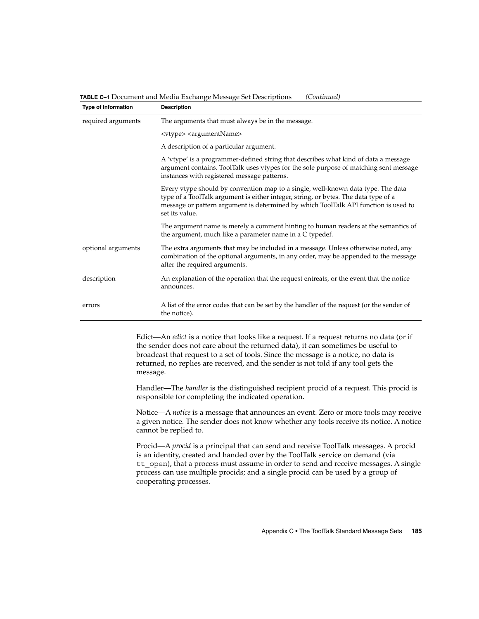| <b>Type of Information</b> | <b>Description</b>                                                                                                                                                                                                                                                               |
|----------------------------|----------------------------------------------------------------------------------------------------------------------------------------------------------------------------------------------------------------------------------------------------------------------------------|
| required arguments         | The arguments that must always be in the message.                                                                                                                                                                                                                                |
|                            | <vtype> <argumentname></argumentname></vtype>                                                                                                                                                                                                                                    |
|                            | A description of a particular argument.                                                                                                                                                                                                                                          |
|                            | A 'vtype' is a programmer-defined string that describes what kind of data a message<br>argument contains. ToolTalk uses vtypes for the sole purpose of matching sent message<br>instances with registered message patterns.                                                      |
|                            | Every vtype should by convention map to a single, well-known data type. The data<br>type of a ToolTalk argument is either integer, string, or bytes. The data type of a<br>message or pattern argument is determined by which ToolTalk API function is used to<br>set its value. |
|                            | The argument name is merely a comment hinting to human readers at the semantics of<br>the argument, much like a parameter name in a C typedef.                                                                                                                                   |
| optional arguments         | The extra arguments that may be included in a message. Unless otherwise noted, any<br>combination of the optional arguments, in any order, may be appended to the message<br>after the required arguments.                                                                       |
| description                | An explanation of the operation that the request entreats, or the event that the notice<br>announces.                                                                                                                                                                            |
| errors                     | A list of the error codes that can be set by the handler of the request (or the sender of<br>the notice).                                                                                                                                                                        |

**TABLE C–1** Document and Media Exchange Message Set Descriptions *(Continued)*

Edict—An *edict* is a notice that looks like a request. If a request returns no data (or if the sender does not care about the returned data), it can sometimes be useful to broadcast that request to a set of tools. Since the message is a notice, no data is returned, no replies are received, and the sender is not told if any tool gets the message.

Handler—The *handler* is the distinguished recipient procid of a request. This procid is responsible for completing the indicated operation.

Notice—A *notice* is a message that announces an event. Zero or more tools may receive a given notice. The sender does not know whether any tools receive its notice. A notice cannot be replied to.

Procid—A *procid* is a principal that can send and receive ToolTalk messages. A procid is an identity, created and handed over by the ToolTalk service on demand (via tt open), that a process must assume in order to send and receive messages. A single process can use multiple procids; and a single procid can be used by a group of cooperating processes.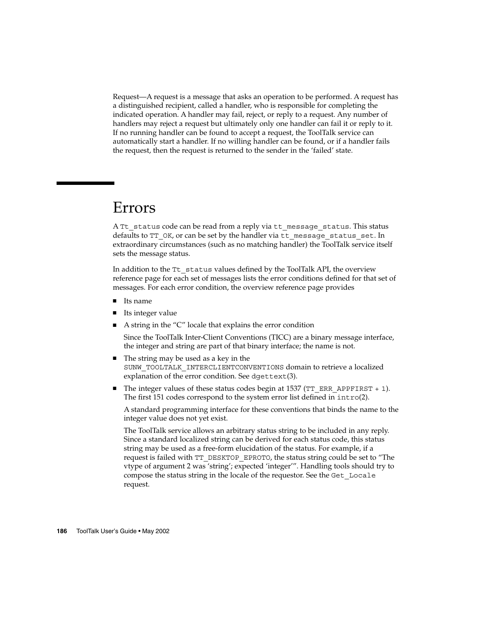Request—A request is a message that asks an operation to be performed. A request has a distinguished recipient, called a handler, who is responsible for completing the indicated operation. A handler may fail, reject, or reply to a request. Any number of handlers may reject a request but ultimately only one handler can fail it or reply to it. If no running handler can be found to accept a request, the ToolTalk service can automatically start a handler. If no willing handler can be found, or if a handler fails the request, then the request is returned to the sender in the 'failed' state.

## Errors

A Tt status code can be read from a reply via tt message status. This status defaults to TT\_OK, or can be set by the handler via tt\_message\_status\_set. In extraordinary circumstances (such as no matching handler) the ToolTalk service itself sets the message status.

In addition to the Tt status values defined by the ToolTalk API, the overview reference page for each set of messages lists the error conditions defined for that set of messages. For each error condition, the overview reference page provides

- Its name
- Its integer value
- A string in the "C" locale that explains the error condition

Since the ToolTalk Inter-Client Conventions (TICC) are a binary message interface, the integer and string are part of that binary interface; the name is not.

- The string may be used as a key in the SUNW\_TOOLTALK\_INTERCLIENTCONVENTIONS domain to retrieve a localized explanation of the error condition. See dgettext(3).
- The integer values of these status codes begin at 1537 ( $TT$  ERR APPFIRST + 1). The first 151 codes correspond to the system error list defined in  $\text{intro}(2)$ .

A standard programming interface for these conventions that binds the name to the integer value does not yet exist.

The ToolTalk service allows an arbitrary status string to be included in any reply. Since a standard localized string can be derived for each status code, this status string may be used as a free-form elucidation of the status. For example, if a request is failed with TT\_DESKTOP\_EPROTO, the status string could be set to "The vtype of argument 2 was 'string'; expected 'integer'". Handling tools should try to compose the status string in the locale of the requestor. See the Get\_Locale request.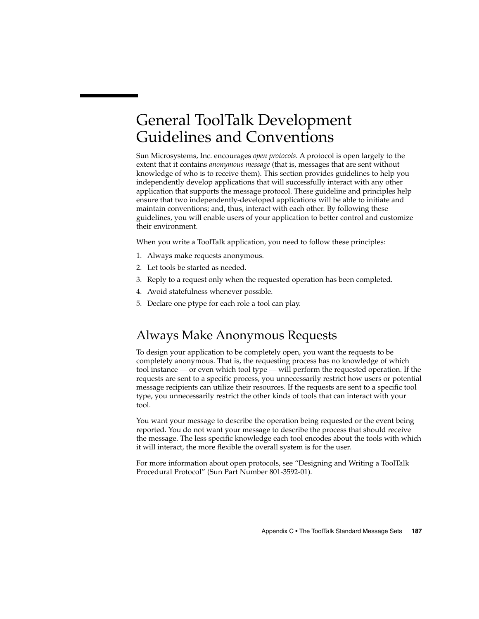# General ToolTalk Development Guidelines and Conventions

Sun Microsystems, Inc. encourages *open protocols*. A protocol is open largely to the extent that it contains *anonymous message* (that is, messages that are sent without knowledge of who is to receive them). This section provides guidelines to help you independently develop applications that will successfully interact with any other application that supports the message protocol. These guideline and principles help ensure that two independently-developed applications will be able to initiate and maintain conventions; and, thus, interact with each other. By following these guidelines, you will enable users of your application to better control and customize their environment.

When you write a ToolTalk application, you need to follow these principles:

- 1. Always make requests anonymous.
- 2. Let tools be started as needed.
- 3. Reply to a request only when the requested operation has been completed.
- 4. Avoid statefulness whenever possible.
- 5. Declare one ptype for each role a tool can play.

#### Always Make Anonymous Requests

To design your application to be completely open, you want the requests to be completely anonymous. That is, the requesting process has no knowledge of which tool instance — or even which tool type — will perform the requested operation. If the requests are sent to a specific process, you unnecessarily restrict how users or potential message recipients can utilize their resources. If the requests are sent to a specific tool type, you unnecessarily restrict the other kinds of tools that can interact with your tool.

You want your message to describe the operation being requested or the event being reported. You do not want your message to describe the process that should receive the message. The less specific knowledge each tool encodes about the tools with which it will interact, the more flexible the overall system is for the user.

For more information about open protocols, see "Designing and Writing a ToolTalk Procedural Protocol" (Sun Part Number 801-3592-01).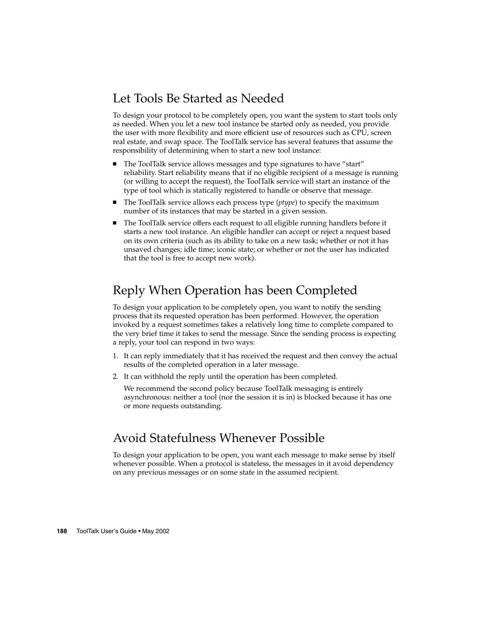#### Let Tools Be Started as Needed

To design your protocol to be completely open, you want the system to start tools only as needed. When you let a new tool instance be started only as needed, you provide the user with more flexibility and more efficient use of resources such as CPU, screen real estate, and swap space. The ToolTalk service has several features that assume the responsibility of determining when to start a new tool instance:

- The ToolTalk service allows messages and type signatures to have "start" reliability. Start reliability means that if no eligible recipient of a message is running (or willing to accept the request), the ToolTalk service will start an instance of the type of tool which is statically registered to handle or observe that message.
- The ToolTalk service allows each process type (*ptype*) to specify the maximum number of its instances that may be started in a given session.
- The ToolTalk service offers each request to all eligible running handlers before it starts a new tool instance. An eligible handler can accept or reject a request based on its own criteria (such as its ability to take on a new task; whether or not it has unsaved changes; idle time; iconic state; or whether or not the user has indicated that the tool is free to accept new work).

## Reply When Operation has been Completed

To design your application to be completely open, you want to notify the sending process that its requested operation has been performed. However, the operation invoked by a request sometimes takes a relatively long time to complete compared to the very brief time it takes to send the message. Since the sending process is expecting a reply, your tool can respond in two ways:

- 1. It can reply immediately that it has received the request and then convey the actual results of the completed operation in a later message.
- 2. It can withhold the reply until the operation has been completed.

We recommend the second policy because ToolTalk messaging is entirely asynchronous: neither a tool (nor the session it is in) is blocked because it has one or more requests outstanding.

#### Avoid Statefulness Whenever Possible

To design your application to be open, you want each message to make sense by itself whenever possible. When a protocol is stateless, the messages in it avoid dependency on any previous messages or on some state in the assumed recipient.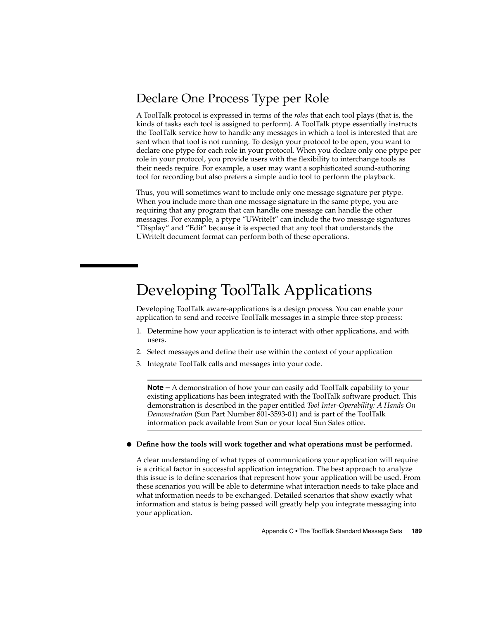#### Declare One Process Type per Role

A ToolTalk protocol is expressed in terms of the *roles* that each tool plays (that is, the kinds of tasks each tool is assigned to perform). A ToolTalk ptype essentially instructs the ToolTalk service how to handle any messages in which a tool is interested that are sent when that tool is not running. To design your protocol to be open, you want to declare one ptype for each role in your protocol. When you declare only one ptype per role in your protocol, you provide users with the flexibility to interchange tools as their needs require. For example, a user may want a sophisticated sound-authoring tool for recording but also prefers a simple audio tool to perform the playback.

Thus, you will sometimes want to include only one message signature per ptype. When you include more than one message signature in the same ptype, you are requiring that any program that can handle one message can handle the other messages. For example, a ptype "UWriteIt" can include the two message signatures "Display" and "Edit" because it is expected that any tool that understands the UWriteIt document format can perform both of these operations.

# Developing ToolTalk Applications

Developing ToolTalk aware-applications is a design process. You can enable your application to send and receive ToolTalk messages in a simple three-step process:

- 1. Determine how your application is to interact with other applications, and with users.
- 2. Select messages and define their use within the context of your application
- 3. Integrate ToolTalk calls and messages into your code.

**Note –** A demonstration of how your can easily add ToolTalk capability to your existing applications has been integrated with the ToolTalk software product. This demonstration is described in the paper entitled *Tool Inter-Operability: A Hands On Demonstration* (Sun Part Number 801-3593-01) and is part of the ToolTalk information pack available from Sun or your local Sun Sales office.

#### ● **Define how the tools will work together and what operations must be performed.**

A clear understanding of what types of communications your application will require is a critical factor in successful application integration. The best approach to analyze this issue is to define scenarios that represent how your application will be used. From these scenarios you will be able to determine what interaction needs to take place and what information needs to be exchanged. Detailed scenarios that show exactly what information and status is being passed will greatly help you integrate messaging into your application.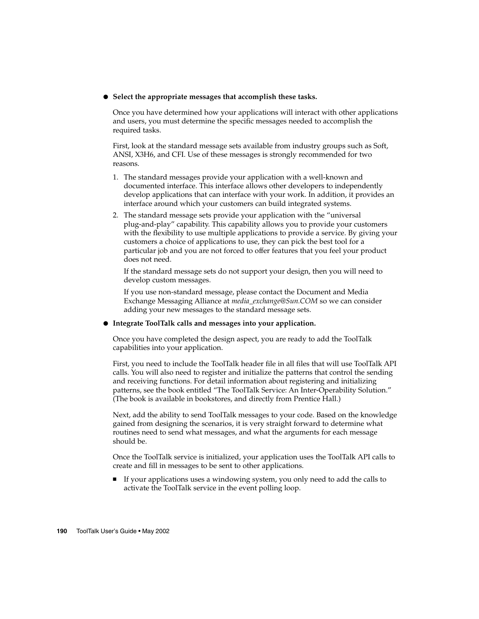#### ● **Select the appropriate messages that accomplish these tasks.**

Once you have determined how your applications will interact with other applications and users, you must determine the specific messages needed to accomplish the required tasks.

First, look at the standard message sets available from industry groups such as Soft, ANSI, X3H6, and CFI. Use of these messages is strongly recommended for two reasons.

- 1. The standard messages provide your application with a well-known and documented interface. This interface allows other developers to independently develop applications that can interface with your work. In addition, it provides an interface around which your customers can build integrated systems.
- 2. The standard message sets provide your application with the "universal plug-and-play" capability. This capability allows you to provide your customers with the flexibility to use multiple applications to provide a service. By giving your customers a choice of applications to use, they can pick the best tool for a particular job and you are not forced to offer features that you feel your product does not need.

If the standard message sets do not support your design, then you will need to develop custom messages.

If you use non-standard message, please contact the Document and Media Exchange Messaging Alliance at *media\_exchange@Sun.COM* so we can consider adding your new messages to the standard message sets.

● **Integrate ToolTalk calls and messages into your application.**

Once you have completed the design aspect, you are ready to add the ToolTalk capabilities into your application.

First, you need to include the ToolTalk header file in all files that will use ToolTalk API calls. You will also need to register and initialize the patterns that control the sending and receiving functions. For detail information about registering and initializing patterns, see the book entitled "The ToolTalk Service: An Inter-Operability Solution." (The book is available in bookstores, and directly from Prentice Hall.)

Next, add the ability to send ToolTalk messages to your code. Based on the knowledge gained from designing the scenarios, it is very straight forward to determine what routines need to send what messages, and what the arguments for each message should be.

Once the ToolTalk service is initialized, your application uses the ToolTalk API calls to create and fill in messages to be sent to other applications.

If your applications uses a windowing system, you only need to add the calls to activate the ToolTalk service in the event polling loop.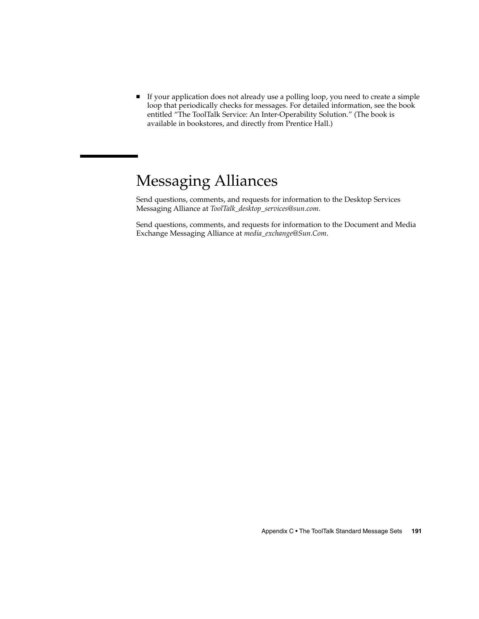■ If your application does not already use a polling loop, you need to create a simple loop that periodically checks for messages. For detailed information, see the book entitled "The ToolTalk Service: An Inter-Operability Solution." (The book is available in bookstores, and directly from Prentice Hall.)

# Messaging Alliances

Send questions, comments, and requests for information to the Desktop Services Messaging Alliance at *ToolTalk\_desktop\_services@sun.com*.

Send questions, comments, and requests for information to the Document and Media Exchange Messaging Alliance at *media\_exchange@Sun.Com*.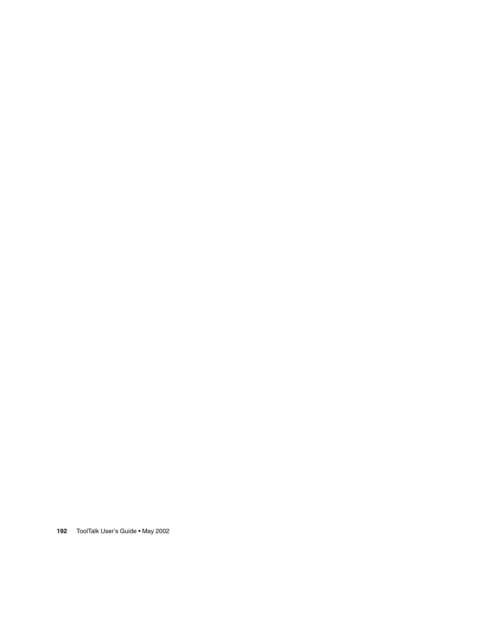ToolTalk User's Guide • May 2002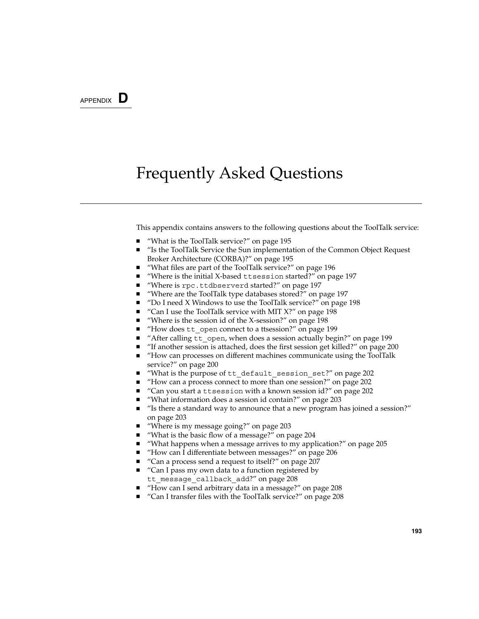#### APPENDIX **D**

## Frequently Asked Questions

This appendix contains answers to the following questions about the ToolTalk service:

- *"What is the ToolTalk service?"* on page 195
- "Is the ToolTalk Service the Sun implementation of the Common Object Request Broker Architecture (CORBA)?" on page 195
- "What files are part of the ToolTalk service?" on page 196
- "Where is the initial X-based ttsession started?" on page 197
- "Where is rpc.ttdbserverd started?" on page 197
- *"Where are the ToolTalk type databases stored?"* on page 197
- "Do I need X Windows to use the ToolTalk service?" on page 198
- "Can I use the ToolTalk service with MIT X?" on page 198
- *"Where is the session id of the X-session?"* on page 198
- "How does tt\_open connect to a ttsession?" on page 199
- "After calling tt\_open, when does a session actually begin?" on page 199
- "If another session is attached, does the first session get killed?" on page 200
- "How can processes on different machines communicate using the ToolTalk service?" on page 200
- "What is the purpose of tt\_default\_session\_set?" on page 202
- "How can a process connect to more than one session?" on page 202
- "Can you start a ttsession with a known session id?" on page 202
- *"What information does a session id contain?" on page 203*
- "Is there a standard way to announce that a new program has joined a session?" on page 203
- *"Where is my message going?"* on page 203
- *"What is the basic flow of a message?"* on page 204
- "What happens when a message arrives to my application?" on page 205
- "How can I differentiate between messages?" on page 206
- "Can a process send a request to itself?" on page 207
- "Can I pass my own data to a function registered by
	- tt message callback add?" on page 208
- "How can I send arbitrary data in a message?" on page 208
- "Can I transfer files with the ToolTalk service?" on page 208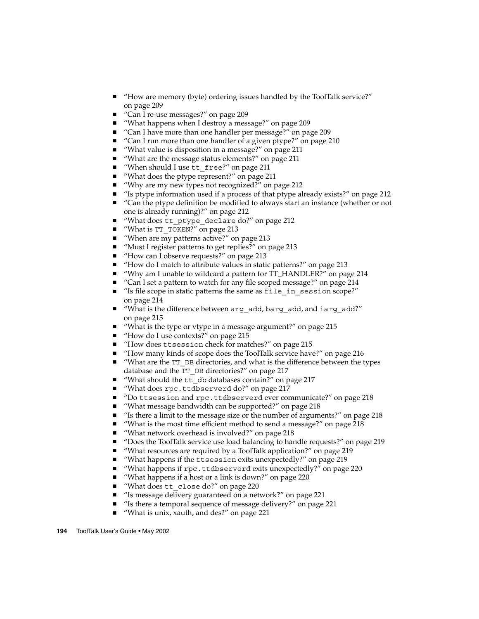- "How are memory (byte) ordering issues handled by the ToolTalk service?" on page 209
- "Can I re-use messages?" on page 209
- "What happens when I destroy a message?" on page 209
- "Can I have more than one handler per message?" on page 209
- "Can I run more than one handler of a given ptype?" on page 210
- *"What value is disposition in a message?"* on page 211
- *"What are the message status elements?"* on page 211
- "When should I use tt\_free?" on page 211
- "What does the ptype represent?" on page 211
- "Why are my new types not recognized?" on page 212
- "Is ptype information used if a process of that ptype already exists?" on page 212
- "Can the ptype definition be modified to always start an instance (whether or not one is already running)?" on page 212
- "What does tt\_ptype\_declare do?" on page 212
- "What is TT\_TOKEN?" on page 213
- *"When are my patterns active?"* on page 213
- *"*Must I register patterns to get replies?" on page 213
- "How can I observe requests?" on page 213
- "How do I match to attribute values in static patterns?" on page 213
- "Why am I unable to wildcard a pattern for TT\_HANDLER?" on page 214
- "Can I set a pattern to watch for any file scoped message?" on page 214
- "Is file scope in static patterns the same as file in session scope?" on page 214
- "What is the difference between arg\_add, barg\_add, and iarg\_add?" on page 215
- "What is the type or vtype in a message argument?" on page 215
- "How do I use contexts?" on page 215
- "How does ttsession check for matches?" on page 215
- "How many kinds of scope does the ToolTalk service have?" on page 216
- "What are the TT\_DB directories, and what is the difference between the types database and the TT DB directories?" on page 217
- "What should the  $tt$  db databases contain?" on page 217
- "What does rpc.ttdbserverd do?" on page 217
- "Do ttsession and rpc.ttdbserverd ever communicate?" on page 218
- *"What message bandwidth can be supported?"* on page 218
- "Is there a limit to the message size or the number of arguments?" on page 218
- "What is the most time efficient method to send a message?" on page 218
- "What network overhead is involved?" on page 218
- "Does the ToolTalk service use load balancing to handle requests?" on page 219
- "What resources are required by a ToolTalk application?" on page 219
- "What happens if the ttsession exits unexpectedly?" on page 219
- "What happens if rpc.ttdbserverd exits unexpectedly?" on page 220
- "What happens if a host or a link is down?" on page 220
- "What does tt\_close do?" on page 220
- "Is message delivery guaranteed on a network?" on page 221
- "Is there a temporal sequence of message delivery?" on page 221
- "What is unix, xauth, and des?" on page 221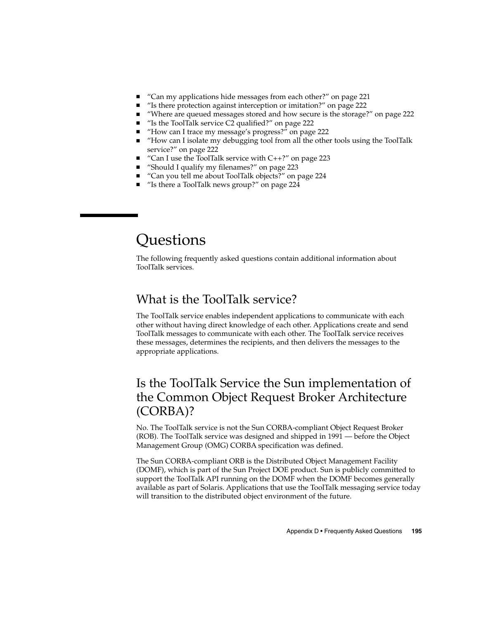- "Can my applications hide messages from each other?" on page 221
- "Is there protection against interception or imitation?" on page 222
- "Where are queued messages stored and how secure is the storage?" on page 222
- "Is the ToolTalk service C2 qualified?" on page 222
- "How can I trace my message's progress?" on page 222
- "How can I isolate my debugging tool from all the other tools using the ToolTalk service?" on page 222
- "Can I use the ToolTalk service with C++?" on page 223
- "Should I qualify my filenames?" on page 223
- "Can you tell me about ToolTalk objects?" on page 224
- "Is there a ToolTalk news group?" on page 224

# **Questions**

The following frequently asked questions contain additional information about ToolTalk services.

#### What is the ToolTalk service?

The ToolTalk service enables independent applications to communicate with each other without having direct knowledge of each other. Applications create and send ToolTalk messages to communicate with each other. The ToolTalk service receives these messages, determines the recipients, and then delivers the messages to the appropriate applications.

#### Is the ToolTalk Service the Sun implementation of the Common Object Request Broker Architecture (CORBA)?

No. The ToolTalk service is not the Sun CORBA-compliant Object Request Broker (ROB). The ToolTalk service was designed and shipped in 1991 — before the Object Management Group (OMG) CORBA specification was defined.

The Sun CORBA-compliant ORB is the Distributed Object Management Facility (DOMF), which is part of the Sun Project DOE product. Sun is publicly committed to support the ToolTalk API running on the DOMF when the DOMF becomes generally available as part of Solaris. Applications that use the ToolTalk messaging service today will transition to the distributed object environment of the future.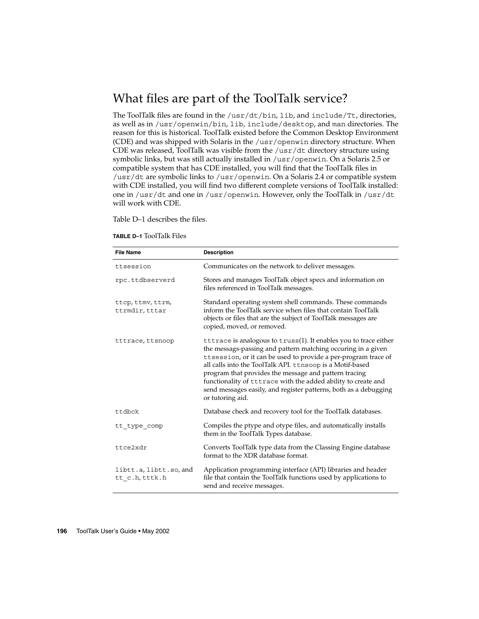#### What files are part of the ToolTalk service?

The ToolTalk files are found in the /usr/dt/bin, lib, and include/Tt, directories, as well as in /usr/openwin/bin, lib, include/desktop, and man directories. The reason for this is historical. ToolTalk existed before the Common Desktop Environment (CDE) and was shipped with Solaris in the /usr/openwin directory structure. When CDE was released, ToolTalk was visible from the /usr/dt directory structure using symbolic links, but was still actually installed in /usr/openwin. On a Solaris 2.5 or compatible system that has CDE installed, you will find that the ToolTalk files in  $\mu$ usr/dt are symbolic links to /usr/openwin. On a Solaris 2.4 or compatible system with CDE installed, you will find two different complete versions of ToolTalk installed: one in /usr/dt and one in /usr/openwin. However, only the ToolTalk in /usr/dt will work with CDE.

Table D–1 describes the files.

| <b>TABLE D-1</b> ToolTalk Files |  |  |
|---------------------------------|--|--|
|---------------------------------|--|--|

| <b>File Name</b>                         | <b>Description</b>                                                                                                                                                                                                                                                                                                                                                                                                                                                                |
|------------------------------------------|-----------------------------------------------------------------------------------------------------------------------------------------------------------------------------------------------------------------------------------------------------------------------------------------------------------------------------------------------------------------------------------------------------------------------------------------------------------------------------------|
| ttsession                                | Communicates on the network to deliver messages.                                                                                                                                                                                                                                                                                                                                                                                                                                  |
| rpc.ttdbserverd                          | Stores and manages ToolTalk object specs and information on<br>files referenced in ToolTalk messages.                                                                                                                                                                                                                                                                                                                                                                             |
| ttcp, ttmv, ttrm,<br>ttrmdir, tttar      | Standard operating system shell commands. These commands<br>inform the ToolTalk service when files that contain ToolTalk<br>objects or files that are the subject of ToolTalk messages are<br>copied, moved, or removed.                                                                                                                                                                                                                                                          |
| tttrace, ttsnoop                         | tttrace is analogous to truss(1). It enables you to trace either<br>the messags-passing and pattern matching occuring in a given<br>ttsession, or it can be used to provide a per-program trace of<br>all calls into the ToolTalk API. ttnsoop is a Motif-based<br>program that provides the message and pattern tracing<br>functionality of tttrace with the added ability to create and<br>send messages easily, and register patterns, both as a debugging<br>or tutoring aid. |
| ttdbck                                   | Database check and recovery tool for the ToolTalk databases.                                                                                                                                                                                                                                                                                                                                                                                                                      |
| tt type comp                             | Compiles the ptype and otype files, and automatically installs<br>them in the ToolTalk Types database.                                                                                                                                                                                                                                                                                                                                                                            |
| ttce2xdr                                 | Converts ToolTalk type data from the Classing Engine database<br>format to the XDR database format.                                                                                                                                                                                                                                                                                                                                                                               |
| libtt.a, libtt.so, and<br>tt c.h, tttk.h | Application programming interface (API) libraries and header<br>file that contain the ToolTalk functions used by applications to<br>send and receive messages.                                                                                                                                                                                                                                                                                                                    |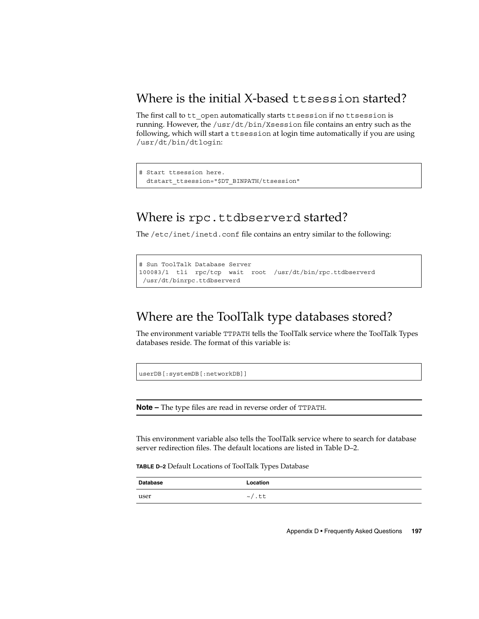#### Where is the initial X-based ttsession started?

The first call to tt open automatically starts ttsession if no ttsession is running. However, the /usr/dt/bin/Xsession file contains an entry such as the following, which will start a ttsession at login time automatically if you are using /usr/dt/bin/dtlogin:

```
# Start ttsession here.
 dtstart_ttsession="$DT_BINPATH/ttsession"
```
#### Where is rpc.ttdbserverd started?

The /etc/inet/inetd.conf file contains an entry similar to the following:

```
# Sun ToolTalk Database Server
100083/1 tli rpc/tcp wait root /usr/dt/bin/rpc.ttdbserverd
 /usr/dt/binrpc.ttdbserverd
```
#### Where are the ToolTalk type databases stored?

The environment variable TTPATH tells the ToolTalk service where the ToolTalk Types databases reside. The format of this variable is:

userDB[:systemDB[:networkDB]]

**Note –** The type files are read in reverse order of TTPATH.

This environment variable also tells the ToolTalk service where to search for database server redirection files. The default locations are listed in Table D–2.

**TABLE D–2** Default Locations of ToolTalk Types Database

| <b>Database</b> | Location      |
|-----------------|---------------|
| user            | .tt<br>$\sim$ |

Appendix D • Frequently Asked Questions **197**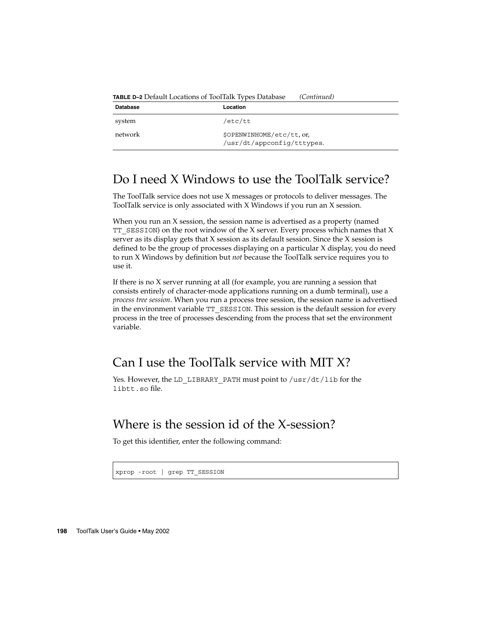| <b>Database</b> | Location                                               |
|-----------------|--------------------------------------------------------|
| system          | /etc/tt                                                |
| network         | \$OPENWINHOME/etc/tt.or.<br>/usr/dt/appconfig/tttypes. |

**TABLE D–2** Default Locations of ToolTalk Types Database *(Continued)*

#### Do I need X Windows to use the ToolTalk service?

The ToolTalk service does not use X messages or protocols to deliver messages. The ToolTalk service is only associated with X Windows if you run an X session.

When you run an X session, the session name is advertised as a property (named TT SESSION) on the root window of the X server. Every process which names that X server as its display gets that X session as its default session. Since the X session is defined to be the group of processes displaying on a particular X display, you do need to run X Windows by definition but *not* because the ToolTalk service requires you to use it.

If there is no X server running at all (for example, you are running a session that consists entirely of character-mode applications running on a dumb terminal), use a *process tree session*. When you run a process tree session, the session name is advertised in the environment variable TT\_SESSION. This session is the default session for every process in the tree of processes descending from the process that set the environment variable.

#### Can I use the ToolTalk service with MIT X?

Yes. However, the LD\_LIBRARY\_PATH must point to /usr/dt/lib for the libtt.so file.

#### Where is the session id of the X-session?

To get this identifier, enter the following command:

xprop -root | grep TT\_SESSION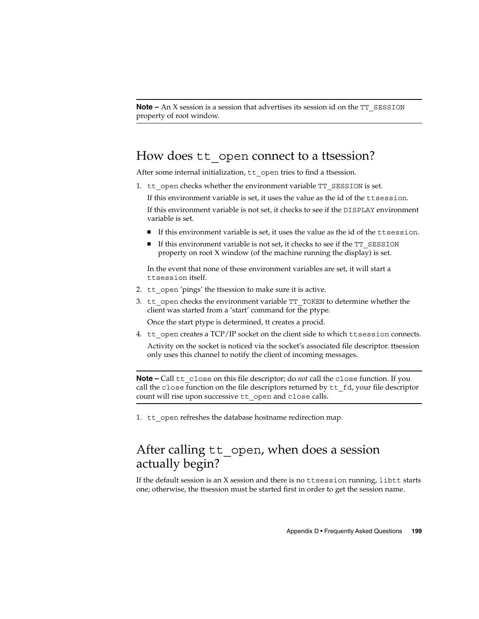**Note** – An X session is a session that advertises its session id on the TT\_SESSION property of root window.

#### How does  $tt$  open connect to a ttsession?

After some internal initialization,  $tt$  open tries to find a ttsession.

1. tt\_open checks whether the environment variable TT\_SESSION is set.

If this environment variable is set, it uses the value as the id of the ttsession.

If this environment variable is not set, it checks to see if the DISPLAY environment variable is set.

- If this environment variable is set, it uses the value as the id of the ttsession.
- If this environment variable is not set, it checks to see if the TT\_SESSION property on root X window (of the machine running the display) is set.

In the event that none of these environment variables are set, it will start a ttsession itself.

- 2. tt\_open 'pings' the ttsession to make sure it is active.
- 3. tt\_open checks the environment variable TT\_TOKEN to determine whether the client was started from a 'start' command for the ptype.

Once the start ptype is determined, tt creates a procid.

4. tt open creates a TCP/IP socket on the client side to which ttsession connects.

Activity on the socket is noticed via the socket's associated file descriptor. ttsession only uses this channel to notify the client of incoming messages.

**Note –** Call tt\_close on this file descriptor; do *not* call the close function. If you call the close function on the file descriptors returned by  $tt\,fd$ , your file descriptor count will rise upon successive tt\_open and close calls.

1. tt open refreshes the database hostname redirection map.

#### After calling tt open, when does a session actually begin?

If the default session is an X session and there is no ttsession running, libtt starts one; otherwise, the ttsession must be started first in order to get the session name.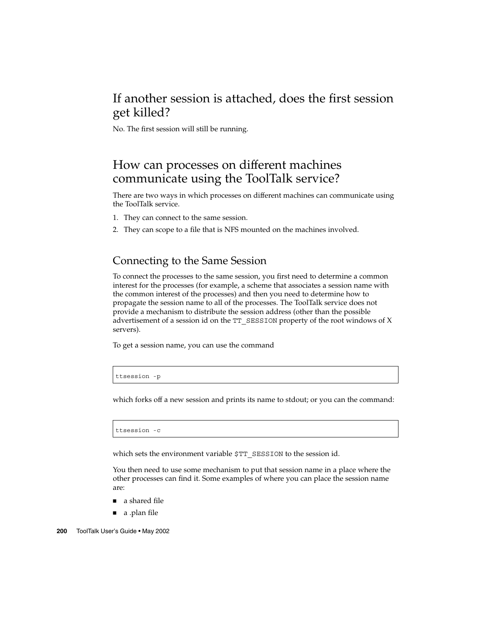#### If another session is attached, does the first session get killed?

No. The first session will still be running.

#### How can processes on different machines communicate using the ToolTalk service?

There are two ways in which processes on different machines can communicate using the ToolTalk service.

- 1. They can connect to the same session.
- 2. They can scope to a file that is NFS mounted on the machines involved.

#### Connecting to the Same Session

To connect the processes to the same session, you first need to determine a common interest for the processes (for example, a scheme that associates a session name with the common interest of the processes) and then you need to determine how to propagate the session name to all of the processes. The ToolTalk service does not provide a mechanism to distribute the session address (other than the possible advertisement of a session id on the TT\_SESSION property of the root windows of X servers).

To get a session name, you can use the command

ttsession -p

which forks off a new session and prints its name to stdout; or you can the command:

ttsession -c

which sets the environment variable  $STT$  SESSION to the session id.

You then need to use some mechanism to put that session name in a place where the other processes can find it. Some examples of where you can place the session name are:

- a shared file
- a .plan file

**200** ToolTalk User's Guide • May 2002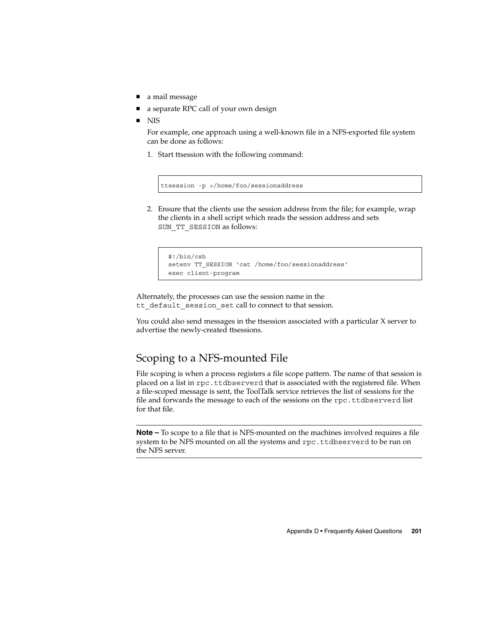- a mail message
- a separate RPC call of your own design
- NIS

For example, one approach using a well-known file in a NFS-exported file system can be done as follows:

1. Start ttsession with the following command:

ttsession -p >/home/foo/sessionaddress

2. Ensure that the clients use the session address from the file; for example, wrap the clients in a shell script which reads the session address and sets SUN\_TT\_SESSION as follows:

```
#!/bin/csh
setenv TT_SESSION 'cat /home/foo/sessionaddress'
exec client-program
```
Alternately, the processes can use the session name in the tt default session set call to connect to that session.

You could also send messages in the ttsession associated with a particular X server to advertise the newly-created ttsessions.

#### Scoping to a NFS-mounted File

File scoping is when a process registers a file scope pattern. The name of that session is placed on a list in rpc.ttdbserverd that is associated with the registered file. When a file-scoped message is sent, the ToolTalk service retrieves the list of sessions for the file and forwards the message to each of the sessions on the rpc.ttdbserverd list for that file.

**Note –** To scope to a file that is NFS-mounted on the machines involved requires a file system to be NFS mounted on all the systems and rpc.ttdbserverd to be run on the NFS server.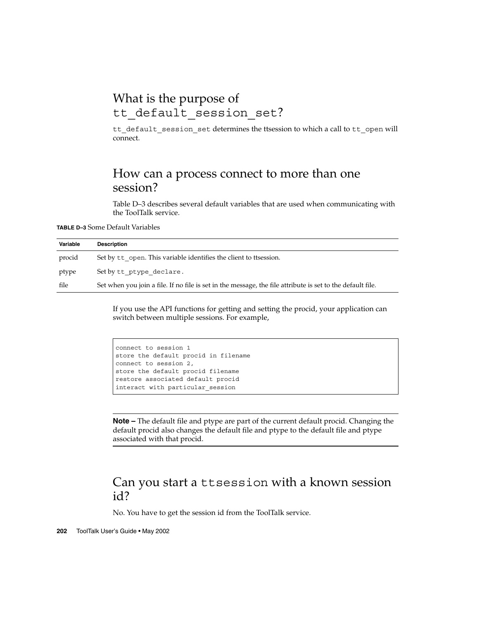#### What is the purpose of tt default session set?

tt default session set determines the ttsession to which a call to tt open will connect.

#### How can a process connect to more than one session?

Table D–3 describes several default variables that are used when communicating with the ToolTalk service.

**TABLE D–3** Some Default Variables

| Variable | <b>Description</b>                                                                                         |
|----------|------------------------------------------------------------------------------------------------------------|
| procid   | Set by tt open. This variable identifies the client to the session.                                        |
| ptype    | Set by tt ptype declare.                                                                                   |
| file     | Set when you join a file. If no file is set in the message, the file attribute is set to the default file. |

If you use the API functions for getting and setting the procid, your application can switch between multiple sessions. For example,

```
connect to session 1
store the default procid in filename
connect to session 2,
store the default procid filename
restore associated default procid
interact with particular_session
```
**Note –** The default file and ptype are part of the current default procid. Changing the default procid also changes the default file and ptype to the default file and ptype associated with that procid.

#### Can you start a ttsession with a known session id?

No. You have to get the session id from the ToolTalk service.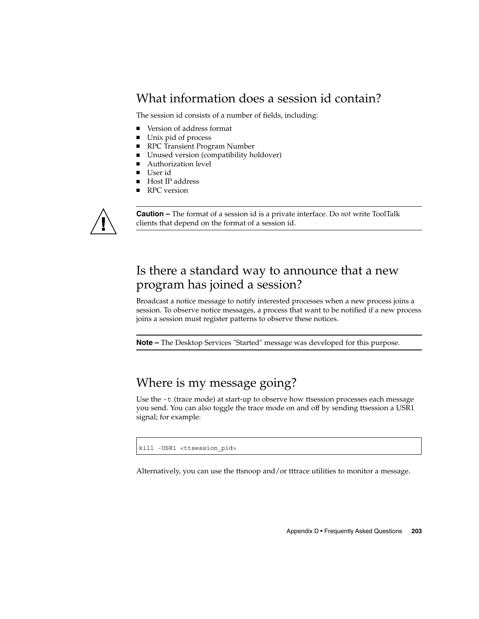#### What information does a session id contain?

The session id consists of a number of fields, including:

- Version of address format
- Unix pid of process
- RPC Transient Program Number
- Unused version (compatibility holdover)
- Authorization level
- User id
- Host IP address
- RPC version



**Caution –** The format of a session id is a private interface. Do *not* write ToolTalk clients that depend on the format of a session id.

#### Is there a standard way to announce that a new program has joined a session?

Broadcast a notice message to notify interested processes when a new process joins a session. To observe notice messages, a process that want to be notified if a new process joins a session must register patterns to observe these notices.

**Note –** The Desktop Services "Started" message was developed for this purpose.

#### Where is my message going?

Use the -t (trace mode) at start-up to observe how ttsession processes each message you send. You can also toggle the trace mode on and off by sending ttsession a USR1 signal; for example:

```
kill -USR1 <ttsession_pid>
```
Alternatively, you can use the ttsnoop and/or tttrace utilities to monitor a message.

Appendix D • Frequently Asked Questions **203**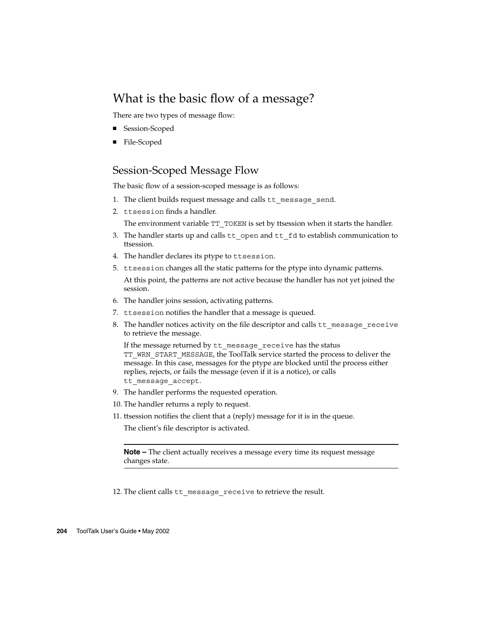#### What is the basic flow of a message?

There are two types of message flow:

- Session-Scoped
- File-Scoped

#### Session-Scoped Message Flow

The basic flow of a session-scoped message is as follows:

- 1. The client builds request message and calls tt\_message\_send.
- 2. ttsession finds a handler.

The environment variable TT\_TOKEN is set by ttsession when it starts the handler.

- 3. The handler starts up and calls tt\_open and tt\_fd to establish communication to ttsession.
- 4. The handler declares its ptype to ttsession.
- 5. ttsession changes all the static patterns for the ptype into dynamic patterns. At this point, the patterns are not active because the handler has not yet joined the session.
- 6. The handler joins session, activating patterns.
- 7. ttsession notifies the handler that a message is queued.
- 8. The handler notices activity on the file descriptor and calls tt\_message\_receive to retrieve the message.

If the message returned by tt message receive has the status TT\_WRN\_START\_MESSAGE, the ToolTalk service started the process to deliver the message. In this case, messages for the ptype are blocked until the process either replies, rejects, or fails the message (even if it is a notice), or calls tt message accept.

- 9. The handler performs the requested operation.
- 10. The handler returns a reply to request.
- 11. ttsession notifies the client that a (reply) message for it is in the queue.

The client's file descriptor is activated.

**Note** – The client actually receives a message every time its request message changes state.

12. The client calls tt message receive to retrieve the result.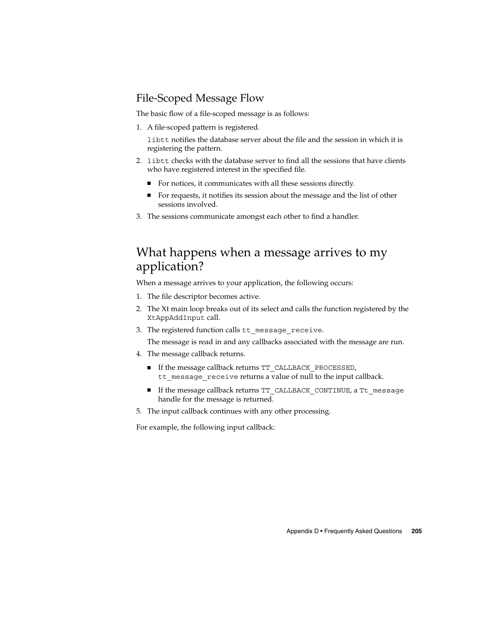#### File-Scoped Message Flow

The basic flow of a file-scoped message is as follows:

1. A file-scoped pattern is registered.

libtt notifies the database server about the file and the session in which it is registering the pattern.

- 2. libtt checks with the database server to find all the sessions that have clients who have registered interest in the specified file.
	- For notices, it communicates with all these sessions directly.
	- For requests, it notifies its session about the message and the list of other sessions involved.
- 3. The sessions communicate amongst each other to find a handler.

#### What happens when a message arrives to my application?

When a message arrives to your application, the following occurs:

- 1. The file descriptor becomes active.
- 2. The Xt main loop breaks out of its select and calls the function registered by the XtAppAddInput call.
- 3. The registered function calls tt\_message\_receive.

The message is read in and any callbacks associated with the message are run.

- 4. The message callback returns.
	- If the message callback returns TT\_CALLBACK\_PROCESSED, tt message receive returns a value of null to the input callback.
	- If the message callback returns TT\_CALLBACK\_CONTINUE, a Tt\_message handle for the message is returned.
- 5. The input callback continues with any other processing.

For example, the following input callback: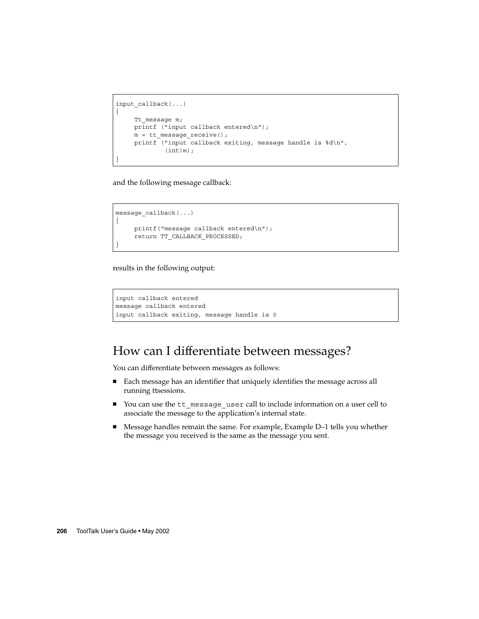```
input_callback(...)
{
    Tt message m;
    printf ("input callback entered\n");
    m = tt_message_receive();
    printf ("input callback exiting, message handle is %d\n",
             (int)m);}
```
and the following message callback:

```
message_callback(...)
{
    printf("message callback entered\n");
     return TT_CALLBACK_PROCESSED;
}
```
results in the following output:

```
input callback entered
message callback entered
input callback exiting, message handle is 0
```
## How can I differentiate between messages?

You can differentiate between messages as follows:

- Each message has an identifier that uniquely identifies the message across all running ttsessions.
- You can use the tt\_message\_user call to include information on a user cell to associate the message to the application's internal state.
- Message handles remain the same. For example, Example D–1 tells you whether the message you received is the same as the message you sent.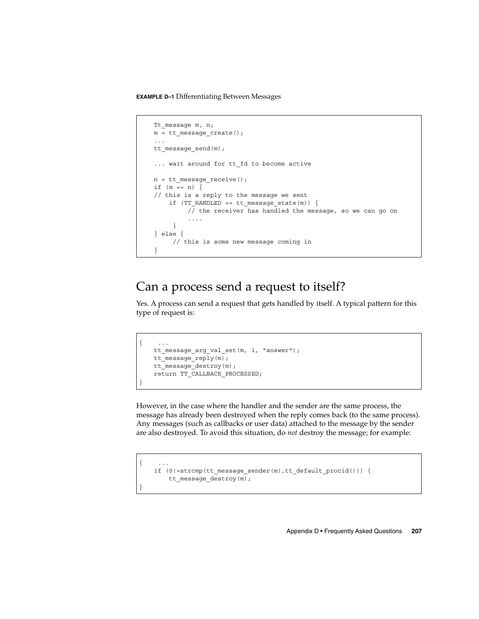**EXAMPLE D–1** Differentiating Between Messages

```
Tt_message m, n;
m = tt_message_create();
...
tt message send(m);
... wait around for tt_fd to become active
n = tt message receive();
if (m == n) {
// this is a reply to the message we sent
    if (TT_HANDLED == tt_message\_state(m)) {
         // the receiver has handled the message, so we can go on
         ....
     }
} else {
    // this is some new message coming in
}
```
#### Can a process send a request to itself?

Yes. A process can send a request that gets handled by itself. A typical pattern for this type of request is:

```
{ ...
   tt message arg val set(m, 1, "answer");
   tt message reply(m);
   tt message destroy(m);
   return TT_CALLBACK_PROCESSED;
}
```
However, in the case where the handler and the sender are the same process, the message has already been destroyed when the reply comes back (to the same process). Any messages (such as callbacks or user data) attached to the message by the sender are also destroyed. To avoid this situation, do *not* destroy the message; for example:

```
\{ \qquad \ldotsif (0!=strcmp(tt message sender(m),tt default procid())) {
        tt message destroy(m);
}
```
Appendix D • Frequently Asked Questions **207**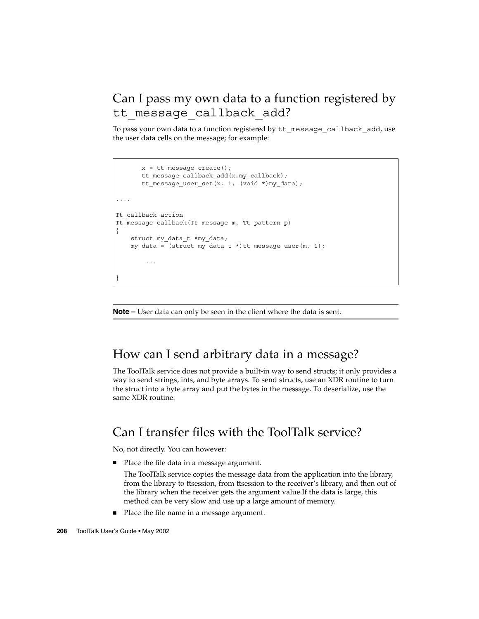#### Can I pass my own data to a function registered by tt message callback add?

To pass your own data to a function registered by tt\_message\_callback\_add, use the user data cells on the message; for example:

```
x = tt_message_create();
       tt message callback add(x, my callback);
       tt_message_user_set(x, 1, (void *)my_data);
....
Tt callback action
Tt message callback(Tt message m, Tt pattern p)
{
    struct my_data_t *my_data;
   my data = (struct my data t *)tt message user(m, 1);
        ...
}
```
**Note –** User data can only be seen in the client where the data is sent.

#### How can I send arbitrary data in a message?

The ToolTalk service does not provide a built-in way to send structs; it only provides a way to send strings, ints, and byte arrays. To send structs, use an XDR routine to turn the struct into a byte array and put the bytes in the message. To deserialize, use the same XDR routine.

#### Can I transfer files with the ToolTalk service?

No, not directly. You can however:

- Place the file data in a message argument.
	- The ToolTalk service copies the message data from the application into the library, from the library to ttsession, from ttsession to the receiver's library, and then out of the library when the receiver gets the argument value.If the data is large, this method can be very slow and use up a large amount of memory.
- Place the file name in a message argument.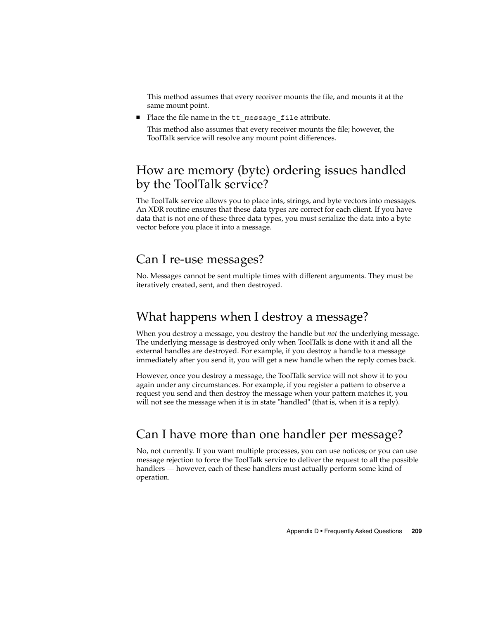This method assumes that every receiver mounts the file, and mounts it at the same mount point.

■ Place the file name in the tt\_message\_file attribute.

This method also assumes that every receiver mounts the file; however, the ToolTalk service will resolve any mount point differences.

#### How are memory (byte) ordering issues handled by the ToolTalk service?

The ToolTalk service allows you to place ints, strings, and byte vectors into messages. An XDR routine ensures that these data types are correct for each client. If you have data that is not one of these three data types, you must serialize the data into a byte vector before you place it into a message.

#### Can I re-use messages?

No. Messages cannot be sent multiple times with different arguments. They must be iteratively created, sent, and then destroyed.

## What happens when I destroy a message?

When you destroy a message, you destroy the handle but *not* the underlying message. The underlying message is destroyed only when ToolTalk is done with it and all the external handles are destroyed. For example, if you destroy a handle to a message immediately after you send it, you will get a new handle when the reply comes back.

However, once you destroy a message, the ToolTalk service will not show it to you again under any circumstances. For example, if you register a pattern to observe a request you send and then destroy the message when your pattern matches it, you will not see the message when it is in state "handled" (that is, when it is a reply).

#### Can I have more than one handler per message?

No, not currently. If you want multiple processes, you can use notices; or you can use message rejection to force the ToolTalk service to deliver the request to all the possible handlers — however, each of these handlers must actually perform some kind of operation.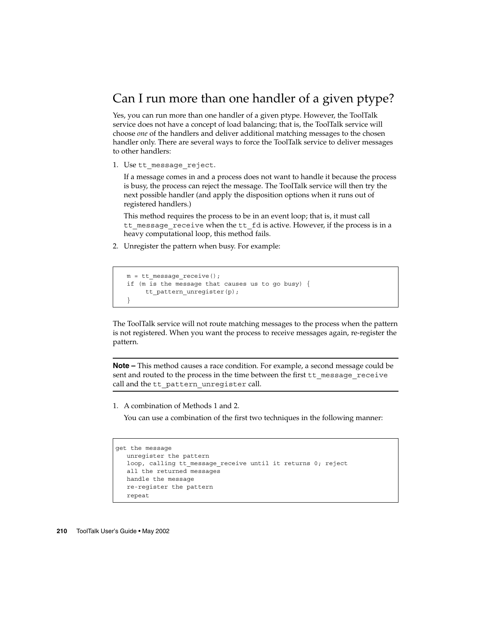## Can I run more than one handler of a given ptype?

Yes, you can run more than one handler of a given ptype. However, the ToolTalk service does not have a concept of load balancing; that is, the ToolTalk service will choose *one* of the handlers and deliver additional matching messages to the chosen handler only. There are several ways to force the ToolTalk service to deliver messages to other handlers:

1. Use tt message reject.

If a message comes in and a process does not want to handle it because the process is busy, the process can reject the message. The ToolTalk service will then try the next possible handler (and apply the disposition options when it runs out of registered handlers.)

This method requires the process to be in an event loop; that is, it must call tt message receive when the tt fd is active. However, if the process is in a heavy computational loop, this method fails.

2. Unregister the pattern when busy. For example:

```
m = tt message receive();
if (m is the message that causes us to go busy) {
     tt_pattern_unregister(p);
}
```
The ToolTalk service will not route matching messages to the process when the pattern is not registered. When you want the process to receive messages again, re-register the pattern.

**Note –** This method causes a race condition. For example, a second message could be sent and routed to the process in the time between the first tt message receive call and the tt pattern unregister call.

1. A combination of Methods 1 and 2.

You can use a combination of the first two techniques in the following manner:

```
get the message
  unregister the pattern
  loop, calling tt message receive until it returns 0; reject
  all the returned messages
  handle the message
   re-register the pattern
   repeat
```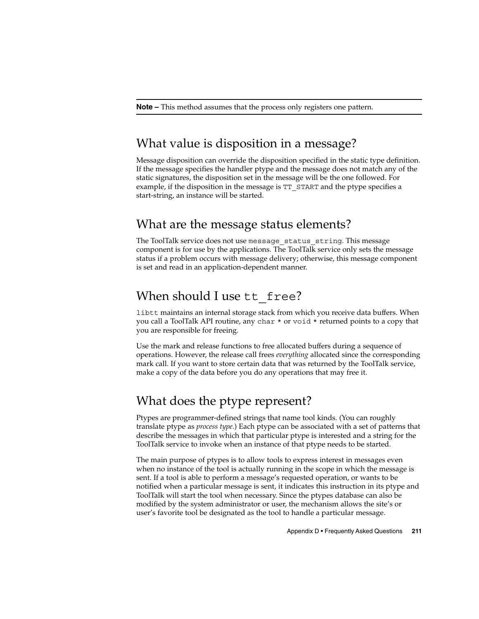#### What value is disposition in a message?

Message disposition can override the disposition specified in the static type definition. If the message specifies the handler ptype and the message does not match any of the static signatures, the disposition set in the message will be the one followed. For example, if the disposition in the message is TT\_START and the ptype specifies a start-string, an instance will be started.

#### What are the message status elements?

The ToolTalk service does not use message status string. This message component is for use by the applications. The ToolTalk service only sets the message status if a problem occurs with message delivery; otherwise, this message component is set and read in an application-dependent manner.

#### When should I use tt free?

libtt maintains an internal storage stack from which you receive data buffers. When you call a ToolTalk API routine, any char \* or void \* returned points to a copy that you are responsible for freeing.

Use the mark and release functions to free allocated buffers during a sequence of operations. However, the release call frees *everything* allocated since the corresponding mark call. If you want to store certain data that was returned by the ToolTalk service, make a copy of the data before you do any operations that may free it.

#### What does the ptype represent?

Ptypes are programmer-defined strings that name tool kinds. (You can roughly translate ptype as *process type*.) Each ptype can be associated with a set of patterns that describe the messages in which that particular ptype is interested and a string for the ToolTalk service to invoke when an instance of that ptype needs to be started.

The main purpose of ptypes is to allow tools to express interest in messages even when no instance of the tool is actually running in the scope in which the message is sent. If a tool is able to perform a message's requested operation, or wants to be notified when a particular message is sent, it indicates this instruction in its ptype and ToolTalk will start the tool when necessary. Since the ptypes database can also be modified by the system administrator or user, the mechanism allows the site's or user's favorite tool be designated as the tool to handle a particular message.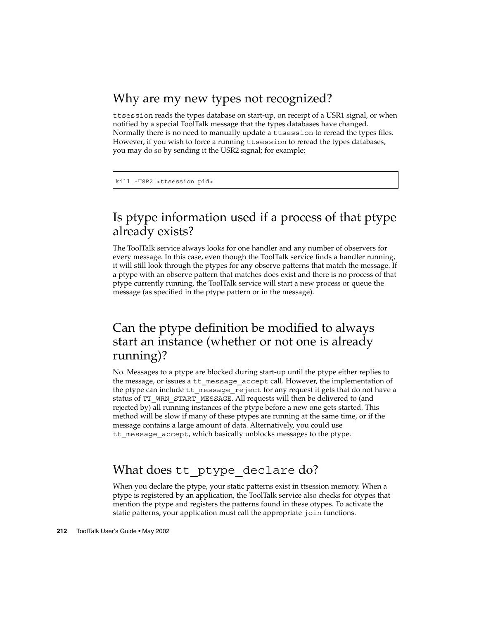#### Why are my new types not recognized?

ttsession reads the types database on start-up, on receipt of a USR1 signal, or when notified by a special ToolTalk message that the types databases have changed. Normally there is no need to manually update a ttsession to reread the types files. However, if you wish to force a running ttsession to reread the types databases, you may do so by sending it the USR2 signal; for example:

kill -USR2 <ttsession pid>

### Is ptype information used if a process of that ptype already exists?

The ToolTalk service always looks for one handler and any number of observers for every message. In this case, even though the ToolTalk service finds a handler running, it will still look through the ptypes for any observe patterns that match the message. If a ptype with an observe pattern that matches does exist and there is no process of that ptype currently running, the ToolTalk service will start a new process or queue the message (as specified in the ptype pattern or in the message).

#### Can the ptype definition be modified to always start an instance (whether or not one is already running)?

No. Messages to a ptype are blocked during start-up until the ptype either replies to the message, or issues a tt\_message\_accept call. However, the implementation of the ptype can include  $tt$  message reject for any request it gets that do not have a status of TT\_WRN\_START\_MESSAGE. All requests will then be delivered to (and rejected by) all running instances of the ptype before a new one gets started. This method will be slow if many of these ptypes are running at the same time, or if the message contains a large amount of data. Alternatively, you could use tt\_message\_accept, which basically unblocks messages to the ptype.

#### What does tt ptype declare do?

When you declare the ptype, your static patterns exist in ttsession memory. When a ptype is registered by an application, the ToolTalk service also checks for otypes that mention the ptype and registers the patterns found in these otypes. To activate the static patterns, your application must call the appropriate join functions.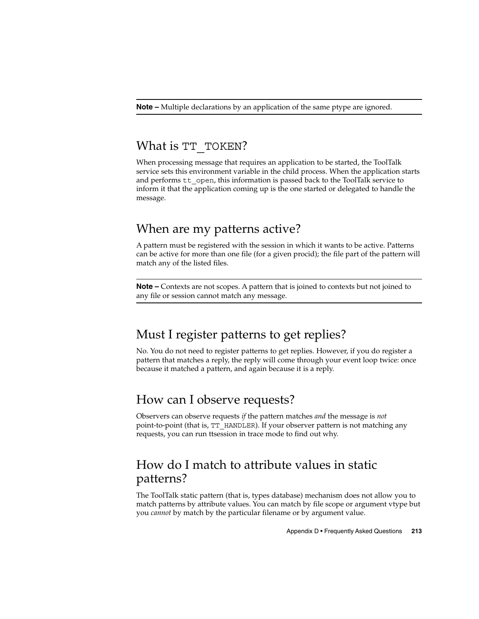#### What is TT\_TOKEN?

When processing message that requires an application to be started, the ToolTalk service sets this environment variable in the child process. When the application starts and performs tt open, this information is passed back to the ToolTalk service to inform it that the application coming up is the one started or delegated to handle the message.

#### When are my patterns active?

A pattern must be registered with the session in which it wants to be active. Patterns can be active for more than one file (for a given procid); the file part of the pattern will match any of the listed files.

**Note –** Contexts are not scopes. A pattern that is joined to contexts but not joined to any file or session cannot match any message.

#### Must I register patterns to get replies?

No. You do not need to register patterns to get replies. However, if you do register a pattern that matches a reply, the reply will come through your event loop twice: once because it matched a pattern, and again because it is a reply.

#### How can I observe requests?

Observers can observe requests *if* the pattern matches *and* the message is *not* point-to-point (that is, TT\_HANDLER). If your observer pattern is not matching any requests, you can run ttsession in trace mode to find out why.

## How do I match to attribute values in static patterns?

The ToolTalk static pattern (that is, types database) mechanism does not allow you to match patterns by attribute values. You can match by file scope or argument vtype but you *cannot* by match by the particular filename or by argument value.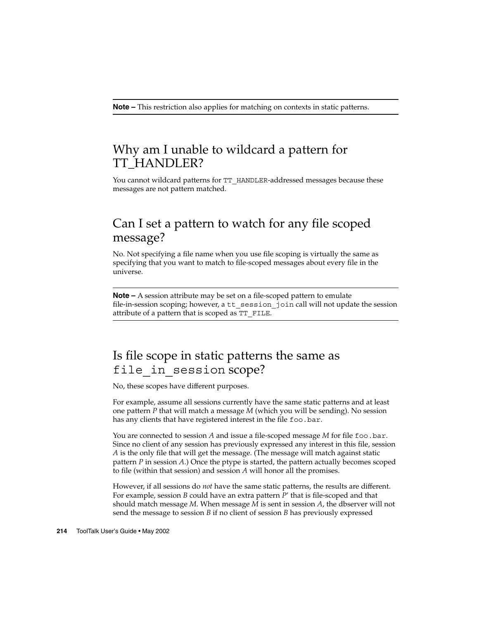#### Why am I unable to wildcard a pattern for TT\_HANDLER?

You cannot wildcard patterns for TT\_HANDLER-addressed messages because these messages are not pattern matched.

#### Can I set a pattern to watch for any file scoped message?

No. Not specifying a file name when you use file scoping is virtually the same as specifying that you want to match to file-scoped messages about every file in the universe.

**Note –** A session attribute may be set on a file-scoped pattern to emulate file-in-session scoping; however, a tt\_session\_join call will not update the session attribute of a pattern that is scoped as TT\_FILE.

#### Is file scope in static patterns the same as file in session scope?

No, these scopes have different purposes.

For example, assume all sessions currently have the same static patterns and at least one pattern *P* that will match a message *M* (which you will be sending). No session has any clients that have registered interest in the file foo.bar.

You are connected to session *A* and issue a file-scoped message *M* for file foo.bar. Since no client of any session has previously expressed any interest in this file, session *A* is the only file that will get the message. (The message will match against static pattern *P* in session *A*.) Once the ptype is started, the pattern actually becomes scoped to file (within that session) and session *A* will honor all the promises.

However, if all sessions do *not* have the same static patterns, the results are different. For example, session *B* could have an extra pattern *P*' that is file-scoped and that should match message *M*. When message *M* is sent in session *A*, the dbserver will not send the message to session *B* if no client of session *B* has previously expressed

**214** ToolTalk User's Guide • May 2002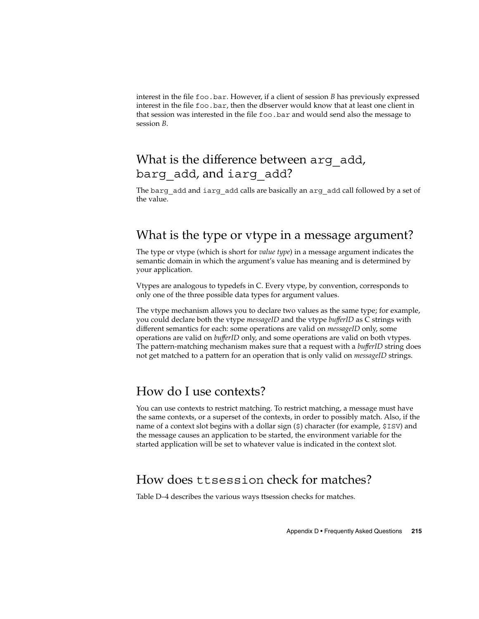interest in the file foo.bar. However, if a client of session *B* has previously expressed interest in the file foo.bar, then the dbserver would know that at least one client in that session was interested in the file foo.bar and would send also the message to session *B*.

#### What is the difference between arg add, barg\_add, and iarg\_add?

The barg add and iarg add calls are basically an arg add call followed by a set of the value.

#### What is the type or vtype in a message argument?

The type or vtype (which is short for *value type*) in a message argument indicates the semantic domain in which the argument's value has meaning and is determined by your application.

Vtypes are analogous to typedefs in C. Every vtype, by convention, corresponds to only one of the three possible data types for argument values.

The vtype mechanism allows you to declare two values as the same type; for example, you could declare both the vtype *messageID* and the vtype *bufferID* as C strings with different semantics for each: some operations are valid on *messageID* only, some operations are valid on *bufferID* only, and some operations are valid on both vtypes. The pattern-matching mechanism makes sure that a request with a *bufferID* string does not get matched to a pattern for an operation that is only valid on *messageID* strings.

#### How do I use contexts?

You can use contexts to restrict matching. To restrict matching, a message must have the same contexts, or a superset of the contexts, in order to possibly match. Also, if the name of a context slot begins with a dollar sign (\$) character (for example, \$ISV) and the message causes an application to be started, the environment variable for the started application will be set to whatever value is indicated in the context slot.

#### How does ttsession check for matches?

Table D–4 describes the various ways ttsession checks for matches.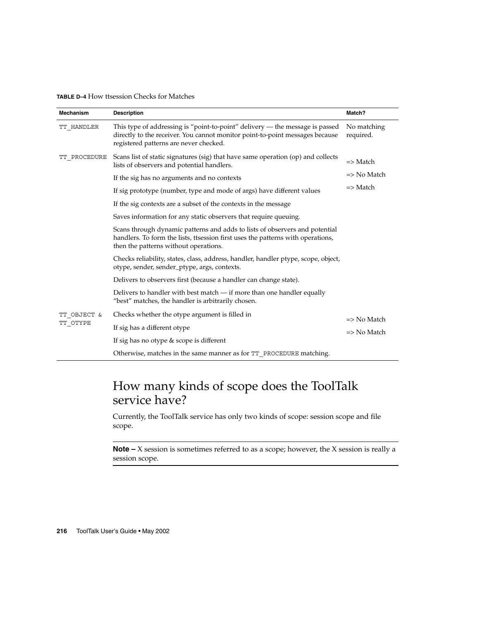**TABLE D–4** How ttsession Checks for Matches

| Mechanism               | <b>Description</b>                                                                                                                                                                                      | Match?                   |
|-------------------------|---------------------------------------------------------------------------------------------------------------------------------------------------------------------------------------------------------|--------------------------|
| TT HANDLER              | This type of addressing is "point-to-point" delivery - the message is passed<br>directly to the receiver. You cannot monitor point-to-point messages because<br>registered patterns are never checked.  | No matching<br>required. |
| TT PROCEDURE            | Scans list of static signatures (sig) that have same operation (op) and collects<br>lists of observers and potential handlers.                                                                          | => Match                 |
|                         | If the sig has no arguments and no contexts                                                                                                                                                             | => No Match              |
|                         | If sig prototype (number, type and mode of args) have different values                                                                                                                                  | => Match                 |
|                         | If the sig contexts are a subset of the contexts in the message                                                                                                                                         |                          |
|                         | Saves information for any static observers that require queuing.                                                                                                                                        |                          |
|                         | Scans through dynamic patterns and adds to lists of observers and potential<br>handlers. To form the lists, ttsession first uses the patterns with operations,<br>then the patterns without operations. |                          |
|                         | Checks reliability, states, class, address, handler, handler ptype, scope, object,<br>otype, sender, sender_ptype, args, contexts.                                                                      |                          |
|                         | Delivers to observers first (because a handler can change state).                                                                                                                                       |                          |
|                         | Delivers to handler with best match — if more than one handler equally<br>"best" matches, the handler is arbitrarily chosen.                                                                            |                          |
| TT OBJECT &<br>TT OTYPE | Checks whether the otype argument is filled in                                                                                                                                                          | $\Rightarrow$ No Match   |
|                         | If sig has a different otype                                                                                                                                                                            | $\Rightarrow$ No Match   |
|                         | If sig has no otype $&$ scope is different                                                                                                                                                              |                          |
|                         | Otherwise, matches in the same manner as for TT PROCEDURE matching.                                                                                                                                     |                          |

#### How many kinds of scope does the ToolTalk service have?

Currently, the ToolTalk service has only two kinds of scope: session scope and file scope.

**Note –** X session is sometimes referred to as a scope; however, the X session is really a session scope.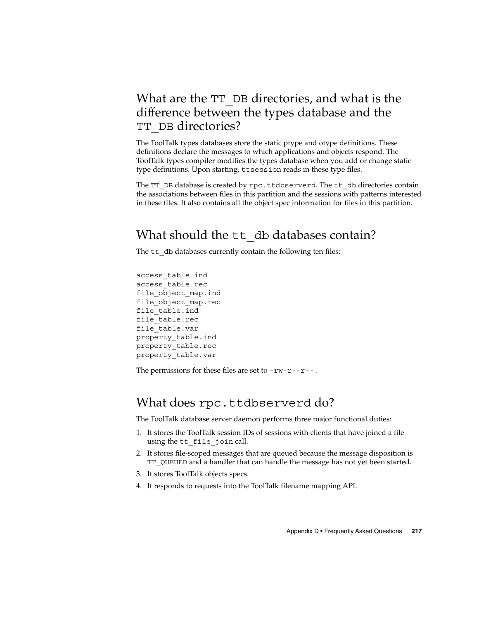## What are the TT DB directories, and what is the difference between the types database and the TT\_DB directories?

The ToolTalk types databases store the static ptype and otype definitions. These definitions declare the messages to which applications and objects respond. The ToolTalk types compiler modifies the types database when you add or change static type definitions. Upon starting, ttsession reads in these type files.

The TT\_DB database is created by rpc.ttdbserverd. The tt\_db directories contain the associations between files in this partition and the sessions with patterns interested in these files. It also contains all the object spec information for files in this partition.

## What should the  $tt$  db databases contain?

The tt\_db databases currently contain the following ten files:

```
access_table.ind
access_table.rec
file_object_map.ind
file_object_map.rec
file_table.ind
file table.rec
file table.var
property_table.ind
property_table.rec
property_table.var
```
The permissions for these files are set to  $-rw-r-r-$ .

## What does rpc.ttdbserverd do?

The ToolTalk database server daemon performs three major functional duties:

- 1. It stores the ToolTalk session IDs of sessions with clients that have joined a file using the tt file join call.
- 2. It stores file-scoped messages that are queued because the message disposition is TT\_QUEUED and a handler that can handle the message has not yet been started.
- 3. It stores ToolTalk objects specs.
- 4. It responds to requests into the ToolTalk filename mapping API.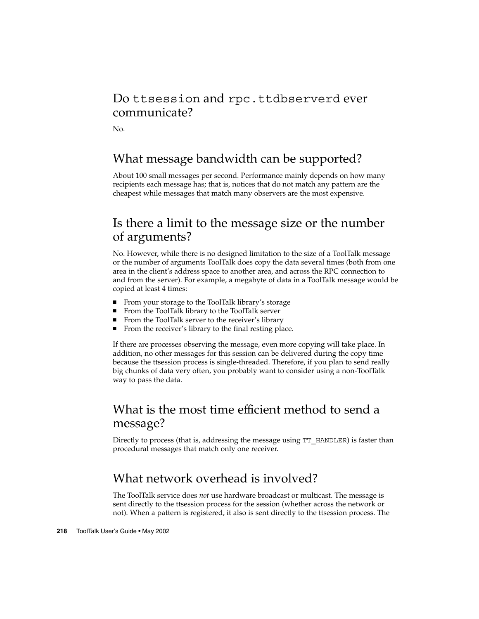## Do ttsession and rpc.ttdbserverd ever communicate?

 $N<sub>0</sub>$ 

## What message bandwidth can be supported?

About 100 small messages per second. Performance mainly depends on how many recipients each message has; that is, notices that do not match any pattern are the cheapest while messages that match many observers are the most expensive.

## Is there a limit to the message size or the number of arguments?

No. However, while there is no designed limitation to the size of a ToolTalk message or the number of arguments ToolTalk does copy the data several times (both from one area in the client's address space to another area, and across the RPC connection to and from the server). For example, a megabyte of data in a ToolTalk message would be copied at least 4 times:

- From your storage to the ToolTalk library's storage
- From the ToolTalk library to the ToolTalk server
- From the ToolTalk server to the receiver's library
- From the receiver's library to the final resting place.

If there are processes observing the message, even more copying will take place. In addition, no other messages for this session can be delivered during the copy time because the ttsession process is single-threaded. Therefore, if you plan to send really big chunks of data very often, you probably want to consider using a non-ToolTalk way to pass the data.

## What is the most time efficient method to send a message?

Directly to process (that is, addressing the message using TT\_HANDLER) is faster than procedural messages that match only one receiver.

## What network overhead is involved?

The ToolTalk service does *not* use hardware broadcast or multicast. The message is sent directly to the ttsession process for the session (whether across the network or not). When a pattern is registered, it also is sent directly to the ttsession process. The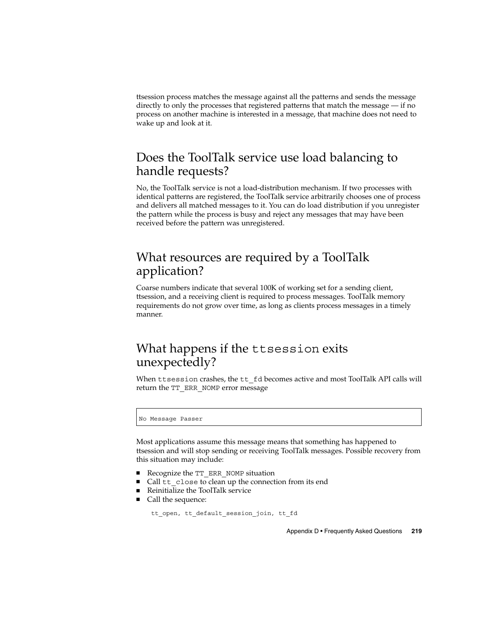ttsession process matches the message against all the patterns and sends the message directly to only the processes that registered patterns that match the message — if no process on another machine is interested in a message, that machine does not need to wake up and look at it.

## Does the ToolTalk service use load balancing to handle requests?

No, the ToolTalk service is not a load-distribution mechanism. If two processes with identical patterns are registered, the ToolTalk service arbitrarily chooses one of process and delivers all matched messages to it. You can do load distribution if you unregister the pattern while the process is busy and reject any messages that may have been received before the pattern was unregistered.

## What resources are required by a ToolTalk application?

Coarse numbers indicate that several 100K of working set for a sending client, ttsession, and a receiving client is required to process messages. ToolTalk memory requirements do not grow over time, as long as clients process messages in a timely manner.

## What happens if the ttsession exits unexpectedly?

When ttsession crashes, the tt fd becomes active and most ToolTalk API calls will return the TT\_ERR\_NOMP error message

No Message Passer

Most applications assume this message means that something has happened to ttsession and will stop sending or receiving ToolTalk messages. Possible recovery from this situation may include:

- Recognize the TT\_ERR\_NOMP situation
- Call tt\_close to clean up the connection from its end
- Reinitialize the ToolTalk service
- Call the sequence:

tt open, tt default session join, tt fd

Appendix D • Frequently Asked Questions **219**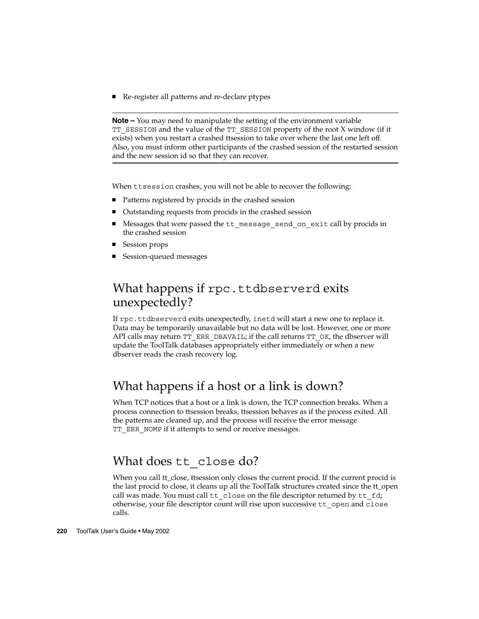Re-register all patterns and re-declare ptypes

**Note –** You may need to manipulate the setting of the environment variable TT\_SESSION and the value of the TT\_SESSION property of the root X window (if it exists) when you restart a crashed ttsession to take over where the last one left off. Also, you must inform other participants of the crashed session of the restarted session and the new session id so that they can recover.

When ttsession crashes, you will not be able to recover the following:

- Patterns registered by procids in the crashed session
- Outstanding requests from procids in the crashed session
- Messages that were passed the tt\_message\_send\_on\_exit call by procids in the crashed session
- Session props
- Session-queued messages

## What happens if rpc.ttdbserverd exits unexpectedly?

If rpc.ttdbserverd exits unexpectedly, inetd will start a new one to replace it. Data may be temporarily unavailable but no data will be lost. However, one or more API calls may return TT\_ERR\_DBAVAIL; if the call returns TT\_OK, the dbserver will update the ToolTalk databases appropriately either immediately or when a new dbserver reads the crash recovery log.

### What happens if a host or a link is down?

When TCP notices that a host or a link is down, the TCP connection breaks. When a process connection to ttsession breaks, ttsession behaves as if the process exited. All the patterns are cleaned up, and the process will receive the error message TT\_ERR\_NOMP if it attempts to send or receive messages.

### What does tt\_close do?

When you call tt\_close, ttsession only closes the current procid. If the current procid is the last procid to close, it cleans up all the ToolTalk structures created since the tt\_open call was made. You must call  $tt \text{ close on the file descriptor returned by } \text{tt fd}$ ; otherwise, your file descriptor count will rise upon successive tt\_open and close calls.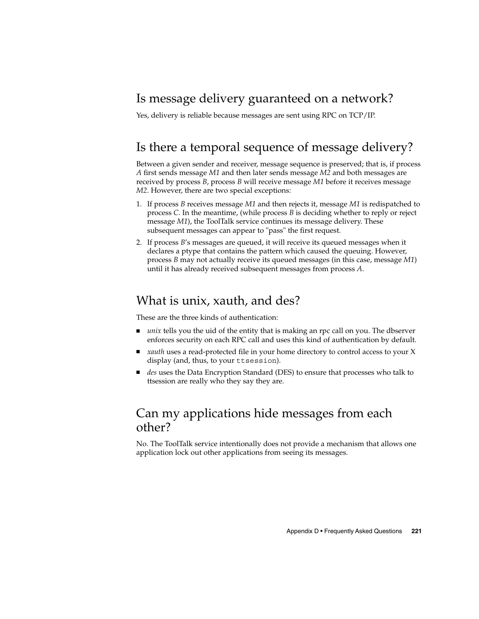## Is message delivery guaranteed on a network?

Yes, delivery is reliable because messages are sent using RPC on TCP/IP.

### Is there a temporal sequence of message delivery?

Between a given sender and receiver, message sequence is preserved; that is, if process *A* first sends message *M1* and then later sends message *M2* and both messages are received by process *B*, process *B* will receive message *M1* before it receives message *M2*. However, there are two special exceptions:

- 1. If process *B* receives message *M1* and then rejects it, message *M1* is redispatched to process *C*. In the meantime, (while process *B* is deciding whether to reply or reject message *M1*), the ToolTalk service continues its message delivery. These subsequent messages can appear to "pass" the first request.
- 2. If process *B*'s messages are queued, it will receive its queued messages when it declares a ptype that contains the pattern which caused the queuing. However, process *B* may not actually receive its queued messages (in this case, message *M1*) until it has already received subsequent messages from process *A*.

### What is unix, xauth, and des?

These are the three kinds of authentication:

- *unix* tells you the uid of the entity that is making an rpc call on you. The dbserver enforces security on each RPC call and uses this kind of authentication by default.
- *xauth* uses a read-protected file in your home directory to control access to your X display (and, thus, to your ttsession).
- *des* uses the Data Encryption Standard (DES) to ensure that processes who talk to ttsession are really who they say they are.

### Can my applications hide messages from each other?

No. The ToolTalk service intentionally does not provide a mechanism that allows one application lock out other applications from seeing its messages.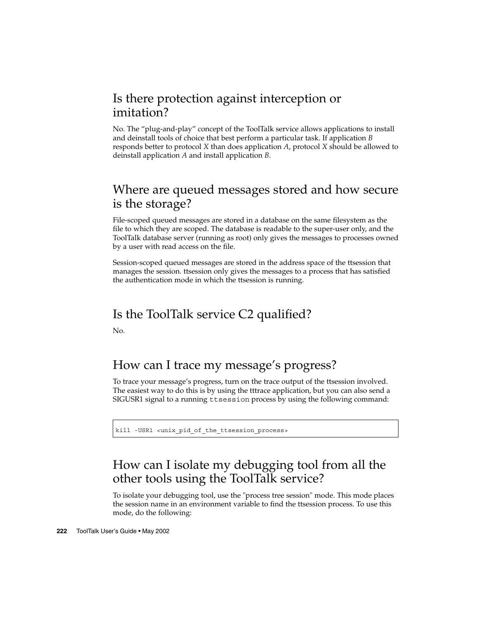## Is there protection against interception or imitation?

No. The "plug-and-play" concept of the ToolTalk service allows applications to install and deinstall tools of choice that best perform a particular task. If application *B* responds better to protocol *X* than does application *A*, protocol *X* should be allowed to deinstall application *A* and install application *B*.

### Where are queued messages stored and how secure is the storage?

File-scoped queued messages are stored in a database on the same filesystem as the file to which they are scoped. The database is readable to the super-user only, and the ToolTalk database server (running as root) only gives the messages to processes owned by a user with read access on the file.

Session-scoped queued messages are stored in the address space of the ttsession that manages the session. ttsession only gives the messages to a process that has satisfied the authentication mode in which the ttsession is running.

### Is the ToolTalk service C2 qualified?

No.

## How can I trace my message's progress?

To trace your message's progress, turn on the trace output of the ttsession involved. The easiest way to do this is by using the tttrace application, but you can also send a SIGUSR1 signal to a running ttsession process by using the following command:

kill -USR1 <unix\_pid\_of\_the\_ttsession\_process>

## How can I isolate my debugging tool from all the other tools using the ToolTalk service?

To isolate your debugging tool, use the "process tree session" mode. This mode places the session name in an environment variable to find the ttsession process. To use this mode, do the following: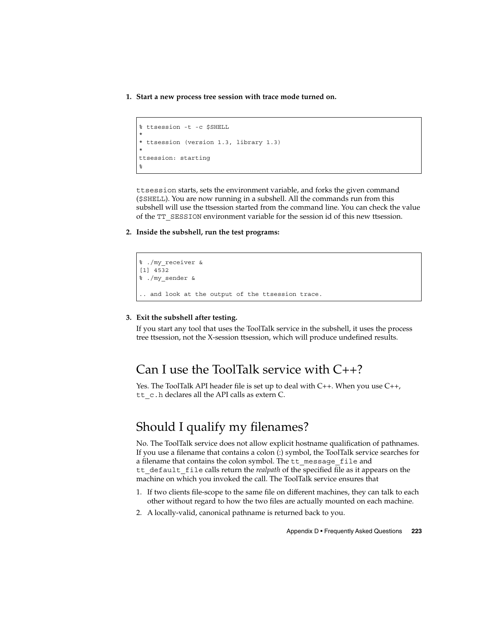**1. Start a new process tree session with trace mode turned on.**

```
% ttsession -t -c $SHELL
*
* ttsession (version 1.3, library 1.3)
*
ttsession: starting
\frac{6}{6}
```
ttsession starts, sets the environment variable, and forks the given command (\$SHELL). You are now running in a subshell. All the commands run from this subshell will use the ttsession started from the command line. You can check the value of the TT\_SESSION environment variable for the session id of this new ttsession.

**2. Inside the subshell, run the test programs:**

```
% ./my_receiver &
[1] 4532
% ./my_sender &
.. and look at the output of the ttsession trace.
```
#### **3. Exit the subshell after testing.**

If you start any tool that uses the ToolTalk service in the subshell, it uses the process tree ttsession, not the X-session ttsession, which will produce undefined results.

### Can I use the ToolTalk service with C++?

Yes. The ToolTalk API header file is set up to deal with C++. When you use C++, tt\_c.h declares all the API calls as extern C.

## Should I qualify my filenames?

No. The ToolTalk service does not allow explicit hostname qualification of pathnames. If you use a filename that contains a colon (:) symbol, the ToolTalk service searches for a filename that contains the colon symbol. The tt message file and tt\_default\_file calls return the *realpath* of the specified file as it appears on the machine on which you invoked the call. The ToolTalk service ensures that

- 1. If two clients file-scope to the same file on different machines, they can talk to each other without regard to how the two files are actually mounted on each machine.
- 2. A locally-valid, canonical pathname is returned back to you.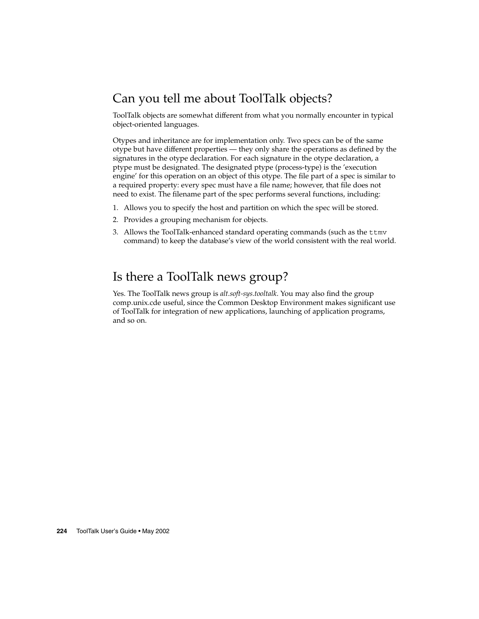## Can you tell me about ToolTalk objects?

ToolTalk objects are somewhat different from what you normally encounter in typical object-oriented languages.

Otypes and inheritance are for implementation only. Two specs can be of the same otype but have different properties — they only share the operations as defined by the signatures in the otype declaration. For each signature in the otype declaration, a ptype must be designated. The designated ptype (process-type) is the 'execution engine' for this operation on an object of this otype. The file part of a spec is similar to a required property: every spec must have a file name; however, that file does not need to exist. The filename part of the spec performs several functions, including:

- 1. Allows you to specify the host and partition on which the spec will be stored.
- 2. Provides a grouping mechanism for objects.
- 3. Allows the ToolTalk-enhanced standard operating commands (such as the ttmv command) to keep the database's view of the world consistent with the real world.

### Is there a ToolTalk news group?

Yes. The ToolTalk news group is *alt.soft-sys.tooltalk*. You may also find the group comp.unix.cde useful, since the Common Desktop Environment makes significant use of ToolTalk for integration of new applications, launching of application programs, and so on.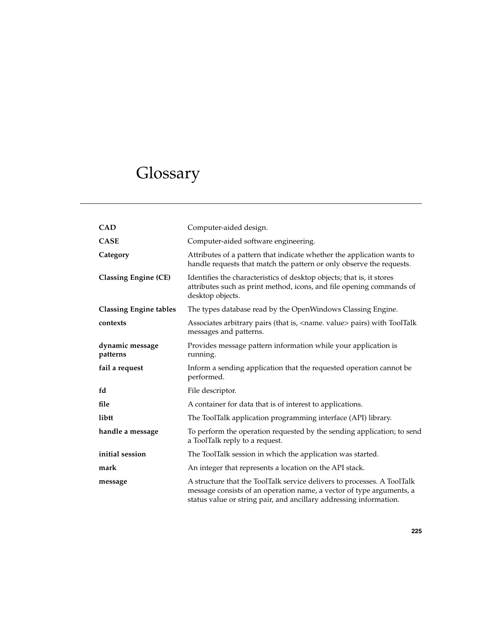# Glossary

| <b>CAD</b>                    | Computer-aided design.                                                                                                                                                                                                |
|-------------------------------|-----------------------------------------------------------------------------------------------------------------------------------------------------------------------------------------------------------------------|
| <b>CASE</b>                   | Computer-aided software engineering.                                                                                                                                                                                  |
| Category                      | Attributes of a pattern that indicate whether the application wants to<br>handle requests that match the pattern or only observe the requests.                                                                        |
| <b>Classing Engine (CE)</b>   | Identifies the characteristics of desktop objects; that is, it stores<br>attributes such as print method, icons, and file opening commands of<br>desktop objects.                                                     |
| <b>Classing Engine tables</b> | The types database read by the OpenWindows Classing Engine.                                                                                                                                                           |
| contexts                      | Associates arbitrary pairs (that is, <name. value=""> pairs) with ToolTalk<br/>messages and patterns.</name.>                                                                                                         |
| dynamic message<br>patterns   | Provides message pattern information while your application is<br>running.                                                                                                                                            |
| fail a request                | Inform a sending application that the requested operation cannot be<br>performed.                                                                                                                                     |
| fd                            | File descriptor.                                                                                                                                                                                                      |
| file                          | A container for data that is of interest to applications.                                                                                                                                                             |
| libtt                         | The ToolTalk application programming interface (API) library.                                                                                                                                                         |
| handle a message              | To perform the operation requested by the sending application; to send<br>a ToolTalk reply to a request.                                                                                                              |
| initial session               | The ToolTalk session in which the application was started.                                                                                                                                                            |
| mark                          | An integer that represents a location on the API stack.                                                                                                                                                               |
| message                       | A structure that the ToolTalk service delivers to processes. A ToolTalk<br>message consists of an operation name, a vector of type arguments, a<br>status value or string pair, and ancillary addressing information. |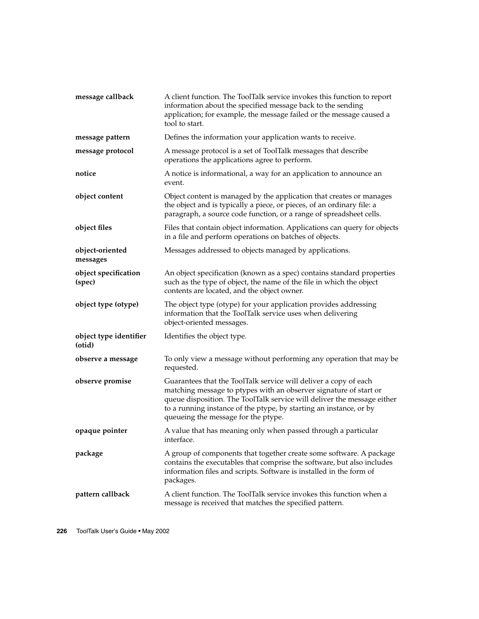| message callback                 | A client function. The ToolTalk service invokes this function to report<br>information about the specified message back to the sending<br>application; for example, the message failed or the message caused a<br>tool to start.                                                                                              |
|----------------------------------|-------------------------------------------------------------------------------------------------------------------------------------------------------------------------------------------------------------------------------------------------------------------------------------------------------------------------------|
| message pattern                  | Defines the information your application wants to receive.                                                                                                                                                                                                                                                                    |
| message protocol                 | A message protocol is a set of ToolTalk messages that describe<br>operations the applications agree to perform.                                                                                                                                                                                                               |
| notice                           | A notice is informational, a way for an application to announce an<br>event.                                                                                                                                                                                                                                                  |
| object content                   | Object content is managed by the application that creates or manages<br>the object and is typically a piece, or pieces, of an ordinary file: a<br>paragraph, a source code function, or a range of spreadsheet cells.                                                                                                         |
| object files                     | Files that contain object information. Applications can query for objects<br>in a file and perform operations on batches of objects.                                                                                                                                                                                          |
| object-oriented<br>messages      | Messages addressed to objects managed by applications.                                                                                                                                                                                                                                                                        |
| object specification<br>(spec)   | An object specification (known as a spec) contains standard properties<br>such as the type of object, the name of the file in which the object<br>contents are located, and the object owner.                                                                                                                                 |
| object type (otype)              | The object type (otype) for your application provides addressing<br>information that the ToolTalk service uses when delivering<br>object-oriented messages.                                                                                                                                                                   |
| object type identifier<br>(otid) | Identifies the object type.                                                                                                                                                                                                                                                                                                   |
| observe a message                | To only view a message without performing any operation that may be<br>requested.                                                                                                                                                                                                                                             |
| observe promise                  | Guarantees that the ToolTalk service will deliver a copy of each<br>matching message to ptypes with an observer signature of start or<br>queue disposition. The ToolTalk service will deliver the message either<br>to a running instance of the ptype, by starting an instance, or by<br>queueing the message for the ptype. |
| opaque pointer                   | A value that has meaning only when passed through a particular<br>interface.                                                                                                                                                                                                                                                  |
| package                          | A group of components that together create some software. A package<br>contains the executables that comprise the software, but also includes<br>information files and scripts. Software is installed in the form of<br>packages.                                                                                             |
| pattern callback                 | A client function. The ToolTalk service invokes this function when a<br>message is received that matches the specified pattern.                                                                                                                                                                                               |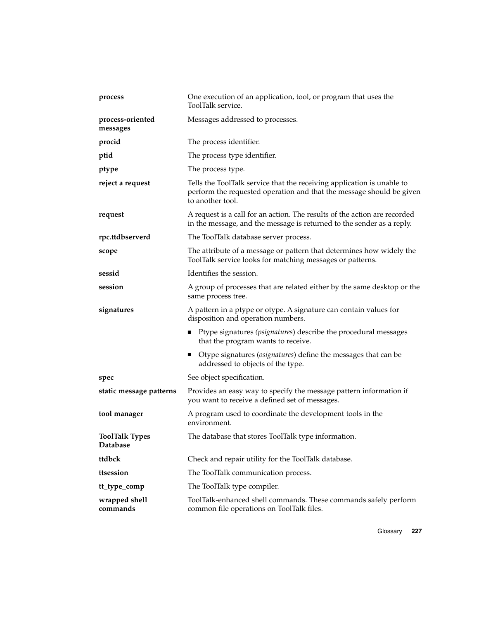| process                           | One execution of an application, tool, or program that uses the<br>ToolTalk service.                                                                               |
|-----------------------------------|--------------------------------------------------------------------------------------------------------------------------------------------------------------------|
| process-oriented<br>messages      | Messages addressed to processes.                                                                                                                                   |
| procid                            | The process identifier.                                                                                                                                            |
| ptid                              | The process type identifier.                                                                                                                                       |
| ptype                             | The process type.                                                                                                                                                  |
| reject a request                  | Tells the ToolTalk service that the receiving application is unable to<br>perform the requested operation and that the message should be given<br>to another tool. |
| request                           | A request is a call for an action. The results of the action are recorded<br>in the message, and the message is returned to the sender as a reply.                 |
| rpc.ttdbserverd                   | The ToolTalk database server process.                                                                                                                              |
| scope                             | The attribute of a message or pattern that determines how widely the<br>ToolTalk service looks for matching messages or patterns.                                  |
| sessid                            | Identifies the session.                                                                                                                                            |
| session                           | A group of processes that are related either by the same desktop or the<br>same process tree.                                                                      |
| signatures                        | A pattern in a ptype or otype. A signature can contain values for<br>disposition and operation numbers.                                                            |
|                                   | Ptype signatures (psignatures) describe the procedural messages<br>that the program wants to receive.                                                              |
|                                   | • Otype signatures ( <i>osignatures</i> ) define the messages that can be<br>addressed to objects of the type.                                                     |
| spec                              | See object specification.                                                                                                                                          |
| static message patterns           | Provides an easy way to specify the message pattern information if<br>you want to receive a defined set of messages.                                               |
| tool manager                      | A program used to coordinate the development tools in the<br>environment.                                                                                          |
| <b>ToolTalk Types</b><br>Database | The database that stores ToolTalk type information.                                                                                                                |
| ttdbck                            | Check and repair utility for the ToolTalk database.                                                                                                                |
| ttsession                         | The ToolTalk communication process.                                                                                                                                |
| tt_type_comp                      | The ToolTalk type compiler.                                                                                                                                        |
| wrapped shell<br>commands         | ToolTalk-enhanced shell commands. These commands safely perform<br>common file operations on ToolTalk files.                                                       |

Glossary **227**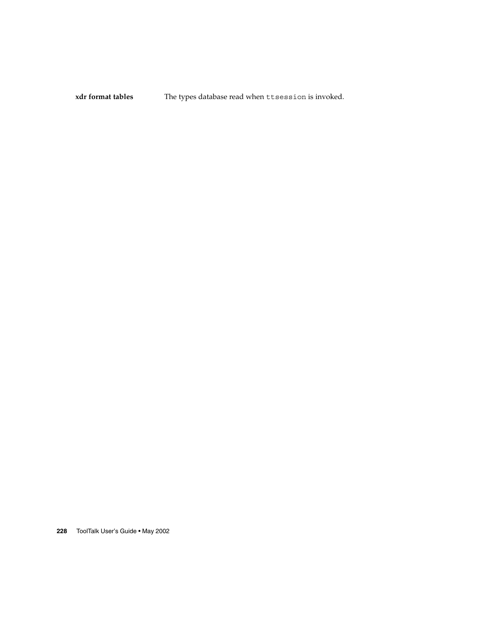**xdr format tables** The types database read when ttsession is invoked.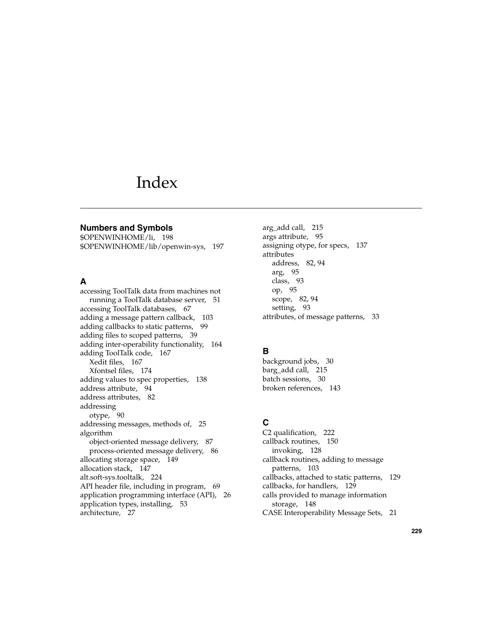## Index

#### **Numbers and Symbols**

\$OPENWINHOME/li, 198 \$OPENWINHOME/lib/openwin-sys, 197

#### **A**

accessing ToolTalk data from machines not running a ToolTalk database server, 51 accessing ToolTalk databases, 67 adding a message pattern callback, 103 adding callbacks to static patterns, 99 adding files to scoped patterns, 39 adding inter-operability functionality, 164 adding ToolTalk code, 167 Xedit files, 167 Xfontsel files, 174 adding values to spec properties, 138 address attribute, 94 address attributes, 82 addressing otype, 90 addressing messages, methods of, 25 algorithm object-oriented message delivery, 87 process-oriented message delivery, 86 allocating storage space, 149 allocation stack, 147 alt.soft-sys.tooltalk, 224 API header file, including in program, 69 application programming interface (API), 26 application types, installing, 53 architecture, 27

arg\_add call, 215 args attribute, 95 assigning otype, for specs, 137 attributes address, 82, 94 arg, 95 class, 93 op, 95 scope, 82, 94 setting, 93 attributes, of message patterns, 33

#### **B**

background jobs, 30 barg\_add call, 215 batch sessions, 30 broken references, 143

### **C**

C2 qualification, 222 callback routines, 150 invoking, 128 callback routines, adding to message patterns, 103 callbacks, attached to static patterns, 129 callbacks, for handlers, 129 calls provided to manage information storage, 148 CASE Interoperability Message Sets, 21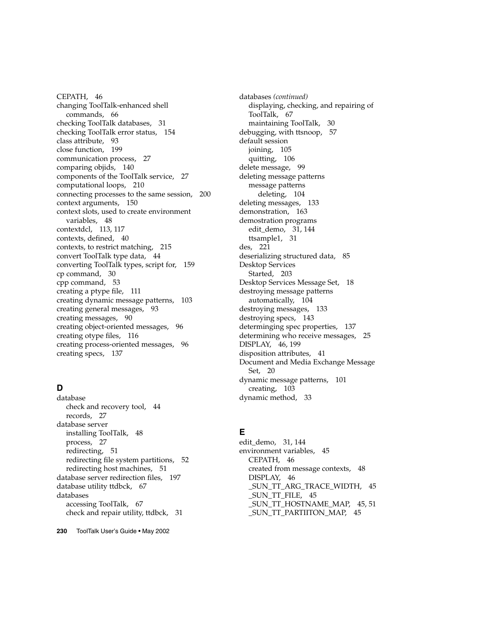CEPATH, 46 changing ToolTalk-enhanced shell commands, 66 checking ToolTalk databases, 31 checking ToolTalk error status, 154 class attribute, 93 close function, 199 communication process, 27 comparing objids, 140 components of the ToolTalk service, 27 computational loops, 210 connecting processes to the same session, 200 context arguments, 150 context slots, used to create environment variables, 48 contextdcl, 113, 117 contexts, defined, 40 contexts, to restrict matching, 215 convert ToolTalk type data, 44 converting ToolTalk types, script for, 159 cp command, 30 cpp command, 53 creating a ptype file, 111 creating dynamic message patterns, 103 creating general messages, 93 creating messages, 90 creating object-oriented messages, 96 creating otype files, 116 creating process-oriented messages, 96 creating specs, 137

### **D**

database check and recovery tool, 44 records, 27 database server installing ToolTalk, 48 process, 27 redirecting, 51 redirecting file system partitions, 52 redirecting host machines, 51 database server redirection files, 197 database utility ttdbck, 67 databases accessing ToolTalk, 67 check and repair utility, ttdbck, 31

**230** ToolTalk User's Guide • May 2002

databases *(continued)* displaying, checking, and repairing of ToolTalk, 67 maintaining ToolTalk, 30 debugging, with ttsnoop, 57 default session joining, 105 quitting, 106 delete message, 99 deleting message patterns message patterns deleting, 104 deleting messages, 133 demonstration, 163 demostration programs edit\_demo, 31, 144 ttsample1, 31 des, 221 deserializing structured data, 85 Desktop Services Started, 203 Desktop Services Message Set, 18 destroying message patterns automatically, 104 destroying messages, 133 destroying specs, 143 determinging spec properties, 137 determining who receive messages, 25 DISPLAY, 46, 199 disposition attributes, 41 Document and Media Exchange Message Set, 20 dynamic message patterns, 101 creating, 103 dynamic method, 33

### **E**

edit\_demo, 31, 144 environment variables, 45 CEPATH, 46 created from message contexts, 48 DISPLAY, 46 \_SUN\_TT\_ARG\_TRACE\_WIDTH, 45 \_SUN\_TT\_FILE, 45 \_SUN\_TT\_HOSTNAME\_MAP, 45, 51 \_SUN\_TT\_PARTIITON\_MAP, 45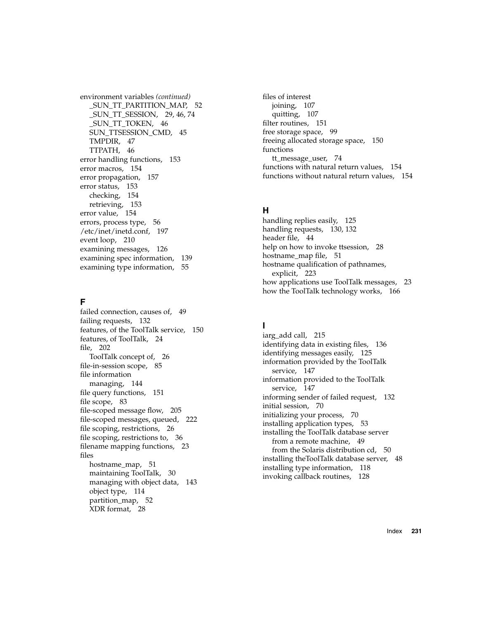environment variables *(continued)* \_SUN\_TT\_PARTITION\_MAP, 52 \_SUN\_TT\_SESSION, 29, 46, 74 \_SUN\_TT\_TOKEN, 46 SUN\_TTSESSION\_CMD, 45 TMPDIR, 47 TTPATH, 46 error handling functions, 153 error macros, 154 error propagation, 157 error status, 153 checking, 154 retrieving, 153 error value, 154 errors, process type, 56 /etc/inet/inetd.conf, 197 event loop, 210 examining messages, 126 examining spec information, 139 examining type information, 55

### **F**

failed connection, causes of, 49 failing requests, 132 features, of the ToolTalk service, 150 features, of ToolTalk, 24 file, 202 ToolTalk concept of, 26 file-in-session scope, 85 file information managing, 144 file query functions, 151 file scope, 83 file-scoped message flow, 205 file-scoped messages, queued, 222 file scoping, restrictions, 26 file scoping, restrictions to, 36 filename mapping functions, 23 files hostname\_map, 51 maintaining ToolTalk, 30 managing with object data, 143 object type, 114 partition\_map, 52 XDR format, 28

files of interest joining, 107 quitting, 107 filter routines, 151 free storage space, 99 freeing allocated storage space, 150 functions tt\_message\_user, 74 functions with natural return values, 154 functions without natural return values, 154

### **H**

handling replies easily, 125 handling requests, 130, 132 header file, 44 help on how to invoke ttsession, 28 hostname\_map file, 51 hostname qualification of pathnames, explicit, 223 how applications use ToolTalk messages, 23 how the ToolTalk technology works, 166

### **I**

iarg\_add call, 215 identifying data in existing files, 136 identifying messages easily, 125 information provided by the ToolTalk service, 147 information provided to the ToolTalk service, 147 informing sender of failed request, 132 initial session, 70 initializing your process, 70 installing application types, 53 installing the ToolTalk database server from a remote machine, 49 from the Solaris distribution cd, 50 installing theToolTalk database server, 48 installing type information, 118 invoking callback routines, 128

Index **231**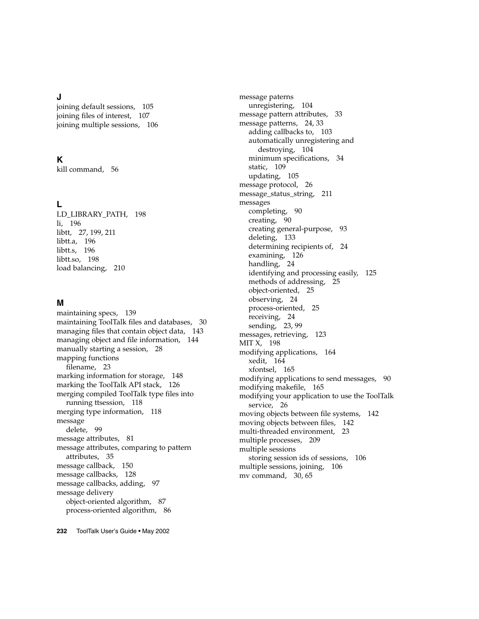#### **J**

joining default sessions, 105 joining files of interest, 107 joining multiple sessions, 106

### **K**

kill command, 56

#### **L**

LD\_LIBRARY\_PATH, 198 li, 196 libtt, 27, 199, 211 libtt.a, 196 libtt.s, 196 libtt.so, 198 load balancing, 210

### **M**

maintaining specs, 139 maintaining ToolTalk files and databases, 30 managing files that contain object data, 143 managing object and file information, 144 manually starting a session, 28 mapping functions filename, 23 marking information for storage, 148 marking the ToolTalk API stack, 126 merging compiled ToolTalk type files into running ttsession, 118 merging type information, 118 message delete, 99 message attributes, 81 message attributes, comparing to pattern attributes, 35 message callback, 150 message callbacks, 128 message callbacks, adding, 97 message delivery object-oriented algorithm, 87 process-oriented algorithm, 86

message paterns unregistering, 104 message pattern attributes, 33 message patterns, 24, 33 adding callbacks to, 103 automatically unregistering and destroying, 104 minimum specifications, 34 static, 109 updating, 105 message protocol, 26 message\_status\_string, 211 messages completing, 90 creating, 90 creating general-purpose, 93 deleting, 133 determining recipients of, 24 examining, 126 handling, 24 identifying and processing easily, 125 methods of addressing, 25 object-oriented, 25 observing, 24 process-oriented, 25 receiving, 24 sending, 23, 99 messages, retrieving, 123 MIT X, 198 modifying applications, 164 xedit, 164 xfontsel, 165 modifying applications to send messages, 90 modifying makefile, 165 modifying your application to use the ToolTalk service, 26 moving objects between file systems, 142 moving objects between files, 142 multi-threaded environment, 23 multiple processes, 209 multiple sessions storing session ids of sessions, 106 multiple sessions, joining, 106

mv command, 30, 65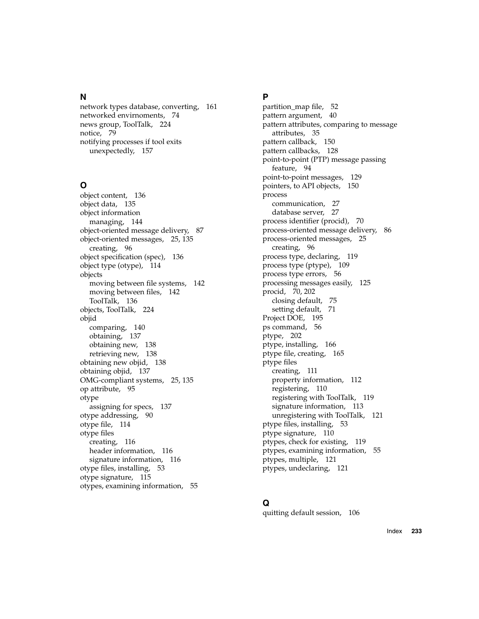#### **N**

network types database, converting, 161 networked envirnoments, 74 news group, ToolTalk, 224 notice, 79 notifying processes if tool exits unexpectedly, 157

### **O**

object content, 136 object data, 135 object information managing, 144 object-oriented message delivery, 87 object-oriented messages, 25, 135 creating, 96 object specification (spec), 136 object type (otype), 114 objects moving between file systems, 142 moving between files, 142 ToolTalk, 136 objects, ToolTalk, 224 objid comparing, 140 obtaining, 137 obtaining new, 138 retrieving new, 138 obtaining new objid, 138 obtaining objid, 137 OMG-compliant systems, 25, 135 op attribute, 95 otype assigning for specs, 137 otype addressing, 90 otype file, 114 otype files creating, 116 header information, 116 signature information, 116 otype files, installing, 53 otype signature, 115 otypes, examining information, 55

### **P**

partition\_map file, 52 pattern argument, 40 pattern attributes, comparing to message attributes, 35 pattern callback, 150 pattern callbacks, 128 point-to-point (PTP) message passing feature, 94 point-to-point messages, 129 pointers, to API objects, 150 process communication, 27 database server, 27 process identifier (procid), 70 process-oriented message delivery, 86 process-oriented messages, 25 creating, 96 process type, declaring, 119 process type (ptype), 109 process type errors, 56 processing messages easily, 125 procid, 70, 202 closing default, 75 setting default, 71 Project DOE, 195 ps command, 56 ptype, 202 ptype, installing, 166 ptype file, creating, 165 ptype files creating, 111 property information, 112 registering, 110 registering with ToolTalk, 119 signature information, 113 unregistering with ToolTalk, 121 ptype files, installing, 53 ptype signature, 110 ptypes, check for existing, 119 ptypes, examining information, 55 ptypes, multiple, 121 ptypes, undeclaring, 121

### **Q**

quitting default session, 106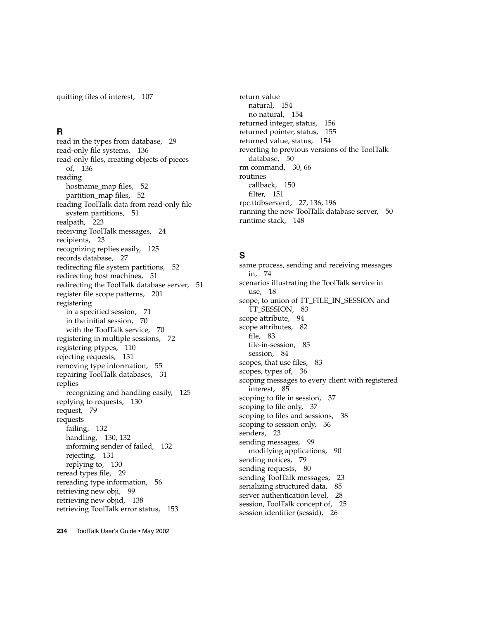quitting files of interest, 107

#### **R**

read in the types from database, 29 read-only file systems, 136 read-only files, creating objects of pieces of, 136 reading hostname\_map files, 52 partition\_map files, 52 reading ToolTalk data from read-only file system partitions, 51 realpath, 223 receiving ToolTalk messages, 24 recipients, 23 recognizing replies easily, 125 records database, 27 redirecting file system partitions, 52 redirecting host machines, 51 redirecting the ToolTalk database server, 51 register file scope patterns, 201 registering in a specified session, 71 in the initial session, 70 with the ToolTalk service, 70 registering in multiple sessions, 72 registering ptypes, 110 rejecting requests, 131 removing type information, 55 repairing ToolTalk databases, 31 replies recognizing and handling easily, 125 replying to requests, 130 request, 79 requests failing, 132 handling, 130, 132 informing sender of failed, 132 rejecting, 131 replying to, 130 reread types file, 29 rereading type information, 56 retrieving new obji, 99 retrieving new objid, 138 retrieving ToolTalk error status, 153

return value natural, 154 no natural, 154 returned integer, status, 156 returned pointer, status, 155 returned value, status, 154 reverting to previous versions of the ToolTalk database, 50 rm command, 30, 66 routines callback, 150 filter, 151 rpc.ttdbserverd, 27, 136, 196 running the new ToolTalk database server, 50 runtime stack, 148

### **S**

same process, sending and receiving messages in, 74 scenarios illustrating the ToolTalk service in use, 18 scope, to union of TT\_FILE\_IN\_SESSION and TT\_SESSION, 83 scope attribute, 94 scope attributes, 82 file, 83 file-in-session, 85 session, 84 scopes, that use files, 83 scopes, types of, 36 scoping messages to every client with registered interest, 85 scoping to file in session, 37 scoping to file only, 37 scoping to files and sessions, 38 scoping to session only, 36 senders, 23 sending messages, 99 modifying applications, 90 sending notices, 79 sending requests, 80 sending ToolTalk messages, 23 serializing structured data, 85 server authentication level, 28 session, ToolTalk concept of, 25 session identifier (sessid), 26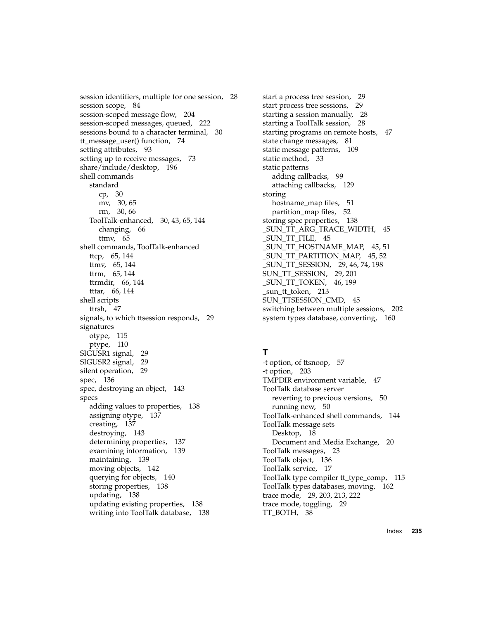session identifiers, multiple for one session, 28 session scope, 84 session-scoped message flow, 204 session-scoped messages, queued, 222 sessions bound to a character terminal, 30 tt\_message\_user() function, 74 setting attributes, 93 setting up to receive messages, 73 share/include/desktop, 196 shell commands standard cp, 30 mv, 30, 65 rm, 30, 66 ToolTalk-enhanced, 30, 43, 65, 144 changing, 66 ttmv, 65 shell commands, ToolTalk-enhanced ttcp, 65, 144 ttmv, 65, 144 ttrm, 65, 144 ttrmdir, 66, 144 tttar, 66, 144 shell scripts ttrsh, 47 signals, to which ttsession responds, 29 signatures otype, 115 ptype, 110 SIGUSR1 signal, 29 SIGUSR2 signal, 29 silent operation, 29 spec, 136 spec, destroying an object, 143 specs adding values to properties, 138 assigning otype, 137 creating, 137 destroying, 143 determining properties, 137 examining information, 139 maintaining, 139 moving objects, 142 querying for objects, 140 storing properties, 138 updating, 138 updating existing properties, 138 writing into ToolTalk database, 138

start a process tree session, 29 start process tree sessions, 29 starting a session manually, 28 starting a ToolTalk session, 28 starting programs on remote hosts, 47 state change messages, 81 static message patterns, 109 static method, 33 static patterns adding callbacks, 99 attaching callbacks, 129 storing hostname\_map files, 51 partition\_map files, 52 storing spec properties, 138 \_SUN\_TT\_ARG\_TRACE\_WIDTH, 45 \_SUN\_TT\_FILE, 45 \_SUN\_TT\_HOSTNAME\_MAP, 45, 51 \_SUN\_TT\_PARTITION\_MAP, 45, 52 \_SUN\_TT\_SESSION, 29, 46, 74, 198 SUN\_TT\_SESSION, 29, 201 \_SUN\_TT\_TOKEN, 46, 199 \_sun\_tt\_token, 213 SUN\_TTSESSION\_CMD, 45 switching between multiple sessions, 202 system types database, converting, 160

### **T**

-t option, of ttsnoop, 57 -t option, 203 TMPDIR environment variable, 47 ToolTalk database server reverting to previous versions, 50 running new, 50 ToolTalk-enhanced shell commands, 144 ToolTalk message sets Desktop, 18 Document and Media Exchange, 20 ToolTalk messages, 23 ToolTalk object, 136 ToolTalk service, 17 ToolTalk type compiler tt\_type\_comp, 115 ToolTalk types databases, moving, 162 trace mode, 29, 203, 213, 222 trace mode, toggling, 29 TT\_BOTH, 38

Index **235**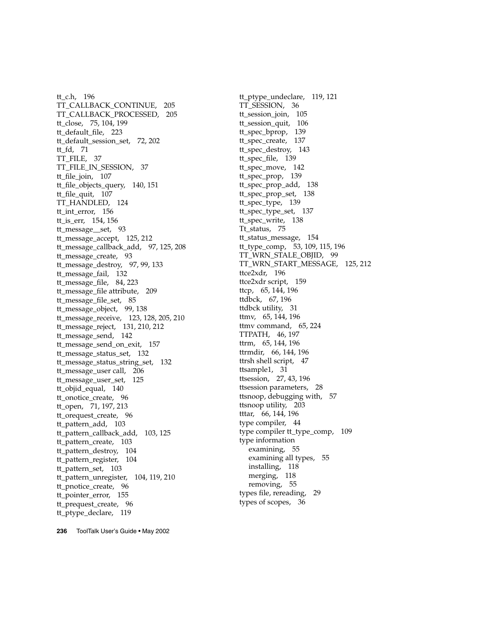tt\_c.h, 196 TT\_CALLBACK\_CONTINUE, 205 TT\_CALLBACK\_PROCESSED, 205 tt\_close, 75, 104, 199 tt\_default\_file, 223 tt\_default\_session\_set, 72, 202 tt\_fd, 71 TT\_FILE, 37 TT\_FILE\_IN\_SESSION, 37 tt\_file\_join, 107 tt\_file\_objects\_query, 140, 151 tt\_file\_quit, 107 TT\_HANDLED, 124 tt\_int\_error, 156 tt\_is\_err, 154, 156 tt\_message\_\_set, 93 tt\_message\_accept, 125, 212 tt\_message\_callback\_add, 97, 125, 208 tt\_message\_create, 93 tt\_message\_destroy, 97, 99, 133 tt\_message\_fail, 132 tt\_message\_file, 84, 223 tt\_message\_file attribute, 209 tt\_message\_file\_set, 85 tt\_message\_object, 99, 138 tt\_message\_receive, 123, 128, 205, 210 tt\_message\_reject, 131, 210, 212 tt\_message\_send, 142 tt\_message\_send\_on\_exit, 157 tt\_message\_status\_set, 132 tt\_message\_status\_string\_set, 132 tt\_message\_user call, 206 tt\_message\_user\_set, 125 tt\_objid\_equal, 140 tt\_onotice\_create, 96 tt\_open, 71, 197, 213 tt\_orequest\_create, 96 tt\_pattern\_add, 103 tt\_pattern\_callback\_add, 103, 125 tt\_pattern\_create, 103 tt\_pattern\_destroy, 104 tt\_pattern\_register, 104 tt\_pattern\_set, 103 tt\_pattern\_unregister, 104, 119, 210 tt\_pnotice\_create, 96 tt\_pointer\_error, 155 tt\_prequest\_create, 96 tt\_ptype\_declare, 119

tt\_ptype\_undeclare, 119, 121 TT\_SESSION, 36 tt\_session\_join, 105 tt\_session\_quit, 106 tt\_spec\_bprop, 139 tt\_spec\_create, 137 tt\_spec\_destroy, 143 tt\_spec\_file, 139 tt\_spec\_move, 142 tt\_spec\_prop, 139 tt\_spec\_prop\_add, 138 tt\_spec\_prop\_set, 138 tt\_spec\_type, 139 tt\_spec\_type\_set, 137 tt\_spec\_write, 138 Tt\_status, 75 tt\_status\_message, 154 tt\_type\_comp, 53, 109, 115, 196 TT\_WRN\_STALE\_OBJID, 99 TT\_WRN\_START\_MESSAGE, 125, 212 ttce2xdr, 196 ttce2xdr script, 159 ttcp, 65, 144, 196 ttdbck, 67, 196 ttdbck utility, 31 ttmv, 65, 144, 196 ttmv command, 65, 224 TTPATH, 46, 197 ttrm, 65, 144, 196 ttrmdir, 66, 144, 196 ttrsh shell script, 47 ttsample1, 31 ttsession, 27, 43, 196 ttsession parameters, 28 ttsnoop, debugging with, 57 ttsnoop utility, 203 tttar, 66, 144, 196 type compiler, 44 type compiler tt\_type\_comp, 109 type information examining, 55 examining all types, 55 installing, 118 merging, 118 removing, 55 types file, rereading, 29 types of scopes, 36